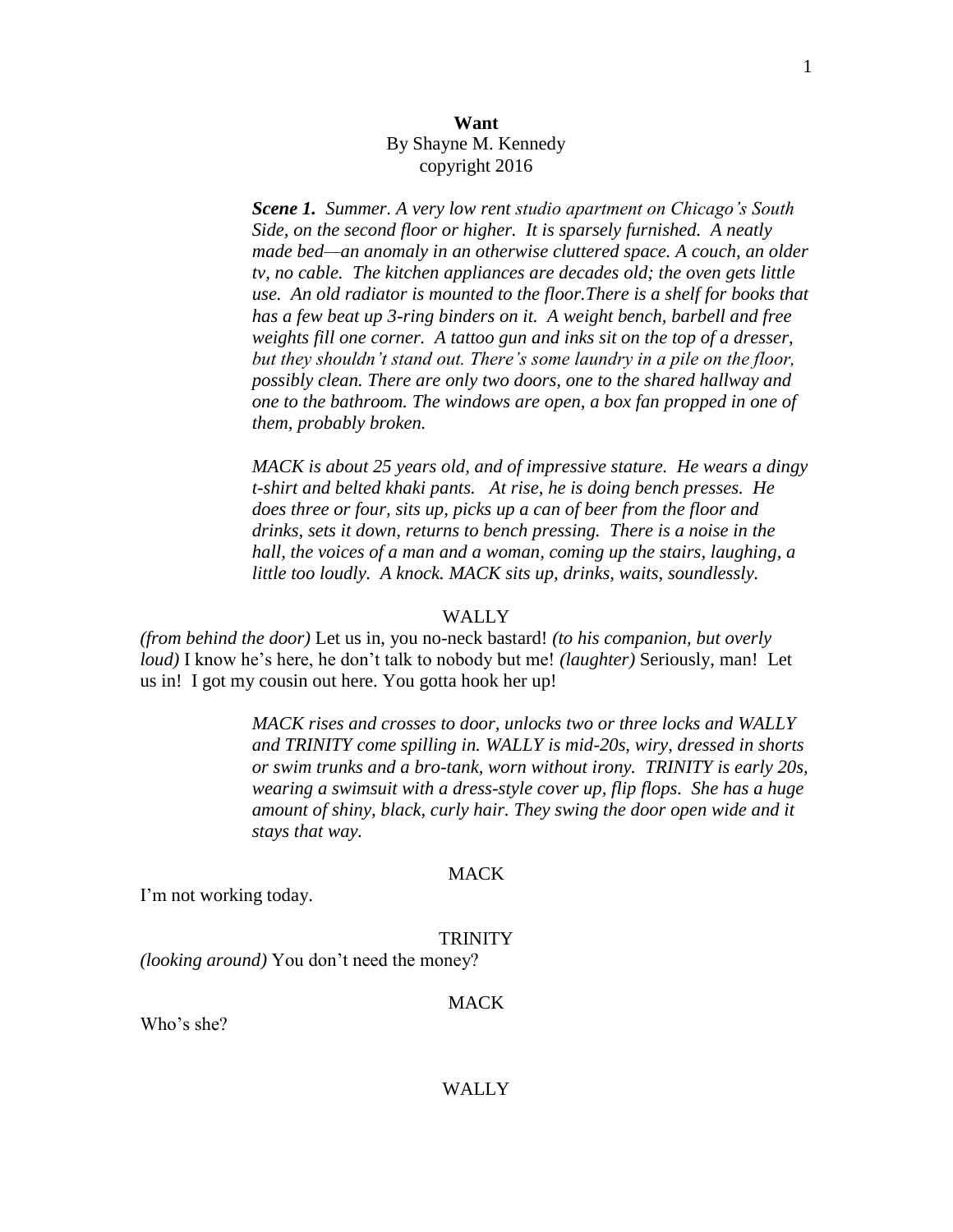## **Want** By Shayne M. Kennedy copyright 2016

*Scene 1.**Summer. A very low rent studio apartment on Chicago's South Side, on the second floor or higher. It is sparsely furnished. A neatly made bed—an anomaly in an otherwise cluttered space. A couch, an older tv, no cable. The kitchen appliances are decades old; the oven gets little use. An old radiator is mounted to the floor.There is a shelf for books that has a few beat up 3-ring binders on it. A weight bench, barbell and free weights fill one corner. A tattoo gun and inks sit on the top of a dresser, but they shouldn't stand out. There's some laundry in a pile on the floor, possibly clean. There are only two doors, one to the shared hallway and one to the bathroom. The windows are open, a box fan propped in one of them, probably broken.*

*MACK is about 25 years old, and of impressive stature. He wears a dingy t-shirt and belted khaki pants. At rise, he is doing bench presses. He does three or four, sits up, picks up a can of beer from the floor and drinks, sets it down, returns to bench pressing. There is a noise in the hall, the voices of a man and a woman, coming up the stairs, laughing, a little too loudly. A knock. MACK sits up, drinks, waits, soundlessly.*

#### WALLY

*(from behind the door)* Let us in, you no-neck bastard! *(to his companion, but overly loud)* I know he's here, he don't talk to nobody but me! *(laughter)* Seriously, man! Let us in! I got my cousin out here. You gotta hook her up!

> *MACK rises and crosses to door, unlocks two or three locks and WALLY and TRINITY come spilling in. WALLY is mid-20s, wiry, dressed in shorts or swim trunks and a bro-tank, worn without irony. TRINITY is early 20s, wearing a swimsuit with a dress-style cover up, flip flops. She has a huge amount of shiny, black, curly hair. They swing the door open wide and it stays that way.*

#### **MACK**

I'm not working today.

#### TRINITY

*(looking around)* You don't need the money?

## **MACK**

Who's she?

#### WALLY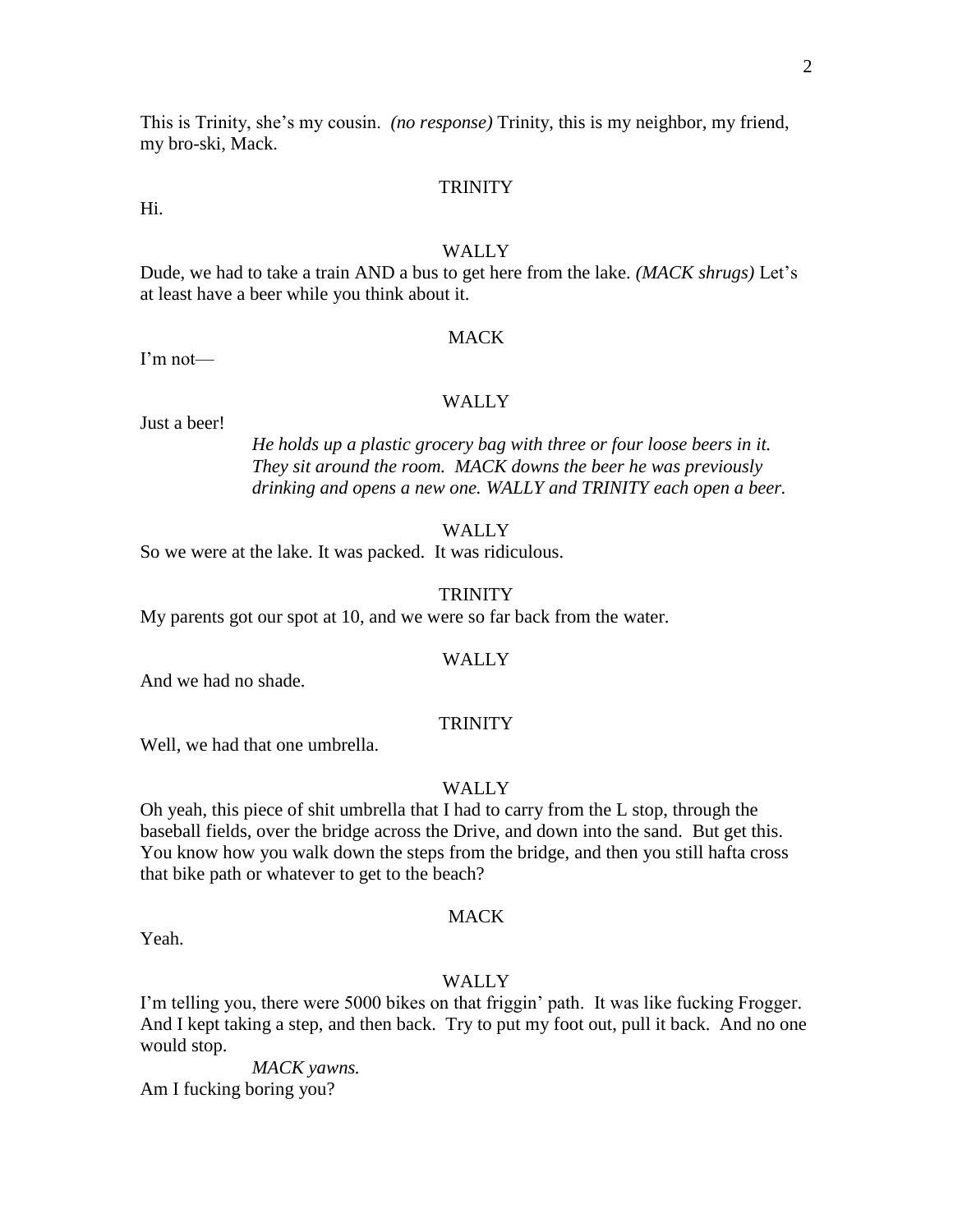This is Trinity, she's my cousin. *(no response)* Trinity, this is my neighbor, my friend, my bro-ski, Mack.

#### **TRINITY**

Hi.

#### **WALLY**

Dude, we had to take a train AND a bus to get here from the lake. *(MACK shrugs)* Let's at least have a beer while you think about it.

#### **MACK**

I'm not—

#### WALLY

Just a beer!

*He holds up a plastic grocery bag with three or four loose beers in it. They sit around the room. MACK downs the beer he was previously drinking and opens a new one. WALLY and TRINITY each open a beer.*

#### **WALLY**

So we were at the lake. It was packed. It was ridiculous.

#### **TRINITY**

My parents got our spot at 10, and we were so far back from the water.

#### WALLY

And we had no shade.

#### **TRINITY**

Well, we had that one umbrella.

#### WALLY

Oh yeah, this piece of shit umbrella that I had to carry from the L stop, through the baseball fields, over the bridge across the Drive, and down into the sand. But get this. You know how you walk down the steps from the bridge, and then you still hafta cross that bike path or whatever to get to the beach?

#### **MACK**

Yeah.

#### WALLY

I'm telling you, there were 5000 bikes on that friggin' path. It was like fucking Frogger. And I kept taking a step, and then back. Try to put my foot out, pull it back. And no one would stop.

*MACK yawns.* Am I fucking boring you?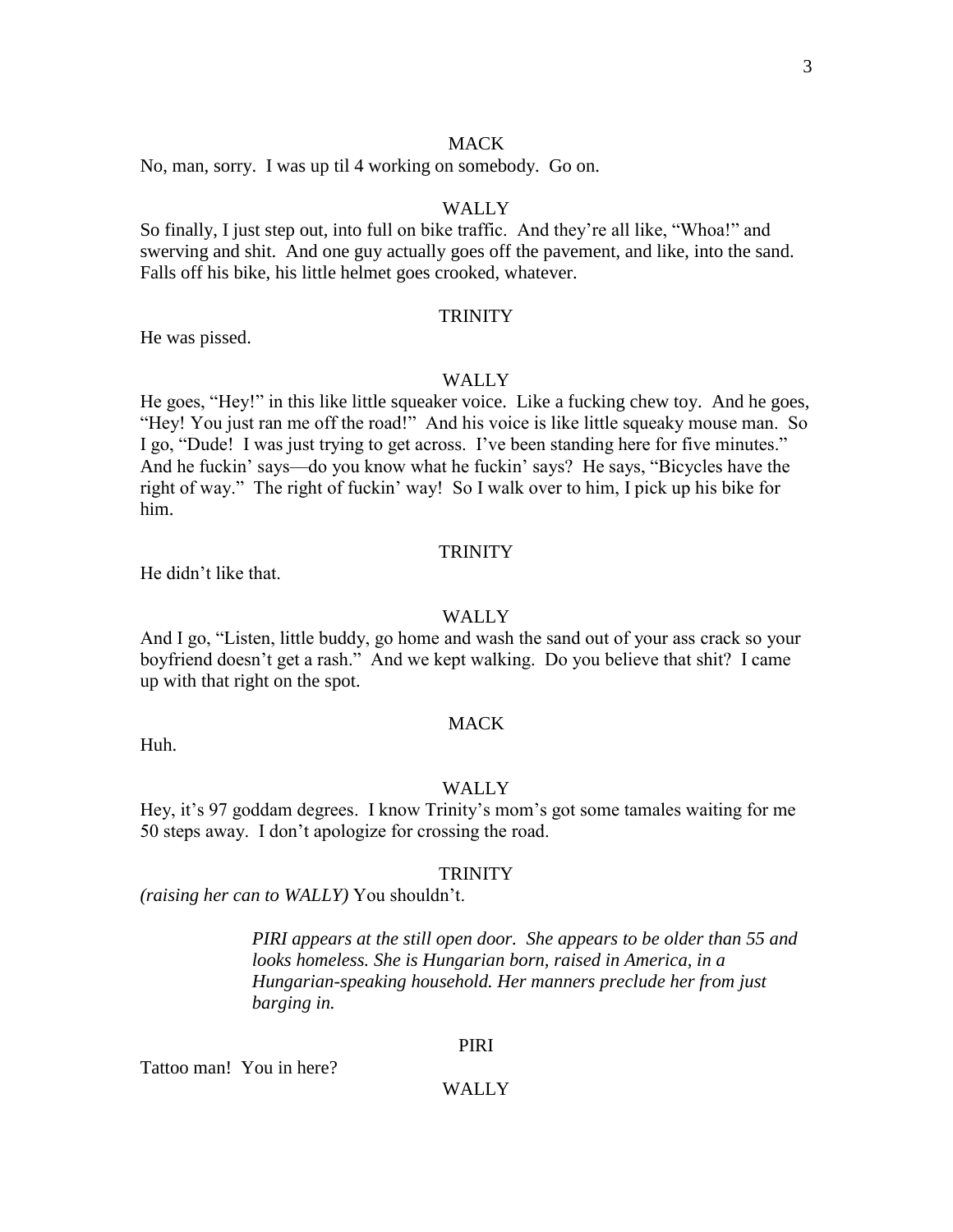#### **MACK**

No, man, sorry. I was up til 4 working on somebody. Go on.

## WALLY

So finally, I just step out, into full on bike traffic. And they're all like, "Whoa!" and swerving and shit. And one guy actually goes off the pavement, and like, into the sand. Falls off his bike, his little helmet goes crooked, whatever.

#### **TRINITY**

He was pissed.

#### **WALLY**

He goes, "Hey!" in this like little squeaker voice. Like a fucking chew toy. And he goes, "Hey! You just ran me off the road!" And his voice is like little squeaky mouse man. So I go, "Dude! I was just trying to get across. I've been standing here for five minutes." And he fuckin' says—do you know what he fuckin' says? He says, "Bicycles have the right of way." The right of fuckin' way! So I walk over to him, I pick up his bike for him.

#### **TRINITY**

He didn't like that.

#### WALLY

And I go, "Listen, little buddy, go home and wash the sand out of your ass crack so your boyfriend doesn't get a rash." And we kept walking. Do you believe that shit? I came up with that right on the spot.

Huh.

## MACK

#### WALLY

Hey, it's 97 goddam degrees. I know Trinity's mom's got some tamales waiting for me 50 steps away. I don't apologize for crossing the road.

#### **TRINITY**

*(raising her can to WALLY)* You shouldn't.

*PIRI appears at the still open door. She appears to be older than 55 and looks homeless. She is Hungarian born, raised in America, in a Hungarian-speaking household. Her manners preclude her from just barging in.*

#### PIRI

Tattoo man! You in here?

#### WALLY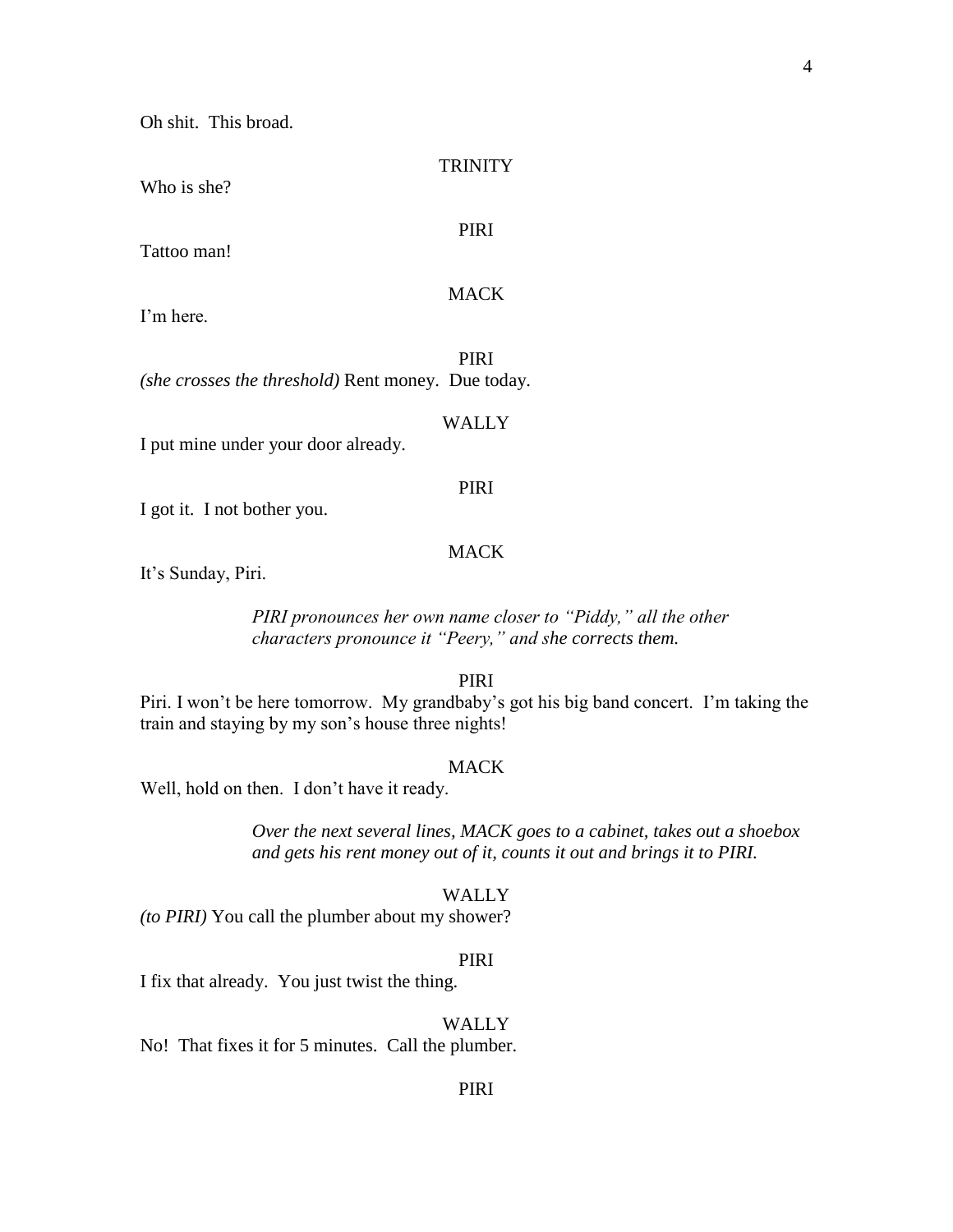Oh shit. This broad.

**TRINITY** 

Who is she?

PIRI

MACK

Tattoo man!

I'm here.

PIRI *(she crosses the threshold)* Rent money. Due today.

#### WALLY

I put mine under your door already.

### PIRI

I got it. I not bother you.

#### **MACK**

It's Sunday, Piri.

*PIRI pronounces her own name closer to "Piddy," all the other characters pronounce it "Peery," and she corrects them.*

PIRI

Piri. I won't be here tomorrow. My grandbaby's got his big band concert. I'm taking the train and staying by my son's house three nights!

#### **MACK**

Well, hold on then. I don't have it ready.

*Over the next several lines, MACK goes to a cabinet, takes out a shoebox and gets his rent money out of it, counts it out and brings it to PIRI.*

#### WALLY

*(to PIRI)* You call the plumber about my shower?

#### PIRI

I fix that already. You just twist the thing.

#### WALLY<sub></sub>

No! That fixes it for 5 minutes. Call the plumber.

#### PIRI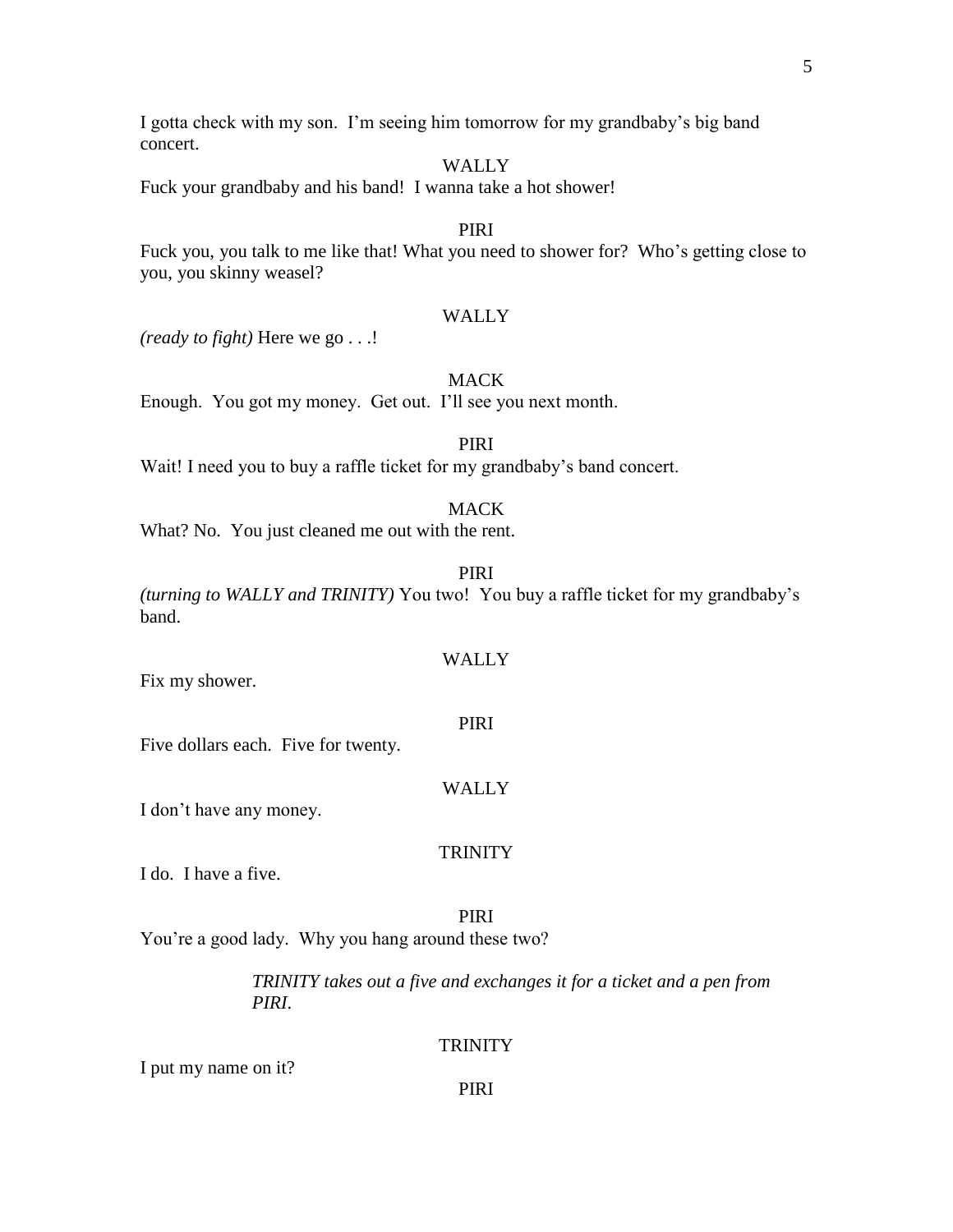I gotta check with my son. I'm seeing him tomorrow for my grandbaby's big band concert.

## WALLY

Fuck your grandbaby and his band! I wanna take a hot shower!

## PIRI

Fuck you, you talk to me like that! What you need to shower for? Who's getting close to you, you skinny weasel?

## WALLY

*(ready to fight)* Here we go . . .!

## **MACK**

Enough. You got my money. Get out. I'll see you next month.

## PIRI

Wait! I need you to buy a raffle ticket for my grandbaby's band concert.

#### MACK

What? No. You just cleaned me out with the rent.

PIRI

*(turning to WALLY and TRINITY)* You two! You buy a raffle ticket for my grandbaby's band.

## WALLY

Fix my shower.

#### PIRI

Five dollars each. Five for twenty.

#### WALLY

I don't have any money.

### **TRINITY**

I do. I have a five.

#### PIRI

You're a good lady. Why you hang around these two?

*TRINITY takes out a five and exchanges it for a ticket and a pen from PIRI*.

#### **TRINITY**

I put my name on it?

#### PIRI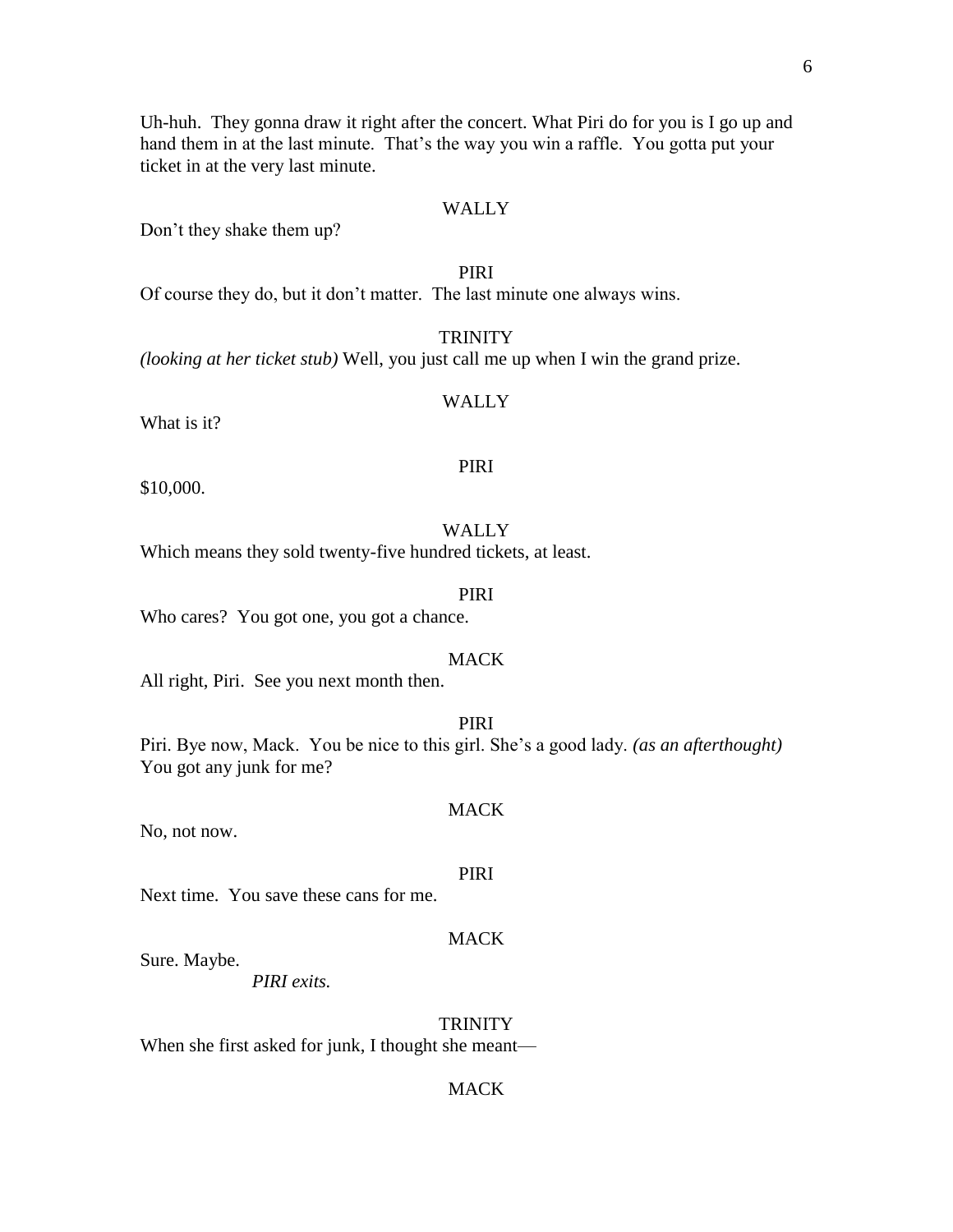Uh-huh. They gonna draw it right after the concert. What Piri do for you is I go up and hand them in at the last minute. That's the way you win a raffle. You gotta put your ticket in at the very last minute.

## WALLY

Don't they shake them up?

## PIRI

Of course they do, but it don't matter. The last minute one always wins.

## **TRINITY**

*(looking at her ticket stub)* Well, you just call me up when I win the grand prize.

## WALLY

What is it?

#### PIRI

\$10,000.

## WALLY

Which means they sold twenty-five hundred tickets, at least.

## PIRI

Who cares? You got one, you got a chance.

## **MACK**

All right, Piri. See you next month then.

#### PIRI

Piri. Bye now, Mack. You be nice to this girl. She's a good lady. *(as an afterthought)*  You got any junk for me?

#### **MACK**

No, not now.

## PIRI

MACK

Next time. You save these cans for me.

#### Sure. Maybe.

*PIRI exits.*

#### **TRINITY**

When she first asked for junk, I thought she meant—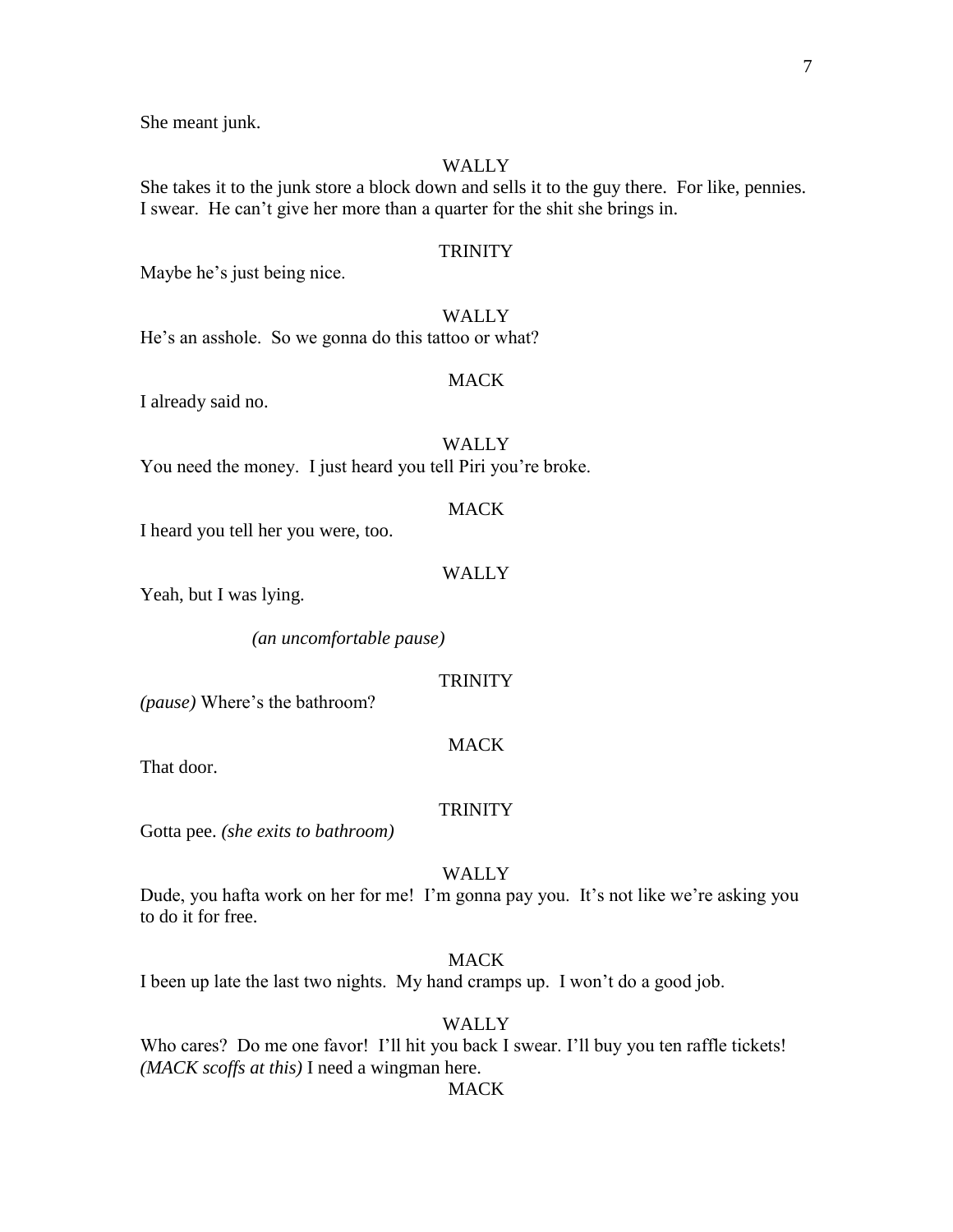She meant junk.

#### **WALLY**

She takes it to the junk store a block down and sells it to the guy there. For like, pennies. I swear. He can't give her more than a quarter for the shit she brings in.

### **TRINITY**

Maybe he's just being nice.

## WALLY

He's an asshole. So we gonna do this tattoo or what?

#### MACK

I already said no.

## WALLY

You need the money. I just heard you tell Piri you're broke.

#### MACK

I heard you tell her you were, too.

## WALLY

Yeah, but I was lying.

*(an uncomfortable pause)*

#### **TRINITY**

*(pause)* Where's the bathroom?

## **MACK**

That door.

#### **TRINITY**

Gotta pee. *(she exits to bathroom)*

## WALLY

Dude, you hafta work on her for me! I'm gonna pay you. It's not like we're asking you to do it for free.

## **MACK**

I been up late the last two nights. My hand cramps up. I won't do a good job.

#### WALLY

Who cares? Do me one favor! I'll hit you back I swear. I'll buy you ten raffle tickets! *(MACK scoffs at this)* I need a wingman here.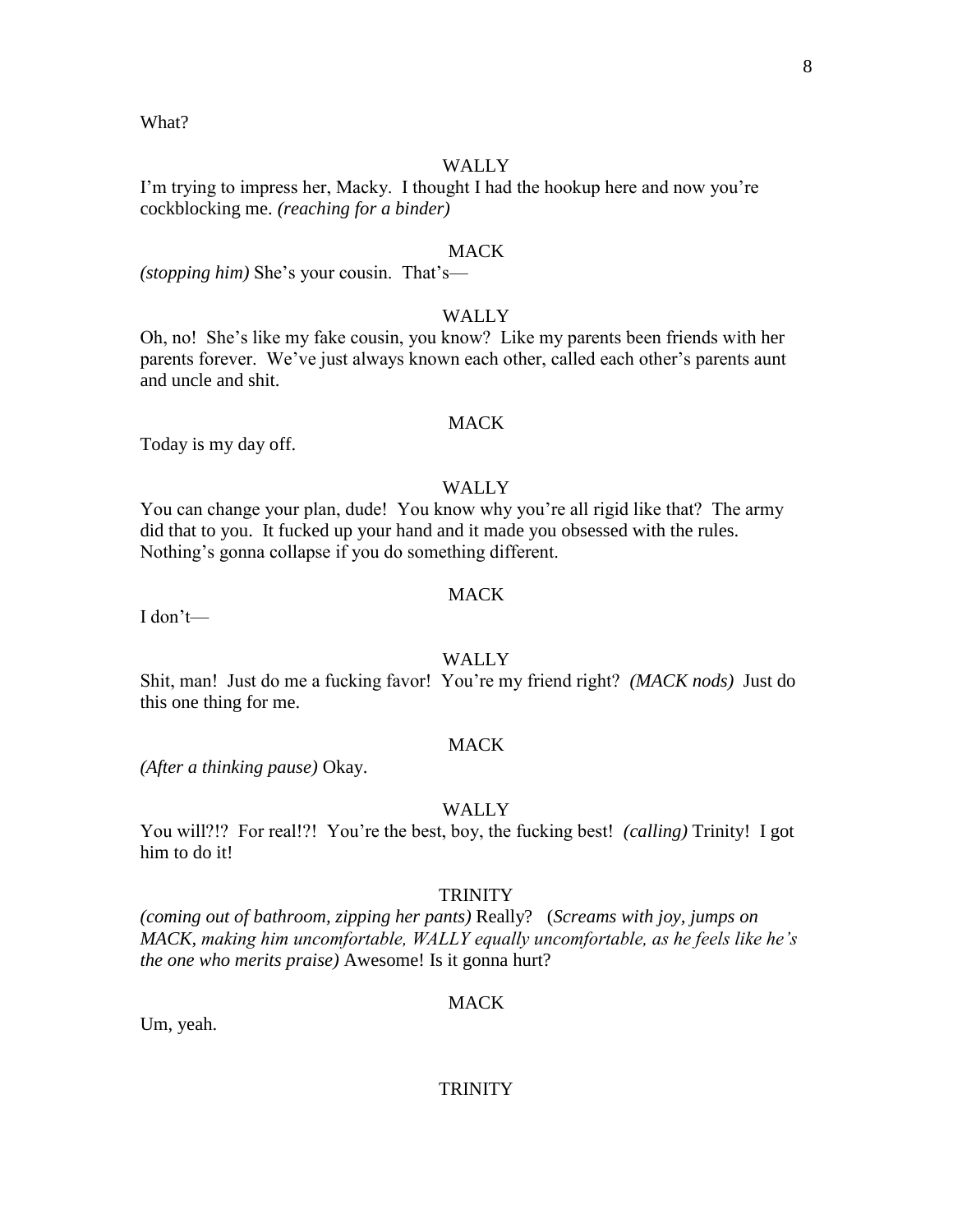#### What?

## **WALLY**

I'm trying to impress her, Macky. I thought I had the hookup here and now you're cockblocking me. *(reaching for a binder)*

#### **MACK**

*(stopping him)* She's your cousin. That's—

## WALLY

Oh, no! She's like my fake cousin, you know? Like my parents been friends with her parents forever. We've just always known each other, called each other's parents aunt and uncle and shit.

#### MACK

Today is my day off.

## WALLY

You can change your plan, dude! You know why you're all rigid like that? The army did that to you. It fucked up your hand and it made you obsessed with the rules. Nothing's gonna collapse if you do something different.

## **MACK**

I don't—

## WALLY

Shit, man! Just do me a fucking favor! You're my friend right? *(MACK nods)* Just do this one thing for me.

## **MACK**

*(After a thinking pause)* Okay.

#### WALLY

You will?!? For real!?! You're the best, boy, the fucking best! *(calling)* Trinity! I got him to do it!

#### **TRINITY**

*(coming out of bathroom, zipping her pants)* Really? (*Screams with joy, jumps on MACK, making him uncomfortable, WALLY equally uncomfortable, as he feels like he's the one who merits praise)* Awesome! Is it gonna hurt?

#### MACK

Um, yeah.

#### **TRINITY**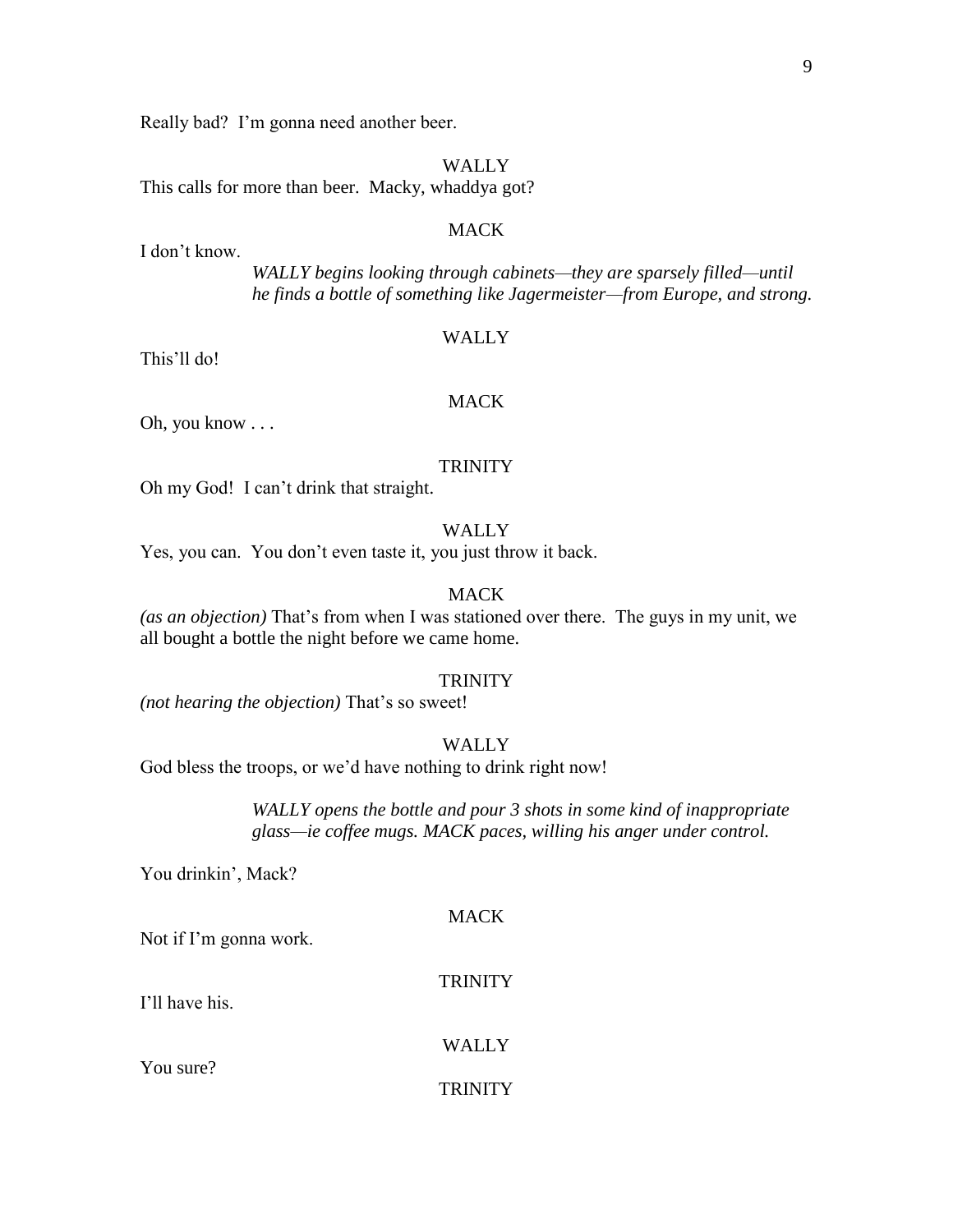Really bad? I'm gonna need another beer.

## WALLY

This calls for more than beer. Macky, whaddya got?

## MACK

I don't know.

*WALLY begins looking through cabinets—they are sparsely filled—until he finds a bottle of something like Jagermeister—from Europe, and strong.*

#### WALLY

This'll do!

## MACK

Oh, you know . . .

#### **TRINITY**

Oh my God! I can't drink that straight.

## WALLY

Yes, you can. You don't even taste it, you just throw it back.

## MACK

*(as an objection)* That's from when I was stationed over there. The guys in my unit, we all bought a bottle the night before we came home.

#### TRINITY

*(not hearing the objection)* That's so sweet!

## WALLY

God bless the troops, or we'd have nothing to drink right now!

*WALLY opens the bottle and pour 3 shots in some kind of inappropriate glass—ie coffee mugs. MACK paces, willing his anger under control.*

You drinkin', Mack?

#### **MACK**

Not if I'm gonna work.

#### TRINITY

I'll have his.

#### WALLY

You sure?

#### **TRINITY**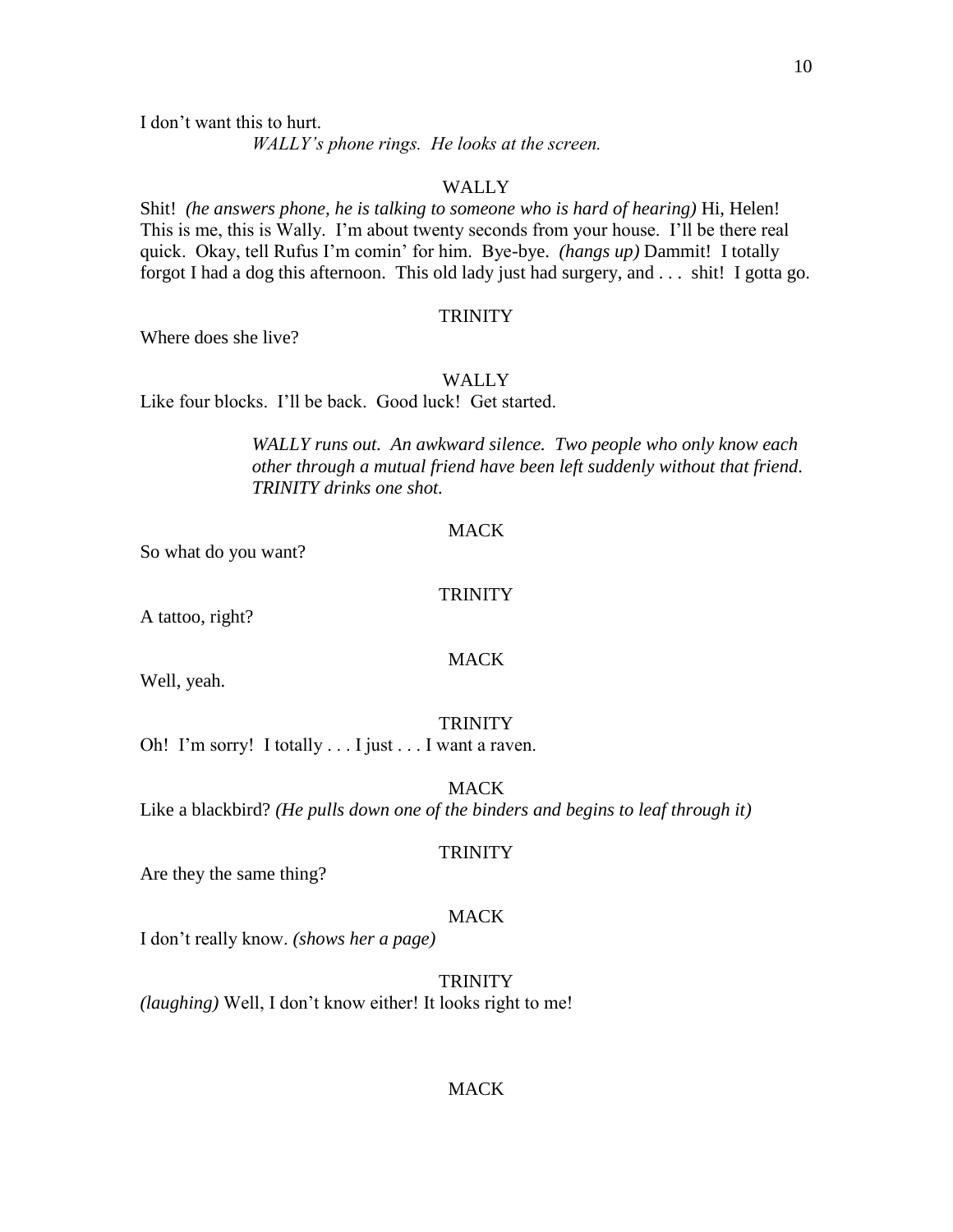I don't want this to hurt.

*WALLY's phone rings. He looks at the screen.*

#### WALLY

Shit! *(he answers phone, he is talking to someone who is hard of hearing)* Hi, Helen! This is me, this is Wally. I'm about twenty seconds from your house. I'll be there real quick. Okay, tell Rufus I'm comin' for him. Bye-bye. *(hangs up)* Dammit! I totally forgot I had a dog this afternoon. This old lady just had surgery, and . . . shit! I gotta go.

#### **TRINITY**

Where does she live?

#### **WALLY**

Like four blocks. I'll be back. Good luck! Get started.

*WALLY runs out. An awkward silence. Two people who only know each other through a mutual friend have been left suddenly without that friend. TRINITY drinks one shot.*

#### **MACK**

So what do you want?

## **TRINITY**

A tattoo, right?

## MACK

Well, yeah.

#### TRINITY

Oh! I'm sorry! I totally . . . I just . . . I want a raven.

MACK Like a blackbird? *(He pulls down one of the binders and begins to leaf through it)*

### **TRINITY**

Are they the same thing?

#### MACK

I don't really know. *(shows her a page)*

TRINITY *(laughing)* Well, I don't know either! It looks right to me!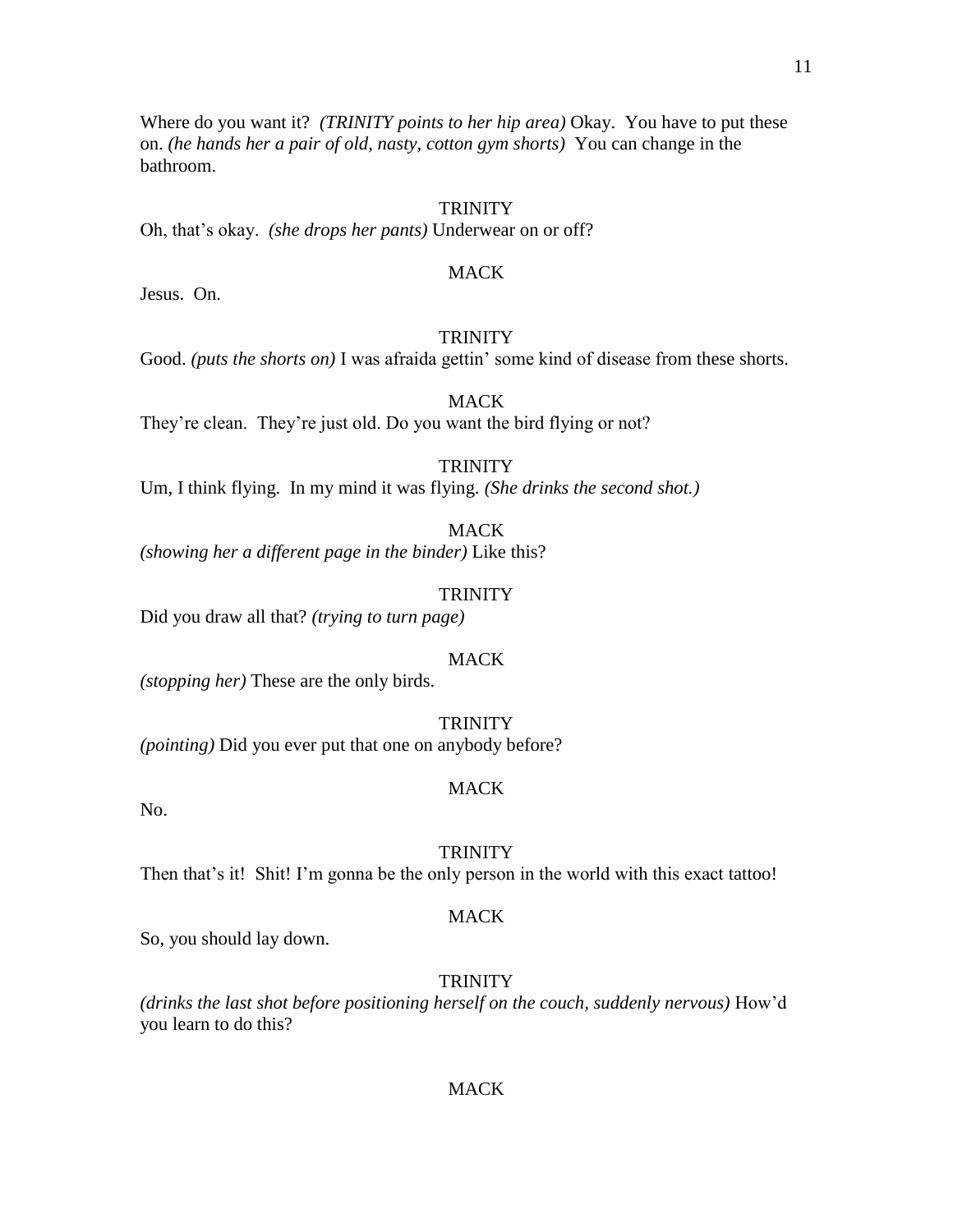Where do you want it? *(TRINITY points to her hip area)* Okay. You have to put these on. *(he hands her a pair of old, nasty, cotton gym shorts)* You can change in the bathroom.

## **TRINITY**

Oh, that's okay. *(she drops her pants)* Underwear on or off?

#### MACK

Jesus. On.

## **TRINITY**

Good. *(puts the shorts on)* I was afraida gettin' some kind of disease from these shorts.

MACK

They're clean. They're just old. Do you want the bird flying or not?

**TRINITY** 

Um, I think flying. In my mind it was flying. *(She drinks the second shot.)*

MACK

*(showing her a different page in the binder)* Like this?

#### **TRINITY**

Did you draw all that? *(trying to turn page)*

#### **MACK**

*(stopping her)* These are the only birds.

**TRINITY** 

*(pointing)* Did you ever put that one on anybody before?

#### MACK

No.

### **TRINITY**

Then that's it! Shit! I'm gonna be the only person in the world with this exact tattoo!

#### **MACK**

So, you should lay down.

#### TRINITY

*(drinks the last shot before positioning herself on the couch, suddenly nervous)* How'd you learn to do this?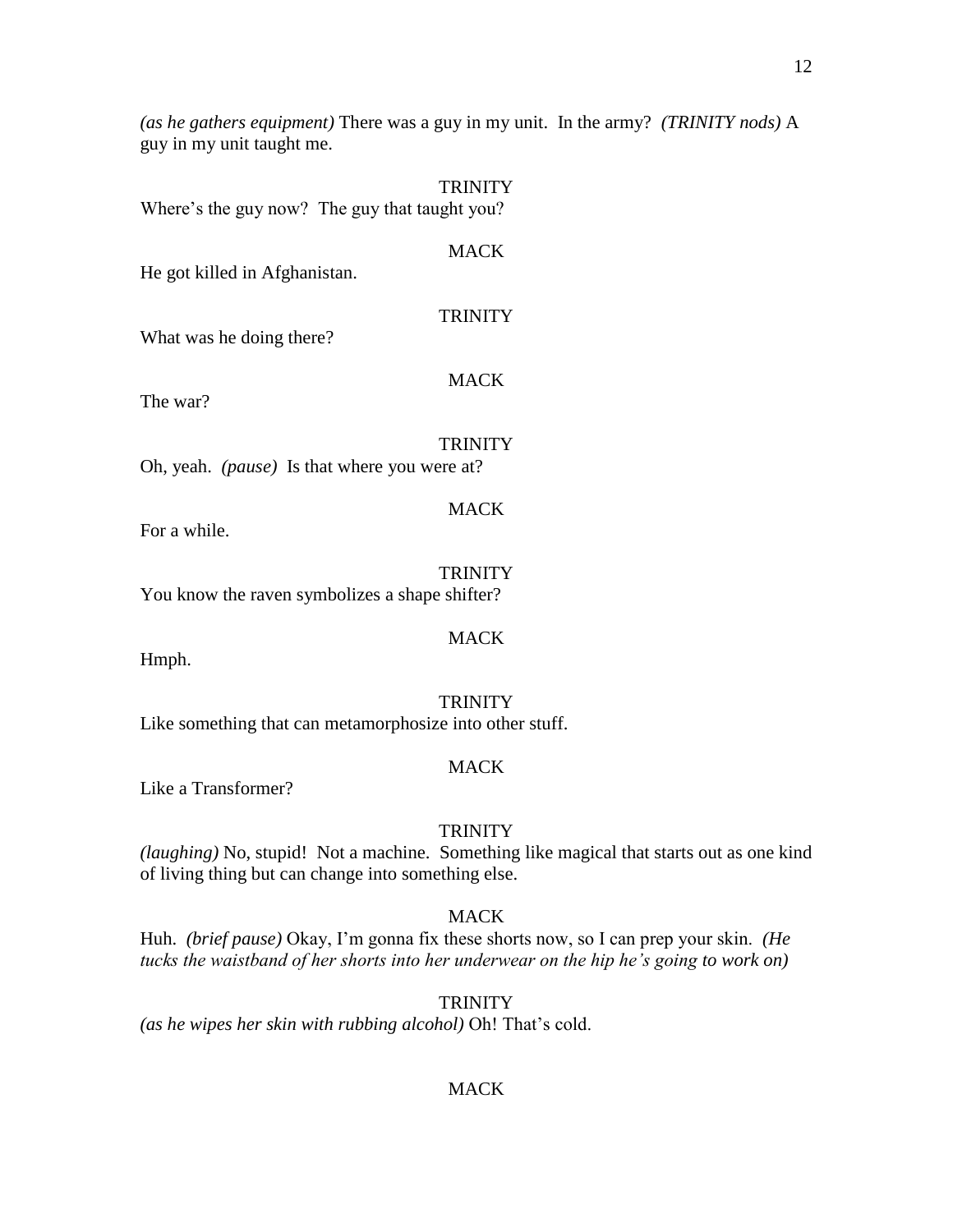*(as he gathers equipment)* There was a guy in my unit. In the army? *(TRINITY nods)* A guy in my unit taught me.

**TRINITY** 

Where's the guy now? The guy that taught you?

## MACK

He got killed in Afghanistan.

## **TRINITY**

What was he doing there?

## MACK

The war?

## **TRINITY**

MACK

Oh, yeah. *(pause)* Is that where you were at?

For a while.

**TRINITY** You know the raven symbolizes a shape shifter?

Hmph.

## **TRINITY**

MACK

Like something that can metamorphosize into other stuff.

## **MACK**

Like a Transformer?

## **TRINITY**

*(laughing)* No, stupid! Not a machine. Something like magical that starts out as one kind of living thing but can change into something else.

## **MACK**

Huh. *(brief pause)* Okay, I'm gonna fix these shorts now, so I can prep your skin. *(He tucks the waistband of her shorts into her underwear on the hip he's going to work on)* 

**TRINITY** 

*(as he wipes her skin with rubbing alcohol)* Oh! That's cold.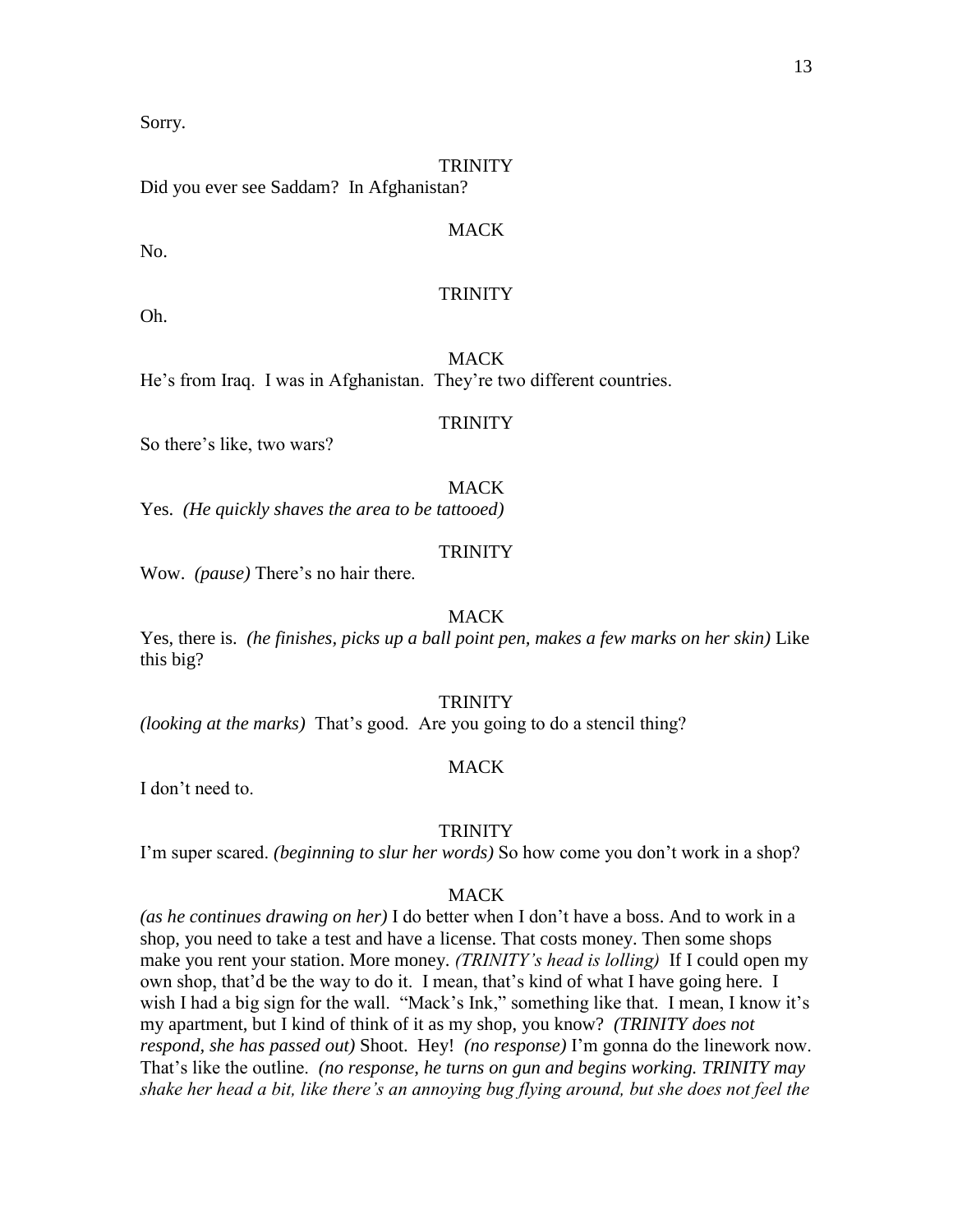Sorry.

## **TRINITY**

Did you ever see Saddam? In Afghanistan?

## **MACK**

No.

## **TRINITY**

Oh.

MACK He's from Iraq. I was in Afghanistan. They're two different countries.

#### **TRINITY**

So there's like, two wars?

## **MACK**

Yes. *(He quickly shaves the area to be tattooed)*

## **TRINITY**

Wow. *(pause)* There's no hair there.

## MACK

Yes, there is. *(he finishes, picks up a ball point pen, makes a few marks on her skin)* Like this big?

## **TRINITY**

*(looking at the marks)* That's good. Are you going to do a stencil thing?

## MACK

I don't need to.

#### **TRINITY**

I'm super scared. *(beginning to slur her words)* So how come you don't work in a shop?

#### MACK

*(as he continues drawing on her)* I do better when I don't have a boss. And to work in a shop, you need to take a test and have a license. That costs money. Then some shops make you rent your station. More money. *(TRINITY's head is lolling)* If I could open my own shop, that'd be the way to do it. I mean, that's kind of what I have going here. I wish I had a big sign for the wall. "Mack's Ink," something like that. I mean, I know it's my apartment, but I kind of think of it as my shop, you know? *(TRINITY does not respond, she has passed out)* Shoot. Hey! *(no response)* I'm gonna do the linework now. That's like the outline. *(no response, he turns on gun and begins working. TRINITY may shake her head a bit, like there's an annoying bug flying around, but she does not feel the*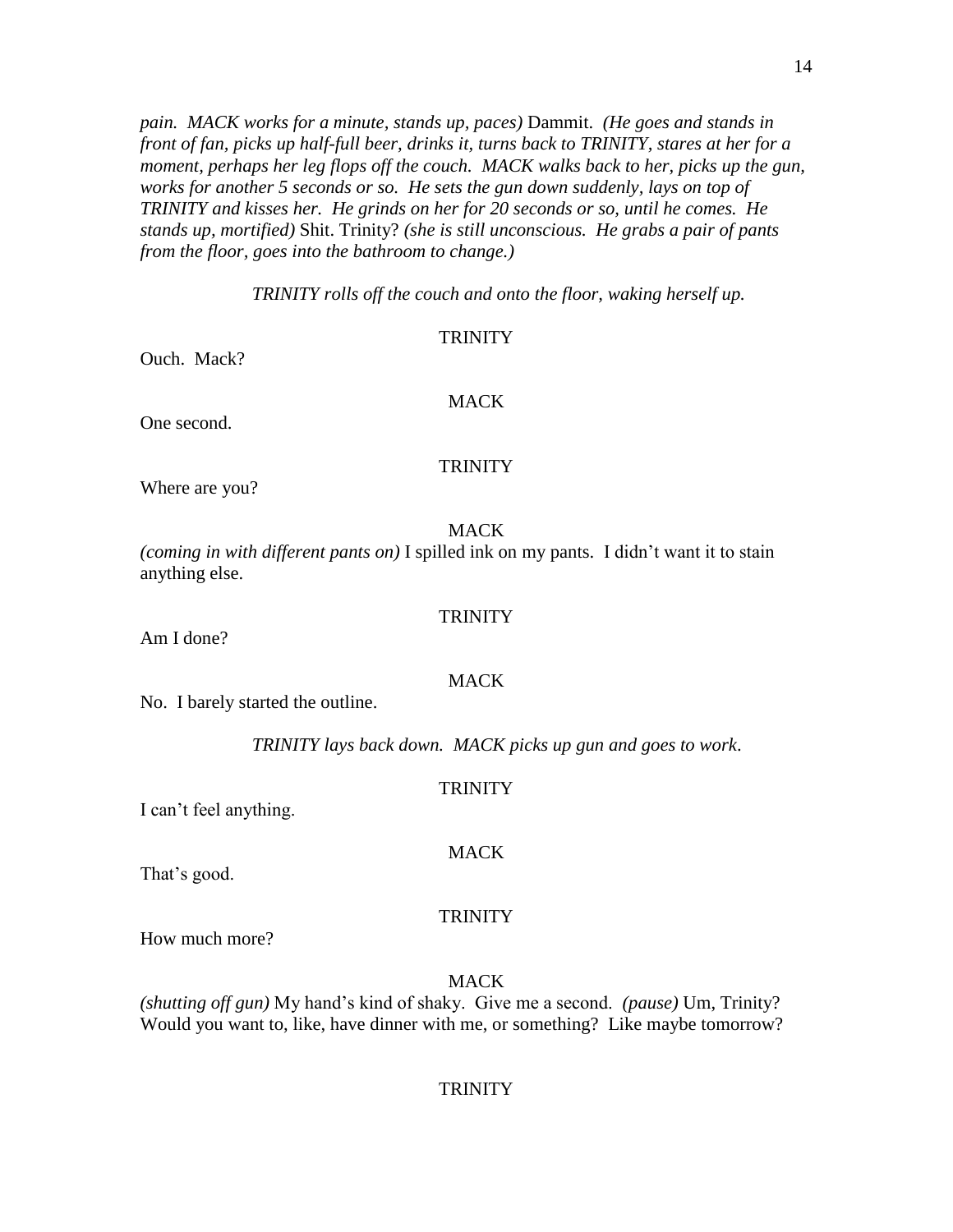*pain. MACK works for a minute, stands up, paces)* Dammit. *(He goes and stands in front of fan, picks up half-full beer, drinks it, turns back to TRINITY, stares at her for a moment, perhaps her leg flops off the couch. MACK walks back to her, picks up the gun, works for another 5 seconds or so. He sets the gun down suddenly, lays on top of TRINITY and kisses her. He grinds on her for 20 seconds or so, until he comes. He stands up, mortified)* Shit. Trinity? *(she is still unconscious. He grabs a pair of pants from the floor, goes into the bathroom to change.)*

*TRINITY rolls off the couch and onto the floor, waking herself up.*

## **TRINITY**

Ouch. Mack?

One second.

# MACK

## **TRINITY**

Where are you?

## **MACK**

*(coming in with different pants on)* I spilled ink on my pants. I didn't want it to stain anything else.

Am I done?

# MACK

**TRINITY** 

No. I barely started the outline.

*TRINITY lays back down. MACK picks up gun and goes to work*.

## **TRINITY**

I can't feel anything.

That's good.

## **TRINITY**

How much more?

MACK

*(shutting off gun)* My hand's kind of shaky. Give me a second. *(pause)* Um, Trinity? Would you want to, like, have dinner with me, or something? Like maybe tomorrow?

## **TRINITY**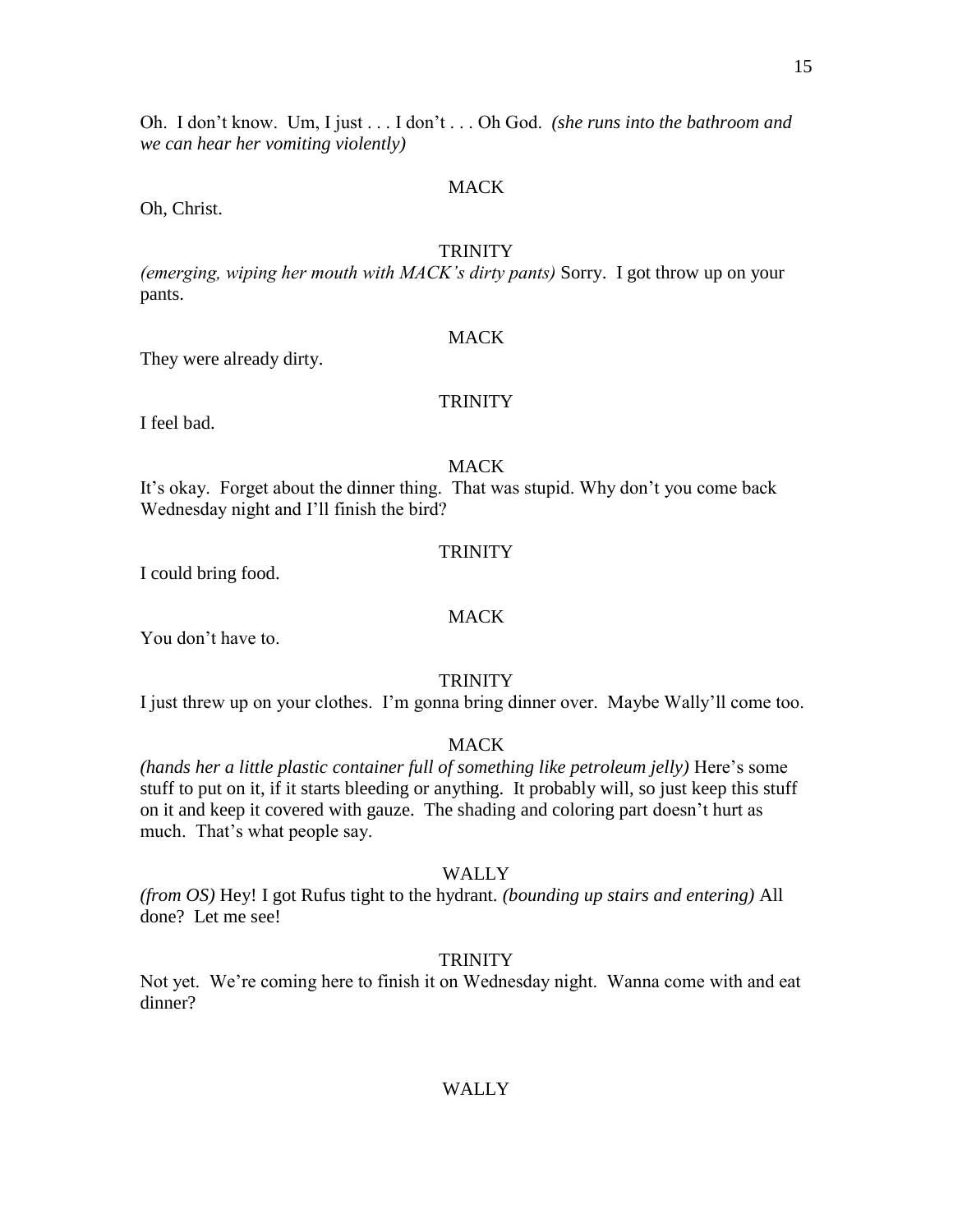Oh. I don't know. Um, I just . . . I don't . . . Oh God. *(she runs into the bathroom and we can hear her vomiting violently)*

## MACK

Oh, Christ.

#### **TRINITY**

*(emerging, wiping her mouth with MACK's dirty pants)* Sorry. I got throw up on your pants.

## **MACK**

They were already dirty.

## **TRINITY**

I feel bad.

## **MACK**

It's okay. Forget about the dinner thing. That was stupid. Why don't you come back Wednesday night and I'll finish the bird?

## **TRINITY**

I could bring food.

## MACK

You don't have to.

## **TRINITY**

I just threw up on your clothes. I'm gonna bring dinner over. Maybe Wally'll come too.

## MACK

*(hands her a little plastic container full of something like petroleum jelly)* Here's some stuff to put on it, if it starts bleeding or anything. It probably will, so just keep this stuff on it and keep it covered with gauze. The shading and coloring part doesn't hurt as much. That's what people say.

## WALLY

*(from OS)* Hey! I got Rufus tight to the hydrant. *(bounding up stairs and entering)* All done? Let me see!

## **TRINITY**

Not yet. We're coming here to finish it on Wednesday night. Wanna come with and eat dinner?

## WALLY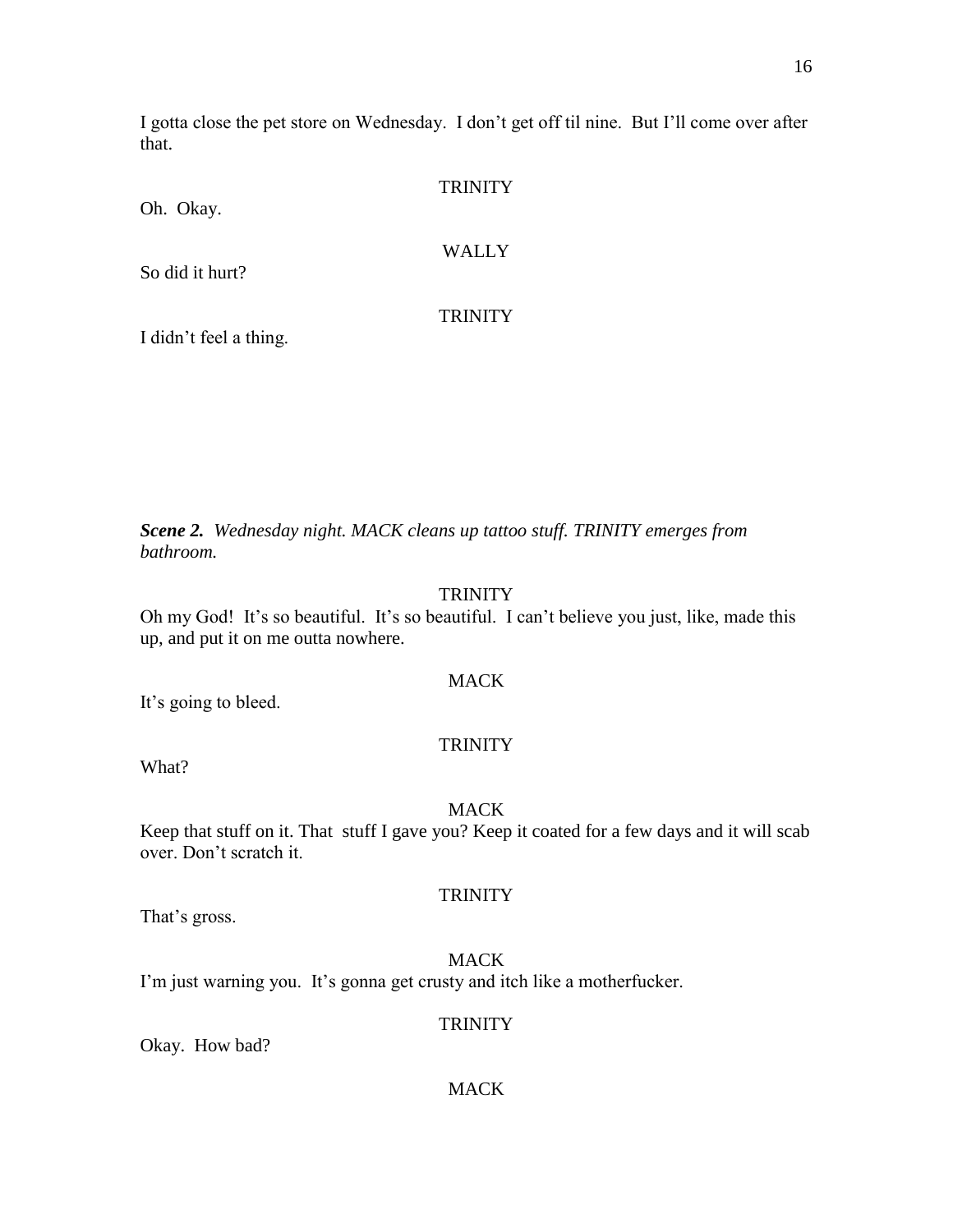I gotta close the pet store on Wednesday. I don't get off til nine. But I'll come over after that.

| Oh. Okay.       | <b>TRINITY</b> |
|-----------------|----------------|
| So did it hurt? | <b>WALLY</b>   |
|                 | <b>TRINITY</b> |

I didn't feel a thing.

*Scene 2. Wednesday night. MACK cleans up tattoo stuff. TRINITY emerges from bathroom.*

## **TRINITY**

Oh my God! It's so beautiful. It's so beautiful. I can't believe you just, like, made this up, and put it on me outta nowhere.

## MACK

It's going to bleed.

## **TRINITY**

What?

## **MACK**

Keep that stuff on it. That stuff I gave you? Keep it coated for a few days and it will scab over. Don't scratch it.

## **TRINITY**

That's gross.

## **MACK**

I'm just warning you. It's gonna get crusty and itch like a motherfucker.

## **TRINITY**

Okay. How bad?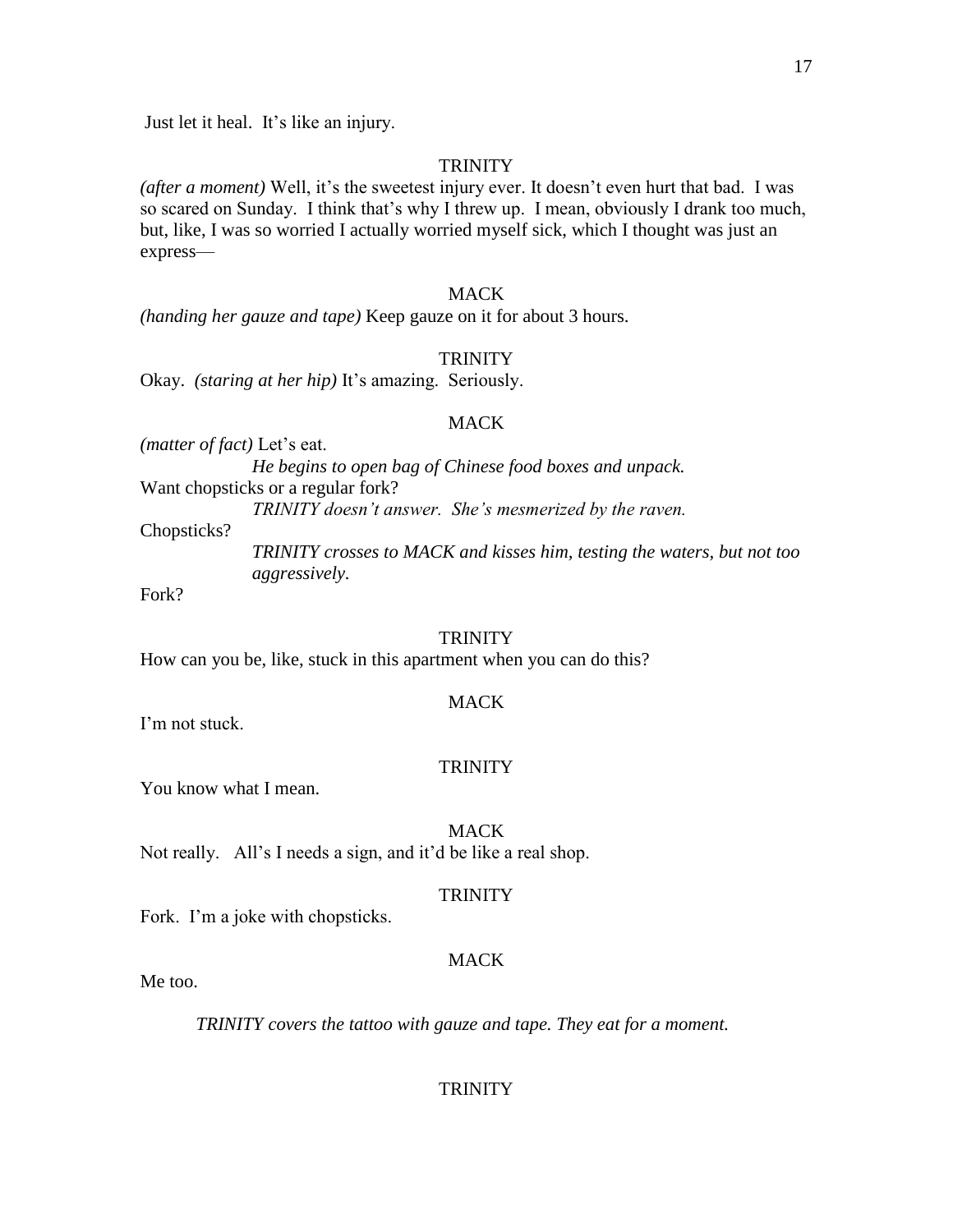Just let it heal. It's like an injury.

#### **TRINITY**

*(after a moment)* Well, it's the sweetest injury ever. It doesn't even hurt that bad. I was so scared on Sunday. I think that's why I threw up. I mean, obviously I drank too much, but, like, I was so worried I actually worried myself sick, which I thought was just an express—

## MACK

*(handing her gauze and tape)* Keep gauze on it for about 3 hours.

#### **TRINITY**

Okay. *(staring at her hip)* It's amazing. Seriously.

#### **MACK**

*(matter of fact)* Let's eat.

*He begins to open bag of Chinese food boxes and unpack.* Want chopsticks or a regular fork?

*TRINITY doesn't answer. She's mesmerized by the raven.*

Chopsticks?

*TRINITY crosses to MACK and kisses him, testing the waters, but not too aggressively.*

Fork?

#### **TRINITY**

How can you be, like, stuck in this apartment when you can do this?

## MACK

I'm not stuck.

#### **TRINITY**

You know what I mean.

MACK

Not really. All's I needs a sign, and it'd be like a real shop.

#### TRINITY

Fork. I'm a joke with chopsticks.

## **MACK**

Me too.

*TRINITY covers the tattoo with gauze and tape. They eat for a moment.*

## **TRINITY**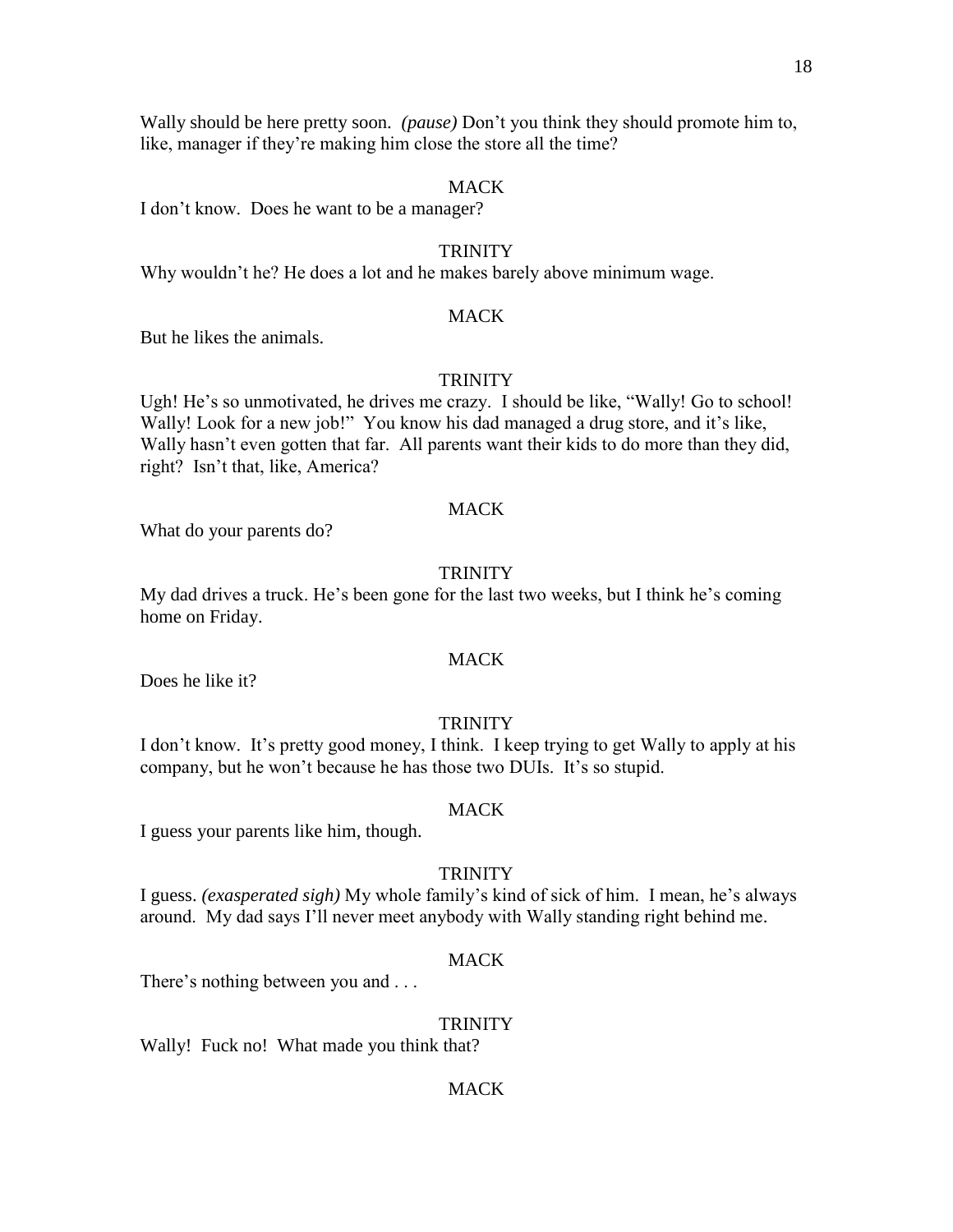Wally should be here pretty soon. *(pause)* Don't you think they should promote him to, like, manager if they're making him close the store all the time?

#### MACK

I don't know. Does he want to be a manager?

### **TRINITY**

Why wouldn't he? He does a lot and he makes barely above minimum wage.

#### MACK

But he likes the animals.

#### **TRINITY**

Ugh! He's so unmotivated, he drives me crazy. I should be like, "Wally! Go to school! Wally! Look for a new job!" You know his dad managed a drug store, and it's like, Wally hasn't even gotten that far. All parents want their kids to do more than they did, right? Isn't that, like, America?

#### MACK

What do your parents do?

## **TRINITY**

My dad drives a truck. He's been gone for the last two weeks, but I think he's coming home on Friday.

## MACK

Does he like it?

#### TRINITY

I don't know. It's pretty good money, I think. I keep trying to get Wally to apply at his company, but he won't because he has those two DUIs. It's so stupid.

#### **MACK**

I guess your parents like him, though.

#### **TRINITY**

I guess. *(exasperated sigh)* My whole family's kind of sick of him. I mean, he's always around. My dad says I'll never meet anybody with Wally standing right behind me.

#### MACK

There's nothing between you and . . .

#### **TRINITY**

Wally! Fuck no! What made you think that?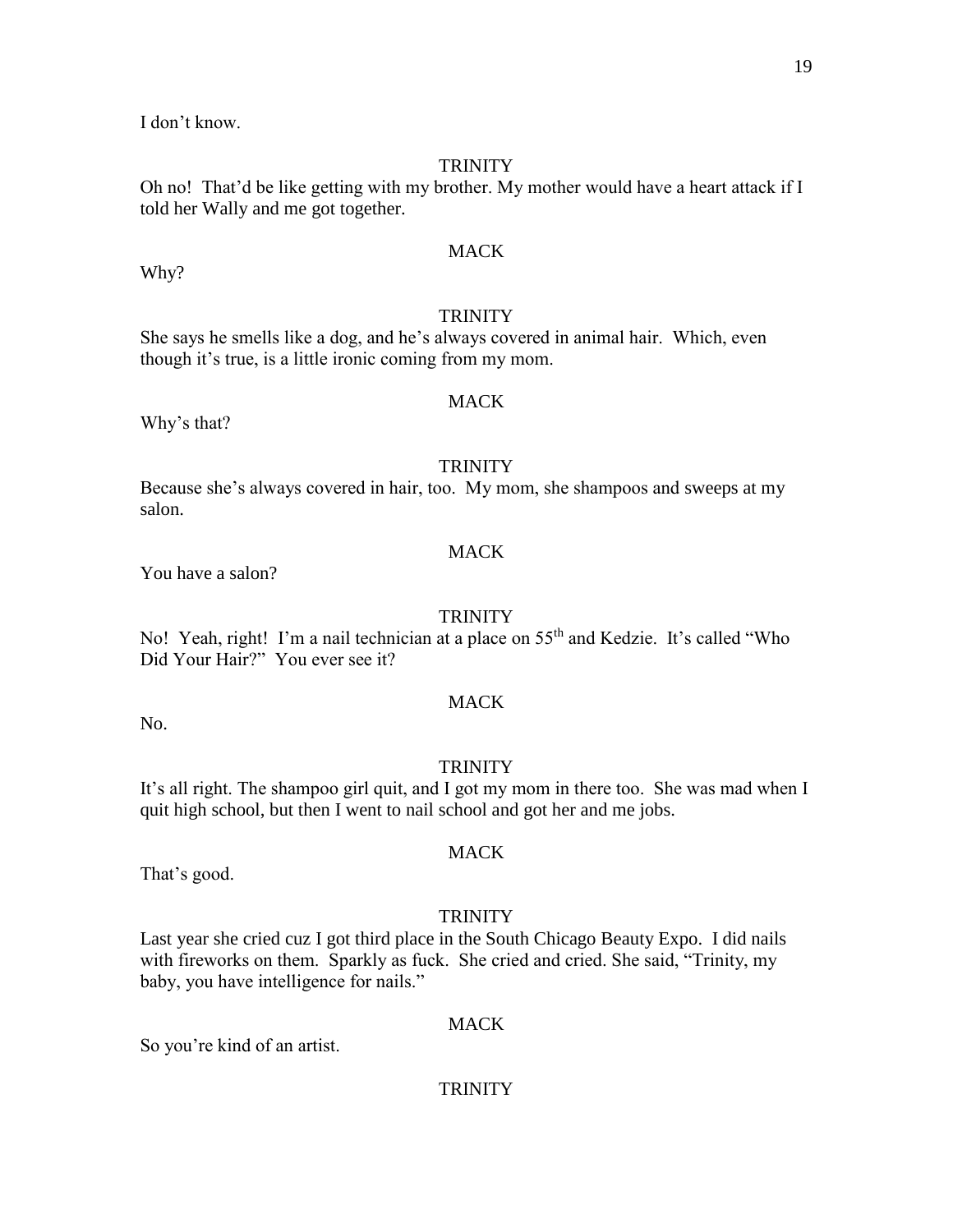I don't know.

## **TRINITY**

Oh no! That'd be like getting with my brother. My mother would have a heart attack if I told her Wally and me got together.

## **MACK**

Why?

## **TRINITY**

She says he smells like a dog, and he's always covered in animal hair. Which, even though it's true, is a little ironic coming from my mom.

## MACK

Why's that?

## **TRINITY**

Because she's always covered in hair, too. My mom, she shampoos and sweeps at my salon.

## **MACK**

You have a salon?

## **TRINITY**

No! Yeah, right! I'm a nail technician at a place on 55<sup>th</sup> and Kedzie. It's called "Who Did Your Hair?" You ever see it?

No.

# **MACK**

## **TRINITY**

It's all right. The shampoo girl quit, and I got my mom in there too. She was mad when I quit high school, but then I went to nail school and got her and me jobs.

MACK

That's good.

## **TRINITY**

Last year she cried cuz I got third place in the South Chicago Beauty Expo. I did nails with fireworks on them. Sparkly as fuck. She cried and cried. She said, "Trinity, my baby, you have intelligence for nails."

#### **MACK**

So you're kind of an artist.

## **TRINITY**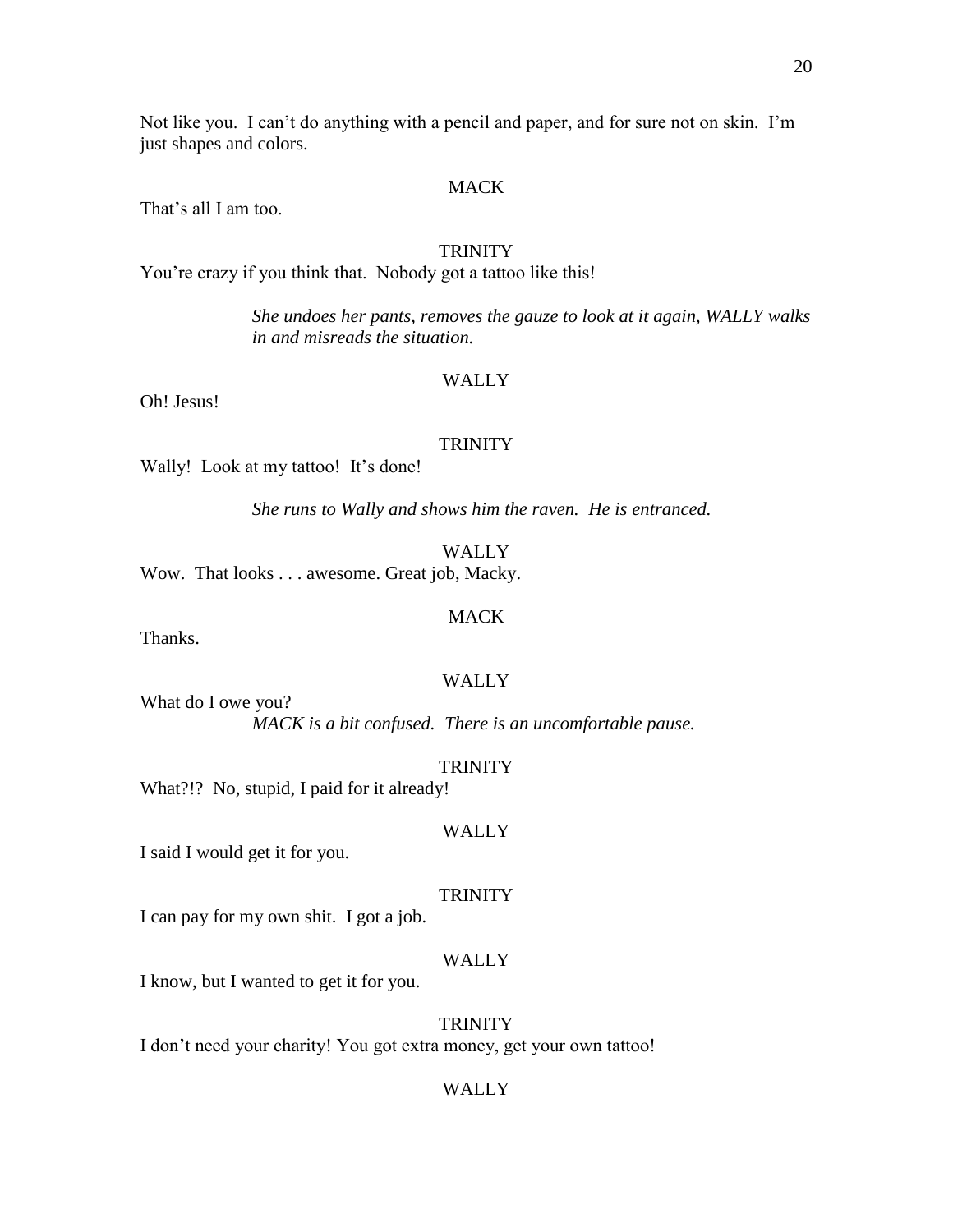Not like you. I can't do anything with a pencil and paper, and for sure not on skin. I'm just shapes and colors.

## MACK

That's all I am too.

#### **TRINITY**

You're crazy if you think that. Nobody got a tattoo like this!

*She undoes her pants, removes the gauze to look at it again, WALLY walks in and misreads the situation.*

## WALLY

Oh! Jesus!

#### **TRINITY**

Wally! Look at my tattoo! It's done!

*She runs to Wally and shows him the raven. He is entranced.*

WALLY

Wow. That looks . . . awesome. Great job, Macky.

#### MACK

Thanks.

## WALLY

What do I owe you? *MACK is a bit confused. There is an uncomfortable pause.*

#### **TRINITY**

What?!? No, stupid, I paid for it already!

## WALLY

I said I would get it for you.

## **TRINITY**

I can pay for my own shit. I got a job.

## WALLY

I know, but I wanted to get it for you.

#### **TRINITY**

I don't need your charity! You got extra money, get your own tattoo!

## WALLY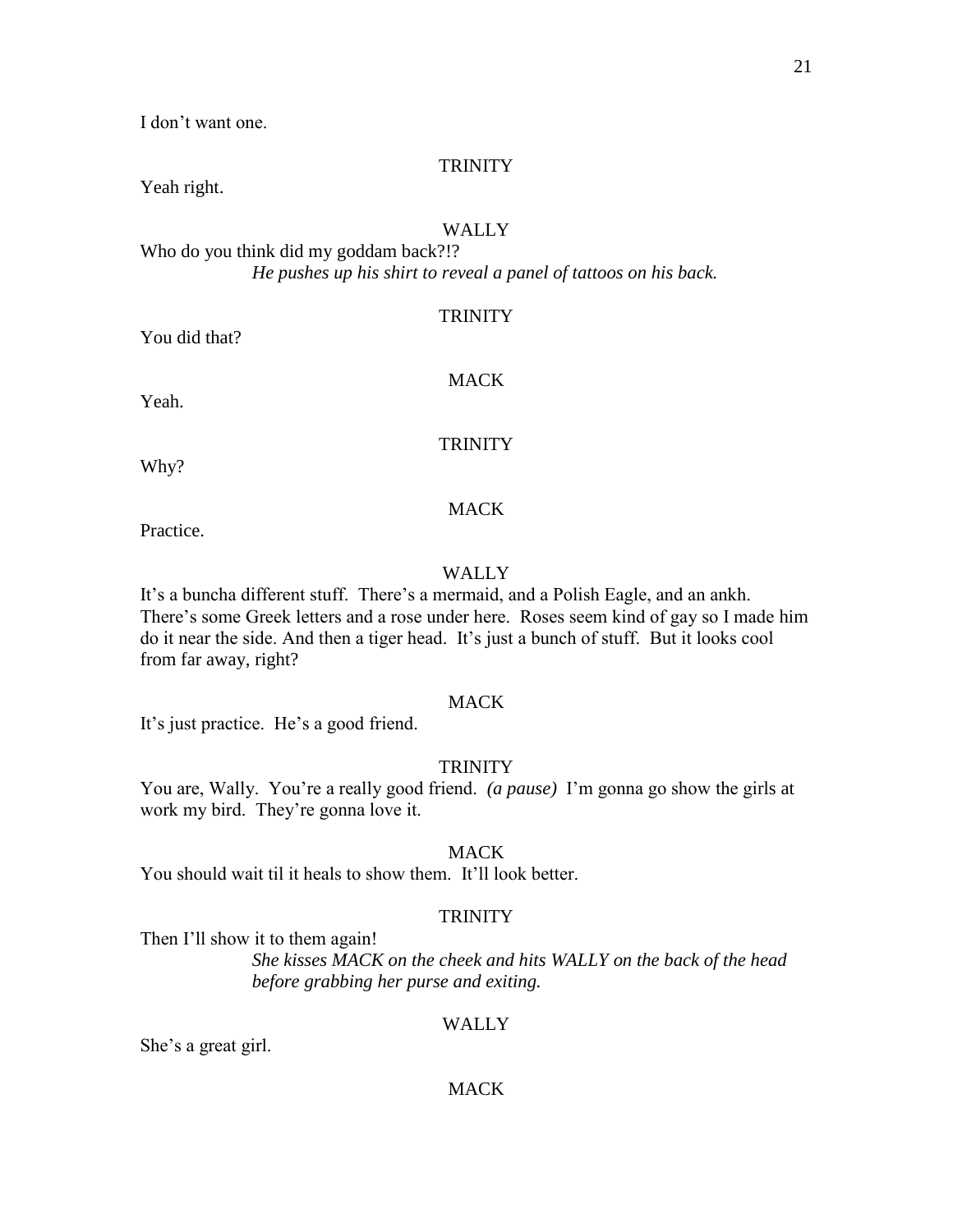I don't want one.

## **TRINITY**

Yeah right.

## WALLY

Who do you think did my goddam back?!? *He pushes up his shirt to reveal a panel of tattoos on his back.*

## **TRINITY**

You did that?

Yeah.

## MACK

## **TRINITY**

Why?

## MACK

Practice.

## WALLY

It's a buncha different stuff. There's a mermaid, and a Polish Eagle, and an ankh. There's some Greek letters and a rose under here. Roses seem kind of gay so I made him do it near the side. And then a tiger head. It's just a bunch of stuff. But it looks cool from far away, right?

## **MACK**

It's just practice. He's a good friend.

## **TRINITY**

You are, Wally. You're a really good friend. *(a pause)* I'm gonna go show the girls at work my bird. They're gonna love it.

## MACK

You should wait til it heals to show them. It'll look better.

## **TRINITY**

Then I'll show it to them again!

*She kisses MACK on the cheek and hits WALLY on the back of the head before grabbing her purse and exiting.*

## WALLY

She's a great girl.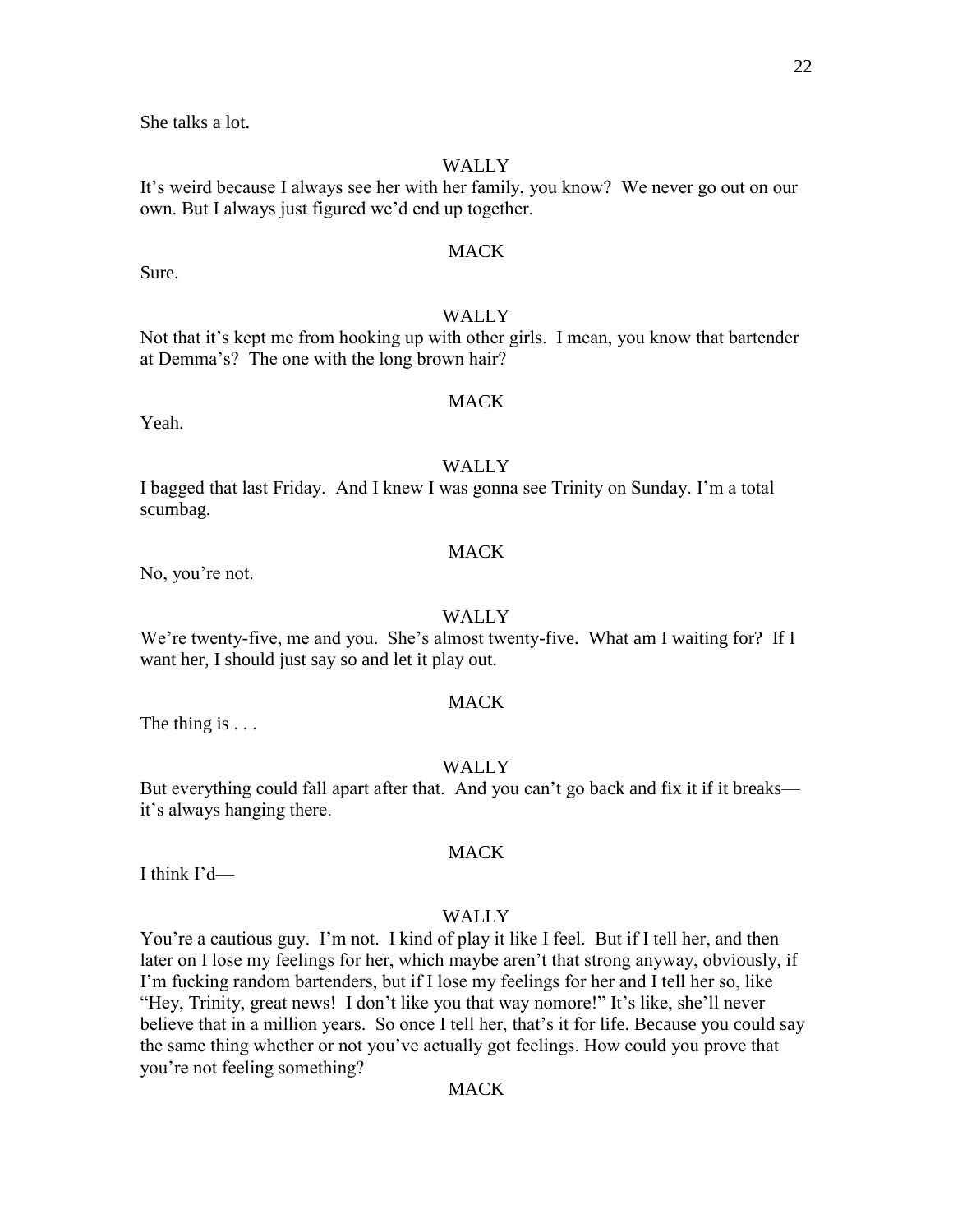She talks a lot.

## **WALLY**

It's weird because I always see her with her family, you know? We never go out on our own. But I always just figured we'd end up together.

## **MACK**

#### WALLY

Not that it's kept me from hooking up with other girls. I mean, you know that bartender at Demma's? The one with the long brown hair?

#### MACK

Yeah.

Sure.

## **WALLY**

I bagged that last Friday. And I knew I was gonna see Trinity on Sunday. I'm a total scumbag.

#### **MACK**

No, you're not.

#### WALLY

We're twenty-five, me and you. She's almost twenty-five. What am I waiting for? If I want her, I should just say so and let it play out.

## **MACK**

The thing is  $\dots$ 

#### WALLY

But everything could fall apart after that. And you can't go back and fix it if it breaks it's always hanging there.

I think I'd—

#### WALLY

MACK

You're a cautious guy. I'm not. I kind of play it like I feel. But if I tell her, and then later on I lose my feelings for her, which maybe aren't that strong anyway, obviously, if I'm fucking random bartenders, but if I lose my feelings for her and I tell her so, like "Hey, Trinity, great news! I don't like you that way nomore!" It's like, she'll never believe that in a million years. So once I tell her, that's it for life. Because you could say the same thing whether or not you've actually got feelings. How could you prove that you're not feeling something?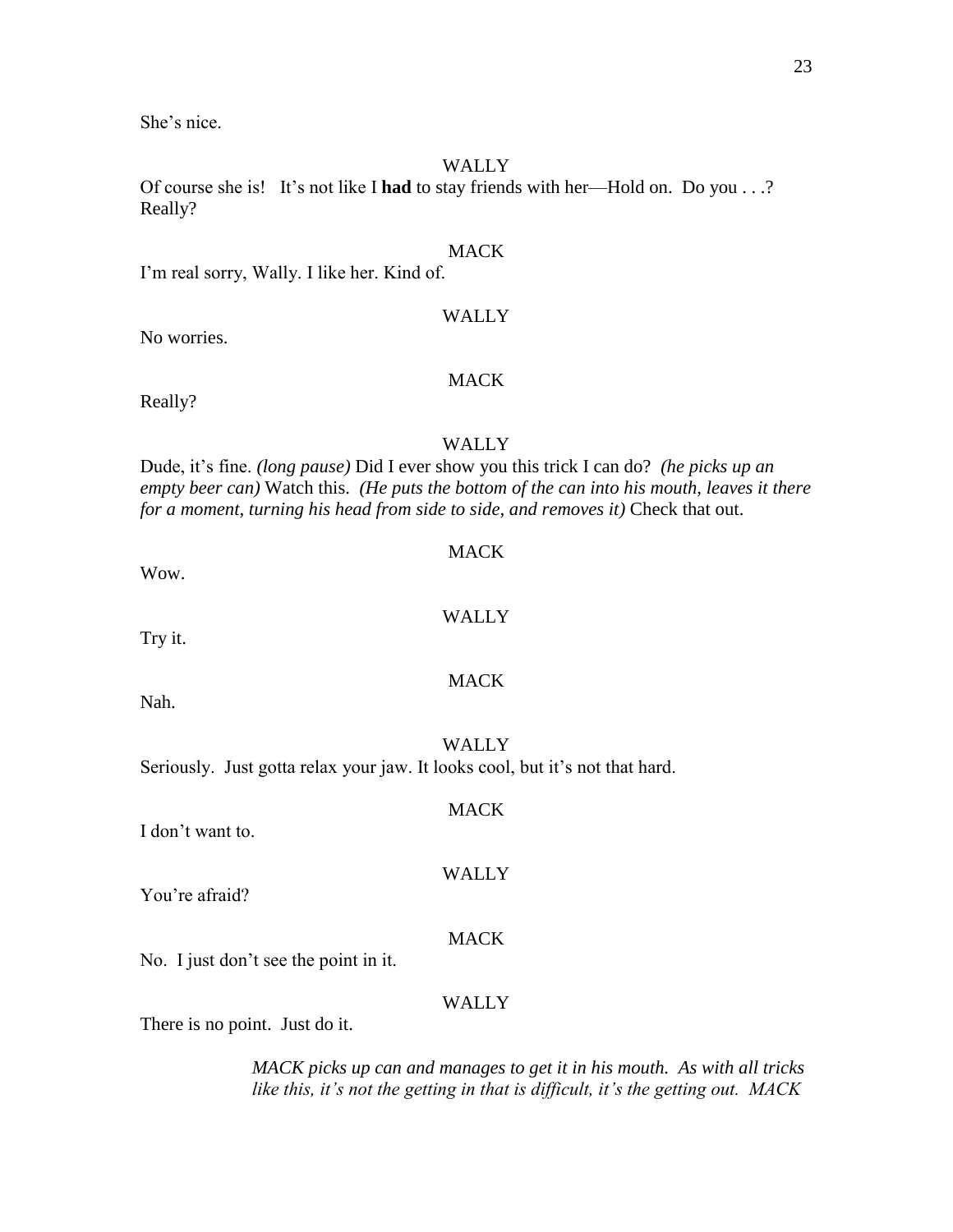She's nice.

## **WALLY**

Of course she is! It's not like I **had** to stay friends with her—Hold on. Do you . . .? Really?

#### **MACK**

I'm real sorry, Wally. I like her. Kind of.

## WALLY

No worries.

## MACK

Really?

## WALLY

Dude, it's fine. *(long pause)* Did I ever show you this trick I can do? *(he picks up an empty beer can)* Watch this. *(He puts the bottom of the can into his mouth, leaves it there for a moment, turning his head from side to side, and removes it)* Check that out.

Wow.

# WALLY

MACK

MACK

Try it.

Nah.

WALLY Seriously. Just gotta relax your jaw. It looks cool, but it's not that hard.

I don't want to.

You're afraid?

## MACK

WALLY

No. I just don't see the point in it.

## WALLY

There is no point. Just do it.

*MACK picks up can and manages to get it in his mouth. As with all tricks like this, it's not the getting in that is difficult, it's the getting out. MACK*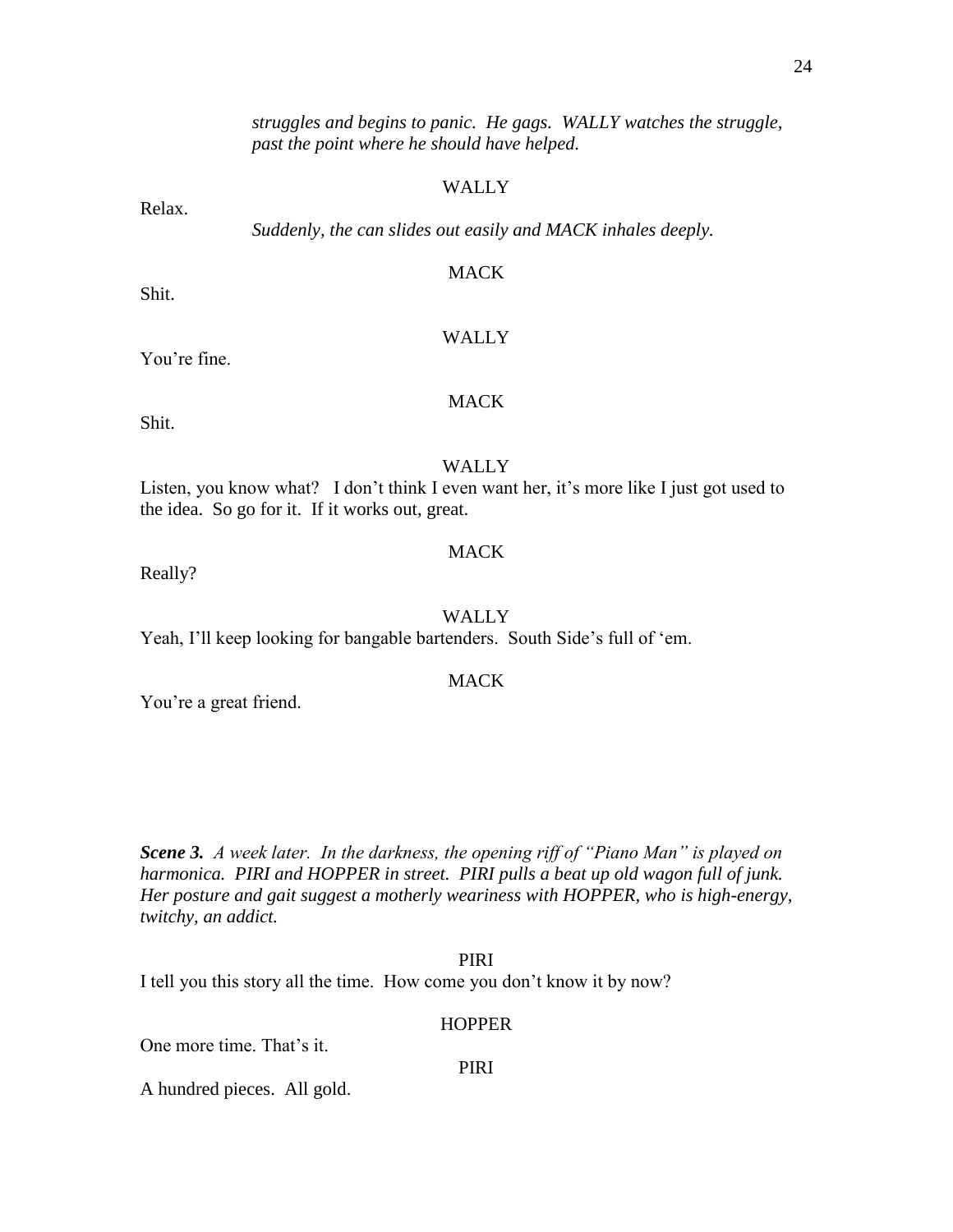*struggles and begins to panic. He gags. WALLY watches the struggle, past the point where he should have helped.* 

#### WALLY

*Suddenly, the can slides out easily and MACK inhales deeply.*

#### MACK

WALLY

Shit.

Relax.

## You're fine.

## MACK

Shit.

#### **WALLY**

Listen, you know what? I don't think I even want her, it's more like I just got used to the idea. So go for it. If it works out, great.

#### **MACK**

Really?

#### WALLY

Yeah, I'll keep looking for bangable bartenders. South Side's full of 'em.

#### MACK

You're a great friend.

*Scene 3. A week later. In the darkness, the opening riff of "Piano Man" is played on harmonica. PIRI and HOPPER in street. PIRI pulls a beat up old wagon full of junk. Her posture and gait suggest a motherly weariness with HOPPER, who is high-energy, twitchy, an addict.*

PIRI I tell you this story all the time. How come you don't know it by now?

#### **HOPPER**

One more time. That's it.

PIRI

A hundred pieces. All gold.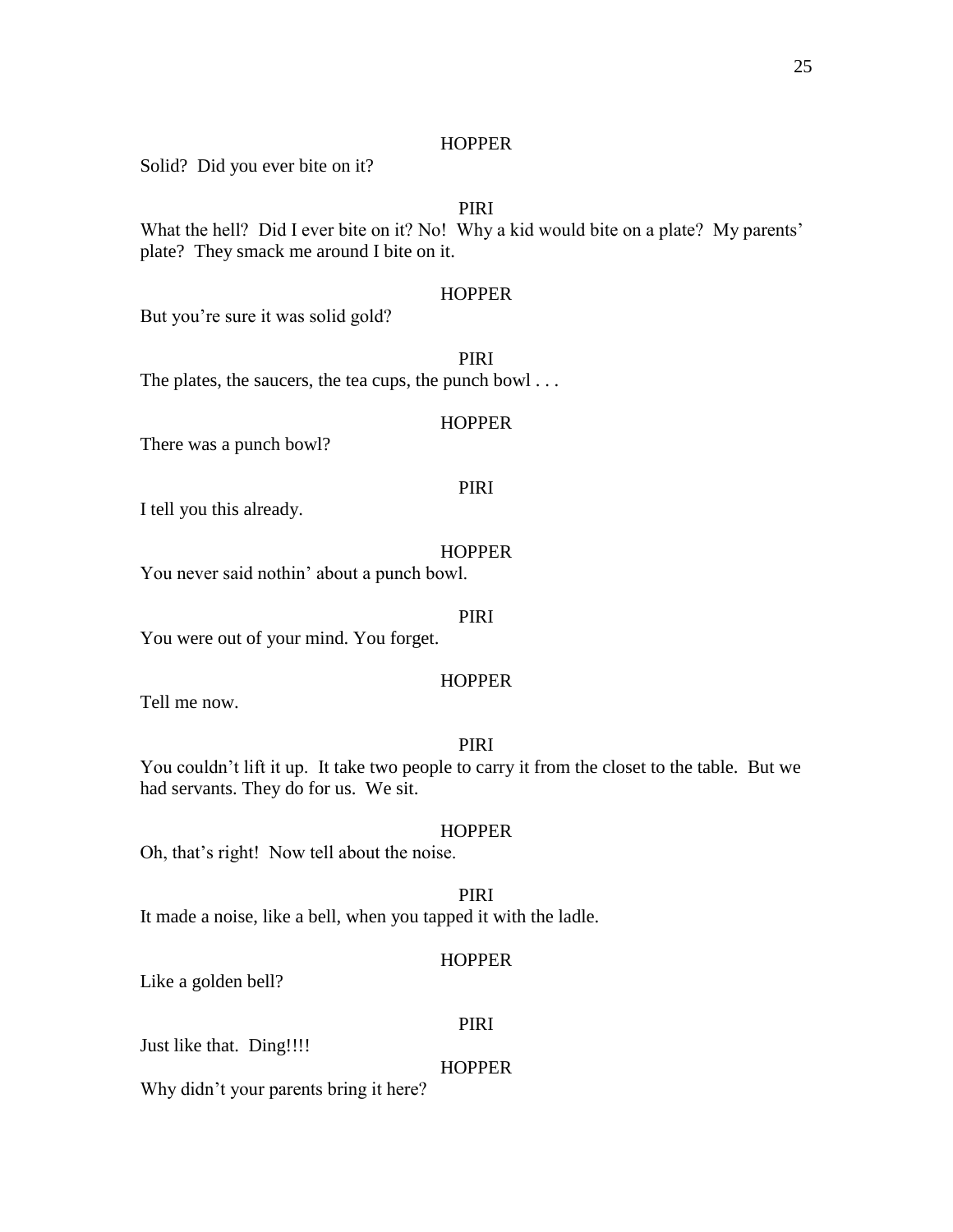#### **HOPPER**

Solid? Did you ever bite on it?

## PIRI

What the hell? Did I ever bite on it? No! Why a kid would bite on a plate? My parents' plate? They smack me around I bite on it.

#### **HOPPER**

But you're sure it was solid gold?

PIRI

The plates, the saucers, the tea cups, the punch bowl . . .

#### **HOPPER**

There was a punch bowl?

## PIRI

I tell you this already.

#### **HOPPER**

You never said nothin' about a punch bowl.

#### PIRI

You were out of your mind. You forget.

#### **HOPPER**

Tell me now.

## PIRI

You couldn't lift it up. It take two people to carry it from the closet to the table. But we had servants. They do for us. We sit.

#### **HOPPER**

Oh, that's right! Now tell about the noise.

PIRI It made a noise, like a bell, when you tapped it with the ladle.

## **HOPPER**

Like a golden bell?

#### PIRI

Just like that. Ding!!!!

#### **HOPPER**

Why didn't your parents bring it here?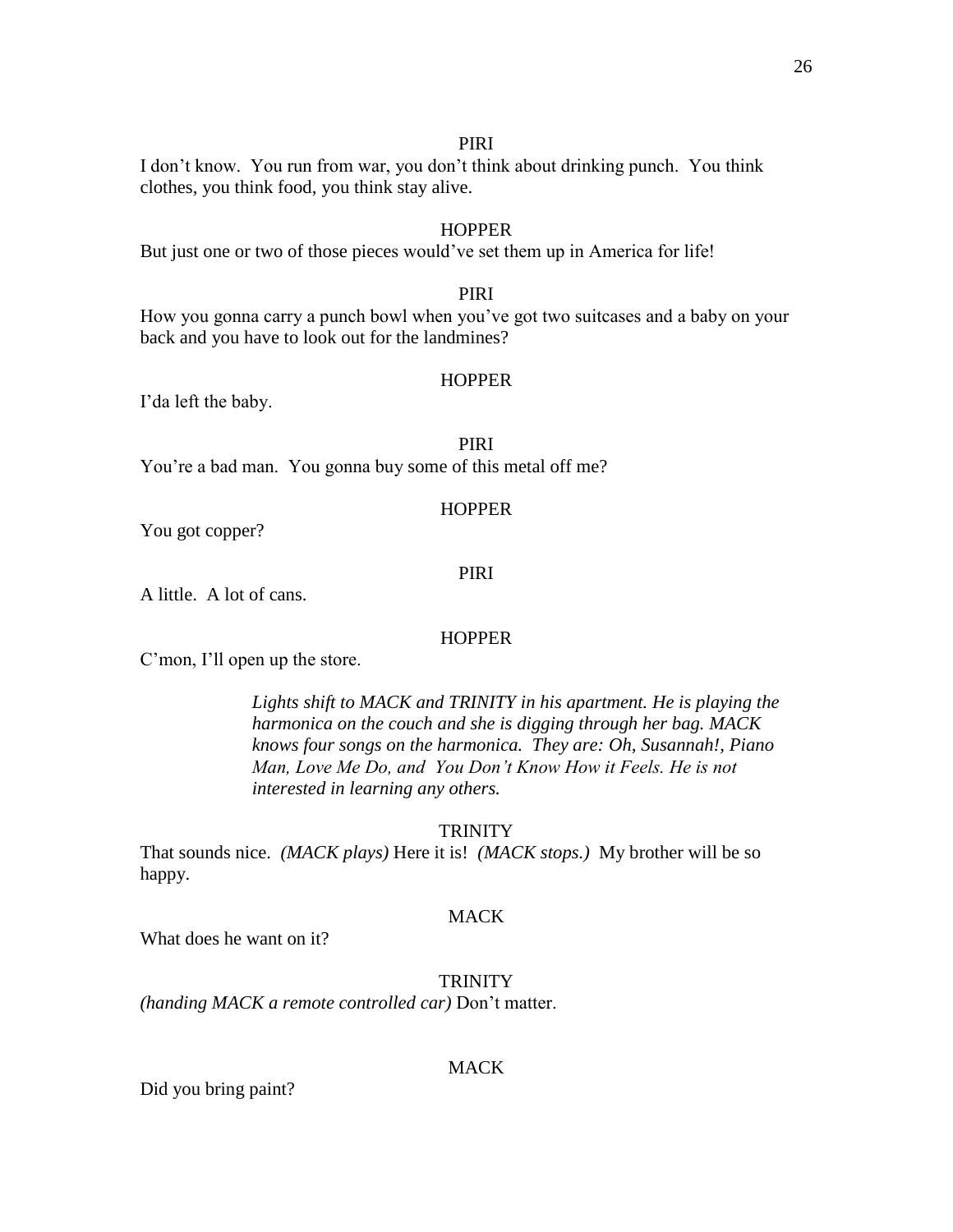#### PIRI

I don't know. You run from war, you don't think about drinking punch. You think clothes, you think food, you think stay alive.

## **HOPPER**

But just one or two of those pieces would've set them up in America for life!

## PIRI

How you gonna carry a punch bowl when you've got two suitcases and a baby on your back and you have to look out for the landmines?

#### **HOPPER**

I'da left the baby.

## PIRI

You're a bad man. You gonna buy some of this metal off me?

#### HOPPER

You got copper?

#### PIRI

A little. A lot of cans.

#### **HOPPER**

C'mon, I'll open up the store.

*Lights shift to MACK and TRINITY in his apartment. He is playing the harmonica on the couch and she is digging through her bag. MACK knows four songs on the harmonica. They are: Oh, Susannah!, Piano Man, Love Me Do, and You Don't Know How it Feels. He is not interested in learning any others.*

#### **TRINITY**

That sounds nice. *(MACK plays)* Here it is! *(MACK stops.)* My brother will be so happy.

#### **MACK**

What does he want on it?

TRINITY

*(handing MACK a remote controlled car)* Don't matter.

#### MACK

Did you bring paint?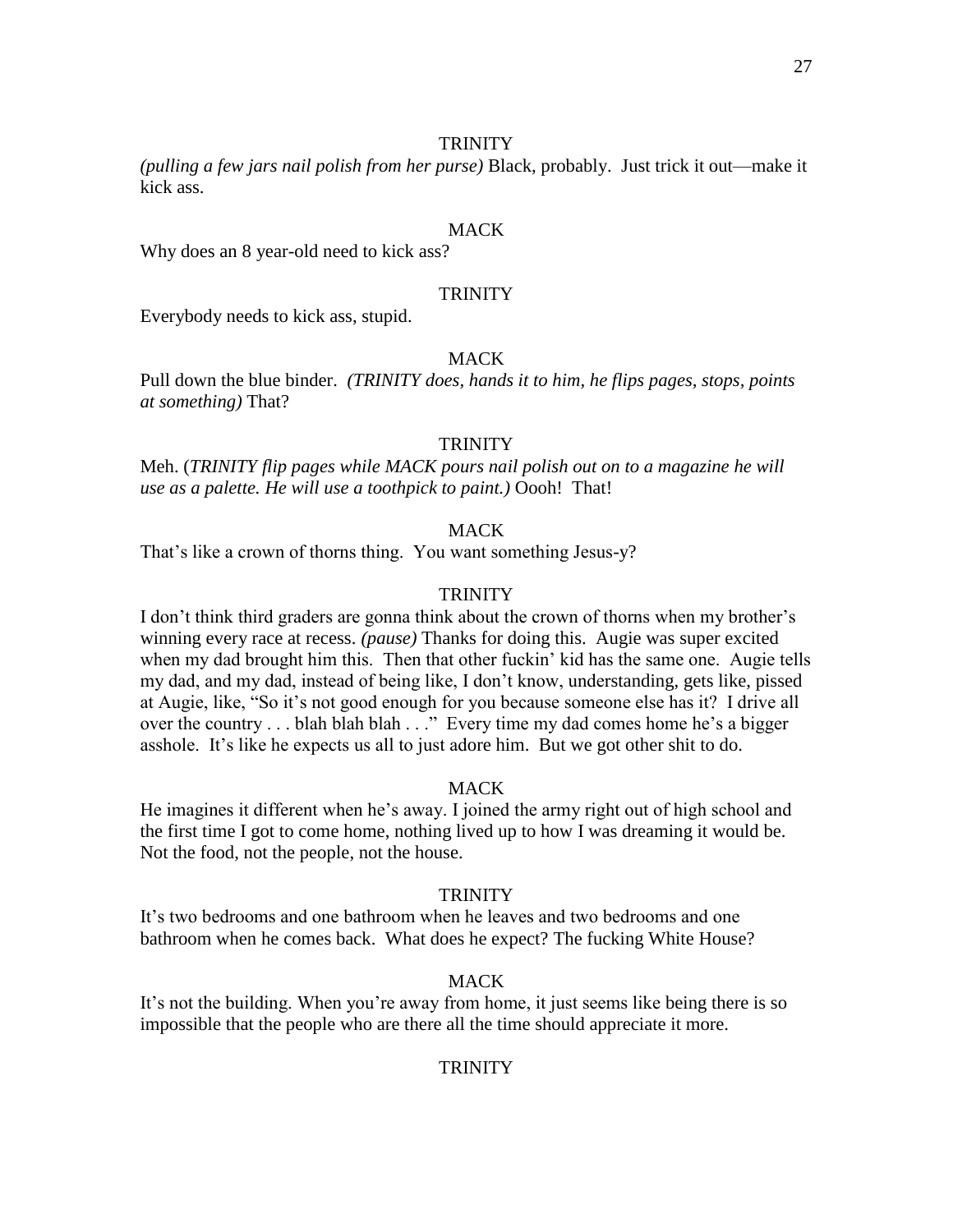#### **TRINITY**

*(pulling a few jars nail polish from her purse)* Black, probably. Just trick it out—make it kick ass.

## **MACK**

Why does an 8 year-old need to kick ass?

## **TRINITY**

Everybody needs to kick ass, stupid.

## **MACK**

Pull down the blue binder. *(TRINITY does, hands it to him, he flips pages, stops, points at something)* That?

#### **TRINITY**

Meh. (*TRINITY flip pages while MACK pours nail polish out on to a magazine he will use as a palette. He will use a toothpick to paint.)* Oooh! That!

## **MACK**

That's like a crown of thorns thing. You want something Jesus-y?

## **TRINITY**

I don't think third graders are gonna think about the crown of thorns when my brother's winning every race at recess. *(pause)* Thanks for doing this. Augie was super excited when my dad brought him this. Then that other fuckin' kid has the same one. Augie tells my dad, and my dad, instead of being like, I don't know, understanding, gets like, pissed at Augie, like, "So it's not good enough for you because someone else has it? I drive all over the country . . . blah blah blah . . ." Every time my dad comes home he's a bigger asshole. It's like he expects us all to just adore him. But we got other shit to do.

#### **MACK**

He imagines it different when he's away. I joined the army right out of high school and the first time I got to come home, nothing lived up to how I was dreaming it would be. Not the food, not the people, not the house.

#### **TRINITY**

It's two bedrooms and one bathroom when he leaves and two bedrooms and one bathroom when he comes back. What does he expect? The fucking White House?

#### MACK

It's not the building. When you're away from home, it just seems like being there is so impossible that the people who are there all the time should appreciate it more.

#### **TRINITY**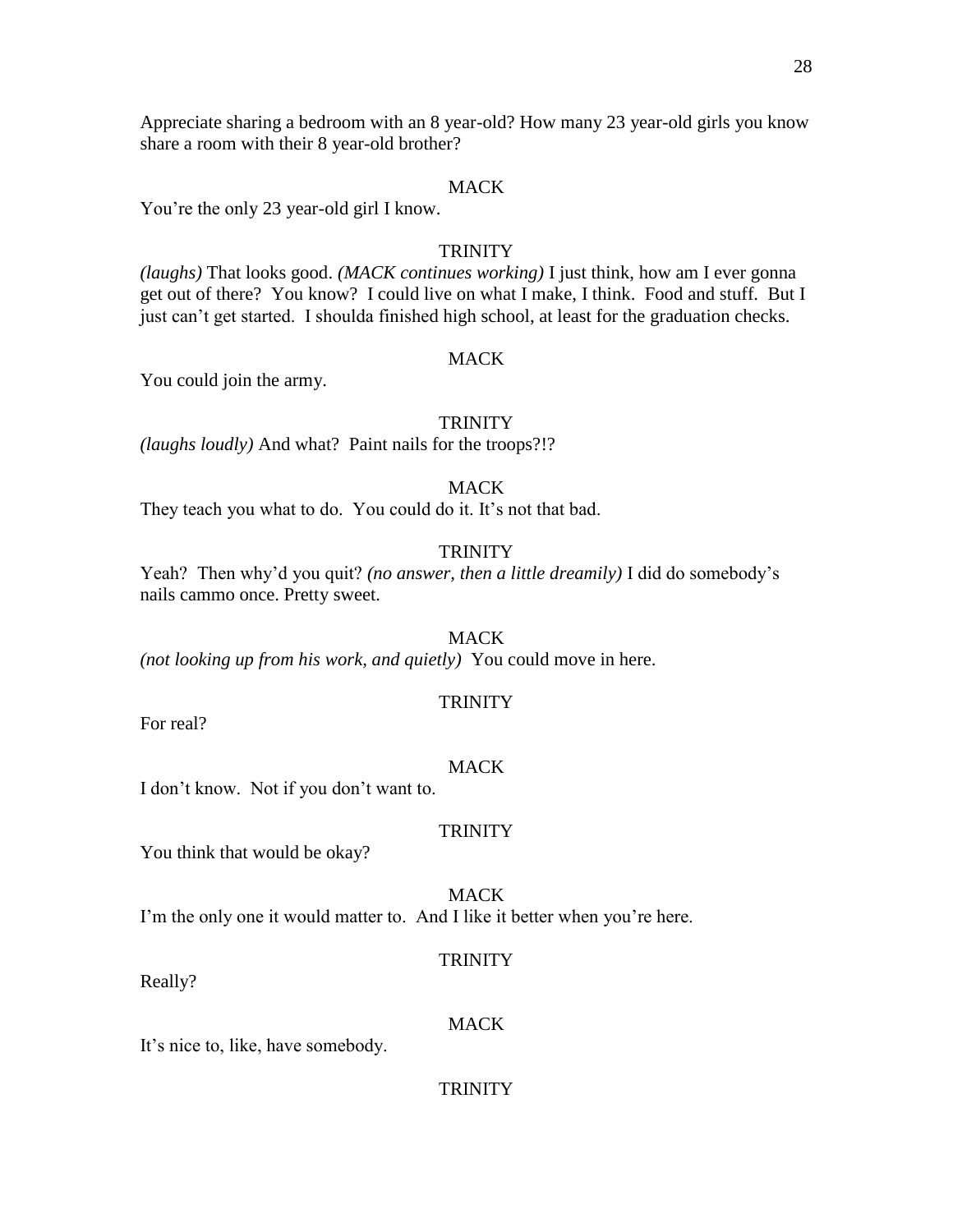Appreciate sharing a bedroom with an 8 year-old? How many 23 year-old girls you know share a room with their 8 year-old brother?

## MACK

You're the only 23 year-old girl I know.

## **TRINITY**

*(laughs)* That looks good. *(MACK continues working)* I just think, how am I ever gonna get out of there? You know? I could live on what I make, I think. Food and stuff. But I just can't get started. I shoulda finished high school, at least for the graduation checks.

## **MACK**

You could join the army.

## **TRINITY**

*(laughs loudly)* And what? Paint nails for the troops?!?

**MACK** 

They teach you what to do. You could do it. It's not that bad.

## **TRINITY**

Yeah? Then why'd you quit? *(no answer, then a little dreamily)* I did do somebody's nails cammo once. Pretty sweet.

**MACK** *(not looking up from his work, and quietly)* You could move in here.

## **TRINITY**

For real?

## **MACK**

I don't know. Not if you don't want to.

## **TRINITY**

You think that would be okay?

MACK I'm the only one it would matter to. And I like it better when you're here.

## **TRINITY**

Really?

## **MACK**

It's nice to, like, have somebody.

## **TRINITY**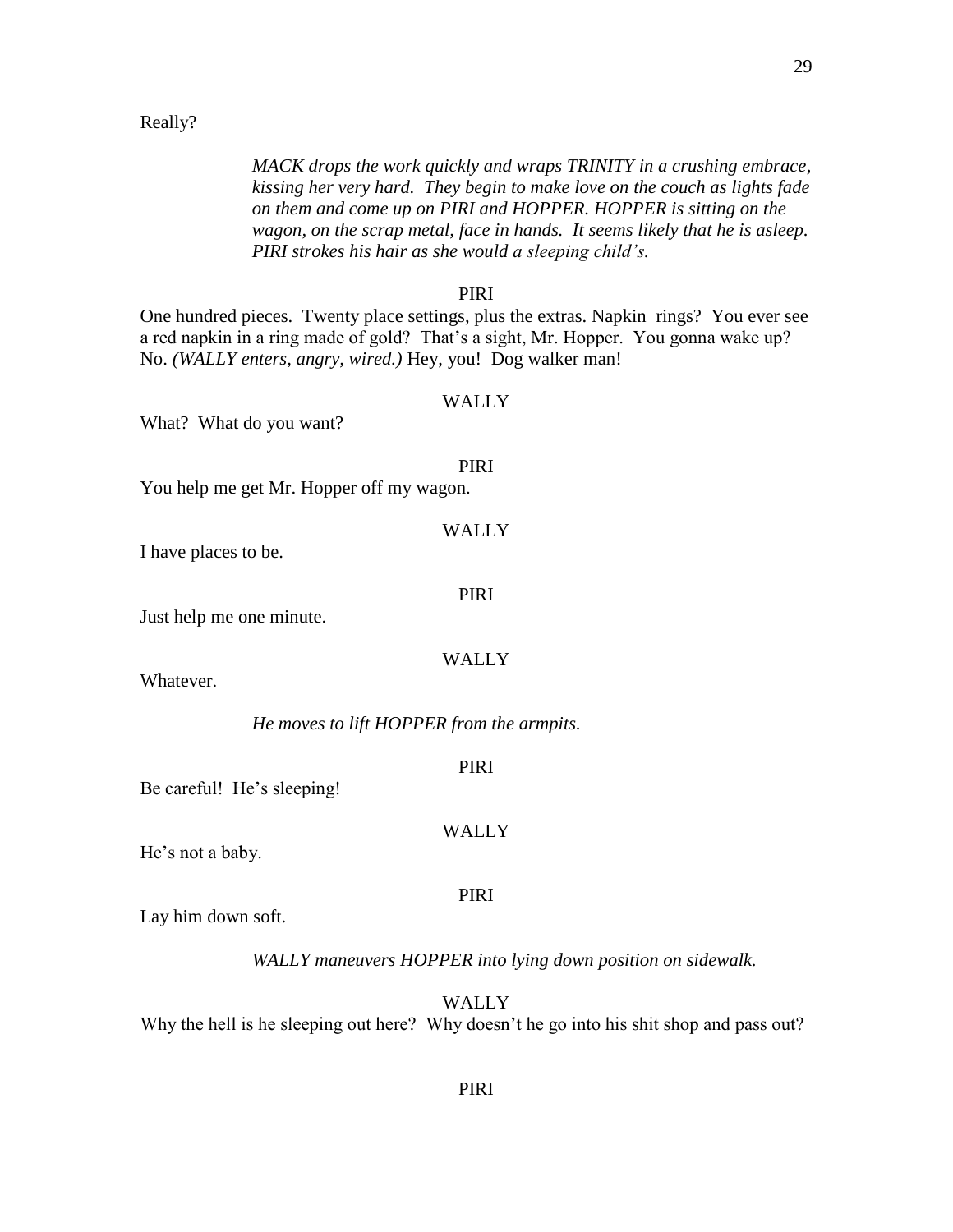#### Really?

*MACK drops the work quickly and wraps TRINITY in a crushing embrace, kissing her very hard. They begin to make love on the couch as lights fade on them and come up on PIRI and HOPPER. HOPPER is sitting on the wagon, on the scrap metal, face in hands. It seems likely that he is asleep. PIRI strokes his hair as she would a sleeping child's.*

#### PIRI

One hundred pieces. Twenty place settings, plus the extras. Napkin rings? You ever see a red napkin in a ring made of gold? That's a sight, Mr. Hopper. You gonna wake up? No. *(WALLY enters, angry, wired.)* Hey, you! Dog walker man!

#### WALLY

PIRI

**WALLY** 

PIRI

What? What do you want?

## You help me get Mr. Hopper off my wagon.

I have places to be.

Just help me one minute.

#### WALLY

Whatever.

*He moves to lift HOPPER from the armpits.*

PIRI

WALLY

Be careful! He's sleeping!

He's not a baby.

## PIRI

Lay him down soft.

*WALLY maneuvers HOPPER into lying down position on sidewalk.*

WALLY

Why the hell is he sleeping out here? Why doesn't he go into his shit shop and pass out?

## PIRI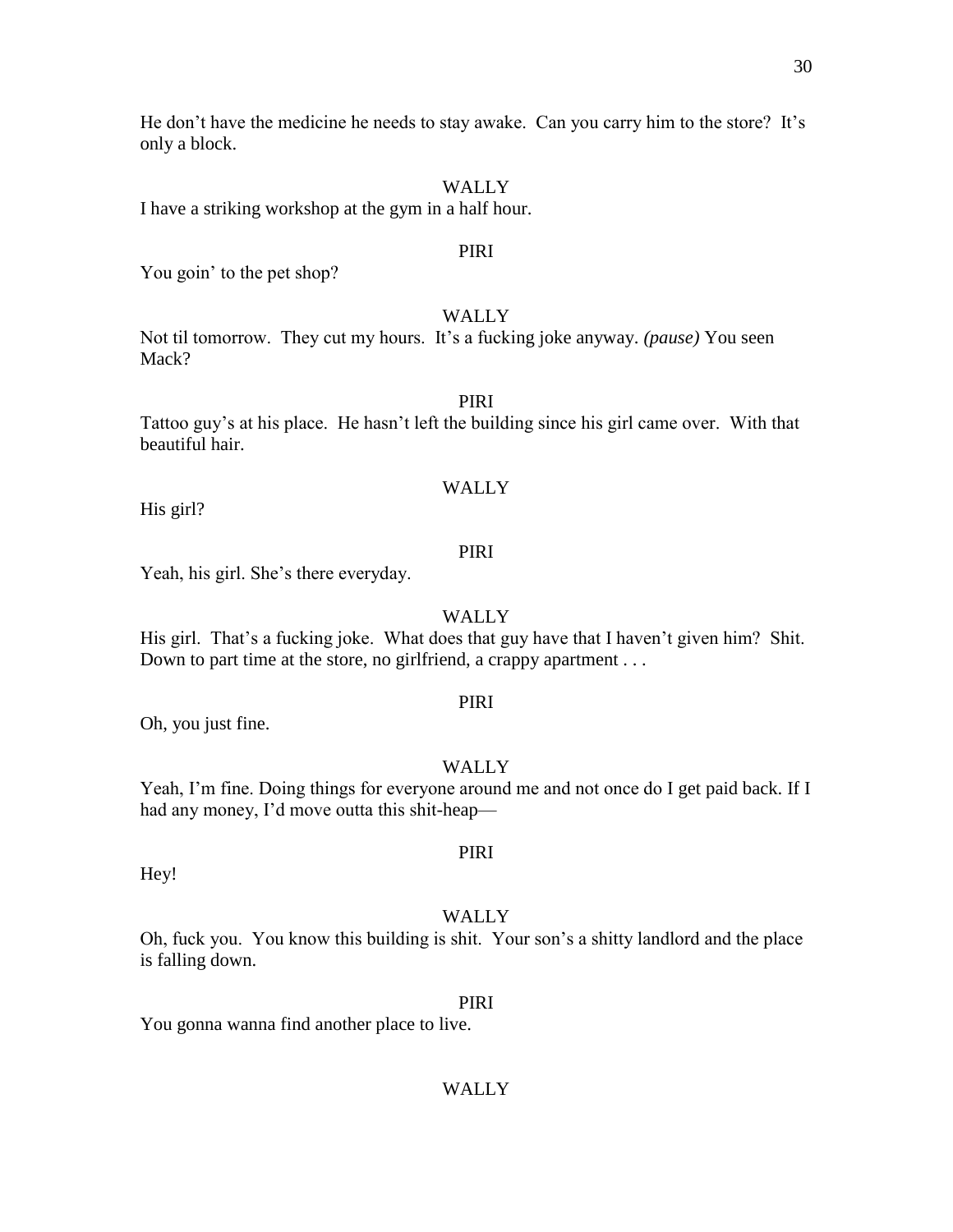He don't have the medicine he needs to stay awake. Can you carry him to the store? It's only a block.

## WALLY

I have a striking workshop at the gym in a half hour.

#### PIRI

You goin' to the pet shop?

## WALLY

Not til tomorrow. They cut my hours. It's a fucking joke anyway. *(pause)* You seen Mack?

## PIRI

Tattoo guy's at his place. He hasn't left the building since his girl came over. With that beautiful hair.

## WALLY

His girl?

## PIRI

Yeah, his girl. She's there everyday.

## WALLY

His girl. That's a fucking joke. What does that guy have that I haven't given him? Shit. Down to part time at the store, no girlfriend, a crappy apartment . . .

#### PIRI

Oh, you just fine.

## WALLY

Yeah, I'm fine. Doing things for everyone around me and not once do I get paid back. If I had any money, I'd move outta this shit-heap—

PIRI

Hey!

#### WALLY

Oh, fuck you. You know this building is shit. Your son's a shitty landlord and the place is falling down.

#### PIRI

You gonna wanna find another place to live.

## WALLY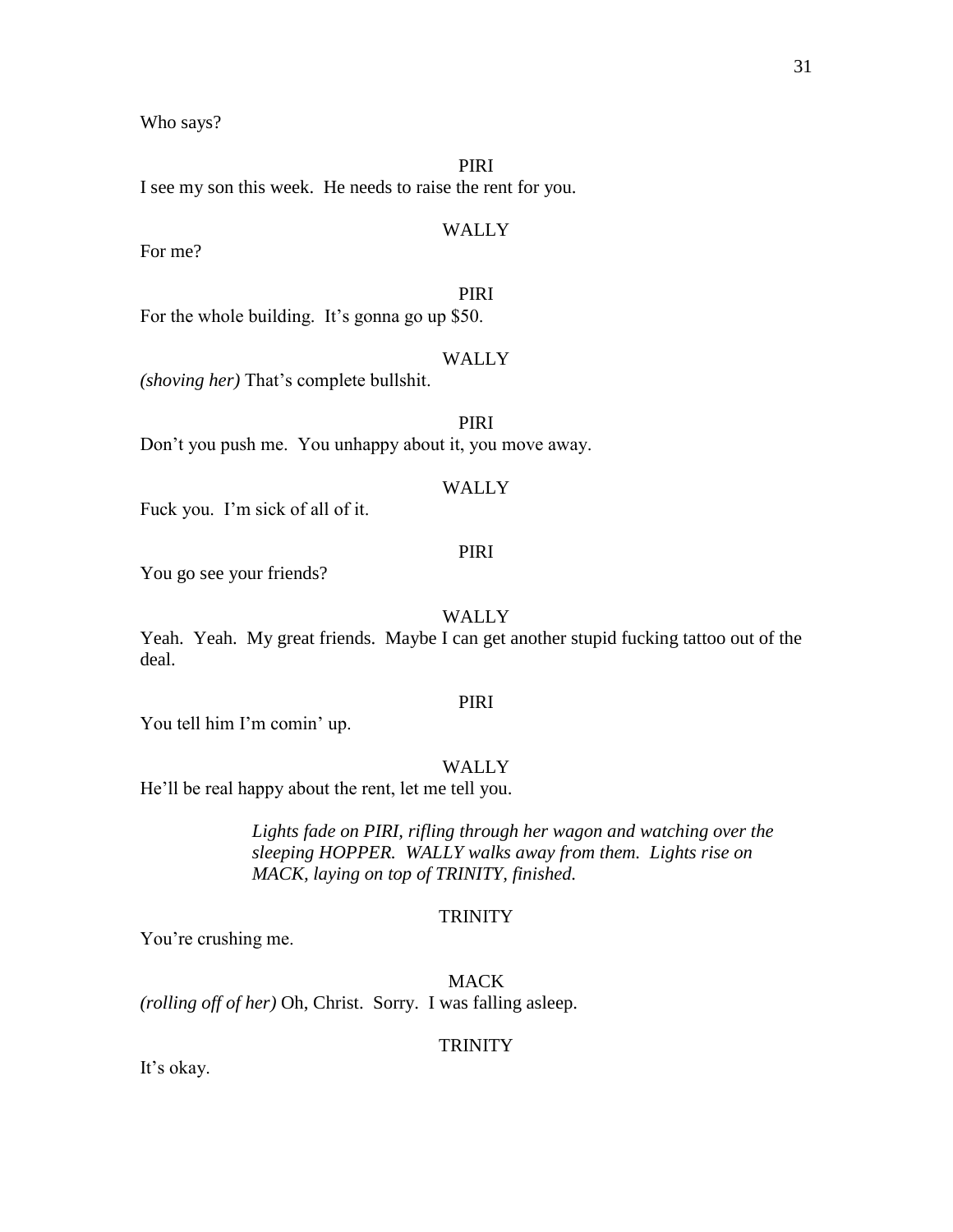Who says?

PIRI

I see my son this week. He needs to raise the rent for you.

## WALLY

For me?

## PIRI

For the whole building. It's gonna go up \$50.

## WALLY

PIRI

*(shoving her)* That's complete bullshit.

Don't you push me. You unhappy about it, you move away.

## WALLY

Fuck you. I'm sick of all of it.

## PIRI

You go see your friends?

## WALLY

Yeah. Yeah. My great friends. Maybe I can get another stupid fucking tattoo out of the deal.

## PIRI

You tell him I'm comin' up.

## WALLY

He'll be real happy about the rent, let me tell you.

*Lights fade on PIRI, rifling through her wagon and watching over the sleeping HOPPER. WALLY walks away from them. Lights rise on MACK, laying on top of TRINITY, finished.*

## **TRINITY**

You're crushing me.

MACK *(rolling off of her)* Oh, Christ. Sorry. I was falling asleep.

## **TRINITY**

It's okay.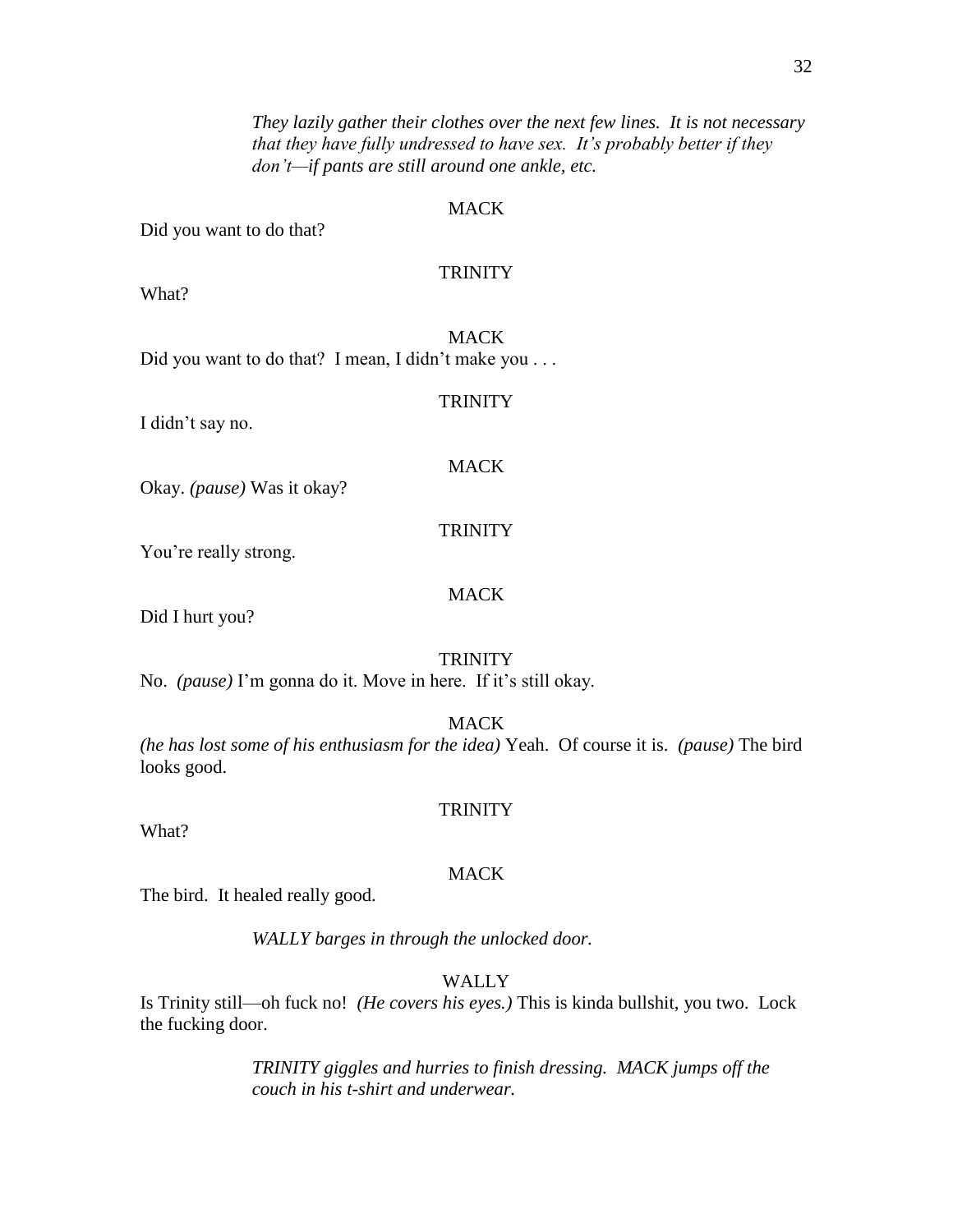32

*They lazily gather their clothes over the next few lines. It is not necessary that they have fully undressed to have sex. It's probably better if they don't—if pants are still around one ankle, etc.*

## MACK

Did you want to do that?

## **TRINITY**

What?

**MACK** Did you want to do that? I mean, I didn't make you . . .

I didn't say no.

**TRINITY** 

## MACK

Okay. *(pause)* Was it okay?

#### **TRINITY**

**MACK** 

You're really strong.

Did I hurt you?

#### **TRINITY**

No. *(pause)* I'm gonna do it. Move in here. If it's still okay.

MACK

*(he has lost some of his enthusiasm for the idea)* Yeah. Of course it is. *(pause)* The bird looks good.

#### **TRINITY**

What?

## **MACK**

The bird. It healed really good.

*WALLY barges in through the unlocked door.*

## WALLY

Is Trinity still—oh fuck no! *(He covers his eyes.)* This is kinda bullshit, you two. Lock the fucking door.

> *TRINITY giggles and hurries to finish dressing. MACK jumps off the couch in his t-shirt and underwear.*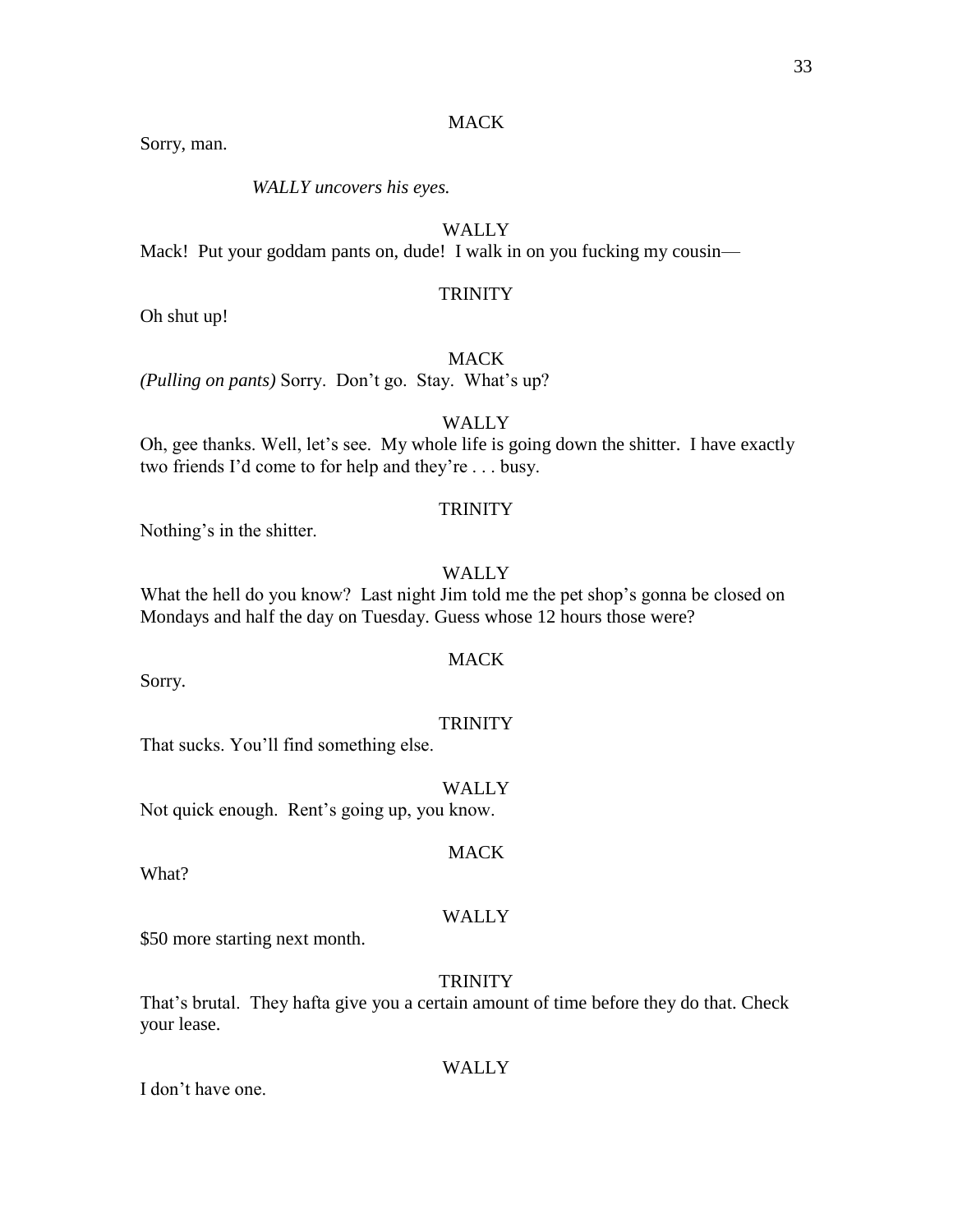## **MACK**

Sorry, man.

*WALLY uncovers his eyes.*

## WALLY

Mack! Put your goddam pants on, dude! I walk in on you fucking my cousin—

## **TRINITY**

Oh shut up!

**MACK** 

*(Pulling on pants)* Sorry. Don't go. Stay. What's up?

**WALLY** 

Oh, gee thanks. Well, let's see. My whole life is going down the shitter. I have exactly two friends I'd come to for help and they're . . . busy.

#### **TRINITY**

Nothing's in the shitter.

## WALLY

What the hell do you know? Last night Jim told me the pet shop's gonna be closed on Mondays and half the day on Tuesday. Guess whose 12 hours those were?

## **MACK**

Sorry.

#### **TRINITY**

That sucks. You'll find something else.

WALLY Not quick enough. Rent's going up, you know.

What?

#### WALLY

MACK

\$50 more starting next month.

## **TRINITY**

That's brutal. They hafta give you a certain amount of time before they do that. Check your lease.

#### WALLY

I don't have one.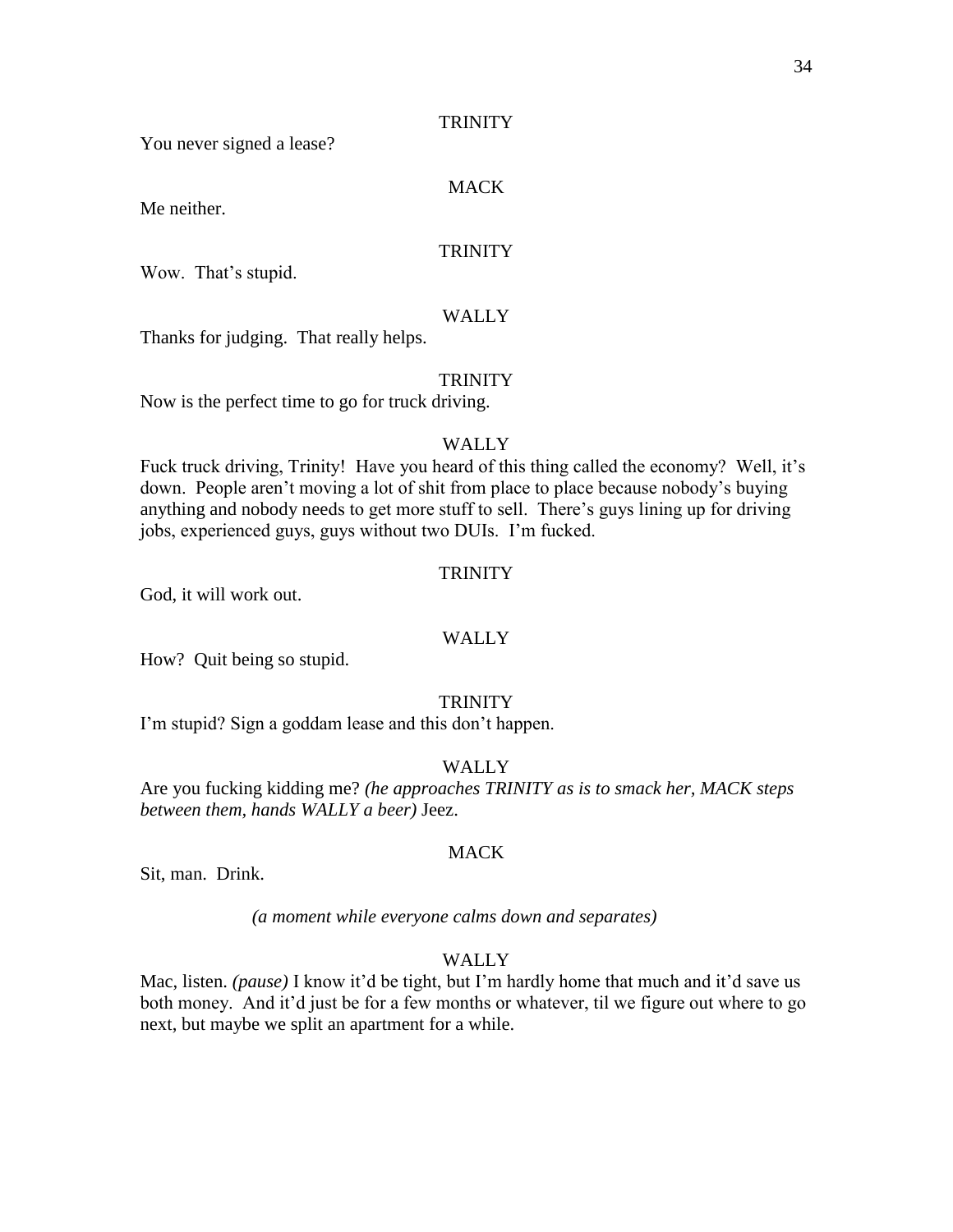## **TRINITY**

You never signed a lease?

## MACK

Me neither.

## **TRINITY**

Wow. That's stupid.

## WALLY

Thanks for judging. That really helps.

#### **TRINITY**

Now is the perfect time to go for truck driving.

## WALLY

Fuck truck driving, Trinity! Have you heard of this thing called the economy? Well, it's down. People aren't moving a lot of shit from place to place because nobody's buying anything and nobody needs to get more stuff to sell. There's guys lining up for driving jobs, experienced guys, guys without two DUIs. I'm fucked.

### **TRINITY**

God, it will work out.

## **WALLY**

How? Quit being so stupid.

#### **TRINITY**

I'm stupid? Sign a goddam lease and this don't happen.

## WALLY

Are you fucking kidding me? *(he approaches TRINITY as is to smack her, MACK steps between them, hands WALLY a beer)* Jeez.

#### MACK

Sit, man. Drink.

#### *(a moment while everyone calms down and separates)*

## WALLY

Mac, listen. *(pause)* I know it'd be tight, but I'm hardly home that much and it'd save us both money. And it'd just be for a few months or whatever, til we figure out where to go next, but maybe we split an apartment for a while.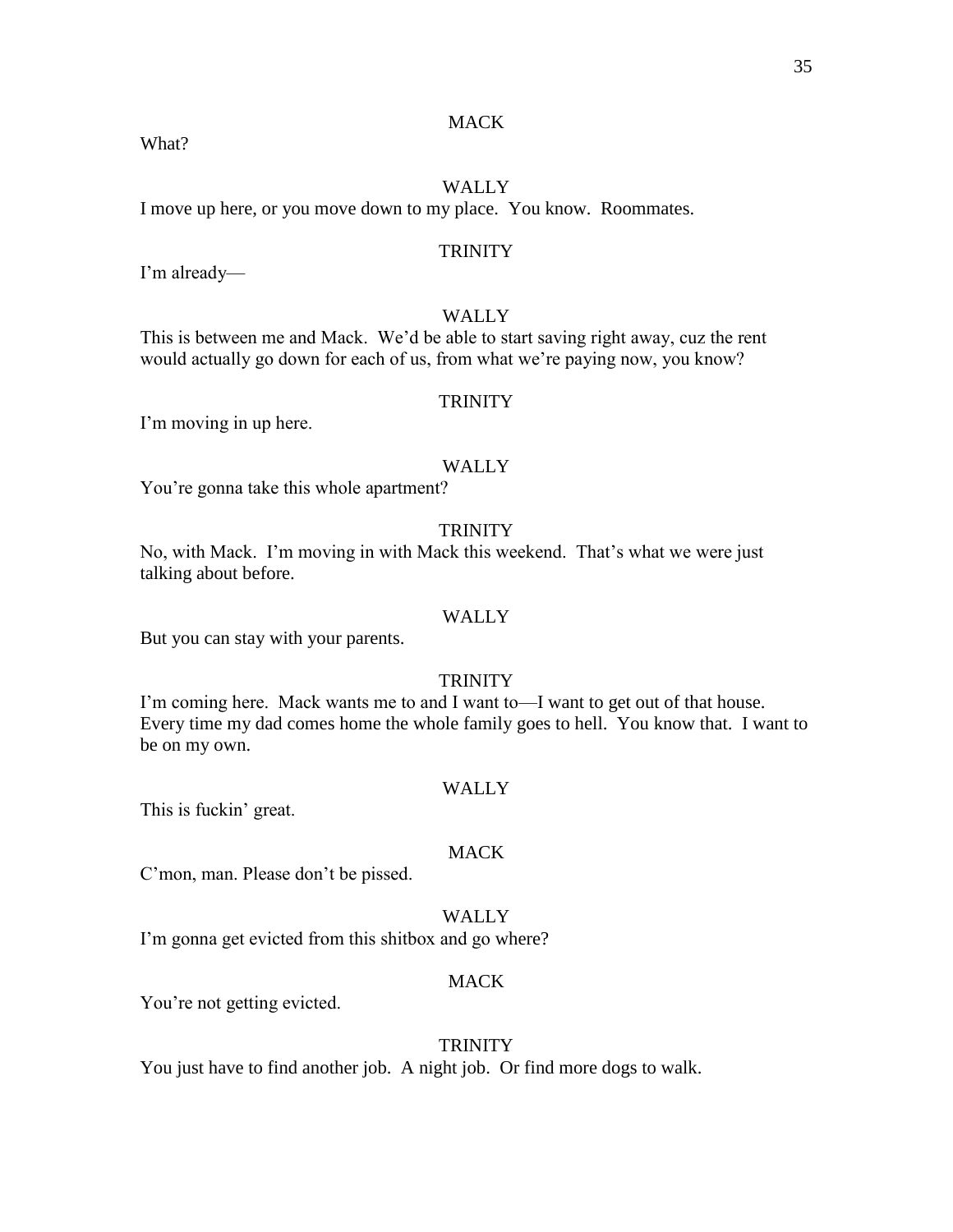## **MACK**

## WALLY

I move up here, or you move down to my place. You know. Roommates.

## **TRINITY**

I'm already—

## WALLY

This is between me and Mack. We'd be able to start saving right away, cuz the rent would actually go down for each of us, from what we're paying now, you know?

## **TRINITY**

I'm moving in up here.

#### WALLY

You're gonna take this whole apartment?

## **TRINITY**

No, with Mack. I'm moving in with Mack this weekend. That's what we were just talking about before.

## WALLY

But you can stay with your parents.

## **TRINITY**

I'm coming here. Mack wants me to and I want to—I want to get out of that house. Every time my dad comes home the whole family goes to hell. You know that. I want to be on my own.

#### WALLY

This is fuckin' great.

## MACK

C'mon, man. Please don't be pissed.

## WALLY

I'm gonna get evicted from this shitbox and go where?

## MACK

You're not getting evicted.

## **TRINITY**

You just have to find another job. A night job. Or find more dogs to walk.

#### What?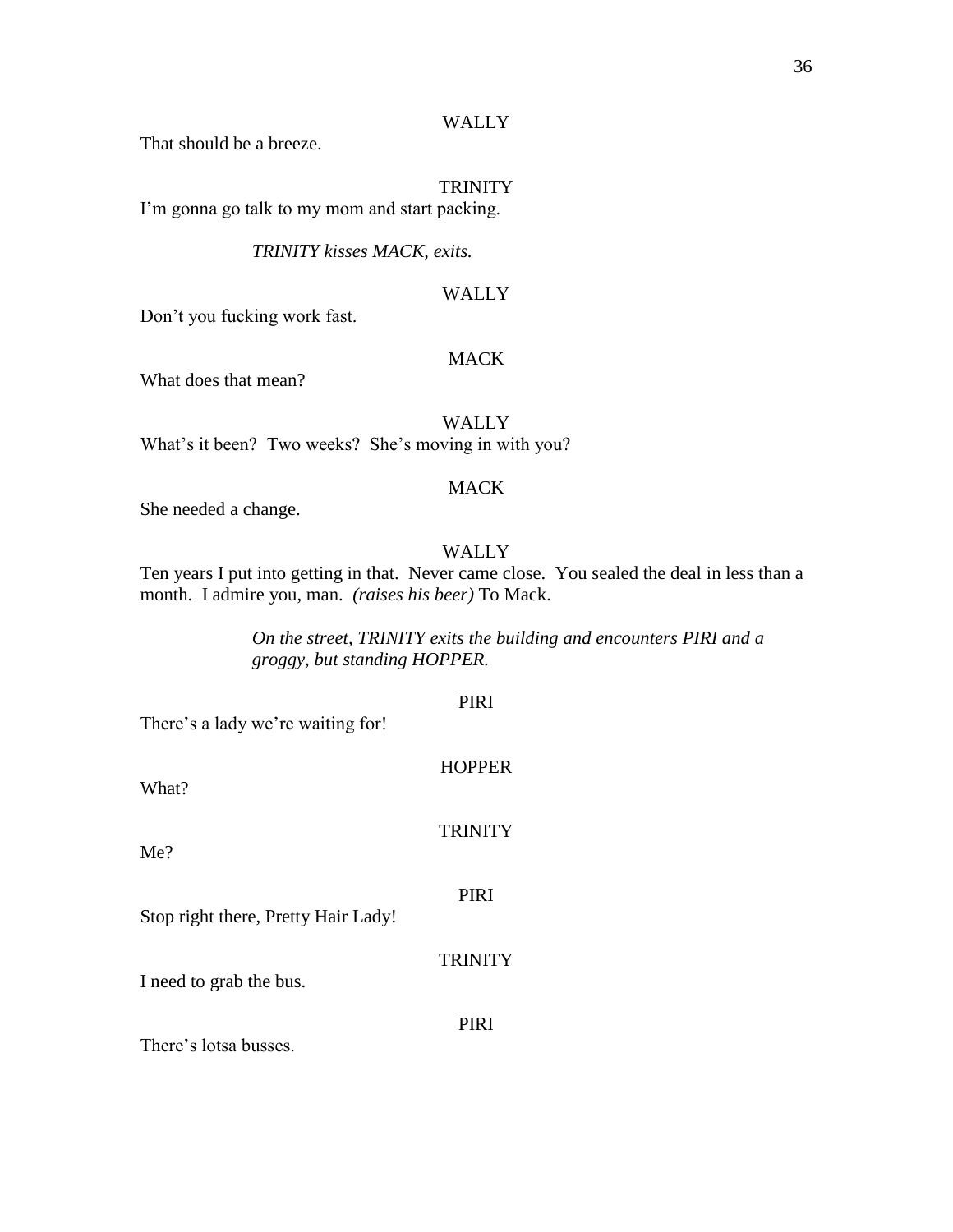## WALLY

That should be a breeze.

## TRINITY

I'm gonna go talk to my mom and start packing.

*TRINITY kisses MACK, exits.*

## WALLY

Don't you fucking work fast.

## MACK

What does that mean?

WALLY What's it been? Two weeks? She's moving in with you?

## MACK

She needed a change.

## WALLY

Ten years I put into getting in that. Never came close. You sealed the deal in less than a month. I admire you, man. *(raises his beer)* To Mack.

> *On the street, TRINITY exits the building and encounters PIRI and a groggy, but standing HOPPER.*

# PIRI There's a lady we're waiting for! **HOPPER** What? **TRINITY** Me? PIRI Stop right there, Pretty Hair Lady! **TRINITY** I need to grab the bus. PIRI There's lotsa busses.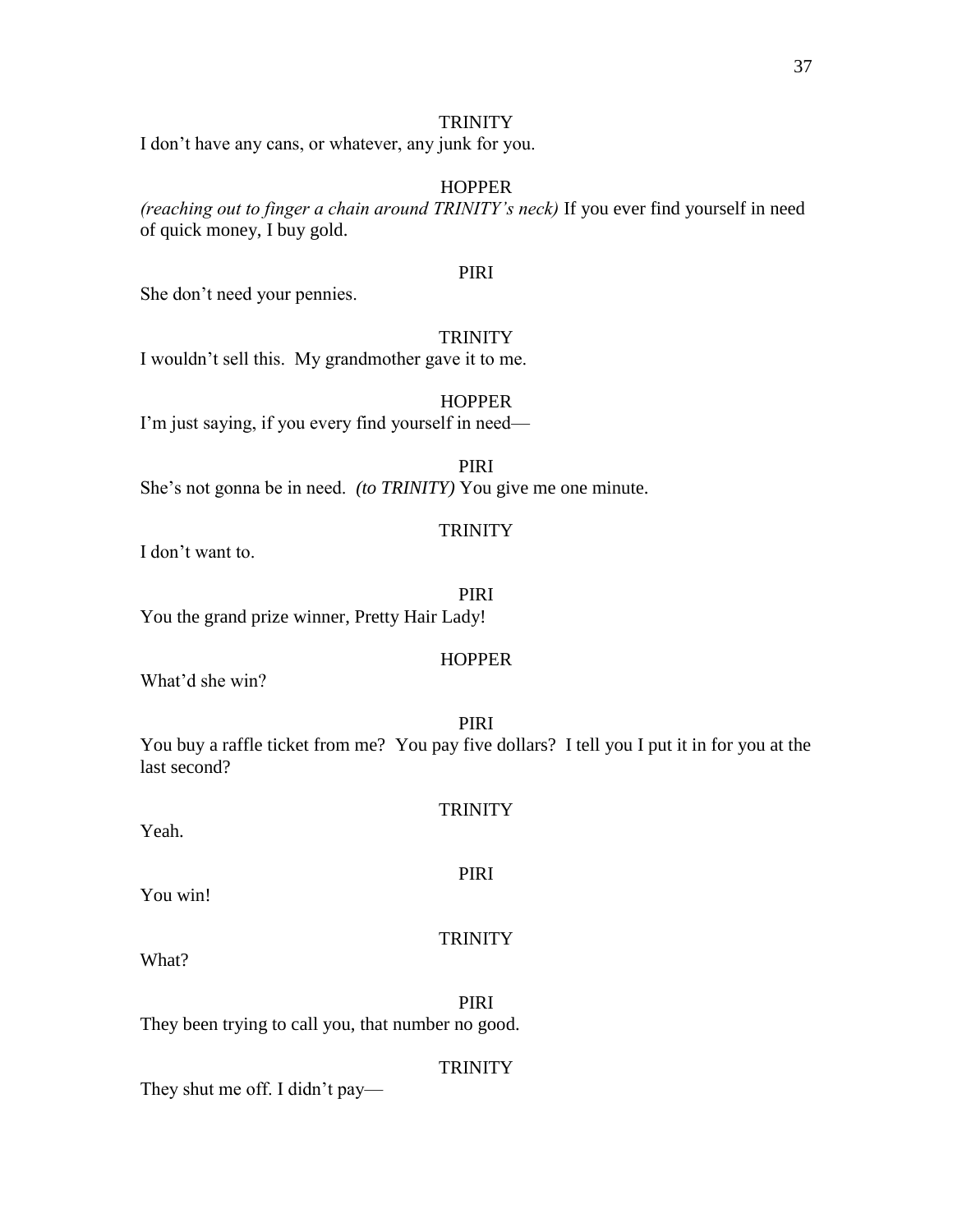I don't have any cans, or whatever, any junk for you.

#### HOPPER

*(reaching out to finger a chain around TRINITY's neck)* If you ever find yourself in need of quick money, I buy gold.

#### PIRI

She don't need your pennies.

#### **TRINITY**

I wouldn't sell this. My grandmother gave it to me.

I'm just saying, if you every find yourself in need—

PIRI She's not gonna be in need. *(to TRINITY)* You give me one minute.

#### **TRINITY**

I don't want to.

#### PIRI

You the grand prize winner, Pretty Hair Lady!

#### **HOPPER**

What'd she win?

PIRI You buy a raffle ticket from me? You pay five dollars? I tell you I put it in for you at the last second?

### **TRINITY**

Yeah.

What?

You win!

#### TRINITY

PIRI

PIRI They been trying to call you, that number no good.

#### **TRINITY**

They shut me off. I didn't pay—

**HOPPER**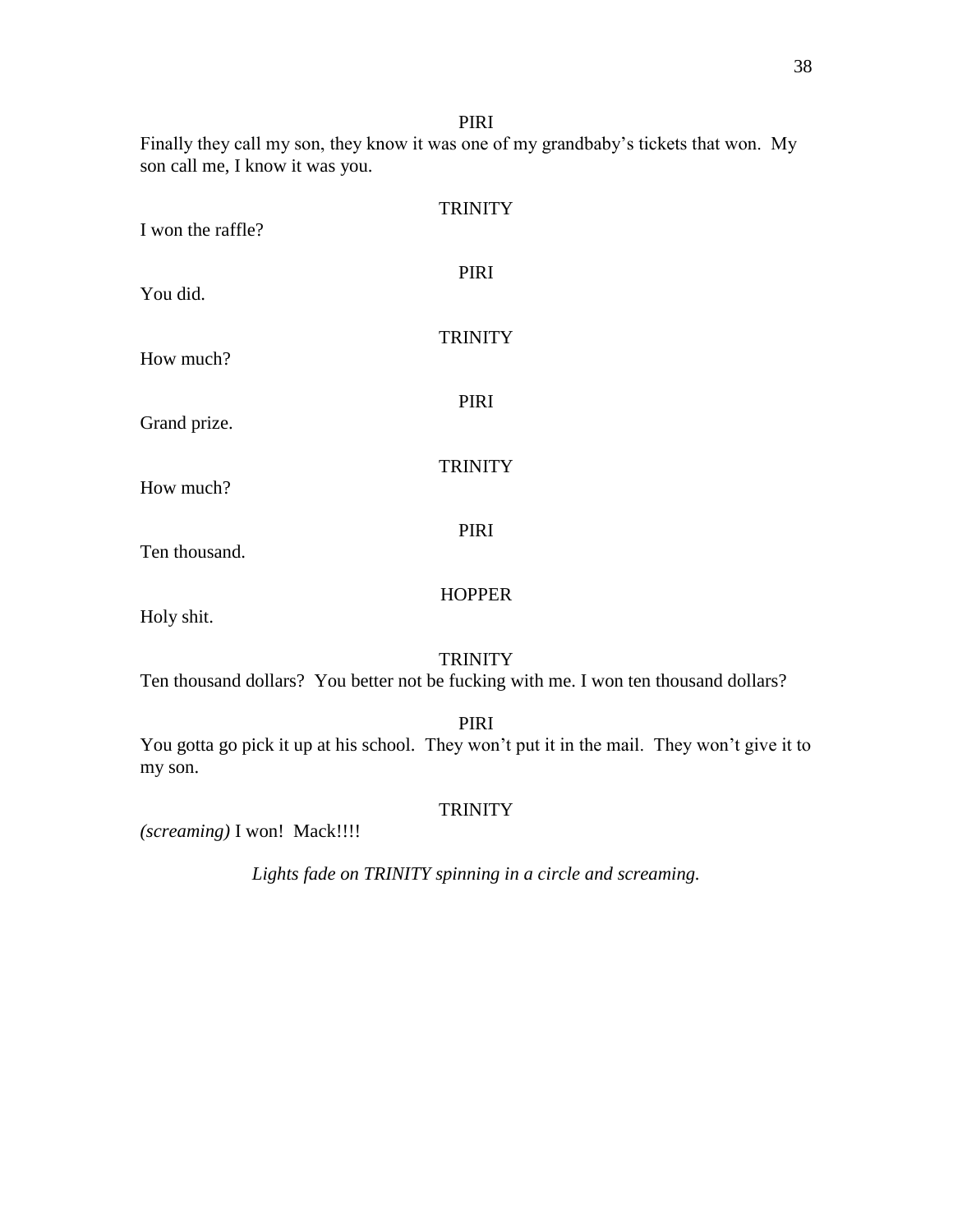PIRI

Finally they call my son, they know it was one of my grandbaby's tickets that won. My son call me, I know it was you.

| I won the raffle? | <b>TRINITY</b> |
|-------------------|----------------|
| You did.          | <b>PIRI</b>    |
| How much?         | <b>TRINITY</b> |
| Grand prize.      | <b>PIRI</b>    |
| How much?         | <b>TRINITY</b> |
| Ten thousand.     | <b>PIRI</b>    |
|                   | <b>HOPPER</b>  |

Holy shit.

#### **TRINITY**

Ten thousand dollars? You better not be fucking with me. I won ten thousand dollars?

PIRI

You gotta go pick it up at his school. They won't put it in the mail. They won't give it to my son.

#### **TRINITY**

*(screaming)* I won! Mack!!!!

*Lights fade on TRINITY spinning in a circle and screaming.*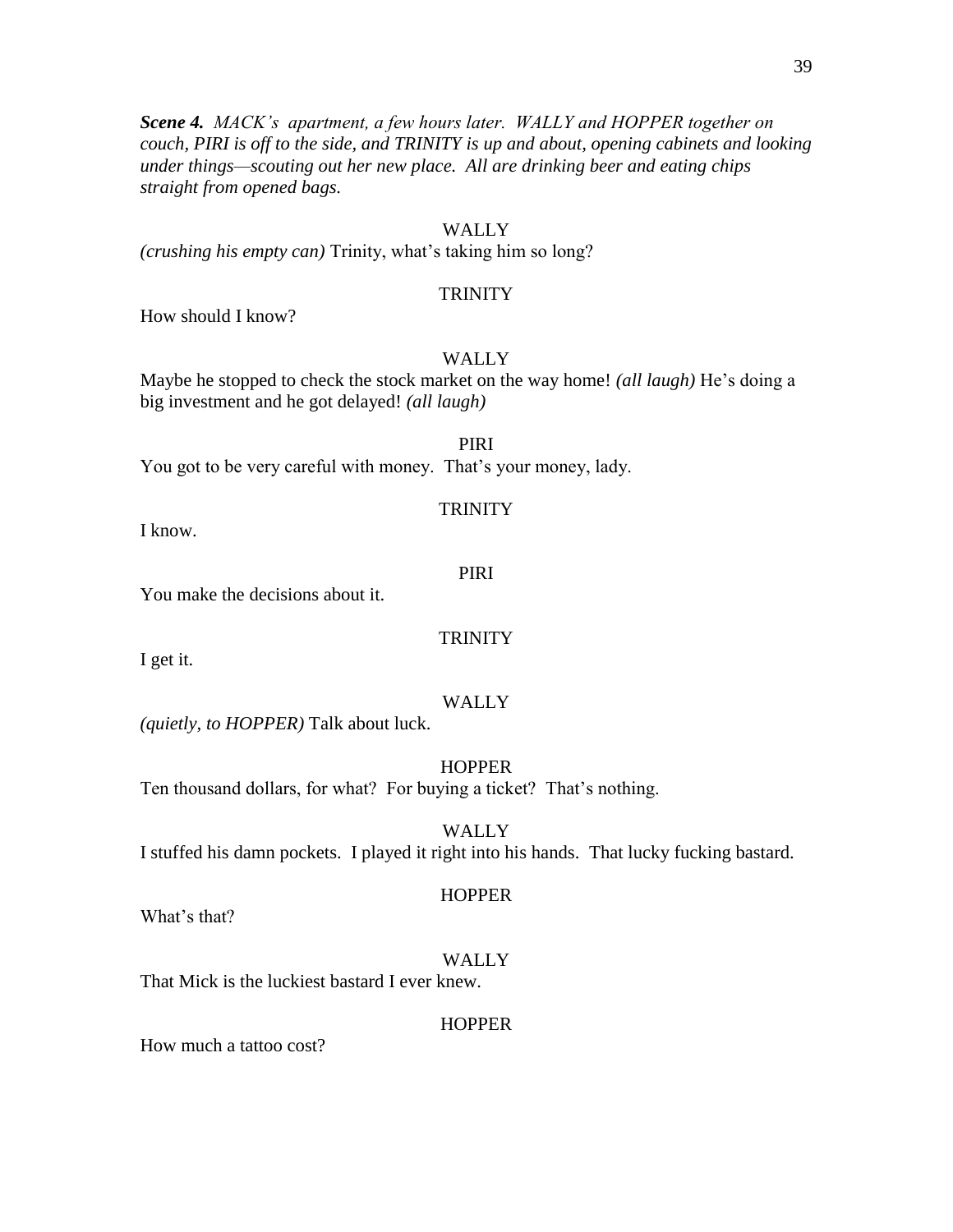*Scene 4. MACK's apartment, a few hours later. WALLY and HOPPER together on couch, PIRI is off to the side, and TRINITY is up and about, opening cabinets and looking under things—scouting out her new place. All are drinking beer and eating chips straight from opened bags.*

#### WALLY

*(crushing his empty can)* Trinity, what's taking him so long?

#### **TRINITY**

How should I know?

#### WALLY

Maybe he stopped to check the stock market on the way home! *(all laugh)* He's doing a big investment and he got delayed! *(all laugh)*

PIRI You got to be very careful with money. That's your money, lady.

#### **TRINITY**

I know.

#### PIRI

You make the decisions about it.

#### **TRINITY**

I get it.

#### WALLY

*(quietly, to HOPPER)* Talk about luck.

**HOPPER** 

Ten thousand dollars, for what? For buying a ticket? That's nothing.

WALLY I stuffed his damn pockets. I played it right into his hands. That lucky fucking bastard.

#### What's that?

#### WALLY

**HOPPER** 

That Mick is the luckiest bastard I ever knew.

#### **HOPPER**

How much a tattoo cost?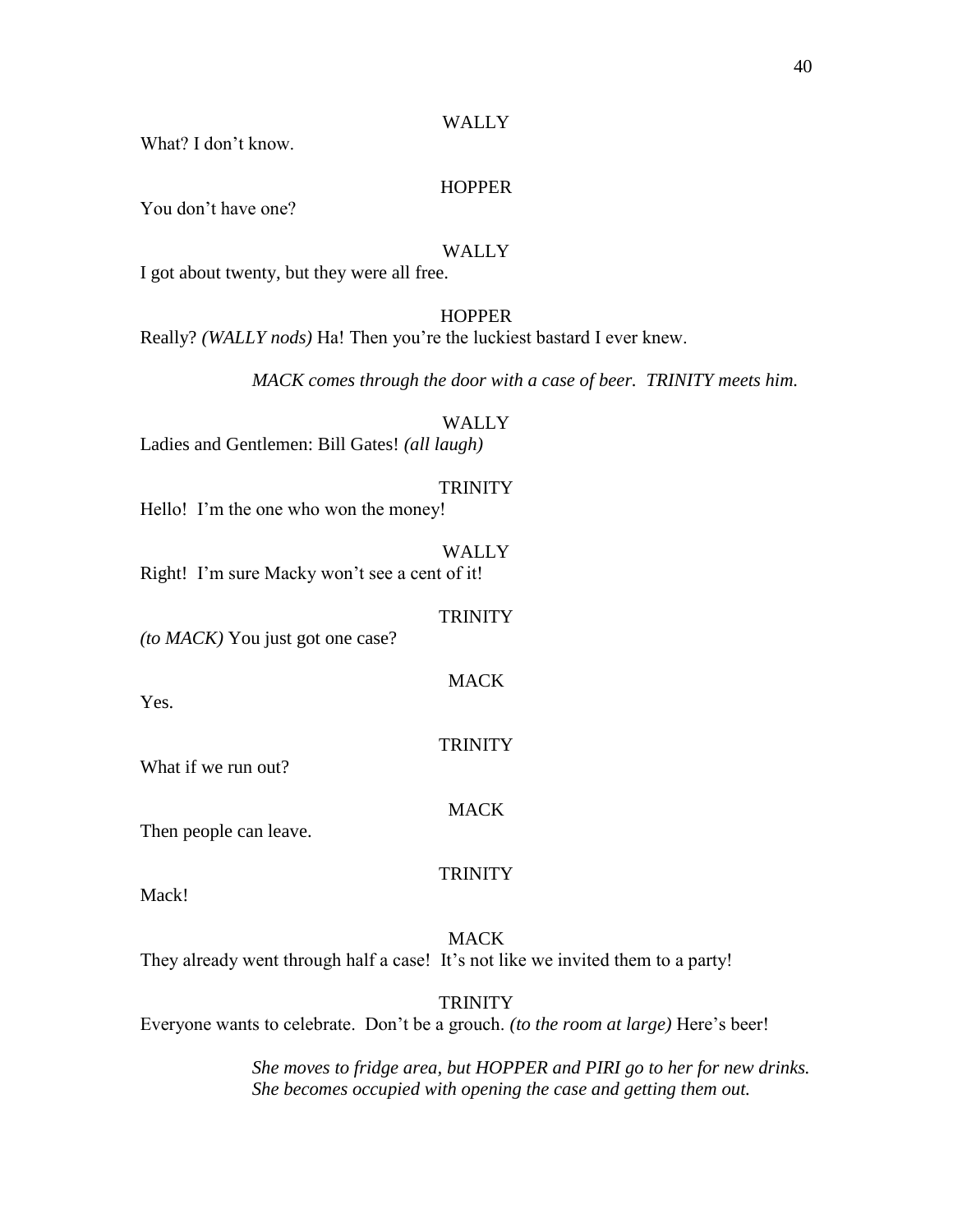What? I don't know.

#### **HOPPER**

You don't have one?

#### **WALLY**

I got about twenty, but they were all free.

#### **HOPPER**

Really? *(WALLY nods)* Ha! Then you're the luckiest bastard I ever knew.

*MACK comes through the door with a case of beer. TRINITY meets him.*

#### **WALLY**

Ladies and Gentlemen: Bill Gates! *(all laugh)* 

#### **TRINITY**

Hello! I'm the one who won the money!

#### WALLY

Right! I'm sure Macky won't see a cent of it!

#### **TRINITY**

**MACK** 

**TRINITY** 

*(to MACK)* You just got one case?

Yes.

What if we run out?

#### **MACK**

Then people can leave.

#### **TRINITY**

Mack!

### MACK

They already went through half a case! It's not like we invited them to a party!

#### **TRINITY**

Everyone wants to celebrate. Don't be a grouch. *(to the room at large)* Here's beer!

*She moves to fridge area, but HOPPER and PIRI go to her for new drinks. She becomes occupied with opening the case and getting them out.*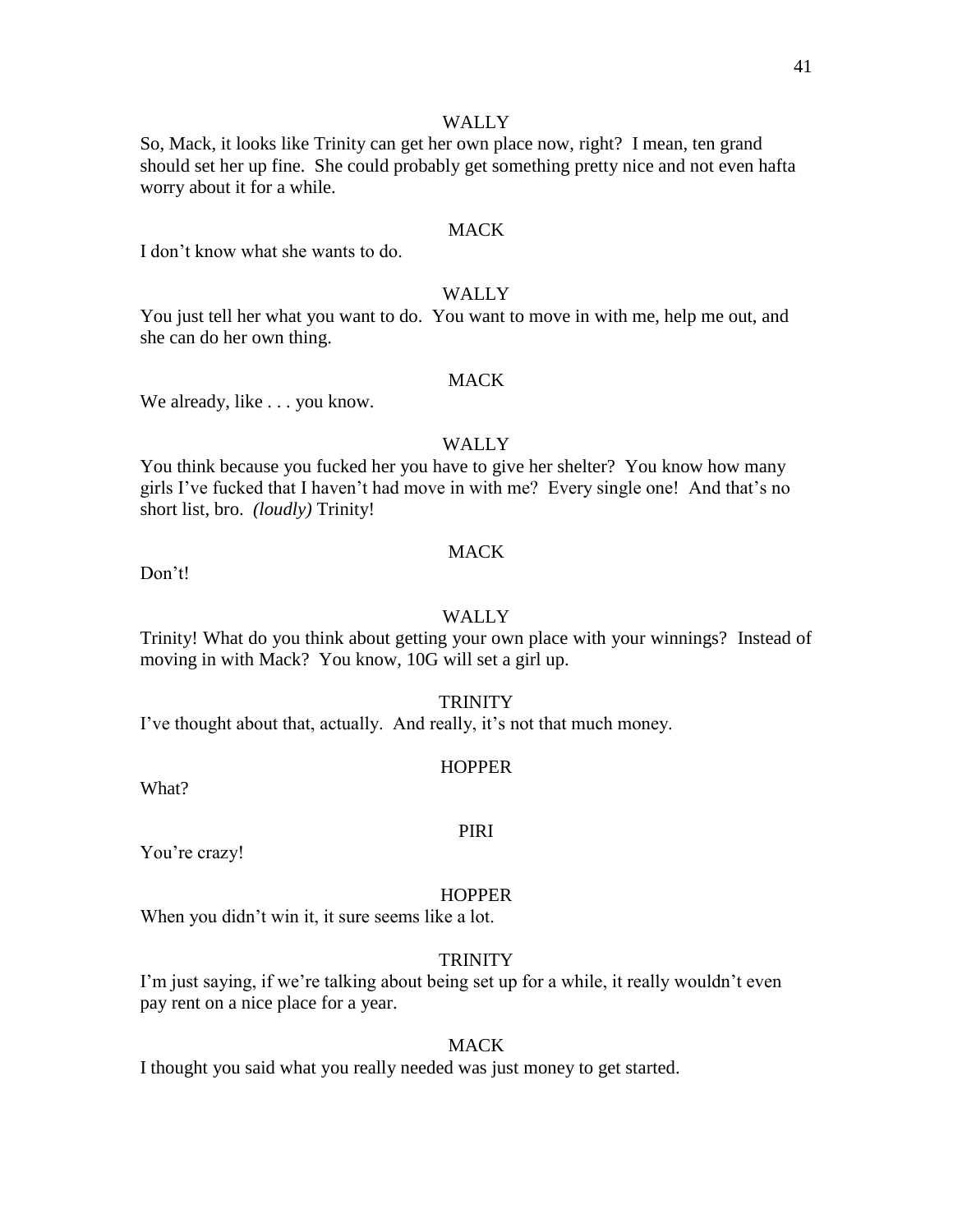So, Mack, it looks like Trinity can get her own place now, right? I mean, ten grand should set her up fine. She could probably get something pretty nice and not even hafta worry about it for a while.

#### **MACK**

I don't know what she wants to do.

#### WALLY

You just tell her what you want to do. You want to move in with me, help me out, and she can do her own thing.

#### **MACK**

We already, like . . . you know.

#### WALLY

You think because you fucked her you have to give her shelter? You know how many girls I've fucked that I haven't had move in with me? Every single one! And that's no short list, bro. *(loudly)* Trinity!

#### **MACK**

Don't!

#### WALLY

Trinity! What do you think about getting your own place with your winnings? Instead of moving in with Mack? You know, 10G will set a girl up.

#### **TRINITY**

I've thought about that, actually. And really, it's not that much money.

#### **HOPPER**

What?

#### PIRI

You're crazy!

#### **HOPPER**

When you didn't win it, it sure seems like a lot.

#### **TRINITY**

I'm just saying, if we're talking about being set up for a while, it really wouldn't even pay rent on a nice place for a year.

#### MACK

I thought you said what you really needed was just money to get started.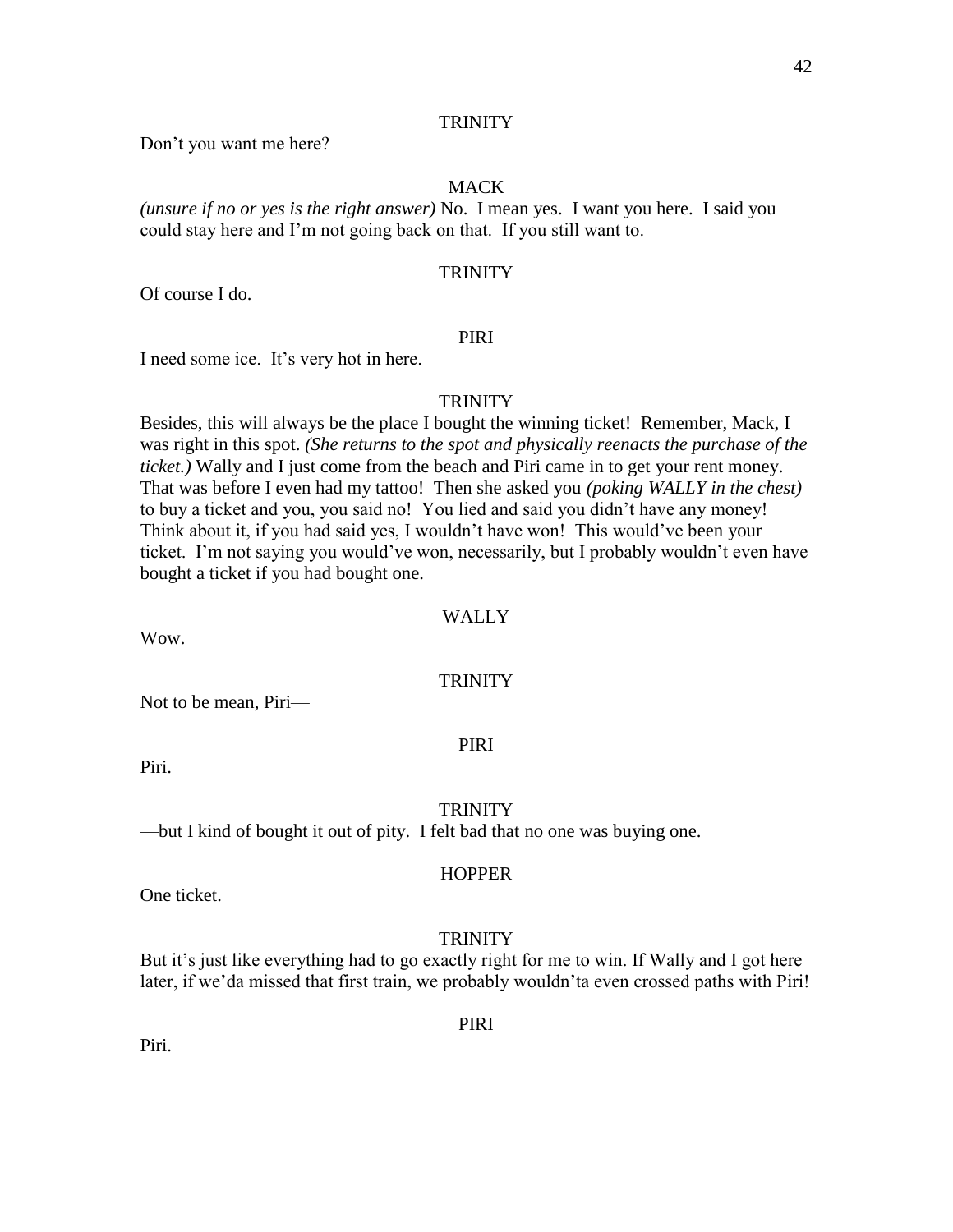Don't you want me here?

#### MACK

*(unsure if no or yes is the right answer)* No. I mean yes. I want you here. I said you could stay here and I'm not going back on that. If you still want to.

#### **TRINITY**

Of course I do.

#### PIRI

I need some ice. It's very hot in here.

#### **TRINITY**

Besides, this will always be the place I bought the winning ticket! Remember, Mack, I was right in this spot. *(She returns to the spot and physically reenacts the purchase of the ticket.)* Wally and I just come from the beach and Piri came in to get your rent money. That was before I even had my tattoo! Then she asked you *(poking WALLY in the chest)*  to buy a ticket and you, you said no! You lied and said you didn't have any money! Think about it, if you had said yes, I wouldn't have won! This would've been your ticket. I'm not saying you would've won, necessarily, but I probably wouldn't even have bought a ticket if you had bought one.

#### WALLY

Wow.

#### **TRINITY**

Not to be mean, Piri—

PIRI

Piri.

#### **TRINITY**

—but I kind of bought it out of pity. I felt bad that no one was buying one.

#### **HOPPER**

One ticket.

#### **TRINITY**

But it's just like everything had to go exactly right for me to win. If Wally and I got here later, if we'da missed that first train, we probably wouldn'ta even crossed paths with Piri!

#### PIRI

Piri.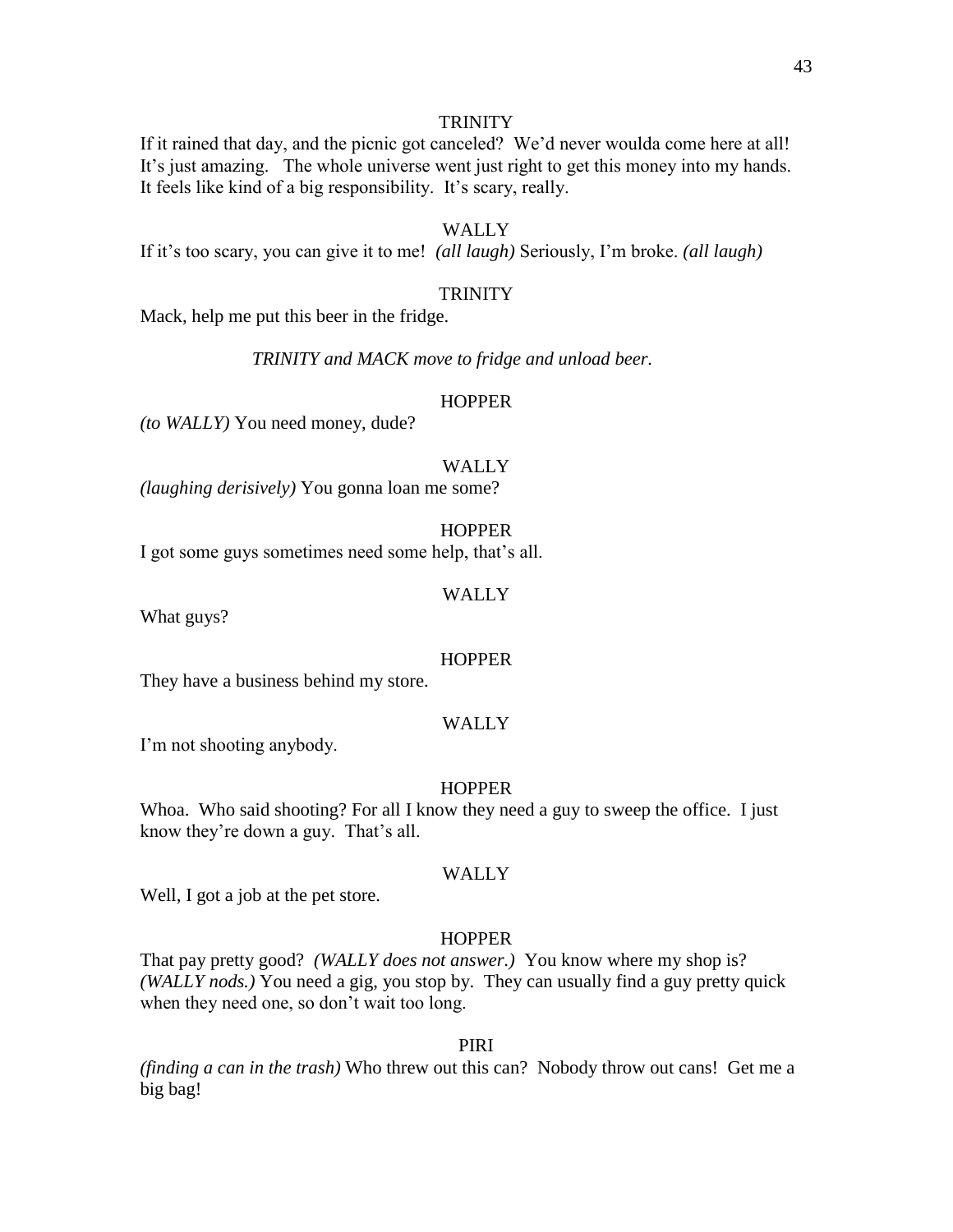If it rained that day, and the picnic got canceled? We'd never woulda come here at all! It's just amazing. The whole universe went just right to get this money into my hands. It feels like kind of a big responsibility. It's scary, really.

#### WALLY

If it's too scary, you can give it to me! *(all laugh)* Seriously, I'm broke. *(all laugh)*

#### **TRINITY**

Mack, help me put this beer in the fridge.

*TRINITY and MACK move to fridge and unload beer.*

#### **HOPPER**

*(to WALLY)* You need money, dude?

#### **WALLY**

*(laughing derisively)* You gonna loan me some?

**HOPPER** 

I got some guys sometimes need some help, that's all.

#### WALLY

What guys?

#### **HOPPER**

They have a business behind my store.

#### WALLY

I'm not shooting anybody.

#### **HOPPER**

Whoa. Who said shooting? For all I know they need a guy to sweep the office. I just know they're down a guy. That's all.

#### WALLY

Well, I got a job at the pet store.

#### **HOPPER**

That pay pretty good? *(WALLY does not answer.)* You know where my shop is? *(WALLY nods.)* You need a gig, you stop by. They can usually find a guy pretty quick when they need one, so don't wait too long.

#### PIRI

*(finding a can in the trash)* Who threw out this can? Nobody throw out cans! Get me a big bag!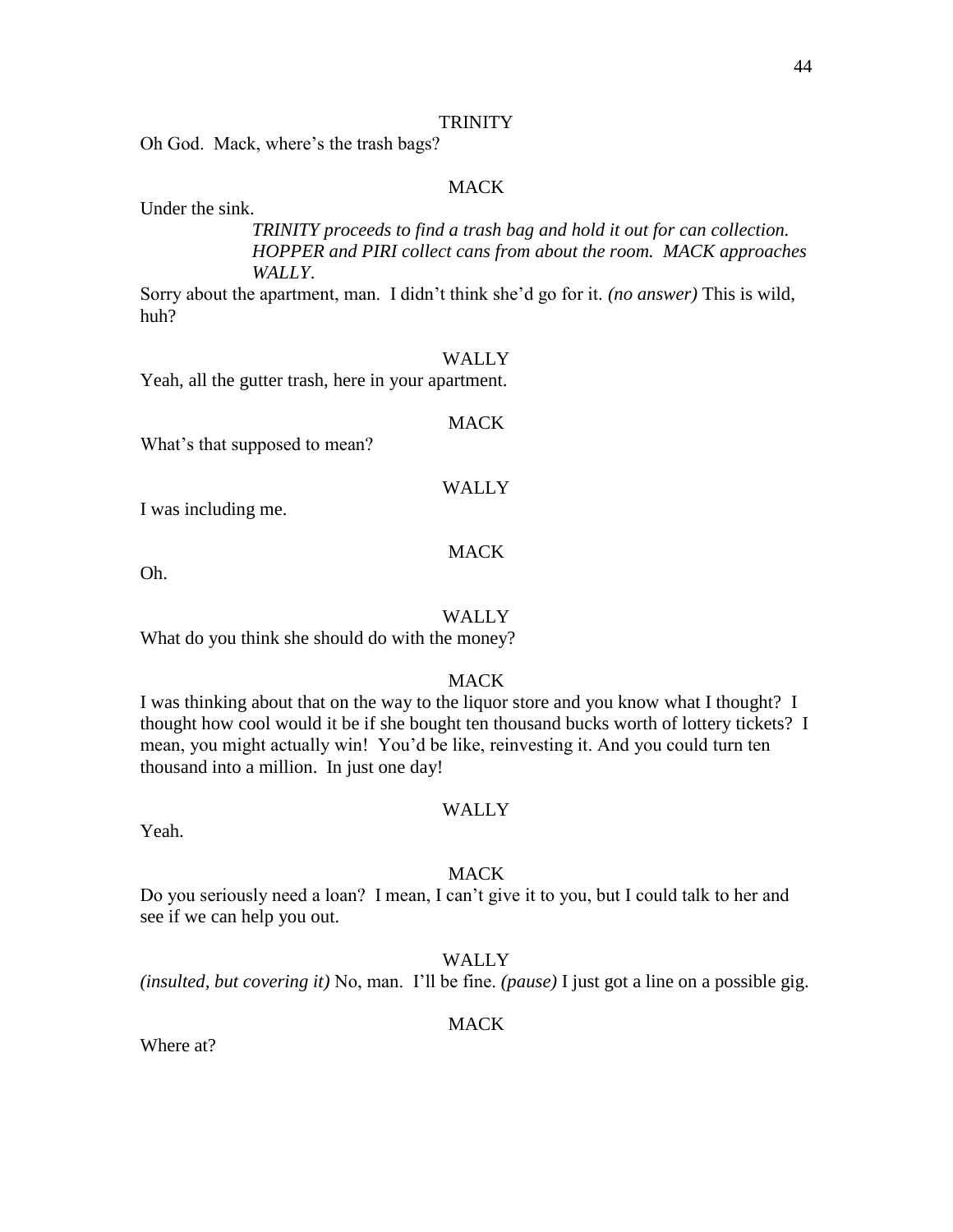Oh God. Mack, where's the trash bags?

#### MACK

Under the sink.

*TRINITY proceeds to find a trash bag and hold it out for can collection. HOPPER and PIRI collect cans from about the room. MACK approaches WALLY*.

Sorry about the apartment, man. I didn't think she'd go for it. *(no answer)* This is wild, huh?

#### WALLY

MACK

Yeah, all the gutter trash, here in your apartment.

What's that supposed to mean?

#### WALLY

I was including me.

#### **MACK**

Oh.

#### WALLY

What do you think she should do with the money?

#### MACK

I was thinking about that on the way to the liquor store and you know what I thought? I thought how cool would it be if she bought ten thousand bucks worth of lottery tickets? I mean, you might actually win! You'd be like, reinvesting it. And you could turn ten thousand into a million. In just one day!

#### **WALLY**

Yeah.

#### **MACK**

Do you seriously need a loan? I mean, I can't give it to you, but I could talk to her and see if we can help you out.

#### WALLY

*(insulted, but covering it)* No, man. I'll be fine. *(pause)* I just got a line on a possible gig.

#### MACK

Where at?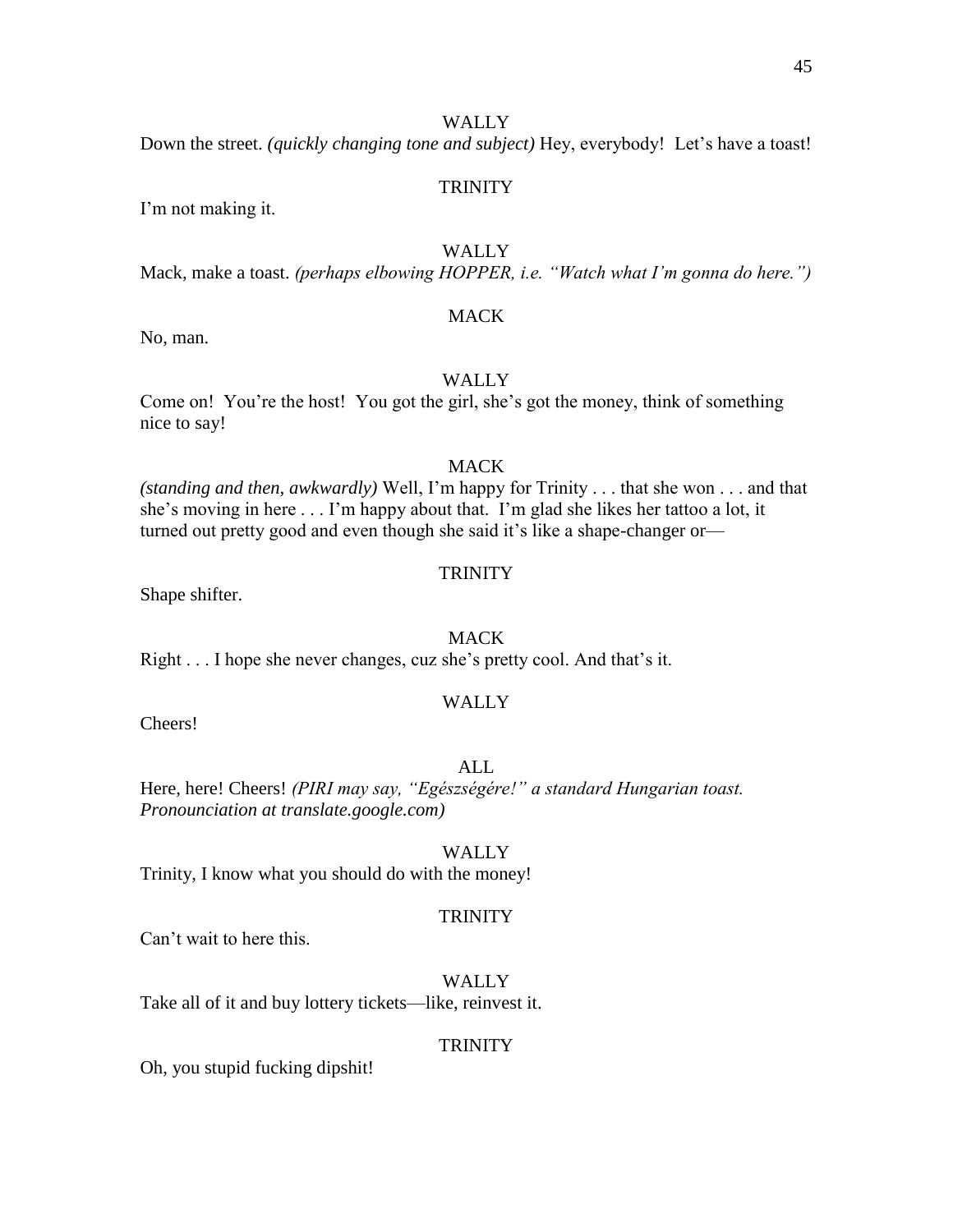Down the street. *(quickly changing tone and subject)* Hey, everybody! Let's have a toast!

#### **TRINITY**

I'm not making it.

#### **WALLY**

Mack, make a toast. *(perhaps elbowing HOPPER, i.e. "Watch what I'm gonna do here.")*

#### **MACK**

No, man.

#### WALLY

Come on! You're the host! You got the girl, she's got the money, think of something nice to say!

#### MACK

*(standing and then, awkwardly)* Well, I'm happy for Trinity . . . that she won . . . and that she's moving in here . . . I'm happy about that. I'm glad she likes her tattoo a lot, it turned out pretty good and even though she said it's like a shape-changer or—

#### **TRINITY**

Shape shifter.

#### **MACK**

Right . . . I hope she never changes, cuz she's pretty cool. And that's it.

#### WALLY

Cheers!

#### ALL

Here, here! Cheers! *(PIRI may say, "Egészségére!" a standard Hungarian toast. Pronounciation at translate.google.com)*

#### WALLY

Trinity, I know what you should do with the money!

#### **TRINITY**

Can't wait to here this.

#### WALLY

Take all of it and buy lottery tickets—like, reinvest it.

#### **TRINITY**

Oh, you stupid fucking dipshit!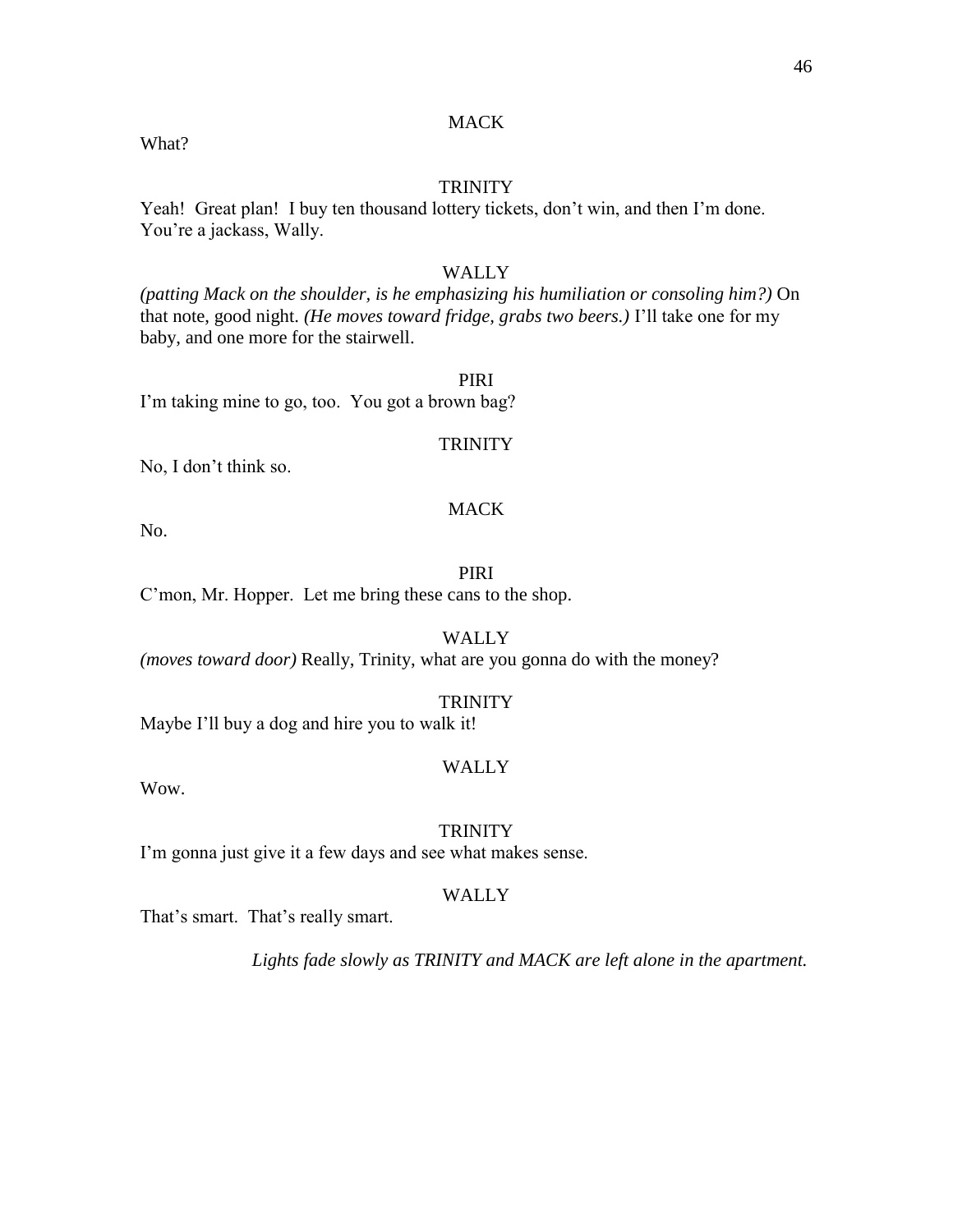#### **MACK**

What?

#### **TRINITY**

Yeah! Great plan! I buy ten thousand lottery tickets, don't win, and then I'm done. You're a jackass, Wally.

#### WALLY

*(patting Mack on the shoulder, is he emphasizing his humiliation or consoling him?)* On that note, good night. *(He moves toward fridge, grabs two beers.)* I'll take one for my baby, and one more for the stairwell.

#### PIRI

I'm taking mine to go, too. You got a brown bag?

#### **TRINITY**

No, I don't think so.

#### MACK

No.

PIRI C'mon, Mr. Hopper. Let me bring these cans to the shop.

WALLY *(moves toward door)* Really, Trinity, what are you gonna do with the money?

#### **TRINITY**

Maybe I'll buy a dog and hire you to walk it!

#### WALLY

Wow.

#### **TRINITY**

I'm gonna just give it a few days and see what makes sense.

#### WALLY

That's smart. That's really smart.

*Lights fade slowly as TRINITY and MACK are left alone in the apartment.*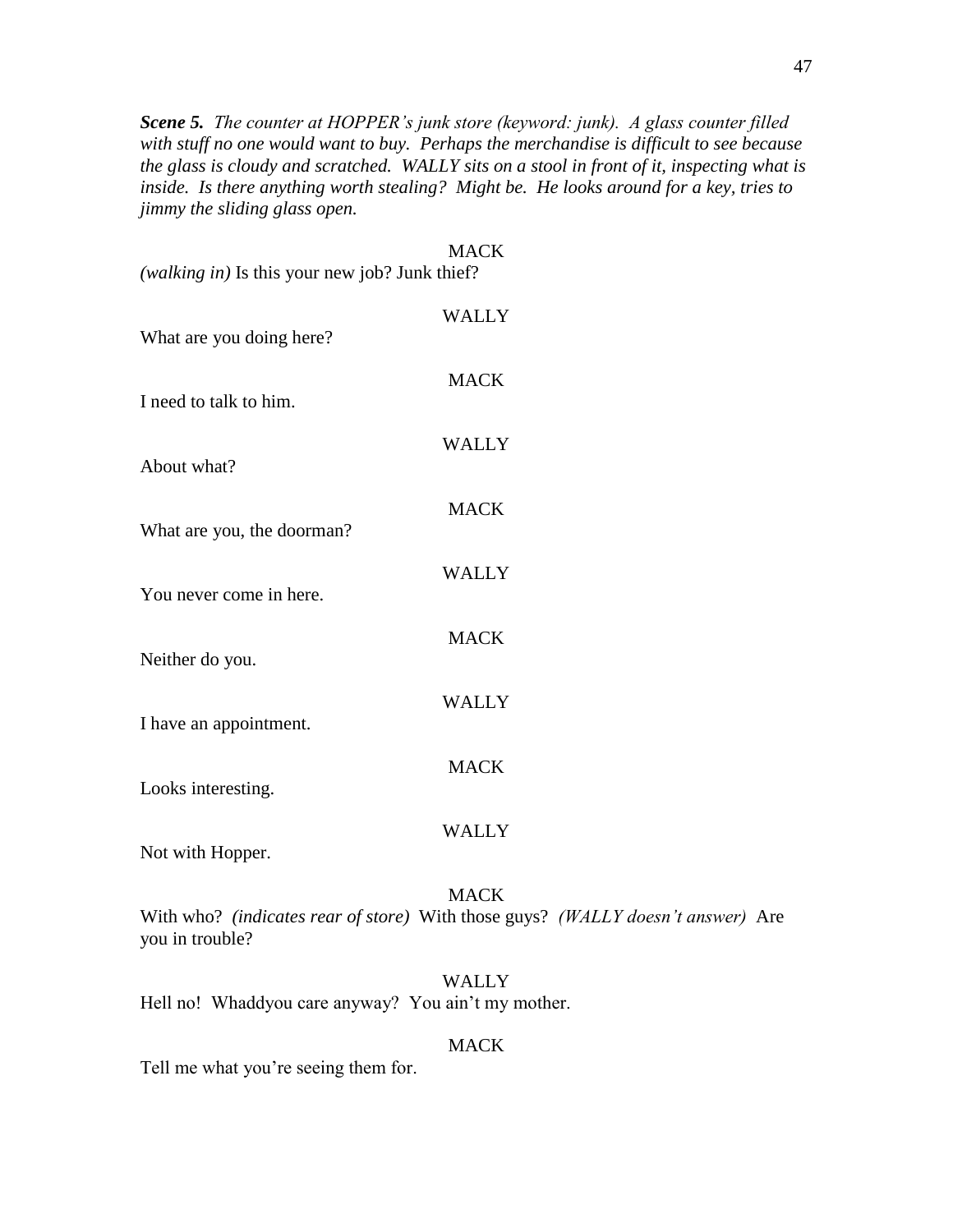*Scene 5. The counter at HOPPER's junk store (keyword: junk). A glass counter filled with stuff no one would want to buy. Perhaps the merchandise is difficult to see because the glass is cloudy and scratched. WALLY sits on a stool in front of it, inspecting what is inside. Is there anything worth stealing? Might be. He looks around for a key, tries to jimmy the sliding glass open.*

| (walking in) Is this your new job? Junk thief? | <b>MACK</b>  |
|------------------------------------------------|--------------|
| What are you doing here?                       | <b>WALLY</b> |
| I need to talk to him.                         | <b>MACK</b>  |
| About what?                                    | <b>WALLY</b> |
| What are you, the doorman?                     | <b>MACK</b>  |
| You never come in here.                        | <b>WALLY</b> |
| Neither do you.                                | <b>MACK</b>  |
| I have an appointment.                         | <b>WALLY</b> |
| Looks interesting.                             | <b>MACK</b>  |
| Not with Hopper.                               | <b>WALLY</b> |

MACK With who? *(indicates rear of store)* With those guys? *(WALLY doesn't answer)* Are you in trouble?

#### WALLY

Hell no! Whaddyou care anyway? You ain't my mother.

#### MACK

Tell me what you're seeing them for.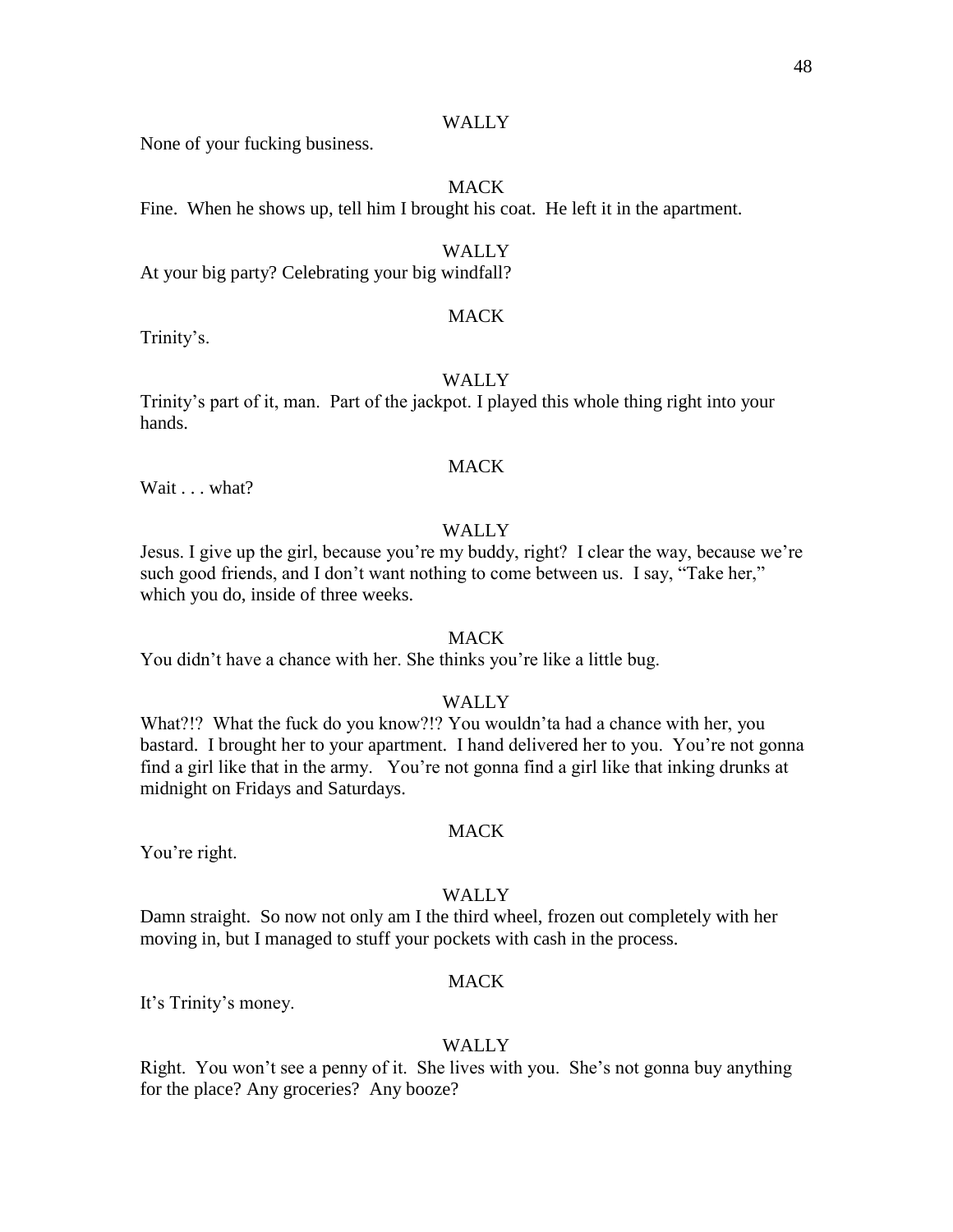None of your fucking business.

#### MACK

Fine. When he shows up, tell him I brought his coat. He left it in the apartment.

#### **WALLY**

At your big party? Celebrating your big windfall?

#### MACK

Trinity's.

#### **WALLY**

Trinity's part of it, man. Part of the jackpot. I played this whole thing right into your hands.

#### **MACK**

Wait . . . what?

#### WALLY

Jesus. I give up the girl, because you're my buddy, right? I clear the way, because we're such good friends, and I don't want nothing to come between us. I say, "Take her," which you do, inside of three weeks.

#### **MACK**

You didn't have a chance with her. She thinks you're like a little bug.

#### WALLY

What?!? What the fuck do you know?!? You wouldn'ta had a chance with her, you bastard. I brought her to your apartment. I hand delivered her to you. You're not gonna find a girl like that in the army. You're not gonna find a girl like that inking drunks at midnight on Fridays and Saturdays.

You're right.

#### **WALLY**

MACK

Damn straight. So now not only am I the third wheel, frozen out completely with her moving in, but I managed to stuff your pockets with cash in the process.

#### MACK

It's Trinity's money.

#### WALLY

Right. You won't see a penny of it. She lives with you. She's not gonna buy anything for the place? Any groceries? Any booze?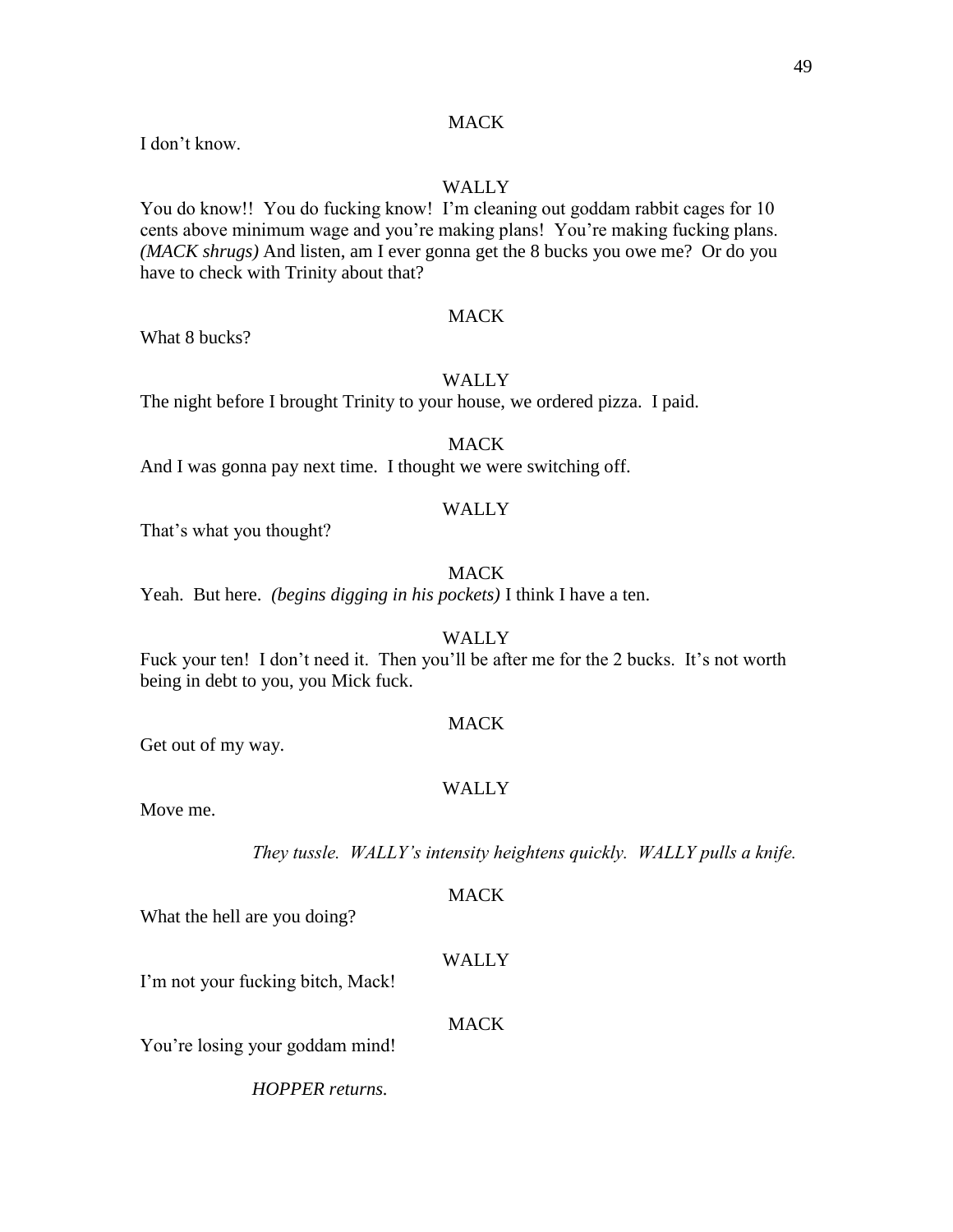#### **MACK**

I don't know.

#### WALLY

You do know!! You do fucking know! I'm cleaning out goddam rabbit cages for 10 cents above minimum wage and you're making plans! You're making fucking plans. *(MACK shrugs)* And listen, am I ever gonna get the 8 bucks you owe me? Or do you have to check with Trinity about that?

#### MACK

What 8 bucks?

#### WALLY

The night before I brought Trinity to your house, we ordered pizza. I paid.

#### MACK

And I was gonna pay next time. I thought we were switching off.

#### WALLY

That's what you thought?

#### **MACK**

Yeah. But here. *(begins digging in his pockets)* I think I have a ten.

#### WALLY

Fuck your ten! I don't need it. Then you'll be after me for the 2 bucks. It's not worth being in debt to you, you Mick fuck.

#### MACK

Get out of my way.

#### WALLY

Move me.

*They tussle. WALLY's intensity heightens quickly. WALLY pulls a knife.* 

#### MACK

What the hell are you doing?

#### WALLY

I'm not your fucking bitch, Mack!

#### MACK

You're losing your goddam mind!

*HOPPER returns.*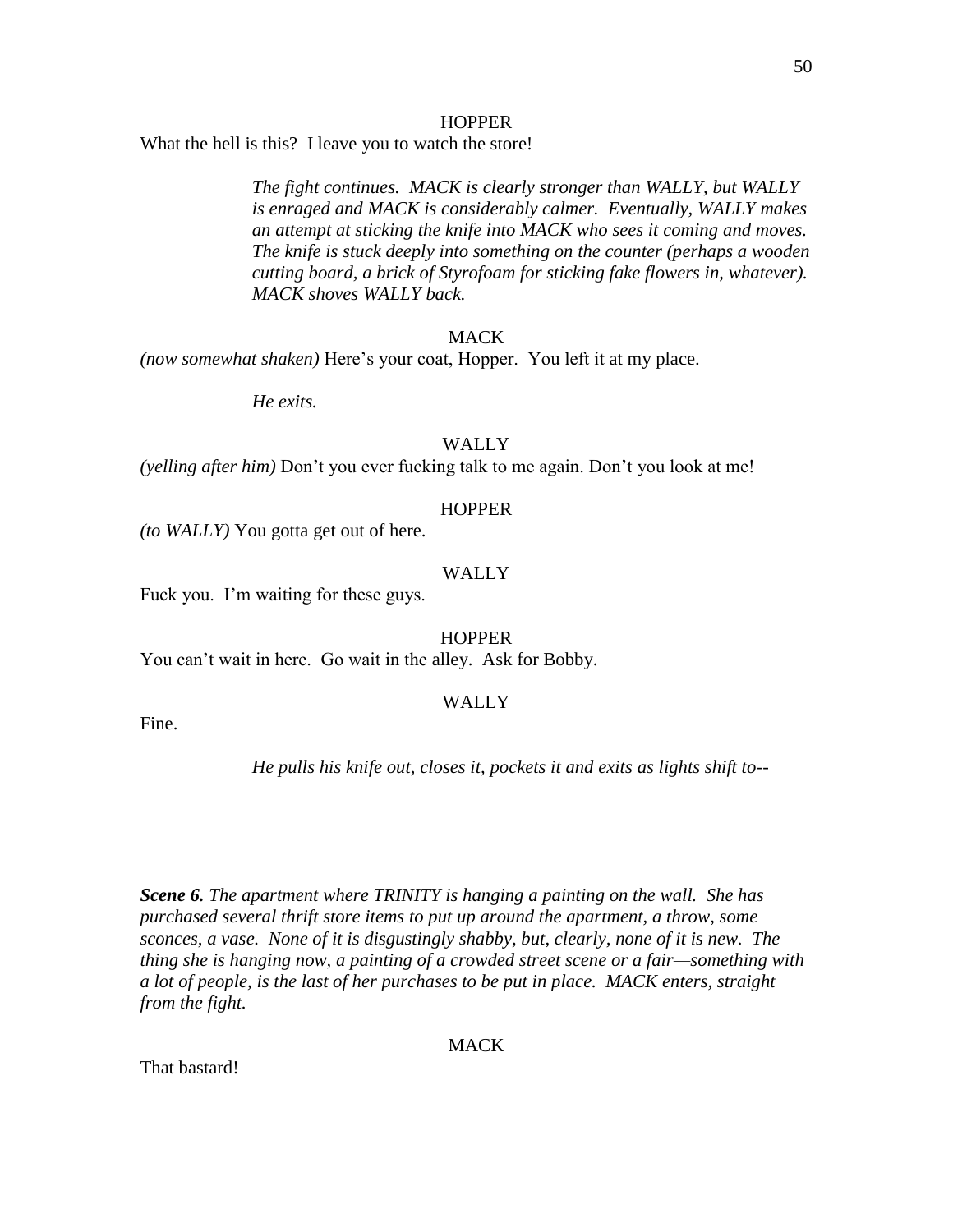#### **HOPPER**

What the hell is this? I leave you to watch the store!

*The fight continues. MACK is clearly stronger than WALLY, but WALLY is enraged and MACK is considerably calmer. Eventually, WALLY makes an attempt at sticking the knife into MACK who sees it coming and moves. The knife is stuck deeply into something on the counter (perhaps a wooden cutting board, a brick of Styrofoam for sticking fake flowers in, whatever). MACK shoves WALLY back.*

#### **MACK**

*(now somewhat shaken)* Here's your coat, Hopper. You left it at my place.

*He exits.*

#### WALLY

*(yelling after him)* Don't you ever fucking talk to me again. Don't you look at me!

#### **HOPPER**

*(to WALLY)* You gotta get out of here.

#### WALLY

Fuck you. I'm waiting for these guys.

**HOPPER** 

You can't wait in here. Go wait in the alley. Ask for Bobby.

#### WALLY

Fine.

#### *He pulls his knife out, closes it, pockets it and exits as lights shift to--*

*Scene 6. The apartment where TRINITY is hanging a painting on the wall. She has purchased several thrift store items to put up around the apartment, a throw, some sconces, a vase. None of it is disgustingly shabby, but, clearly, none of it is new. The thing she is hanging now, a painting of a crowded street scene or a fair—something with a lot of people, is the last of her purchases to be put in place. MACK enters, straight from the fight.*

#### MACK

That bastard!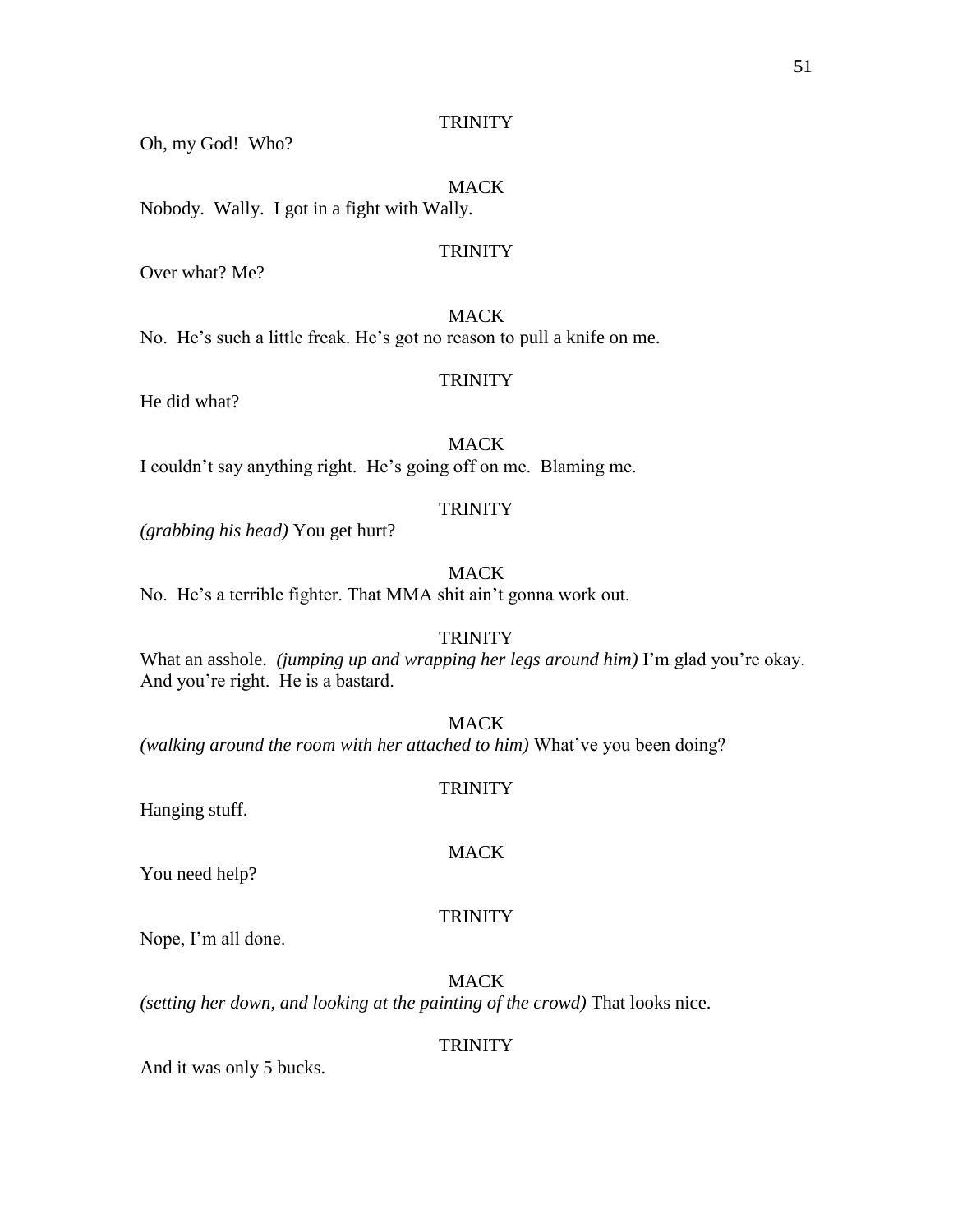Oh, my God! Who?

#### MACK

Nobody. Wally. I got in a fight with Wally.

#### **TRINITY**

Over what? Me?

#### **MACK**

No. He's such a little freak. He's got no reason to pull a knife on me.

#### **TRINITY**

He did what?

MACK I couldn't say anything right. He's going off on me. Blaming me.

#### **TRINITY**

*(grabbing his head)* You get hurt?

#### **MACK**

No. He's a terrible fighter. That MMA shit ain't gonna work out.

#### **TRINITY**

What an asshole. *(jumping up and wrapping her legs around him)* I'm glad you're okay. And you're right. He is a bastard.

MACK

*(walking around the room with her attached to him)* What've you been doing?

#### **TRINITY**

Hanging stuff.

#### MACK

You need help?

#### **TRINITY**

Nope, I'm all done.

MACK *(setting her down, and looking at the painting of the crowd)* That looks nice.

#### **TRINITY**

And it was only 5 bucks.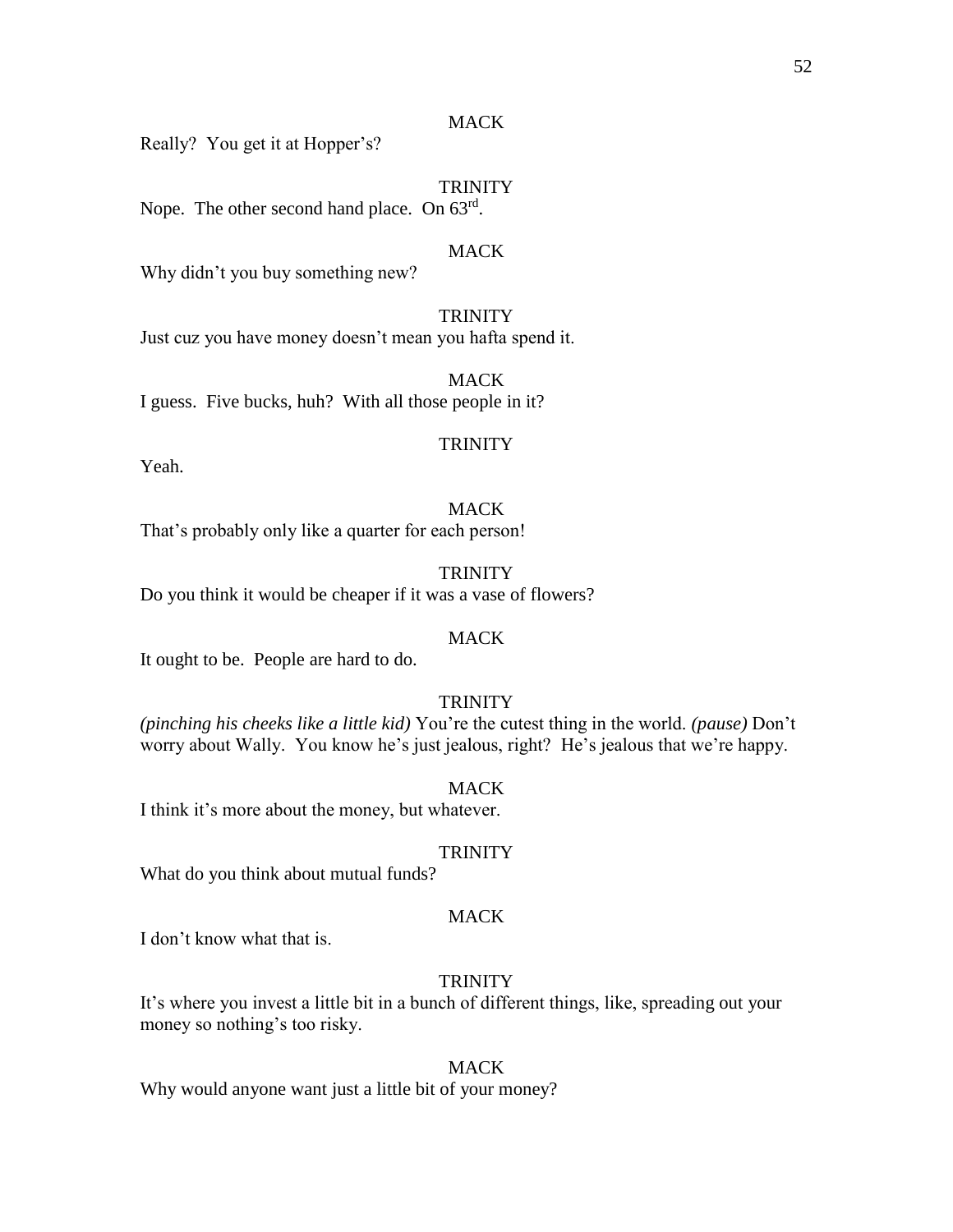#### MACK

Really? You get it at Hopper's?

#### **TRINITY**

Nope. The other second hand place. On 63<sup>rd</sup>.

#### **MACK**

Why didn't you buy something new?

**TRINITY** Just cuz you have money doesn't mean you hafta spend it.

MACK I guess. Five bucks, huh? With all those people in it?

#### **TRINITY**

Yeah.

#### MACK

That's probably only like a quarter for each person!

**TRINITY** Do you think it would be cheaper if it was a vase of flowers?

#### **MACK**

It ought to be. People are hard to do.

#### **TRINITY**

*(pinching his cheeks like a little kid)* You're the cutest thing in the world. *(pause)* Don't worry about Wally. You know he's just jealous, right? He's jealous that we're happy.

MACK I think it's more about the money, but whatever.

#### **TRINITY**

What do you think about mutual funds?

#### MACK

I don't know what that is.

#### TRINITY

It's where you invest a little bit in a bunch of different things, like, spreading out your money so nothing's too risky.

#### MACK

Why would anyone want just a little bit of your money?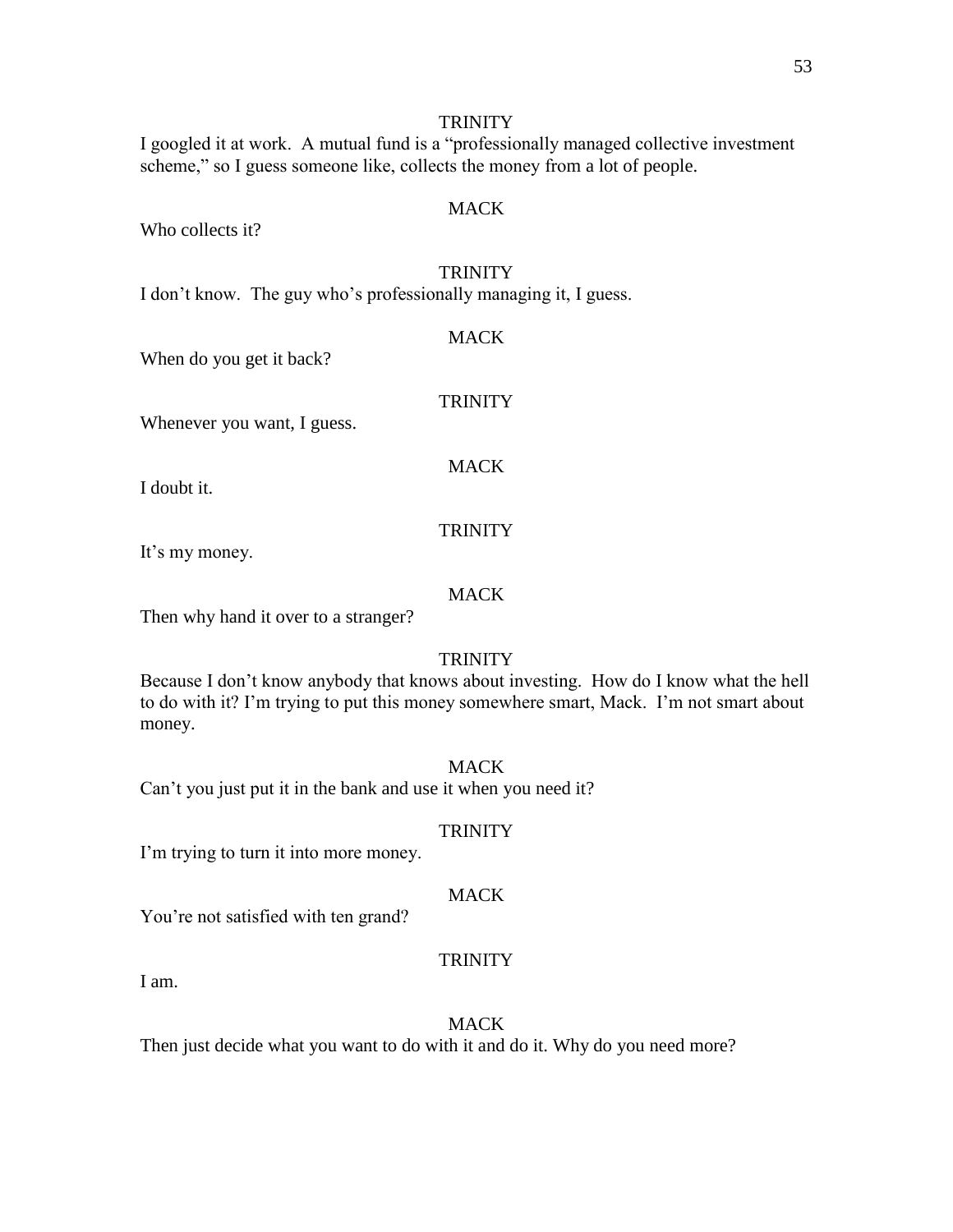I googled it at work. A mutual fund is a "professionally managed collective investment scheme," so I guess someone like, collects the money from a lot of people.

#### MACK

Who collects it?

#### **TRINITY**

I don't know. The guy who's professionally managing it, I guess.

#### **MACK**

**TRINITY** 

When do you get it back?

#### Whenever you want, I guess.

MACK

I doubt it.

#### **TRINITY**

It's my money.

#### MACK

Then why hand it over to a stranger?

#### **TRINITY**

Because I don't know anybody that knows about investing. How do I know what the hell to do with it? I'm trying to put this money somewhere smart, Mack. I'm not smart about money.

#### **MACK**

Can't you just put it in the bank and use it when you need it?

#### **TRINITY**

I'm trying to turn it into more money.

#### MACK

You're not satisfied with ten grand?

#### **TRINITY**

I am.

#### MACK

Then just decide what you want to do with it and do it. Why do you need more?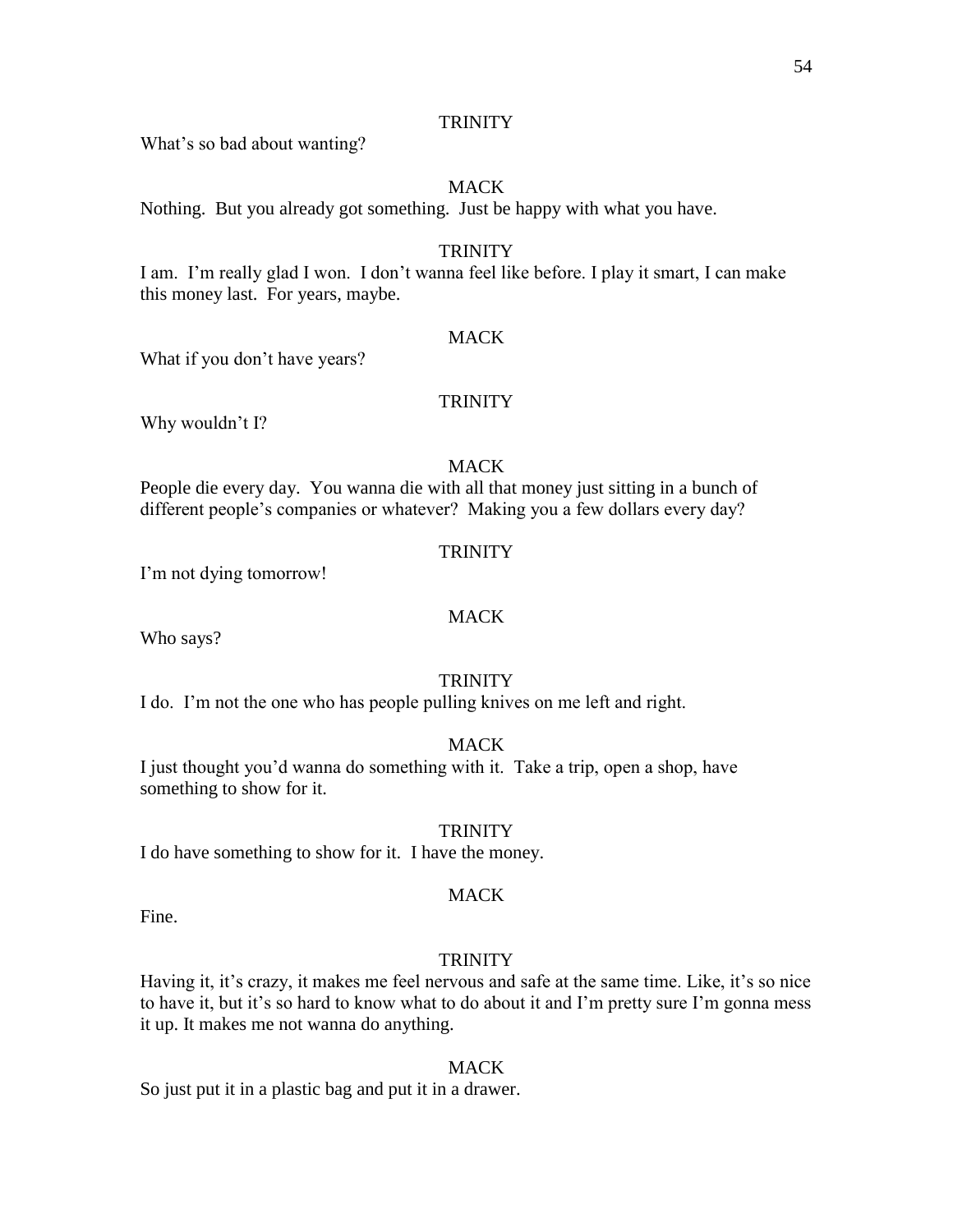What's so bad about wanting?

#### MACK

Nothing. But you already got something. Just be happy with what you have.

#### **TRINITY**

I am. I'm really glad I won. I don't wanna feel like before. I play it smart, I can make this money last. For years, maybe.

#### **MACK**

What if you don't have years?

#### **TRINITY**

Why wouldn't I?

#### **MACK**

People die every day. You wanna die with all that money just sitting in a bunch of different people's companies or whatever? Making you a few dollars every day?

#### **TRINITY**

I'm not dying tomorrow!

#### MACK

Who says?

#### **TRINITY**

I do. I'm not the one who has people pulling knives on me left and right.

#### MACK

I just thought you'd wanna do something with it. Take a trip, open a shop, have something to show for it.

#### **TRINITY**

I do have something to show for it. I have the money.

#### MACK

Fine.

#### **TRINITY**

Having it, it's crazy, it makes me feel nervous and safe at the same time. Like, it's so nice to have it, but it's so hard to know what to do about it and I'm pretty sure I'm gonna mess it up. It makes me not wanna do anything.

#### MACK

So just put it in a plastic bag and put it in a drawer.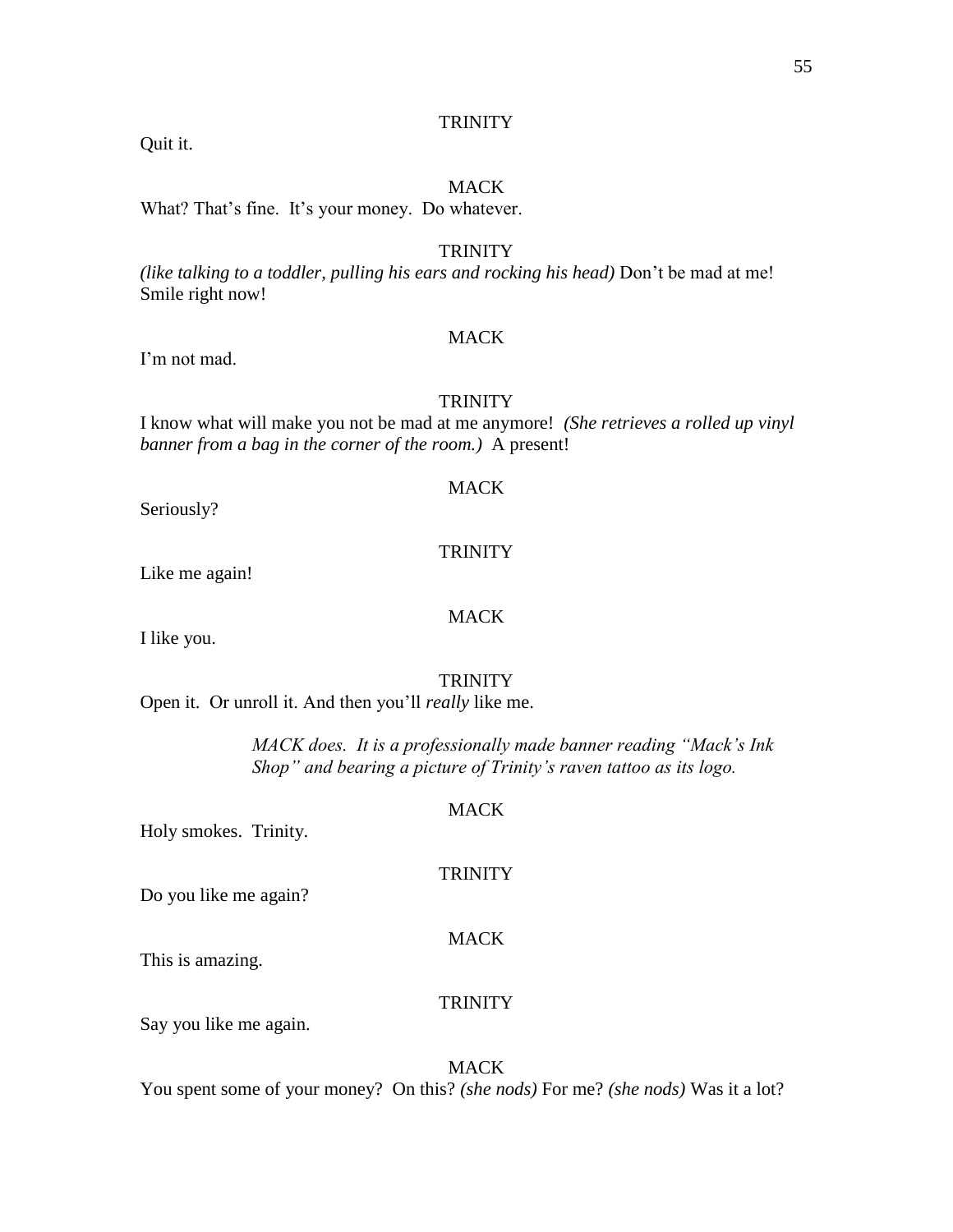Quit it.

#### MACK

What? That's fine. It's your money. Do whatever.

#### **TRINITY**

*(like talking to a toddler, pulling his ears and rocking his head)* Don't be mad at me! Smile right now!

#### **MACK**

I'm not mad.

#### **TRINITY**

I know what will make you not be mad at me anymore! *(She retrieves a rolled up vinyl banner from a bag in the corner of the room.)* A present!

#### MACK

Seriously?

#### **TRINITY**

MACK

Like me again!

I like you.

#### **TRINITY**

Open it. Or unroll it. And then you'll *really* like me.

*MACK does. It is a professionally made banner reading "Mack's Ink Shop" and bearing a picture of Trinity's raven tattoo as its logo.*

#### **MACK**

**TRINITY** 

Holy smokes. Trinity.

Do you like me again?

MACK

This is amazing.

#### **TRINITY**

Say you like me again.

#### **MACK**

You spent some of your money? On this? *(she nods)* For me? *(she nods)* Was it a lot?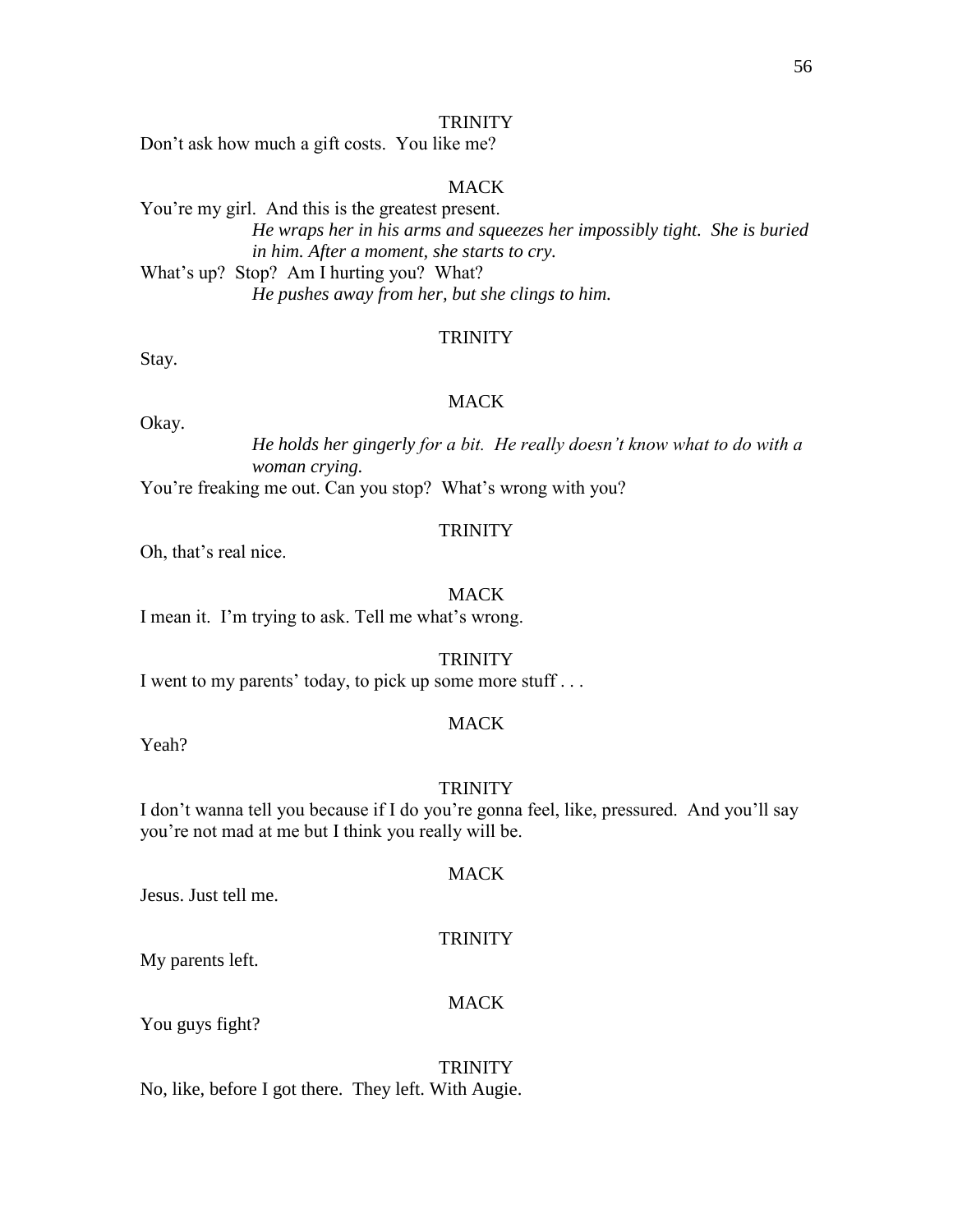Don't ask how much a gift costs. You like me?

#### MACK

You're my girl. And this is the greatest present. *He wraps her in his arms and squeezes her impossibly tight. She is buried in him. After a moment, she starts to cry.* What's up? Stop? Am I hurting you? What? *He pushes away from her, but she clings to him.*

#### **TRINITY**

Stay.

#### MACK

Okay.

*He holds her gingerly for a bit. He really doesn't know what to do with a woman crying.*

You're freaking me out. Can you stop? What's wrong with you?

#### **TRINITY**

Oh, that's real nice.

#### **MACK**

I mean it. I'm trying to ask. Tell me what's wrong.

#### **TRINITY**

I went to my parents' today, to pick up some more stuff . . .

#### MACK

Yeah?

#### **TRINITY**

I don't wanna tell you because if I do you're gonna feel, like, pressured. And you'll say you're not mad at me but I think you really will be.

#### **MACK**

Jesus. Just tell me.

#### **TRINITY**

My parents left.

#### **MACK**

You guys fight?

### **TRINITY**

No, like, before I got there. They left. With Augie.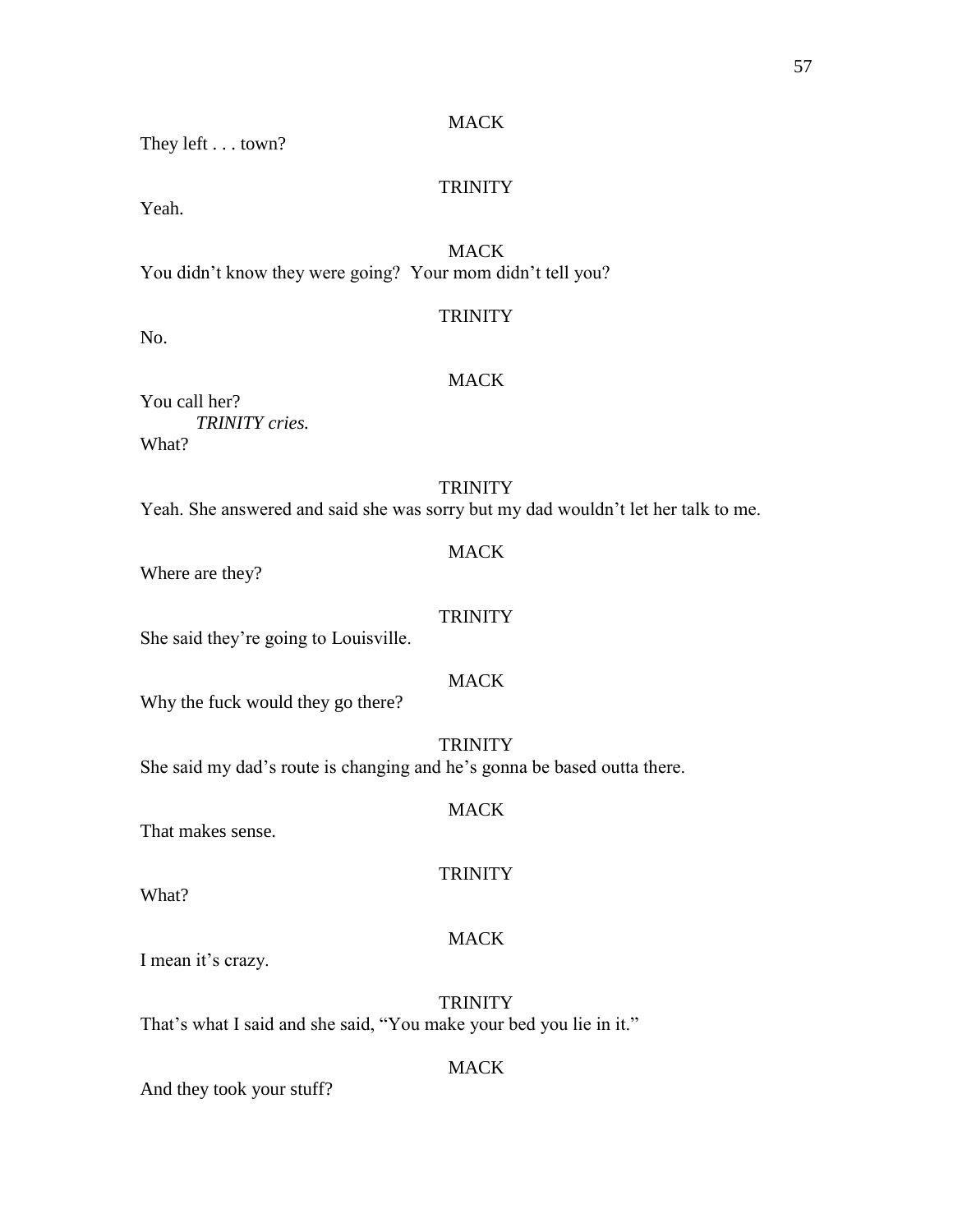#### **MACK**

They left . . . town?

#### **TRINITY**

Yeah.

No.

**MACK** You didn't know they were going? Your mom didn't tell you?

#### **TRINITY**

#### **MACK**

You call her? *TRINITY cries.* What?

## **TRINITY**

Yeah. She answered and said she was sorry but my dad wouldn't let her talk to me.

#### MACK

Where are they?

#### **TRINITY**

She said they're going to Louisville.

#### **MACK**

Why the fuck would they go there?

**TRINITY** She said my dad's route is changing and he's gonna be based outta there.

#### MACK

**TRINITY** 

That makes sense.

What?

#### MACK

I mean it's crazy.

**TRINITY** That's what I said and she said, "You make your bed you lie in it."

#### MACK

And they took your stuff?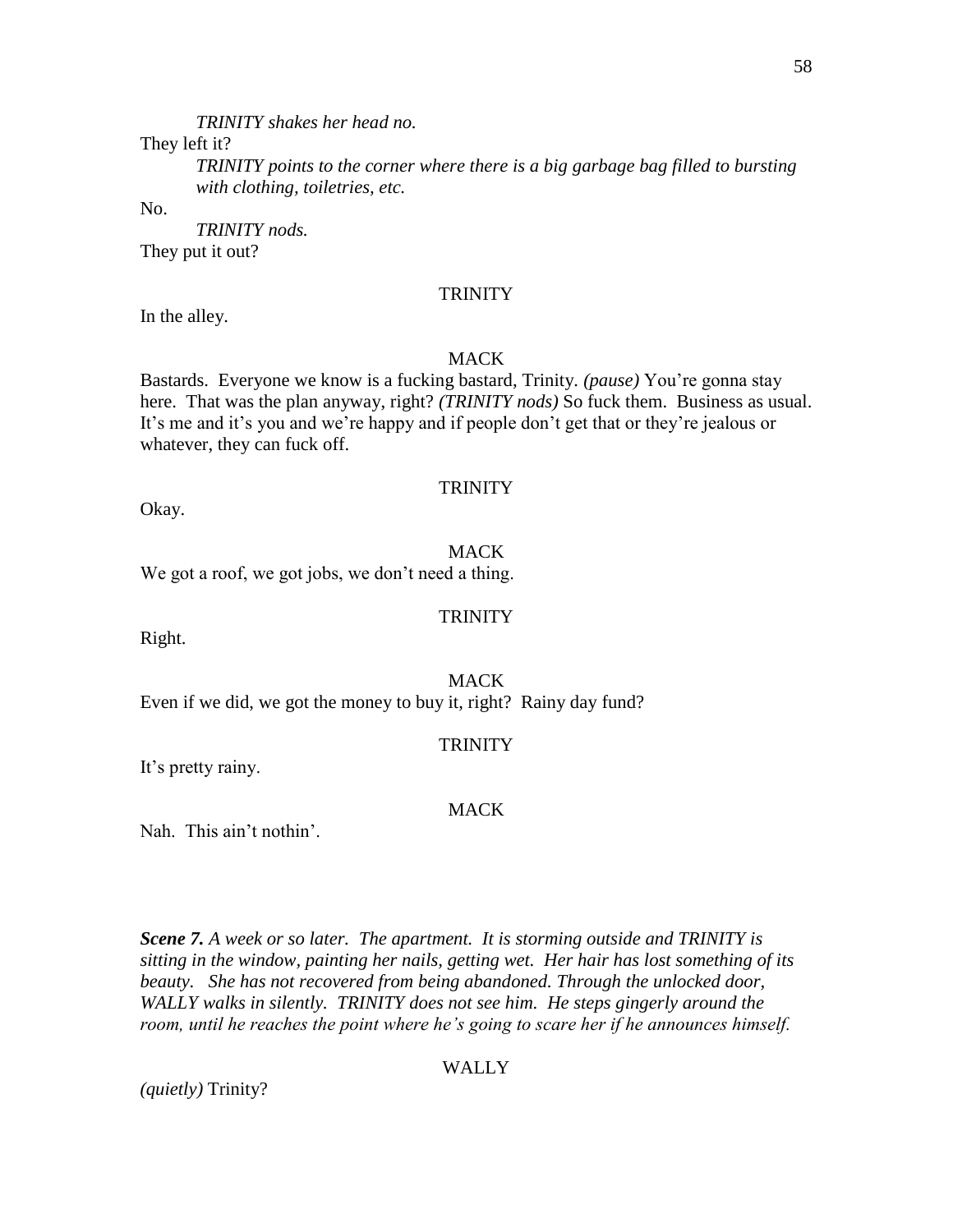*TRINITY shakes her head no.*

They left it?

*TRINITY points to the corner where there is a big garbage bag filled to bursting with clothing, toiletries, etc.*

No.

*TRINITY nods.* They put it out?

#### **TRINITY**

In the alley.

#### MACK

Bastards. Everyone we know is a fucking bastard, Trinity. *(pause)* You're gonna stay here. That was the plan anyway, right? *(TRINITY nods)* So fuck them. Business as usual. It's me and it's you and we're happy and if people don't get that or they're jealous or whatever, they can fuck off.

#### **TRINITY**

Okay.

Right.

#### **MACK**

**TRINITY** 

We got a roof, we got jobs, we don't need a thing.

MACK Even if we did, we got the money to buy it, right? Rainy day fund?

#### **TRINITY**

It's pretty rainy.

#### **MACK**

Nah. This ain't nothin'.

*Scene 7. A week or so later. The apartment. It is storming outside and TRINITY is sitting in the window, painting her nails, getting wet. Her hair has lost something of its beauty. She has not recovered from being abandoned. Through the unlocked door, WALLY walks in silently. TRINITY does not see him. He steps gingerly around the room, until he reaches the point where he's going to scare her if he announces himself.*

#### WALLY

*(quietly)* Trinity?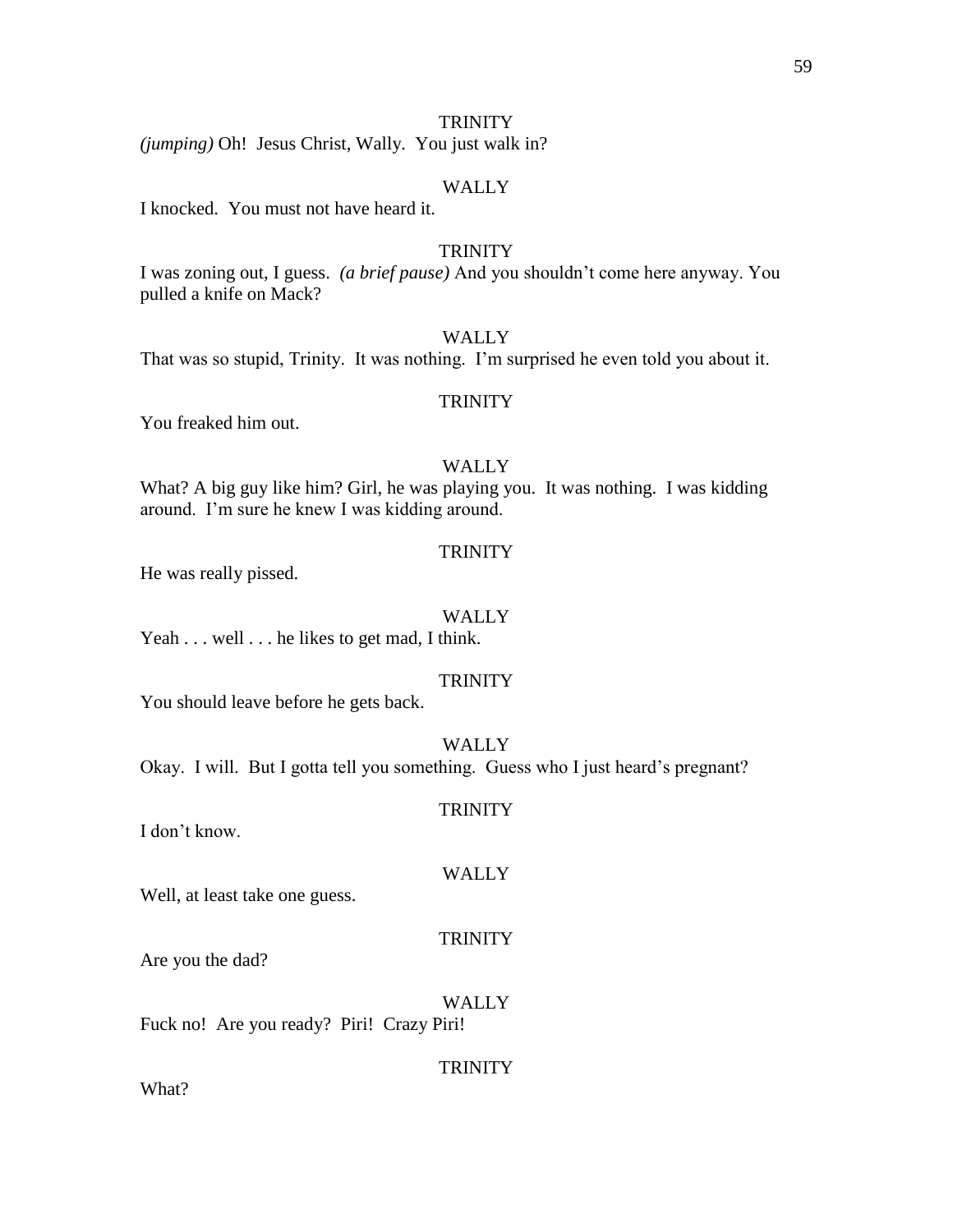*(jumping)* Oh! Jesus Christ, Wally. You just walk in?

#### WALLY

I knocked. You must not have heard it.

#### **TRINITY**

I was zoning out, I guess. *(a brief pause)* And you shouldn't come here anyway. You pulled a knife on Mack?

#### **WALLY**

That was so stupid, Trinity. It was nothing. I'm surprised he even told you about it.

#### **TRINITY**

You freaked him out.

#### WALLY

What? A big guy like him? Girl, he was playing you. It was nothing. I was kidding around. I'm sure he knew I was kidding around.

#### **TRINITY**

He was really pissed.

#### WALLY

Yeah . . . well . . . he likes to get mad, I think.

#### **TRINITY**

You should leave before he gets back.

#### **WALLY**

Okay. I will. But I gotta tell you something. Guess who I just heard's pregnant?

#### **TRINITY**

I don't know.

#### WALLY

Well, at least take one guess.

#### TRINITY

Are you the dad?

#### WALLY

Fuck no! Are you ready? Piri! Crazy Piri!

#### **TRINITY**

What?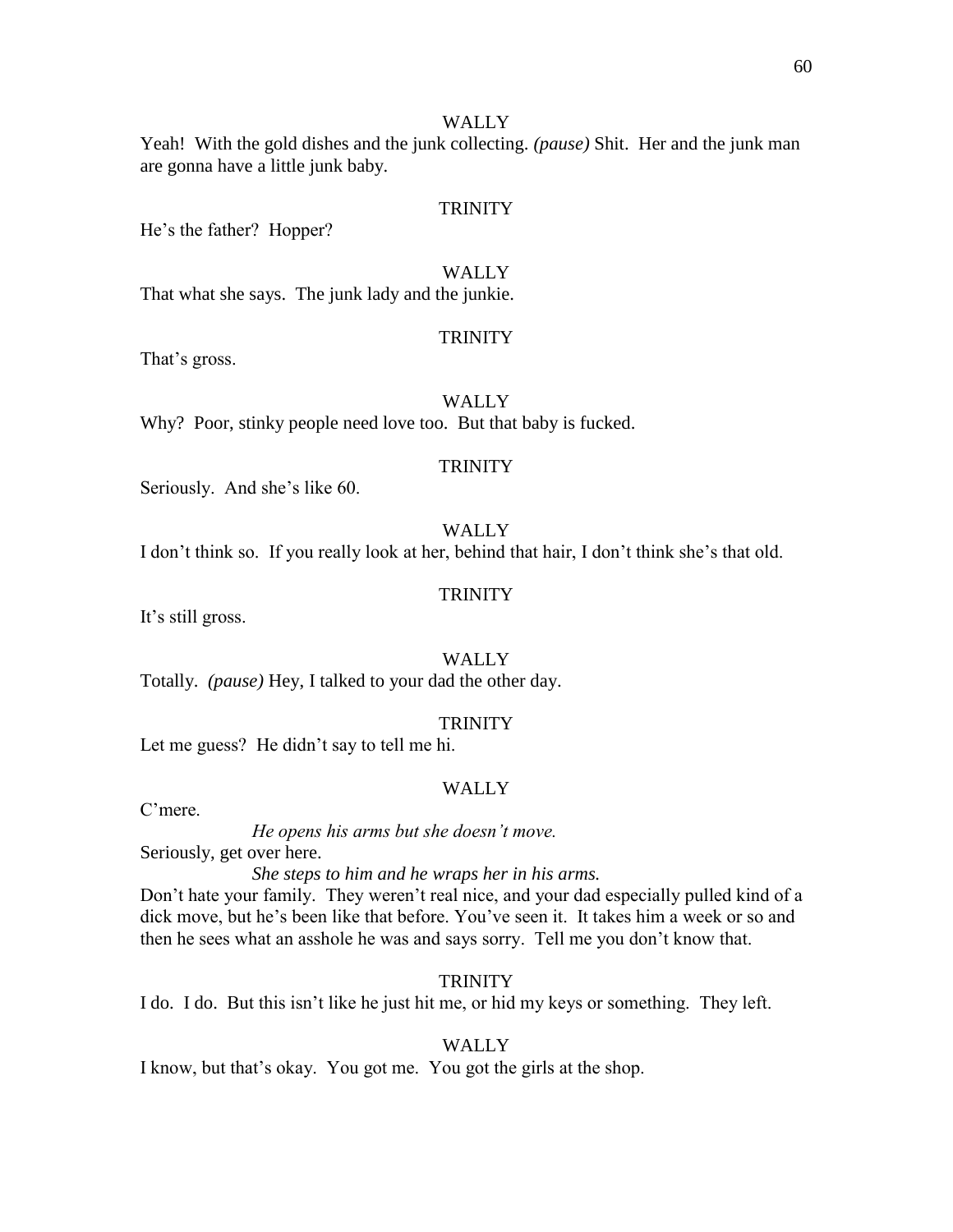Yeah! With the gold dishes and the junk collecting. *(pause)* Shit. Her and the junk man are gonna have a little junk baby.

#### **TRINITY**

He's the father? Hopper?

#### WALLY

That what she says. The junk lady and the junkie.

#### **TRINITY**

That's gross.

#### WALLY

Why? Poor, stinky people need love too. But that baby is fucked.

#### **TRINITY**

Seriously. And she's like 60.

#### **WALLY**

I don't think so. If you really look at her, behind that hair, I don't think she's that old.

#### **TRINITY**

It's still gross.

#### WALLY

Totally. *(pause)* Hey, I talked to your dad the other day.

#### **TRINITY**

Let me guess? He didn't say to tell me hi.

#### WALLY

C'mere.

*He opens his arms but she doesn't move.*

Seriously, get over here.

*She steps to him and he wraps her in his arms.*

Don't hate your family. They weren't real nice, and your dad especially pulled kind of a dick move, but he's been like that before. You've seen it. It takes him a week or so and then he sees what an asshole he was and says sorry. Tell me you don't know that.

#### **TRINITY**

I do. I do. But this isn't like he just hit me, or hid my keys or something. They left.

#### WALLY

I know, but that's okay. You got me. You got the girls at the shop.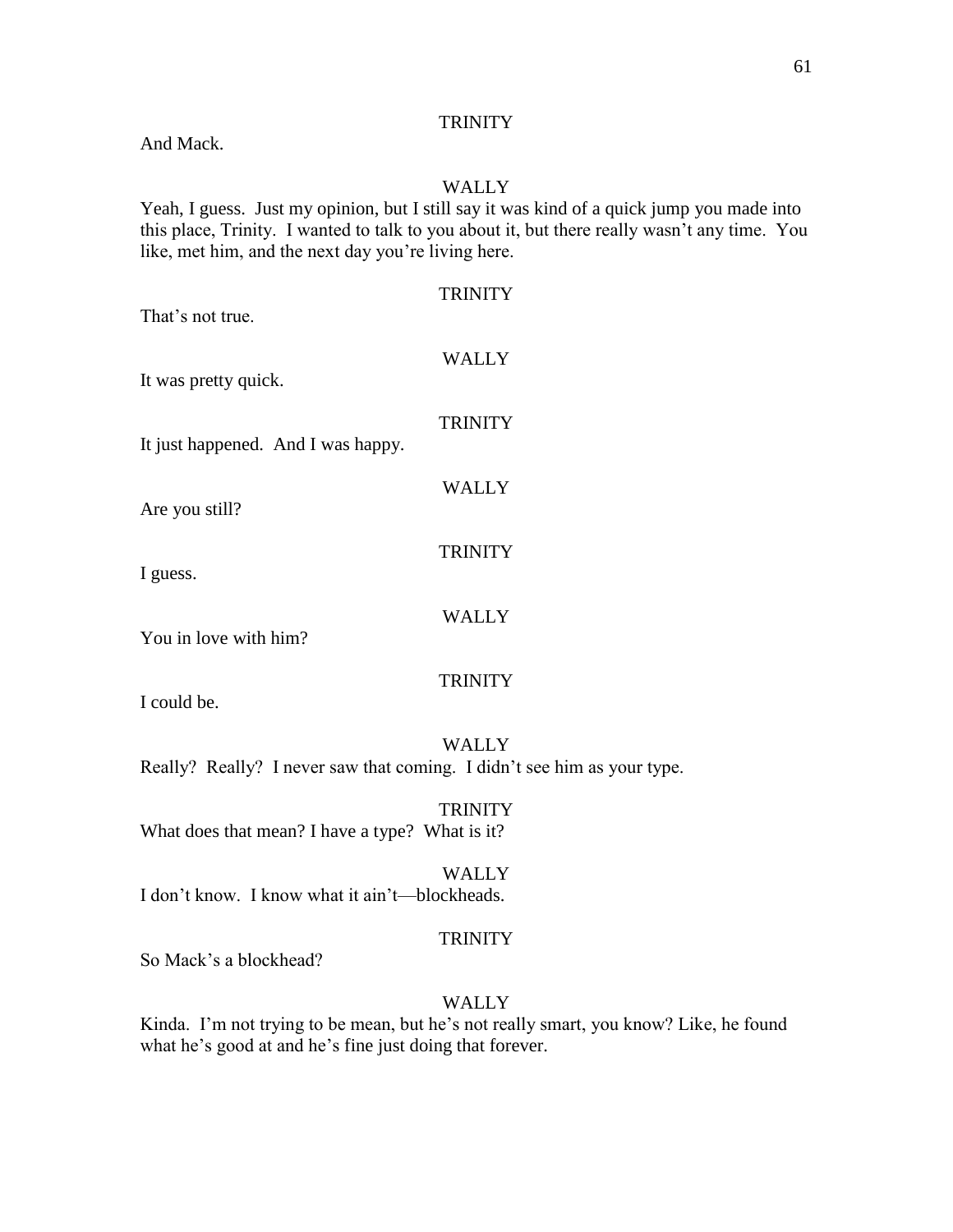And Mack.

#### WALLY

Yeah, I guess. Just my opinion, but I still say it was kind of a quick jump you made into this place, Trinity. I wanted to talk to you about it, but there really wasn't any time. You like, met him, and the next day you're living here.

 $T$ 

| That's not true.                   | TRINITY        |
|------------------------------------|----------------|
| It was pretty quick.               | WALLY          |
| It just happened. And I was happy. | <b>TRINITY</b> |
| Are you still?                     | WALLY          |
| I guess.                           | <b>TRINITY</b> |
| You in love with him?              | WALLY          |
|                                    |                |

I could be.

WALLY Really? Really? I never saw that coming. I didn't see him as your type.

**TRINITY** What does that mean? I have a type? What is it?

#### WALLY

**TRINITY** 

I don't know. I know what it ain't—blockheads.

#### **TRINITY**

So Mack's a blockhead?

#### WALLY

Kinda. I'm not trying to be mean, but he's not really smart, you know? Like, he found what he's good at and he's fine just doing that forever.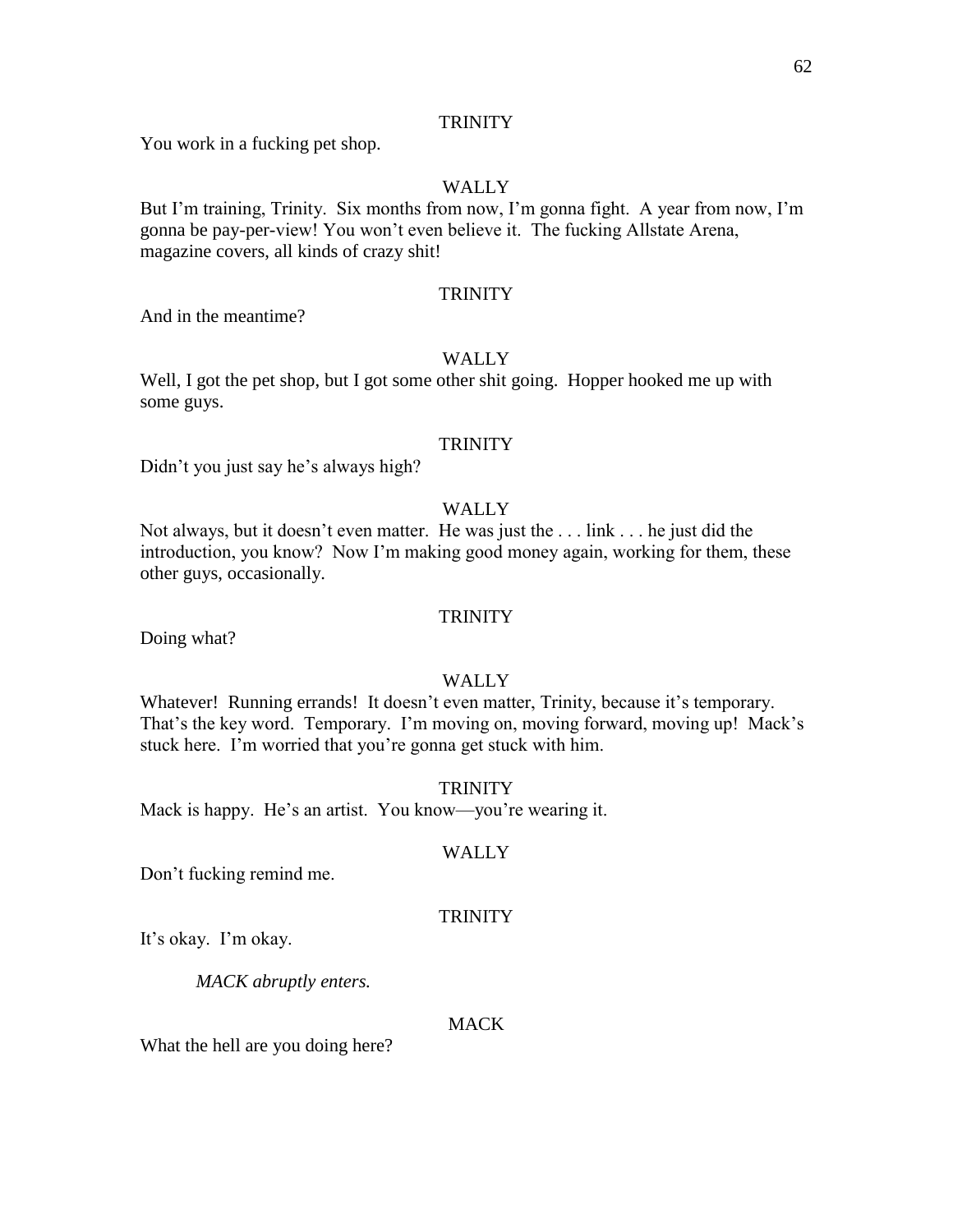You work in a fucking pet shop.

#### WALLY

But I'm training, Trinity. Six months from now, I'm gonna fight. A year from now, I'm gonna be pay-per-view! You won't even believe it. The fucking Allstate Arena, magazine covers, all kinds of crazy shit!

#### **TRINITY**

And in the meantime?

#### WALLY

Well, I got the pet shop, but I got some other shit going. Hopper hooked me up with some guys.

#### **TRINITY**

Didn't you just say he's always high?

#### WALLY

Not always, but it doesn't even matter. He was just the . . . link . . . he just did the introduction, you know? Now I'm making good money again, working for them, these other guys, occasionally.

#### **TRINITY**

Doing what?

#### WALLY

Whatever! Running errands! It doesn't even matter, Trinity, because it's temporary. That's the key word. Temporary. I'm moving on, moving forward, moving up! Mack's stuck here. I'm worried that you're gonna get stuck with him.

**TRINITY** 

Mack is happy. He's an artist. You know—you're wearing it.

#### WALLY

Don't fucking remind me.

#### **TRINITY**

It's okay. I'm okay.

*MACK abruptly enters.*

#### **MACK**

What the hell are you doing here?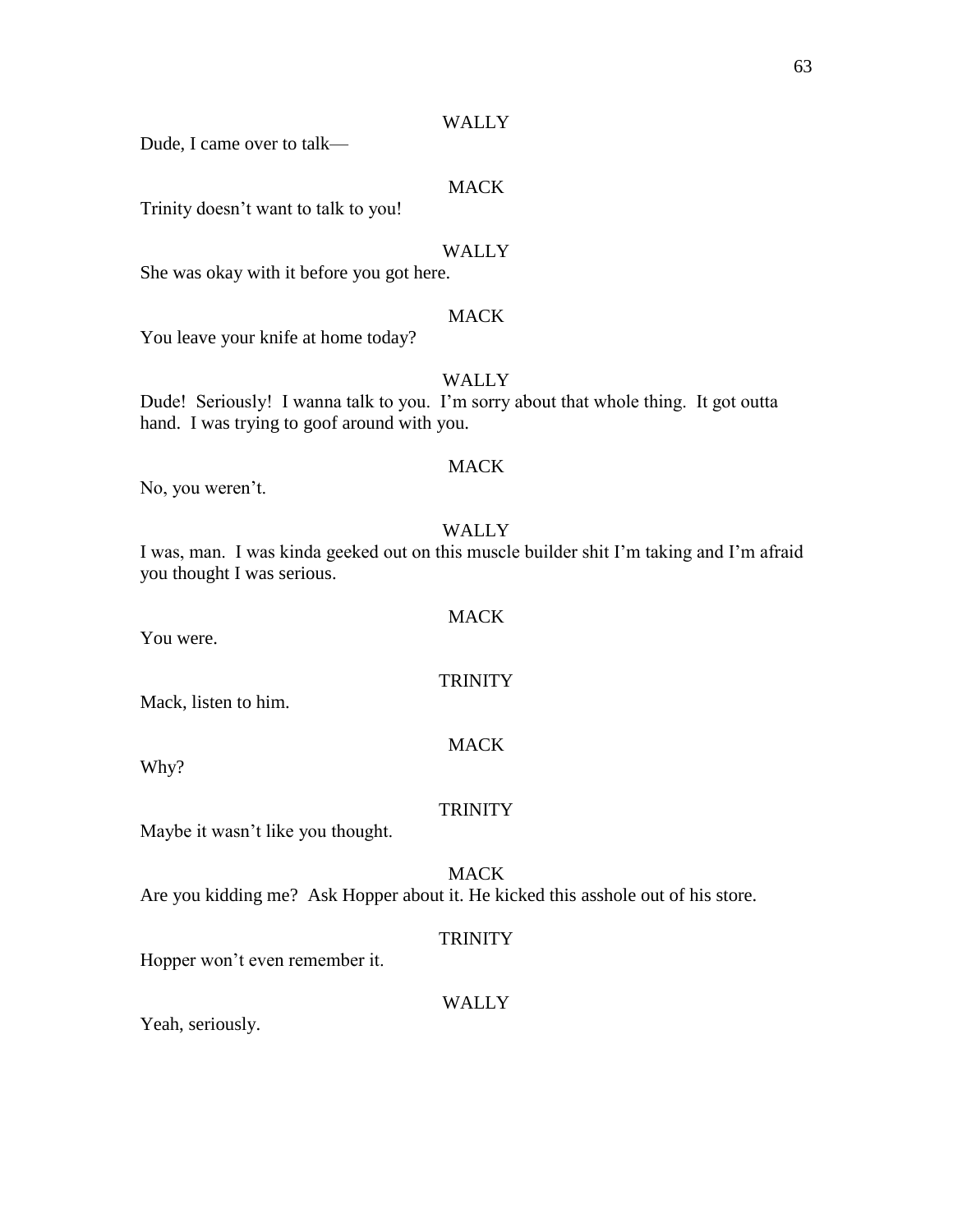Dude, I came over to talk—

#### MACK

Trinity doesn't want to talk to you!

#### WALLY

She was okay with it before you got here.

#### MACK

You leave your knife at home today?

#### WALLY

Dude! Seriously! I wanna talk to you. I'm sorry about that whole thing. It got outta hand. I was trying to goof around with you.

#### **MACK**

No, you weren't.

#### WALLY

I was, man. I was kinda geeked out on this muscle builder shit I'm taking and I'm afraid you thought I was serious.

MACK

**TRINITY** 

MACK

You were.

Mack, listen to him.

Why?

#### **TRINITY**

Maybe it wasn't like you thought.

#### MACK

Are you kidding me? Ask Hopper about it. He kicked this asshole out of his store.

#### **TRINITY**

Hopper won't even remember it.

#### WALLY

Yeah, seriously.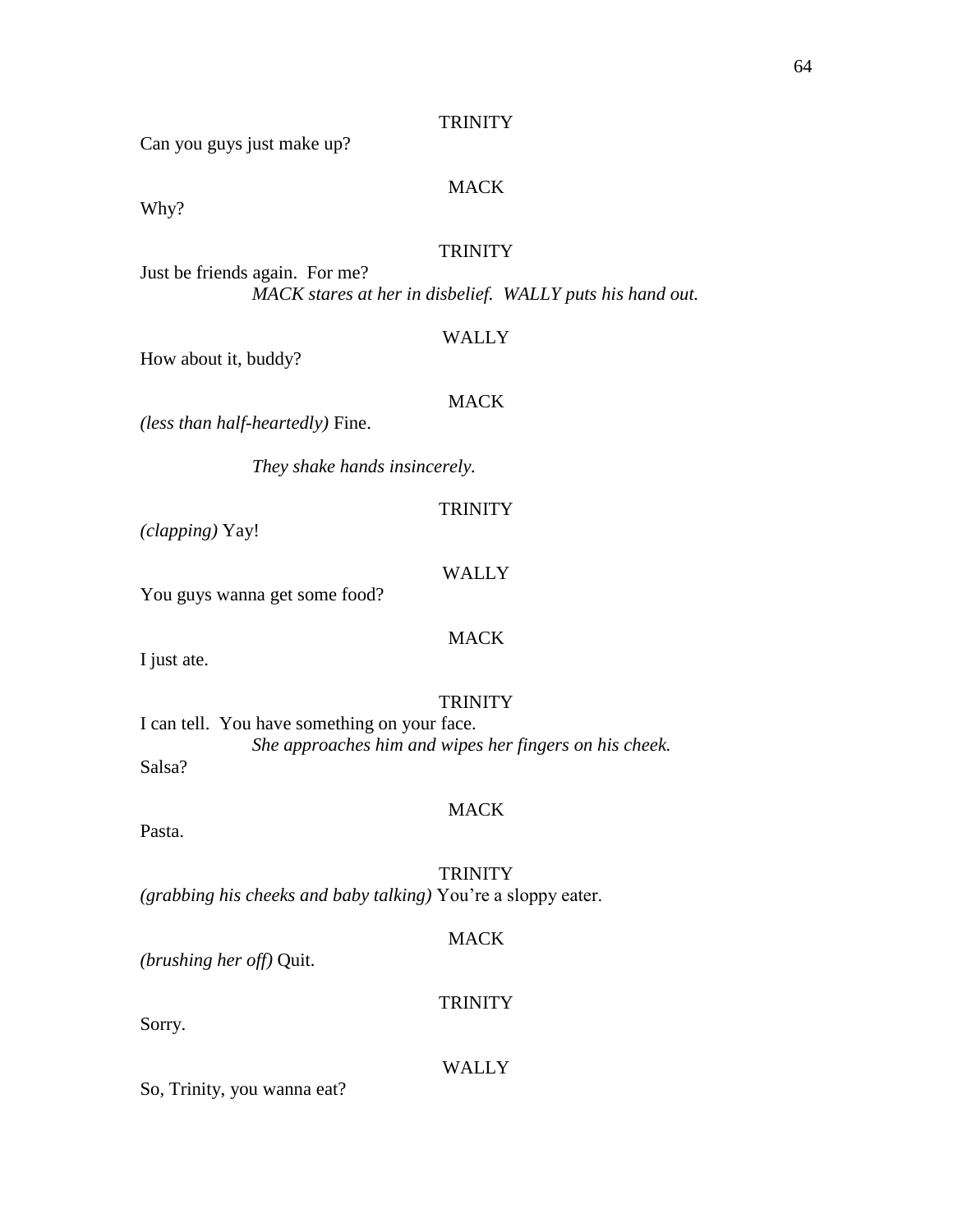Can you guys just make up?

#### MACK

Why?

#### **TRINITY**

Just be friends again. For me? *MACK stares at her in disbelief. WALLY puts his hand out.*

#### WALLY

How about it, buddy?

#### MACK

*(less than half-heartedly)* Fine.

*They shake hands insincerely.*

*(clapping)* Yay!

#### WALLY

MACK

**TRINITY** 

You guys wanna get some food?

I just ate.

#### **TRINITY**

I can tell. You have something on your face. *She approaches him and wipes her fingers on his cheek.* Salsa?

#### MACK

Pasta.

**TRINITY** 

*(grabbing his cheeks and baby talking)* You're a sloppy eater.

#### MACK

**TRINITY** 

*(brushing her off)* Quit.

Sorry.

#### WALLY

So, Trinity, you wanna eat?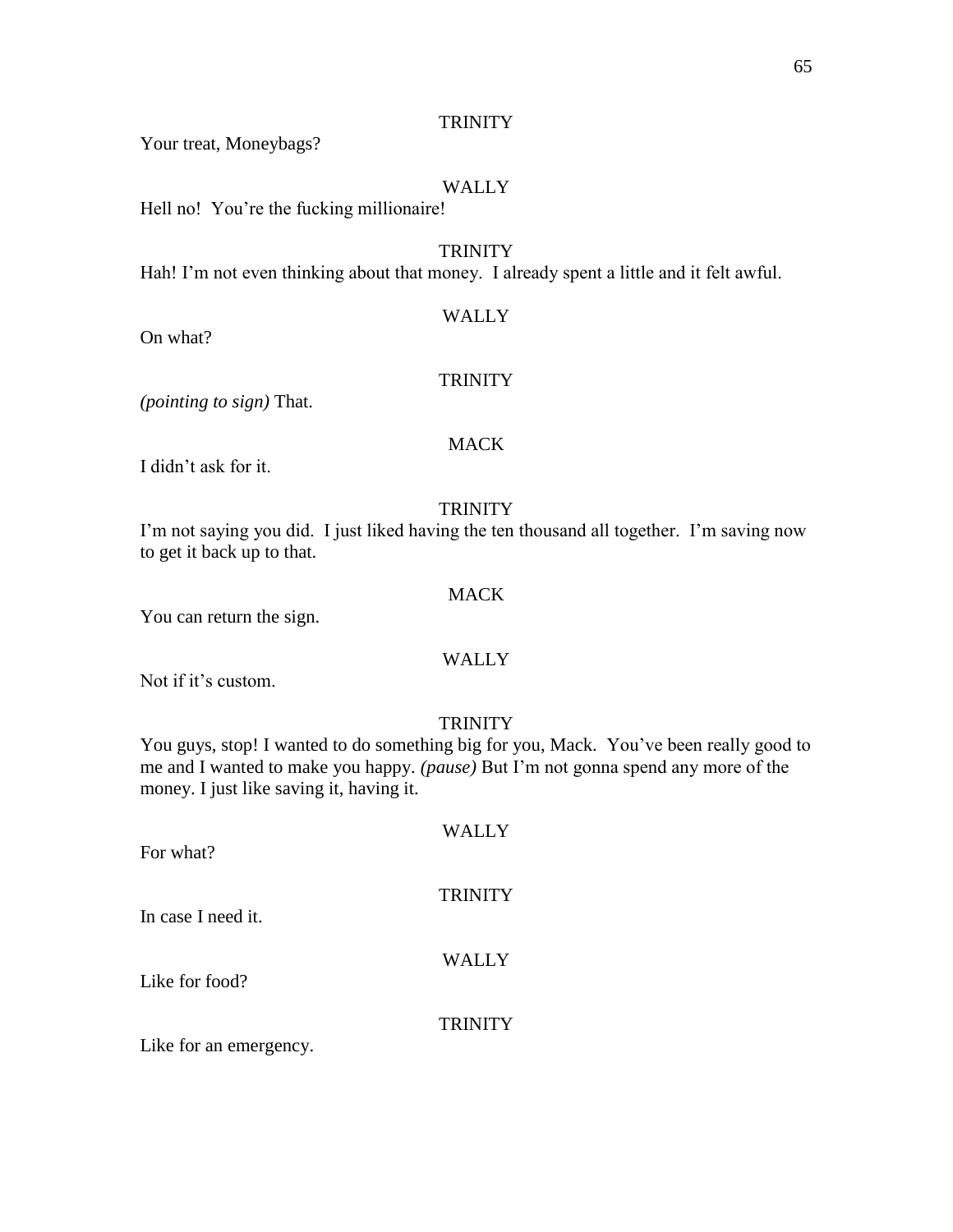Your treat, Moneybags?

#### WALLY

Hell no! You're the fucking millionaire!

#### **TRINITY**

Hah! I'm not even thinking about that money. I already spent a little and it felt awful.

#### WALLY

On what?

#### **TRINITY**

*(pointing to sign)* That.

#### MACK

I didn't ask for it.

#### **TRINITY**

I'm not saying you did. I just liked having the ten thousand all together. I'm saving now to get it back up to that.

#### **MACK**

You can return the sign.

#### WALLY

Not if it's custom.

#### **TRINITY**

You guys, stop! I wanted to do something big for you, Mack. You've been really good to me and I wanted to make you happy. *(pause)* But I'm not gonna spend any more of the money. I just like saving it, having it.

| For what?          | <b>WALLY</b>   |
|--------------------|----------------|
| In case I need it. | <b>TRINITY</b> |
| Like for food?     | <b>WALLY</b>   |
|                    | <b>TRINITY</b> |

Like for an emergency.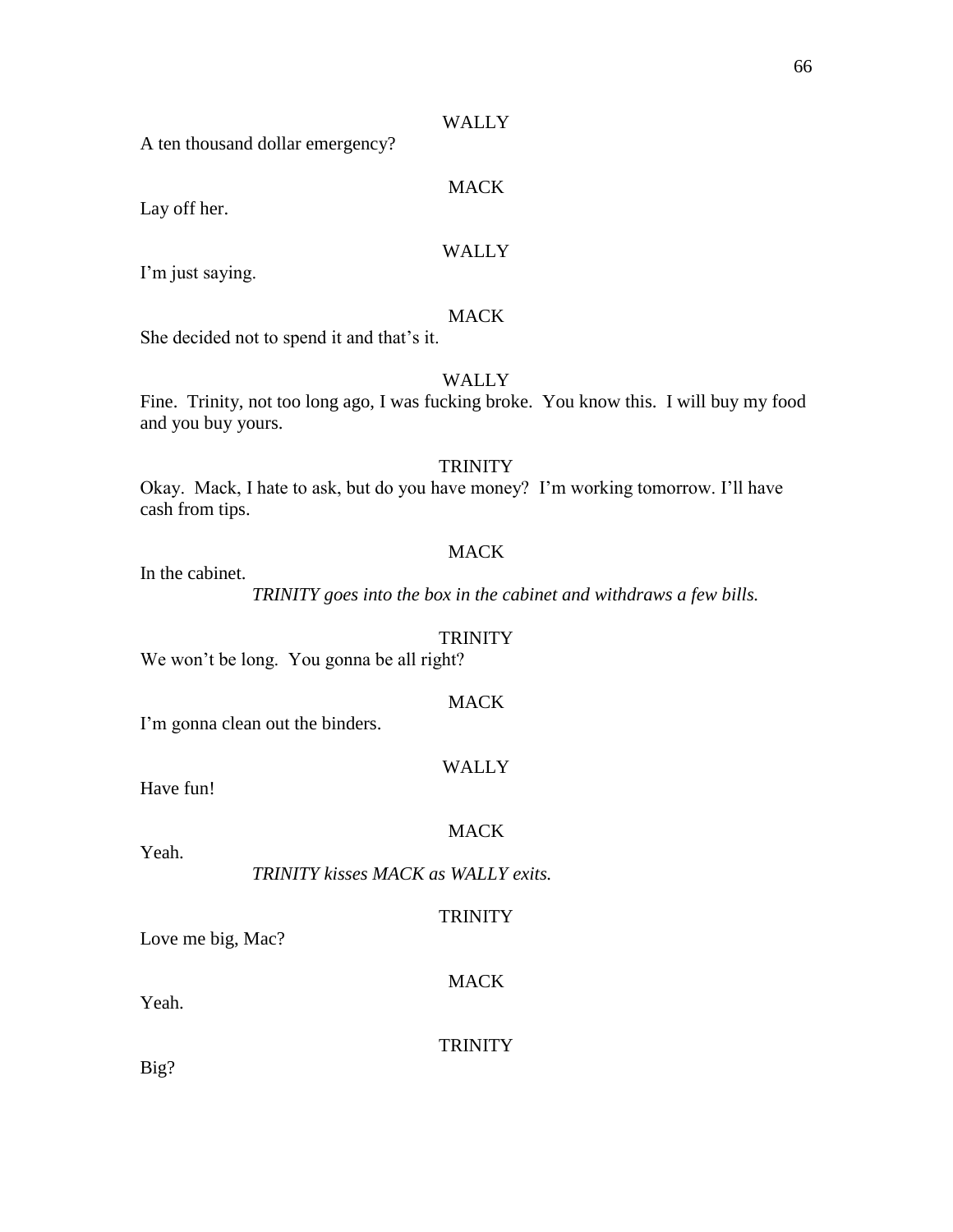A ten thousand dollar emergency?

#### MACK

Lay off her.

#### WALLY

I'm just saying.

#### MACK

She decided not to spend it and that's it.

#### WALLY

Fine. Trinity, not too long ago, I was fucking broke. You know this. I will buy my food and you buy yours.

#### **TRINITY**

Okay. Mack, I hate to ask, but do you have money? I'm working tomorrow. I'll have cash from tips.

#### **MACK**

In the cabinet.

*TRINITY goes into the box in the cabinet and withdraws a few bills.*

#### **TRINITY**

We won't be long. You gonna be all right?

#### **MACK**

I'm gonna clean out the binders.

#### WALLY

Have fun!

Yeah.

#### MACK

*TRINITY kisses MACK as WALLY exits.*

#### **TRINITY**

Love me big, Mac?

MACK

Yeah.

**TRINITY** 

Big?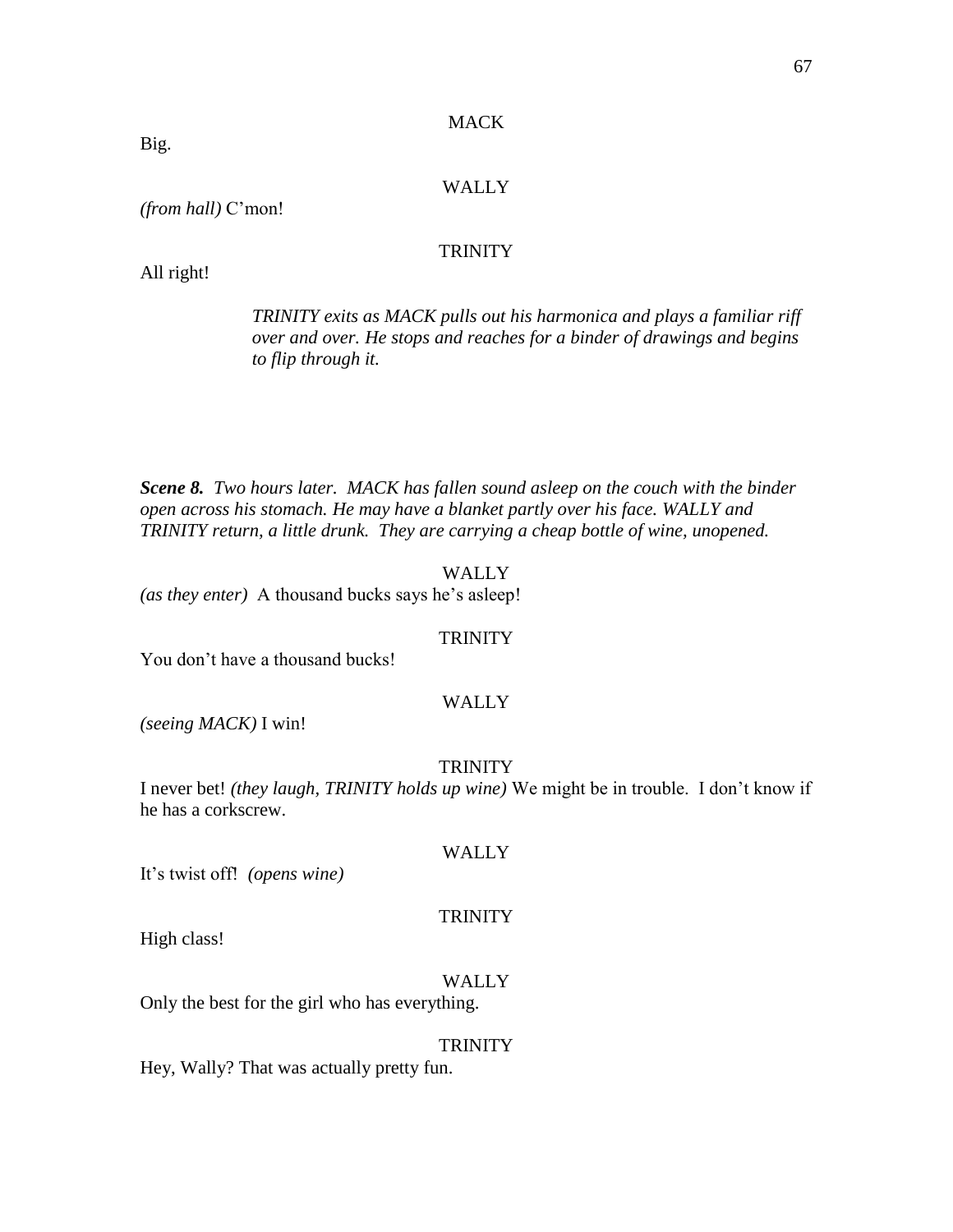#### **MACK**

#### WALLY

*(from hall)* C'mon!

#### **TRINITY**

All right!

*TRINITY exits as MACK pulls out his harmonica and plays a familiar riff over and over. He stops and reaches for a binder of drawings and begins to flip through it.* 

*Scene 8. Two hours later. MACK has fallen sound asleep on the couch with the binder open across his stomach. He may have a blanket partly over his face. WALLY and TRINITY return, a little drunk. They are carrying a cheap bottle of wine, unopened.*

#### WALLY

*(as they enter)* A thousand bucks says he's asleep!

#### **TRINITY**

You don't have a thousand bucks!

#### WALLY

*(seeing MACK)* I win!

#### **TRINITY**

I never bet! *(they laugh, TRINITY holds up wine)* We might be in trouble. I don't know if he has a corkscrew.

#### WALLY

It's twist off! *(opens wine)*

#### **TRINITY**

High class!

#### WALLY

Only the best for the girl who has everything.

#### **TRINITY**

Hey, Wally? That was actually pretty fun.

Big.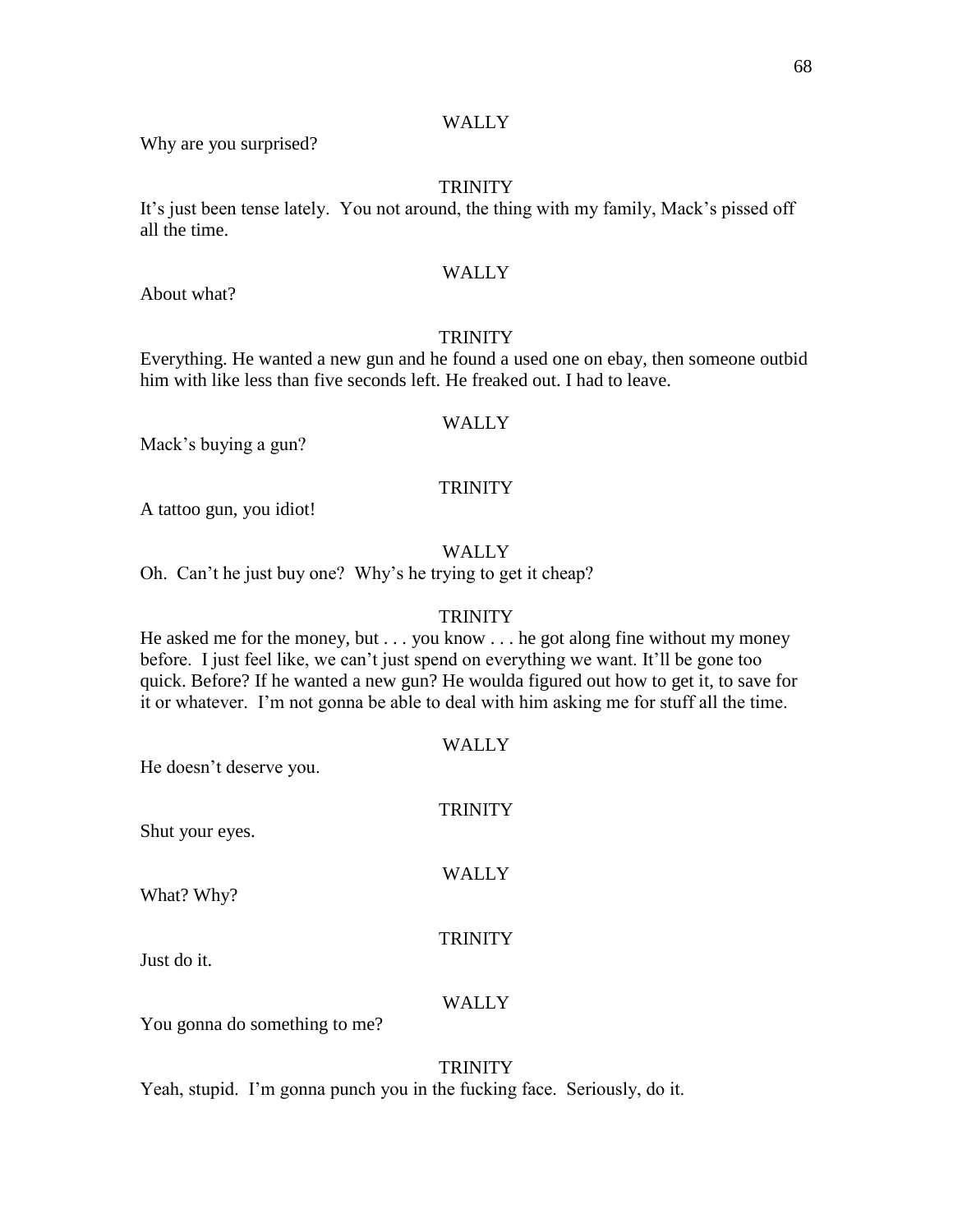Why are you surprised?

#### **TRINITY**

It's just been tense lately. You not around, the thing with my family, Mack's pissed off all the time.

#### WALLY

About what?

#### **TRINITY**

Everything. He wanted a new gun and he found a used one on ebay, then someone outbid him with like less than five seconds left. He freaked out. I had to leave.

#### **WALLY**

Mack's buying a gun?

#### **TRINITY**

A tattoo gun, you idiot!

#### WALLY

Oh. Can't he just buy one? Why's he trying to get it cheap?

#### **TRINITY**

He asked me for the money, but . . . you know . . . he got along fine without my money before. I just feel like, we can't just spend on everything we want. It'll be gone too quick. Before? If he wanted a new gun? He woulda figured out how to get it, to save for it or whatever. I'm not gonna be able to deal with him asking me for stuff all the time.

WALLY He doesn't deserve you. **TRINITY** Shut your eyes. WALLY What? Why? TRINITY Just do it. WALLY You gonna do something to me?

#### **TRINITY**

Yeah, stupid. I'm gonna punch you in the fucking face. Seriously, do it.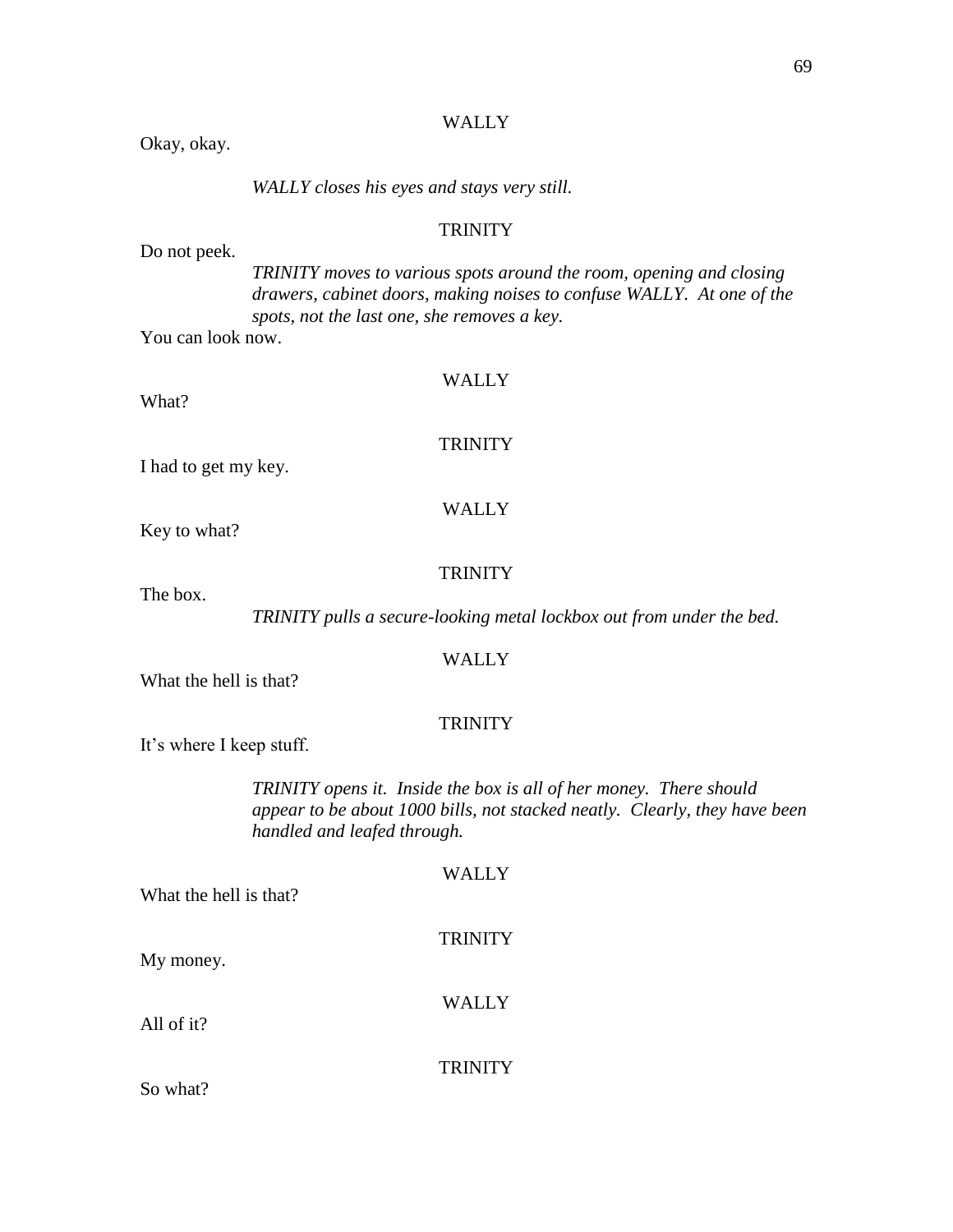|                                                                                  | <b>WALLY</b>                                                                                                                                                                                |
|----------------------------------------------------------------------------------|---------------------------------------------------------------------------------------------------------------------------------------------------------------------------------------------|
| Okay, okay.                                                                      |                                                                                                                                                                                             |
|                                                                                  | WALLY closes his eyes and stays very still.                                                                                                                                                 |
|                                                                                  | <b>TRINITY</b>                                                                                                                                                                              |
| Do not peek.                                                                     | TRINITY moves to various spots around the room, opening and closing<br>drawers, cabinet doors, making noises to confuse WALLY. At one of the<br>spots, not the last one, she removes a key. |
| You can look now.                                                                |                                                                                                                                                                                             |
| What?                                                                            | <b>WALLY</b>                                                                                                                                                                                |
| I had to get my key.                                                             | <b>TRINITY</b>                                                                                                                                                                              |
|                                                                                  |                                                                                                                                                                                             |
| Key to what?                                                                     | <b>WALLY</b>                                                                                                                                                                                |
|                                                                                  | <b>TRINITY</b>                                                                                                                                                                              |
| The box.<br>TRINITY pulls a secure-looking metal lockbox out from under the bed. |                                                                                                                                                                                             |
| What the hell is that?                                                           | <b>WALLY</b>                                                                                                                                                                                |
| It's where I keep stuff.                                                         | <b>TRINITY</b>                                                                                                                                                                              |
|                                                                                  | <b>TRINITY</b> opens it. Inside the box is all of her money. There should<br>appear to be about 1000 bills, not stacked neatly. Clearly, they have been<br>handled and leafed through.      |
| What the hell is that?                                                           | <b>WALLY</b>                                                                                                                                                                                |
| My money.                                                                        | <b>TRINITY</b>                                                                                                                                                                              |
| All of it?                                                                       | <b>WALLY</b>                                                                                                                                                                                |
| So what?                                                                         | <b>TRINITY</b>                                                                                                                                                                              |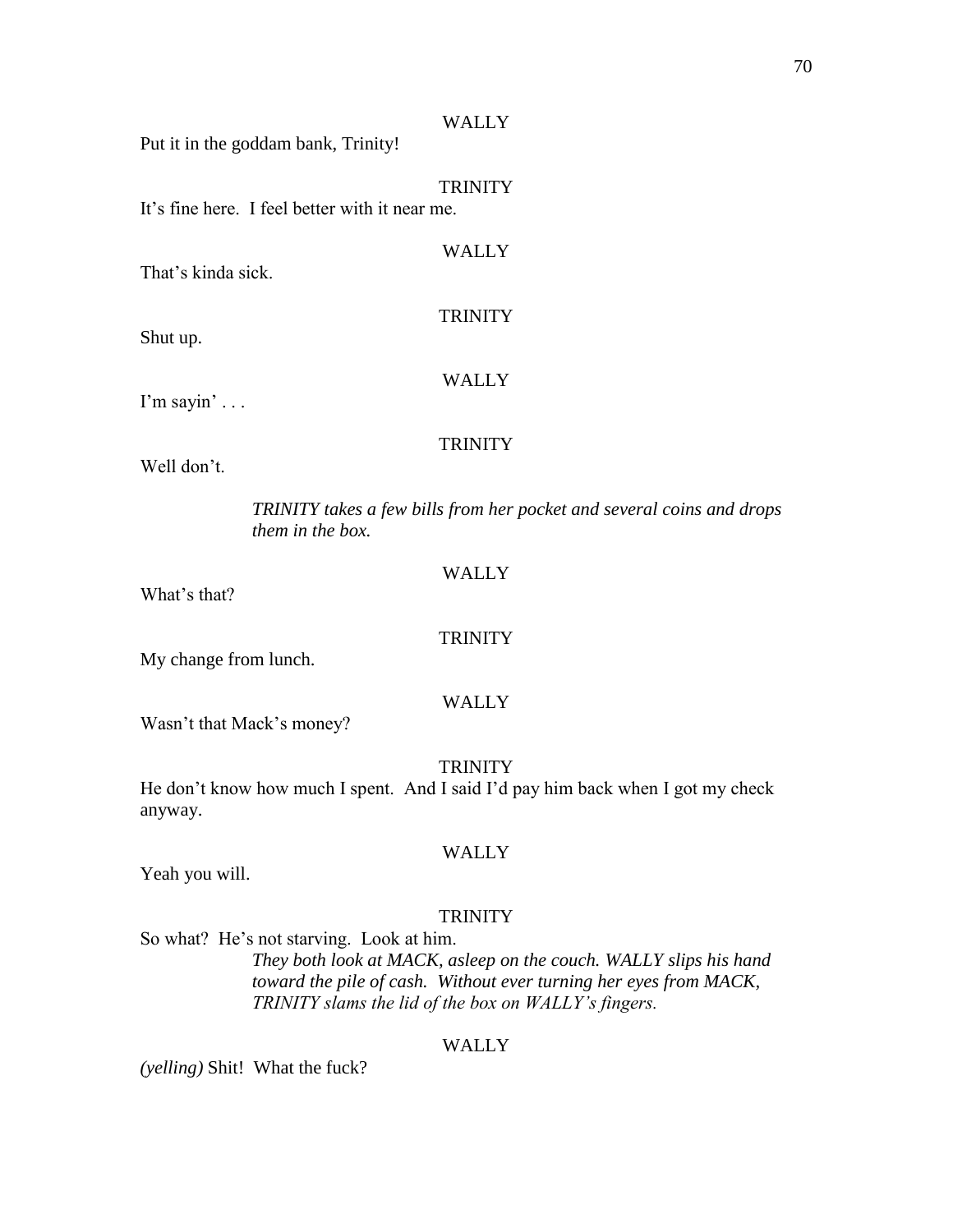Put it in the goddam bank, Trinity!

**TRINITY** 

**WALLY** 

**TRINITY** 

WALLY

It's fine here. I feel better with it near me.

That's kinda sick.

Shut up.

I'm sayin' . . .

#### **TRINITY**

Well don't.

*TRINITY takes a few bills from her pocket and several coins and drops them in the box.*

#### WALLY

What's that?

#### **TRINITY**

My change from lunch.

#### WALLY

Wasn't that Mack's money?

#### **TRINITY**

He don't know how much I spent. And I said I'd pay him back when I got my check anyway.

Yeah you will.

#### **TRINITY**

WALLY

So what? He's not starving. Look at him.

*They both look at MACK, asleep on the couch. WALLY slips his hand toward the pile of cash. Without ever turning her eyes from MACK, TRINITY slams the lid of the box on WALLY's fingers.*

#### WALLY

*(yelling)* Shit! What the fuck?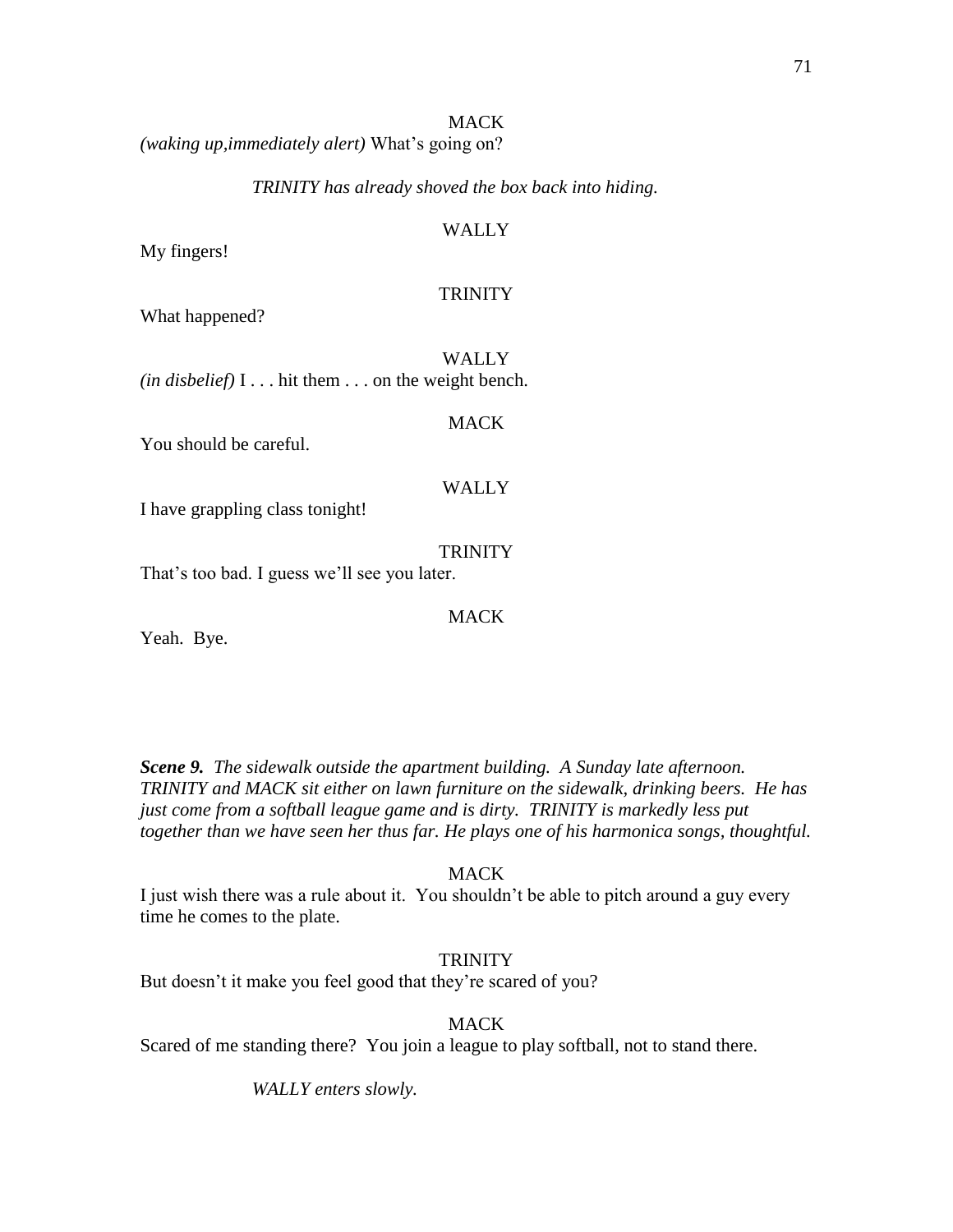#### MACK

*(waking up,immediately alert)* What's going on?

#### *TRINITY has already shoved the box back into hiding.*

#### WALLY

My fingers!

#### **TRINITY**

What happened?

WALLY *(in disbelief)* I . . . hit them . . . on the weight bench.

You should be careful.

# WALLY

MACK

I have grappling class tonight!

**TRINITY** 

That's too bad. I guess we'll see you later.

MACK

Yeah. Bye.

*Scene 9. The sidewalk outside the apartment building. A Sunday late afternoon. TRINITY and MACK sit either on lawn furniture on the sidewalk, drinking beers. He has just come from a softball league game and is dirty. TRINITY is markedly less put together than we have seen her thus far. He plays one of his harmonica songs, thoughtful.*

#### **MACK**

I just wish there was a rule about it. You shouldn't be able to pitch around a guy every time he comes to the plate.

#### **TRINITY**

But doesn't it make you feel good that they're scared of you?

#### **MACK**

Scared of me standing there? You join a league to play softball, not to stand there.

*WALLY enters slowly.*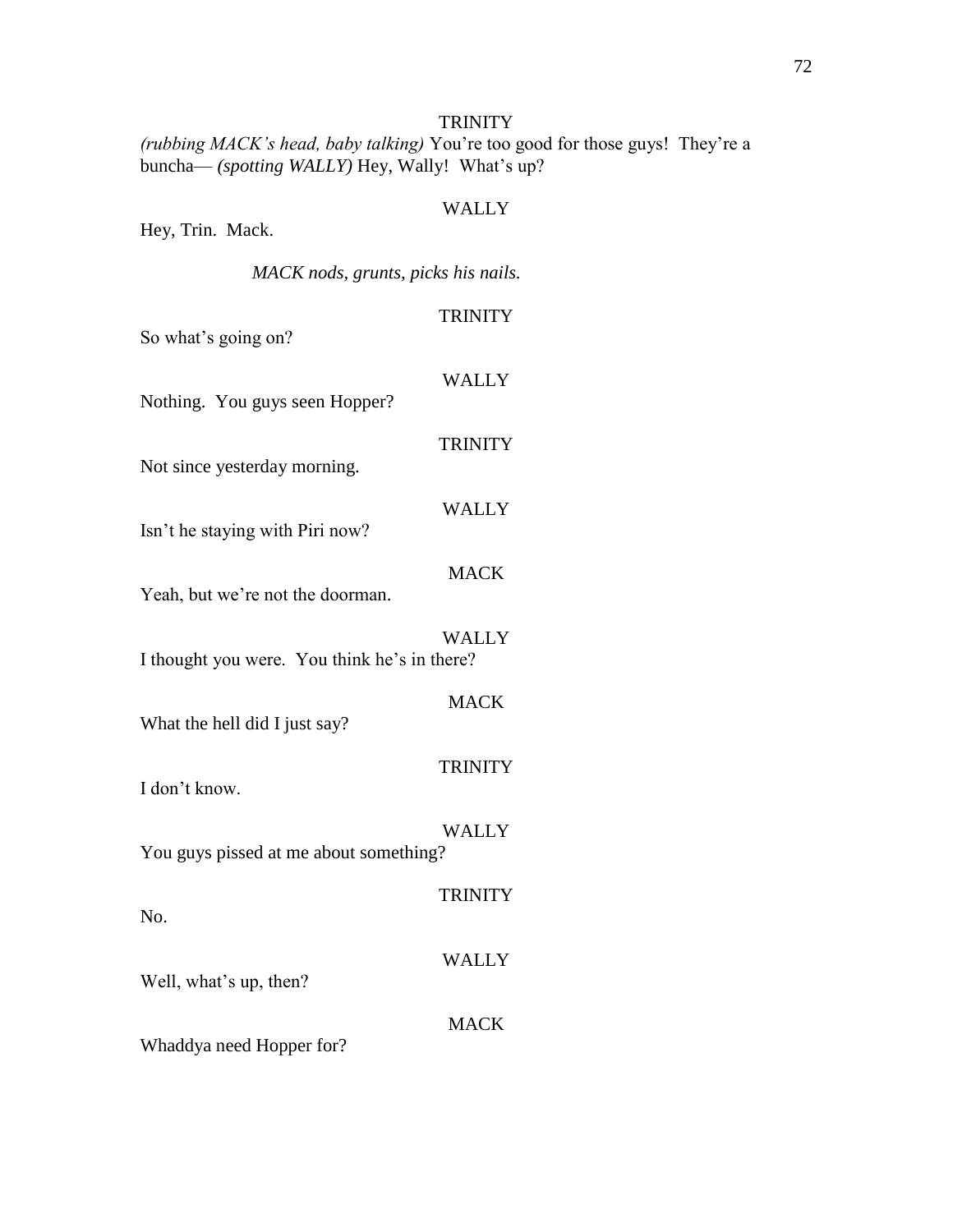*(rubbing MACK's head, baby talking)* You're too good for those guys! They're a buncha— *(spotting WALLY)* Hey, Wally! What's up?

| Hey, Trin. Mack.                             | <b>WALLY</b>   |
|----------------------------------------------|----------------|
| MACK nods, grunts, picks his nails.          |                |
| So what's going on?                          | <b>TRINITY</b> |
| Nothing. You guys seen Hopper?               | <b>WALLY</b>   |
| Not since yesterday morning.                 | <b>TRINITY</b> |
| Isn't he staying with Piri now?              | <b>WALLY</b>   |
| Yeah, but we're not the doorman.             | <b>MACK</b>    |
| I thought you were. You think he's in there? | <b>WALLY</b>   |
| What the hell did I just say?                | <b>MACK</b>    |
| I don't know.                                | <b>TRINITY</b> |
| You guys pissed at me about something?       | <b>WALLY</b>   |
| No.                                          | <b>TRINITY</b> |
| Well, what's up, then?                       | <b>WALLY</b>   |
| Whaddya need Hopper for?                     | <b>MACK</b>    |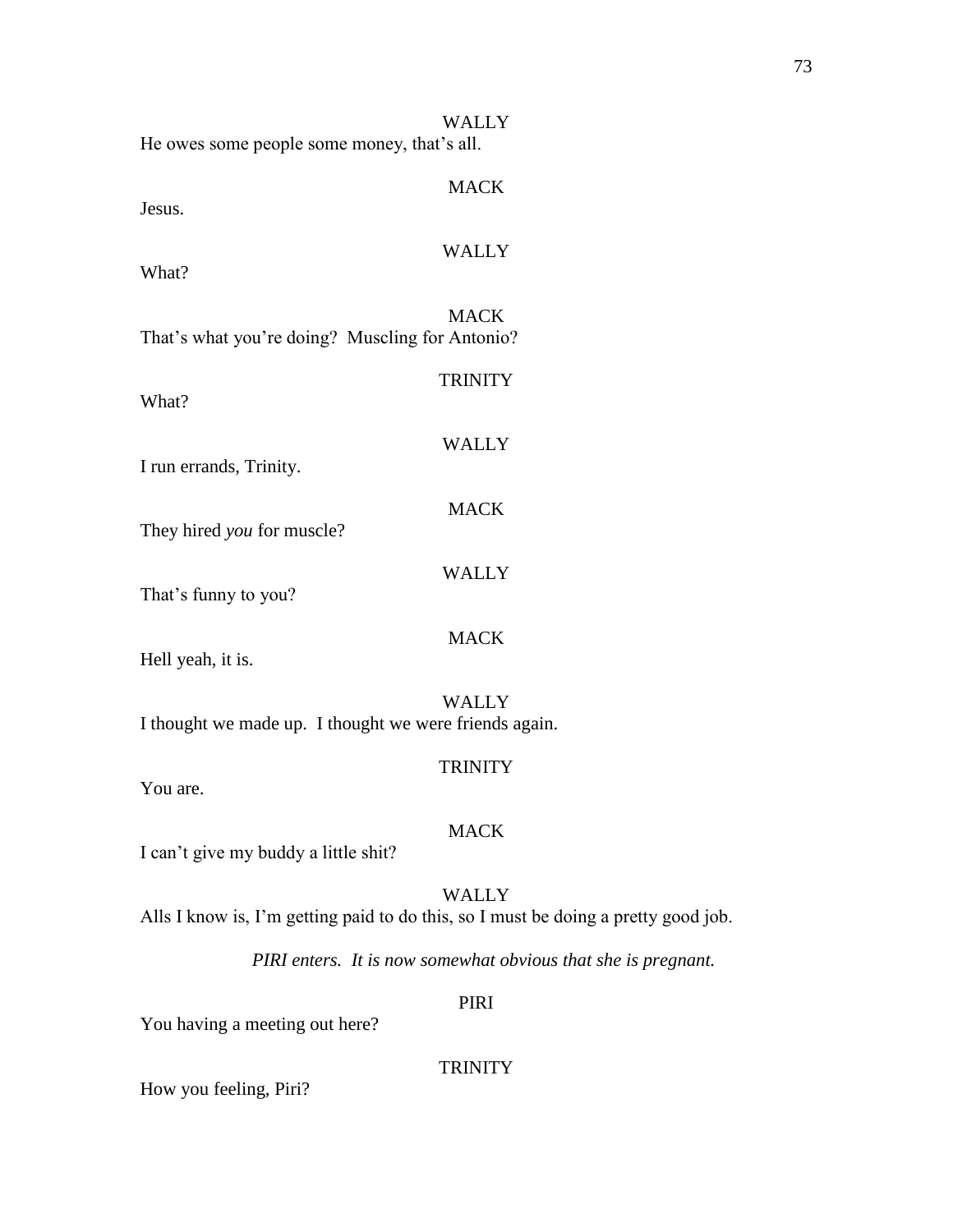| He owes some people some money, that's all.                                        | <b>WALLY</b>   |
|------------------------------------------------------------------------------------|----------------|
| Jesus.                                                                             | <b>MACK</b>    |
| What?                                                                              | <b>WALLY</b>   |
| That's what you're doing? Muscling for Antonio?                                    | <b>MACK</b>    |
| What?                                                                              | <b>TRINITY</b> |
| I run errands, Trinity.                                                            | <b>WALLY</b>   |
| They hired you for muscle?                                                         | <b>MACK</b>    |
| That's funny to you?                                                               | <b>WALLY</b>   |
| Hell yeah, it is.                                                                  | <b>MACK</b>    |
| I thought we made up. I thought we were friends again.                             | <b>WALLY</b>   |
| You are.                                                                           | <b>TRINITY</b> |
| I can't give my buddy a little shit?                                               | <b>MACK</b>    |
| Alls I know is, I'm getting paid to do this, so I must be doing a pretty good job. | <b>WALLY</b>   |
| PIRI enters. It is now somewhat obvious that she is pregnant.                      |                |
| You having a meeting out here?                                                     | PIRI           |
|                                                                                    | <b>TRINITY</b> |

How you feeling, Piri?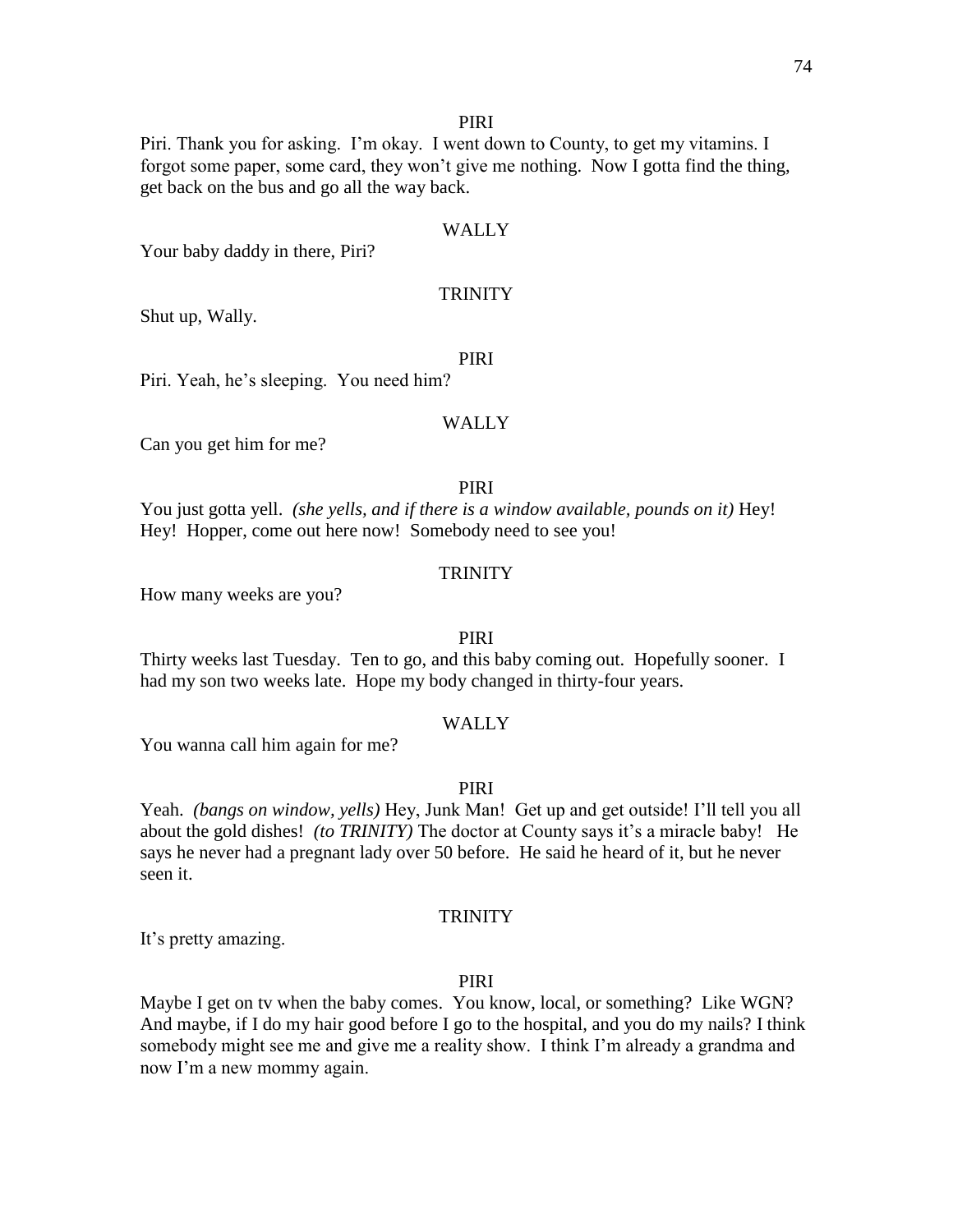### PIRI

Piri. Thank you for asking. I'm okay. I went down to County, to get my vitamins. I forgot some paper, some card, they won't give me nothing. Now I gotta find the thing, get back on the bus and go all the way back.

### WALLY

Your baby daddy in there, Piri?

### **TRINITY**

Shut up, Wally.

### PIRI

Piri. Yeah, he's sleeping. You need him?

#### WALLY

Can you get him for me?

# PIRI

You just gotta yell. *(she yells, and if there is a window available, pounds on it)* Hey! Hey! Hopper, come out here now! Somebody need to see you!

### **TRINITY**

How many weeks are you?

### PIRI

Thirty weeks last Tuesday. Ten to go, and this baby coming out. Hopefully sooner. I had my son two weeks late. Hope my body changed in thirty-four years.

### WALLY

You wanna call him again for me?

### PIRI

Yeah. *(bangs on window, yells)* Hey, Junk Man! Get up and get outside! I'll tell you all about the gold dishes! *(to TRINITY)* The doctor at County says it's a miracle baby! He says he never had a pregnant lady over 50 before. He said he heard of it, but he never seen it.

#### **TRINITY**

It's pretty amazing.

#### PIRI

Maybe I get on tv when the baby comes. You know, local, or something? Like WGN? And maybe, if I do my hair good before I go to the hospital, and you do my nails? I think somebody might see me and give me a reality show. I think I'm already a grandma and now I'm a new mommy again.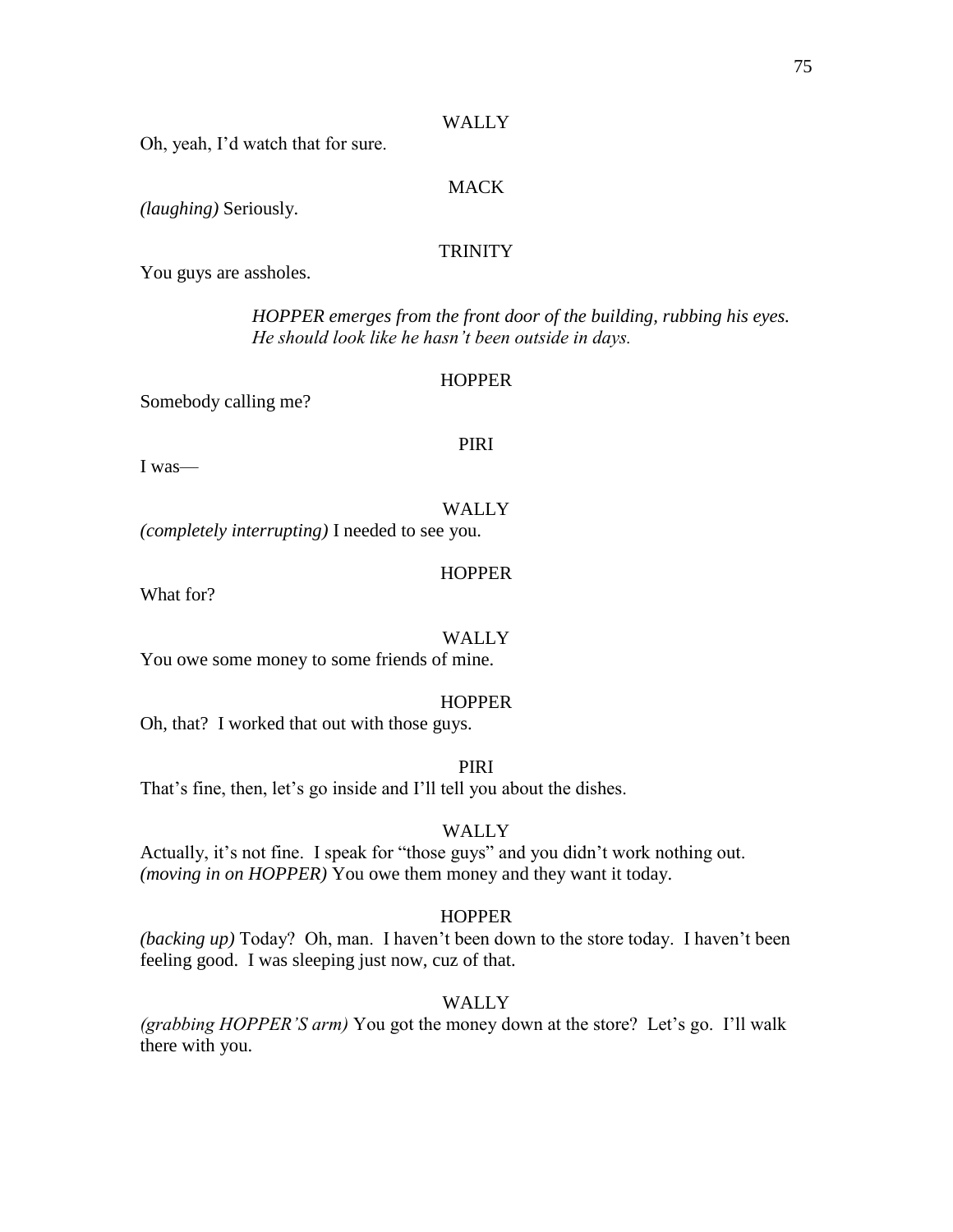Oh, yeah, I'd watch that for sure.

# MACK

*(laughing)* Seriously.

# **TRINITY**

You guys are assholes.

*HOPPER emerges from the front door of the building, rubbing his eyes. He should look like he hasn't been outside in days.*

#### **HOPPER**

PIRI

Somebody calling me?

I was—

# WALLY

*(completely interrupting)* I needed to see you.

### **HOPPER**

What for?

#### WALLY

You owe some money to some friends of mine.

### **HOPPER**

Oh, that? I worked that out with those guys.

### PIRI

That's fine, then, let's go inside and I'll tell you about the dishes.

### WALLY

Actually, it's not fine. I speak for "those guys" and you didn't work nothing out. *(moving in on HOPPER)* You owe them money and they want it today.

#### **HOPPER**

*(backing up)* Today? Oh, man. I haven't been down to the store today. I haven't been feeling good. I was sleeping just now, cuz of that.

### WALLY

*(grabbing HOPPER'S arm)* You got the money down at the store? Let's go. I'll walk there with you.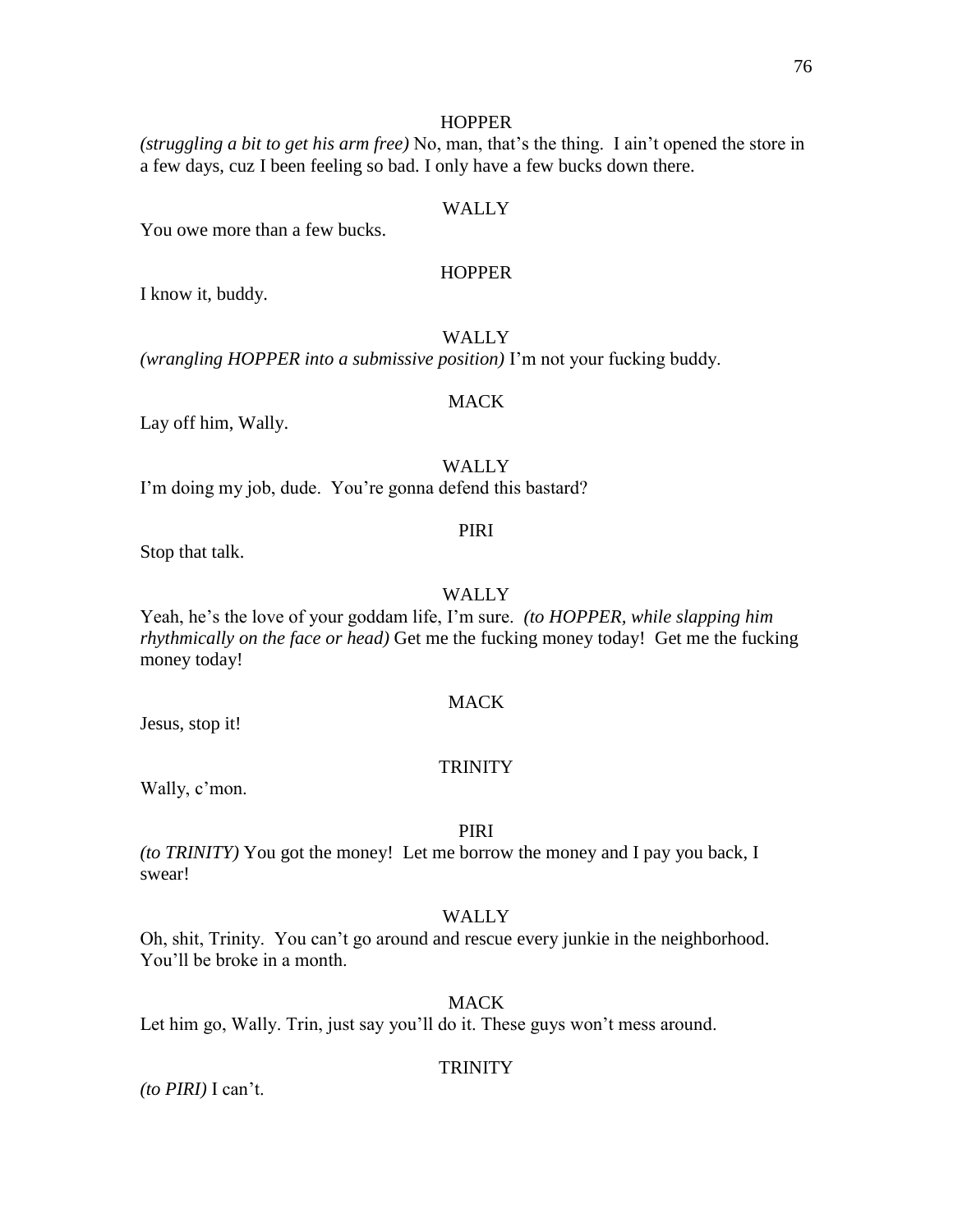### **HOPPER**

*(struggling a bit to get his arm free)* No, man, that's the thing. I ain't opened the store in a few days, cuz I been feeling so bad. I only have a few bucks down there.

# WALLY

You owe more than a few bucks.

### **HOPPER**

I know it, buddy.

### WALLY

*(wrangling HOPPER into a submissive position)* I'm not your fucking buddy.

### MACK

Lay off him, Wally.

WALLY

I'm doing my job, dude. You're gonna defend this bastard?

#### PIRI

Stop that talk.

### WALLY

Yeah, he's the love of your goddam life, I'm sure. *(to HOPPER, while slapping him rhythmically on the face or head)* Get me the fucking money today! Get me the fucking money today!

### MACK

Jesus, stop it!

### **TRINITY**

Wally, c'mon.

### PIRI

*(to TRINITY)* You got the money! Let me borrow the money and I pay you back, I swear!

#### WALLY

Oh, shit, Trinity. You can't go around and rescue every junkie in the neighborhood. You'll be broke in a month.

# MACK

Let him go, Wally. Trin, just say you'll do it. These guys won't mess around.

#### **TRINITY**

*(to PIRI)* I can't.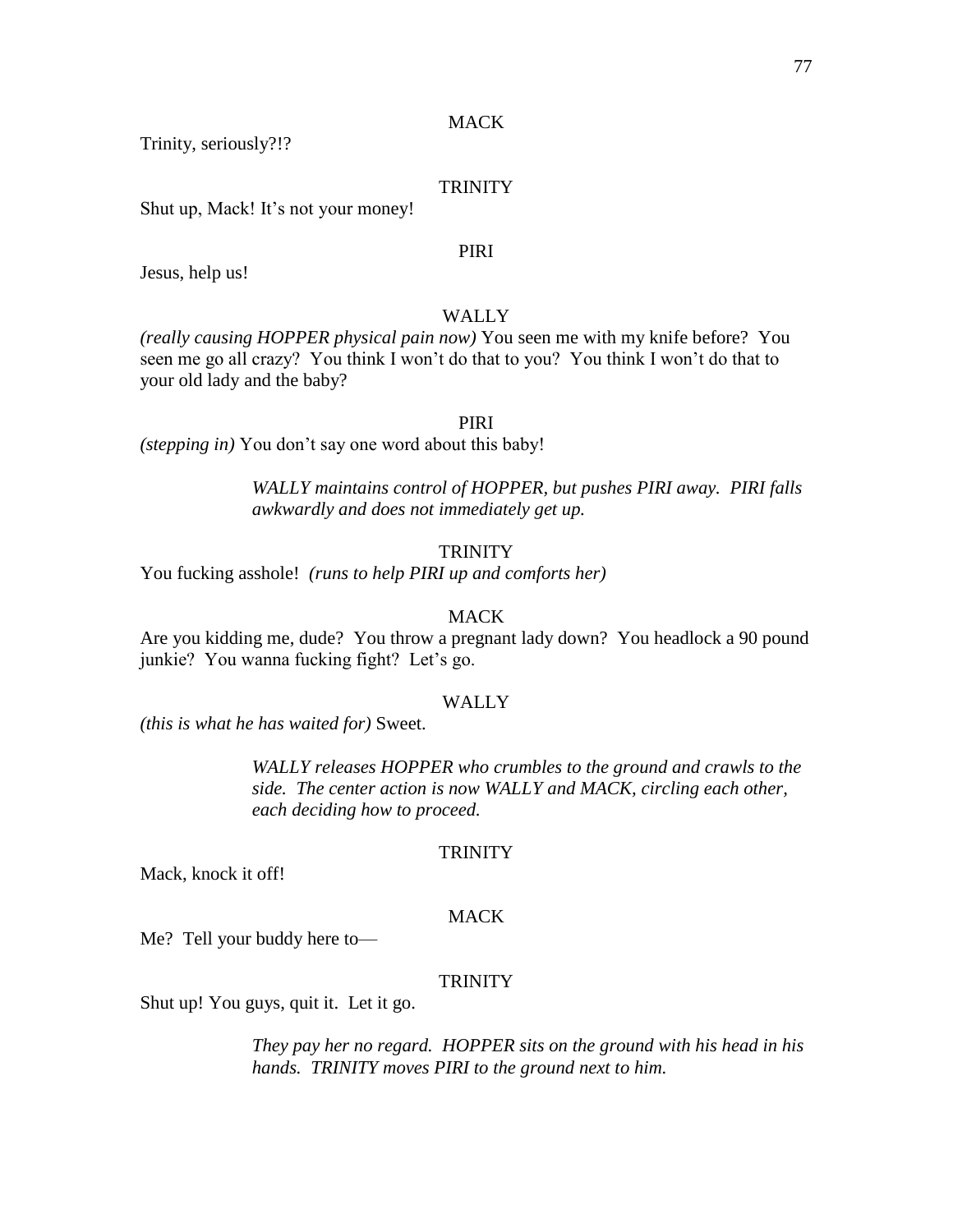Trinity, seriously?!?

### **TRINITY**

Shut up, Mack! It's not your money!

### PIRI

Jesus, help us!

# WALLY

*(really causing HOPPER physical pain now)* You seen me with my knife before? You seen me go all crazy? You think I won't do that to you? You think I won't do that to your old lady and the baby?

#### PIRI

*(stepping in)* You don't say one word about this baby!

*WALLY maintains control of HOPPER, but pushes PIRI away. PIRI falls awkwardly and does not immediately get up.*

### **TRINITY**

You fucking asshole! *(runs to help PIRI up and comforts her)*

#### MACK

Are you kidding me, dude? You throw a pregnant lady down? You headlock a 90 pound junkie? You wanna fucking fight? Let's go.

### WALLY

*(this is what he has waited for)* Sweet.

*WALLY releases HOPPER who crumbles to the ground and crawls to the side. The center action is now WALLY and MACK, circling each other, each deciding how to proceed.*

#### **TRINITY**

Mack, knock it off!

#### **MACK**

Me? Tell your buddy here to—

#### TRINITY

Shut up! You guys, quit it. Let it go.

*They pay her no regard. HOPPER sits on the ground with his head in his hands. TRINITY moves PIRI to the ground next to him.*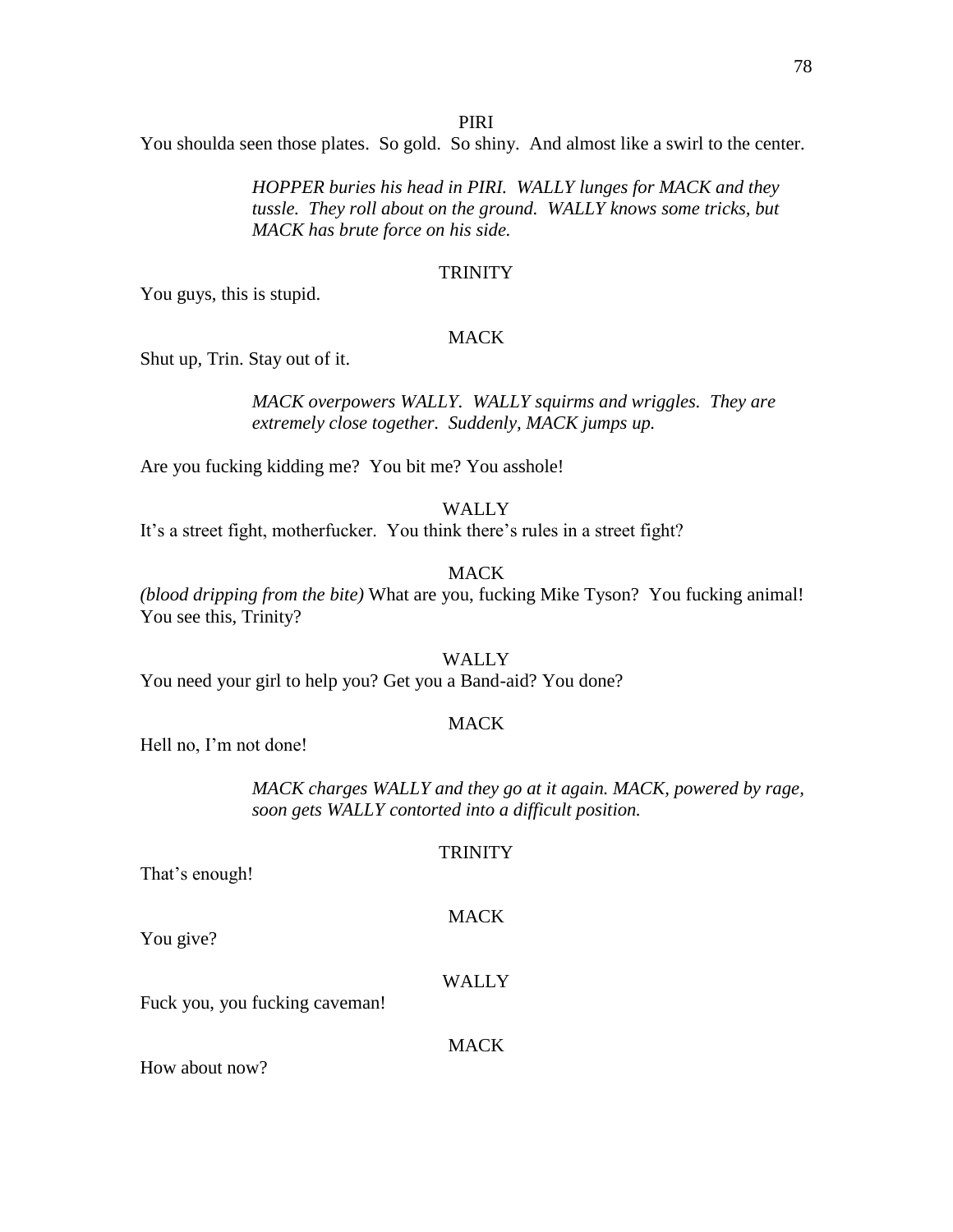### PIRI

You shoulda seen those plates. So gold. So shiny. And almost like a swirl to the center.

*HOPPER buries his head in PIRI. WALLY lunges for MACK and they tussle. They roll about on the ground. WALLY knows some tricks, but MACK has brute force on his side.*

#### **TRINITY**

You guys, this is stupid.

### **MACK**

Shut up, Trin. Stay out of it.

*MACK overpowers WALLY. WALLY squirms and wriggles. They are extremely close together. Suddenly, MACK jumps up.*

Are you fucking kidding me? You bit me? You asshole!

WALLY

It's a street fight, motherfucker. You think there's rules in a street fight?

# **MACK**

*(blood dripping from the bite)* What are you, fucking Mike Tyson? You fucking animal! You see this, Trinity?

### WALLY

You need your girl to help you? Get you a Band-aid? You done?

### MACK

Hell no, I'm not done!

*MACK charges WALLY and they go at it again. MACK, powered by rage, soon gets WALLY contorted into a difficult position.*

#### **TRINITY**

**MACK** 

That's enough!

You give?

#### WALLY

Fuck you, you fucking caveman!

MACK

How about now?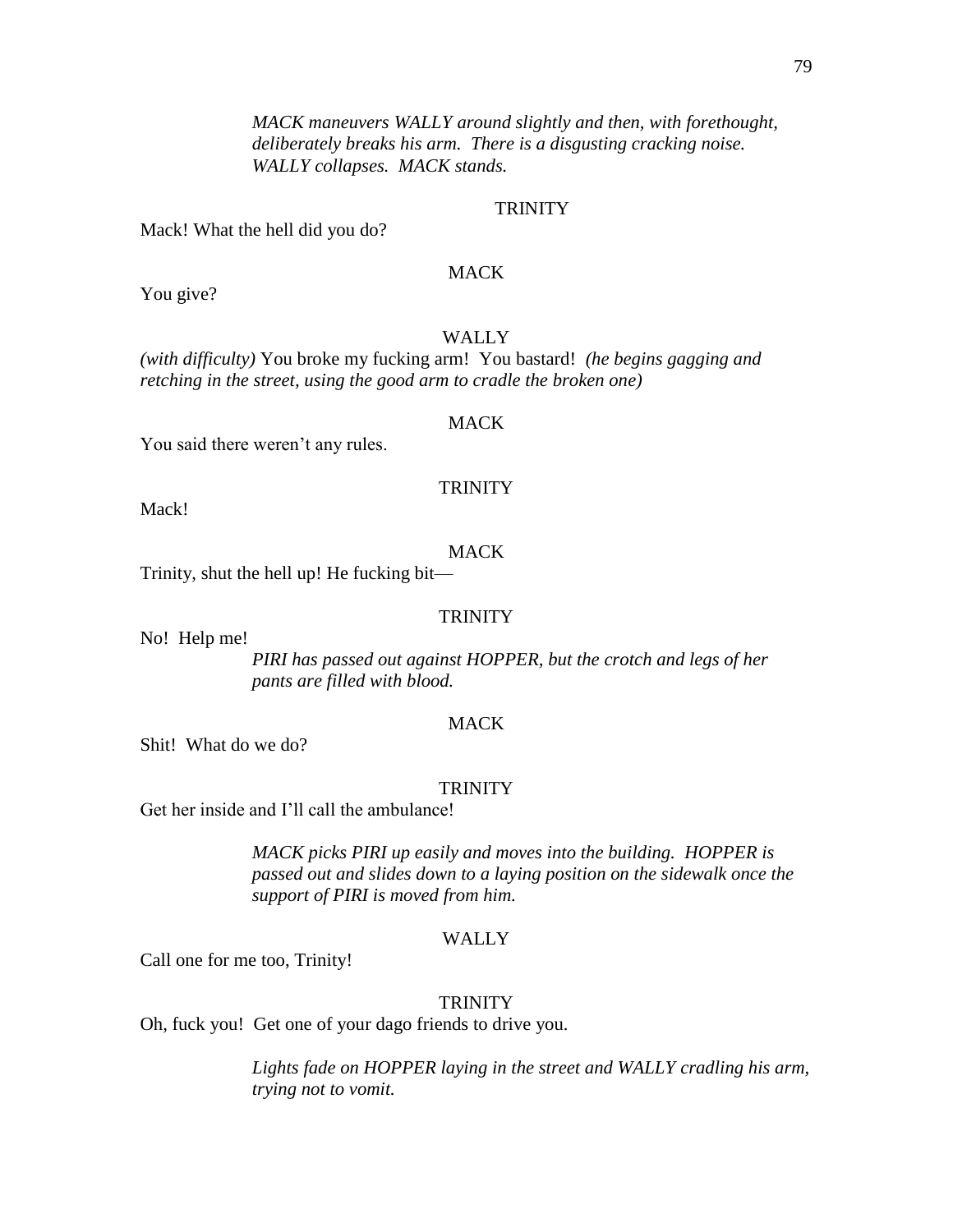*MACK maneuvers WALLY around slightly and then, with forethought, deliberately breaks his arm. There is a disgusting cracking noise. WALLY collapses. MACK stands.*

# **TRINITY**

Mack! What the hell did you do?

# MACK

You give?

# WALLY

*(with difficulty)* You broke my fucking arm! You bastard! *(he begins gagging and retching in the street, using the good arm to cradle the broken one)* 

#### MACK

You said there weren't any rules.

### **TRINITY**

Mack!

# **MACK**

Trinity, shut the hell up! He fucking bit—

### **TRINITY**

No! Help me!

*PIRI has passed out against HOPPER, but the crotch and legs of her pants are filled with blood.*

### MACK

Shit! What do we do?

#### **TRINITY**

Get her inside and I'll call the ambulance!

*MACK picks PIRI up easily and moves into the building. HOPPER is passed out and slides down to a laying position on the sidewalk once the support of PIRI is moved from him.*

#### WALLY

Call one for me too, Trinity!

#### **TRINITY**

Oh, fuck you! Get one of your dago friends to drive you.

*Lights fade on HOPPER laying in the street and WALLY cradling his arm, trying not to vomit.*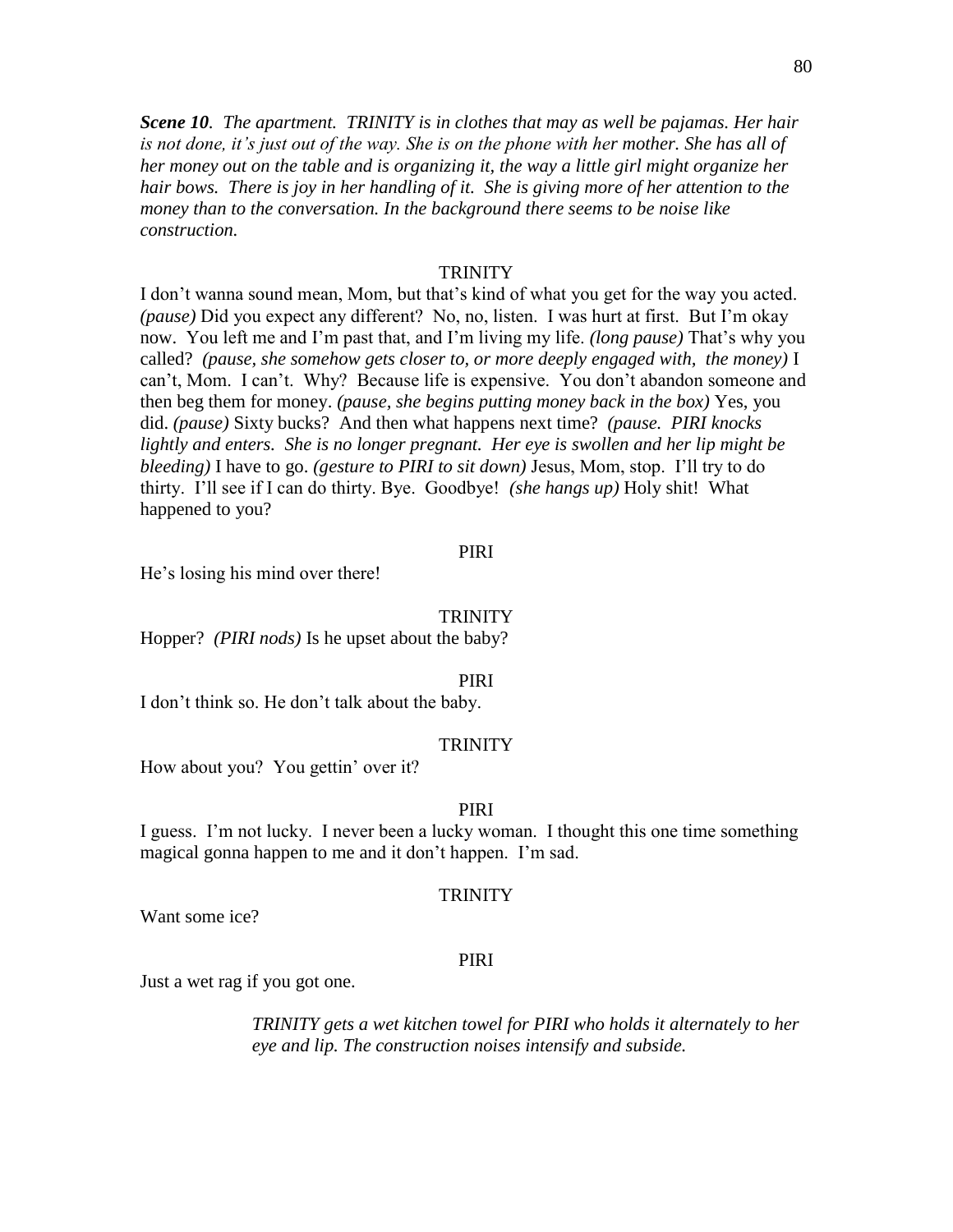*Scene 10.**The apartment. TRINITY is in clothes that may as well be pajamas. Her hair is not done, it's just out of the way. She is on the phone with her mother. She has all of her money out on the table and is organizing it, the way a little girl might organize her hair bows. There is joy in her handling of it. She is giving more of her attention to the money than to the conversation. In the background there seems to be noise like construction.*

### **TRINITY**

I don't wanna sound mean, Mom, but that's kind of what you get for the way you acted. *(pause)* Did you expect any different? No, no, listen. I was hurt at first. But I'm okay now. You left me and I'm past that, and I'm living my life. *(long pause)* That's why you called? *(pause, she somehow gets closer to, or more deeply engaged with, the money)* I can't, Mom. I can't. Why? Because life is expensive. You don't abandon someone and then beg them for money. *(pause, she begins putting money back in the box)* Yes, you did. *(pause)* Sixty bucks? And then what happens next time? *(pause. PIRI knocks lightly and enters. She is no longer pregnant. Her eye is swollen and her lip might be bleeding)* I have to go. *(gesture to PIRI to sit down)* Jesus, Mom, stop. I'll try to do thirty. I'll see if I can do thirty. Bye. Goodbye! *(she hangs up)* Holy shit! What happened to you?

### PIRI

He's losing his mind over there!

#### **TRINITY**

Hopper? *(PIRI nods)* Is he upset about the baby?

#### PIRI

I don't think so. He don't talk about the baby.

#### **TRINITY**

How about you? You gettin' over it?

#### PIRI

I guess. I'm not lucky. I never been a lucky woman. I thought this one time something magical gonna happen to me and it don't happen. I'm sad.

#### **TRINITY**

Want some ice?

#### PIRI

Just a wet rag if you got one.

*TRINITY gets a wet kitchen towel for PIRI who holds it alternately to her eye and lip. The construction noises intensify and subside.*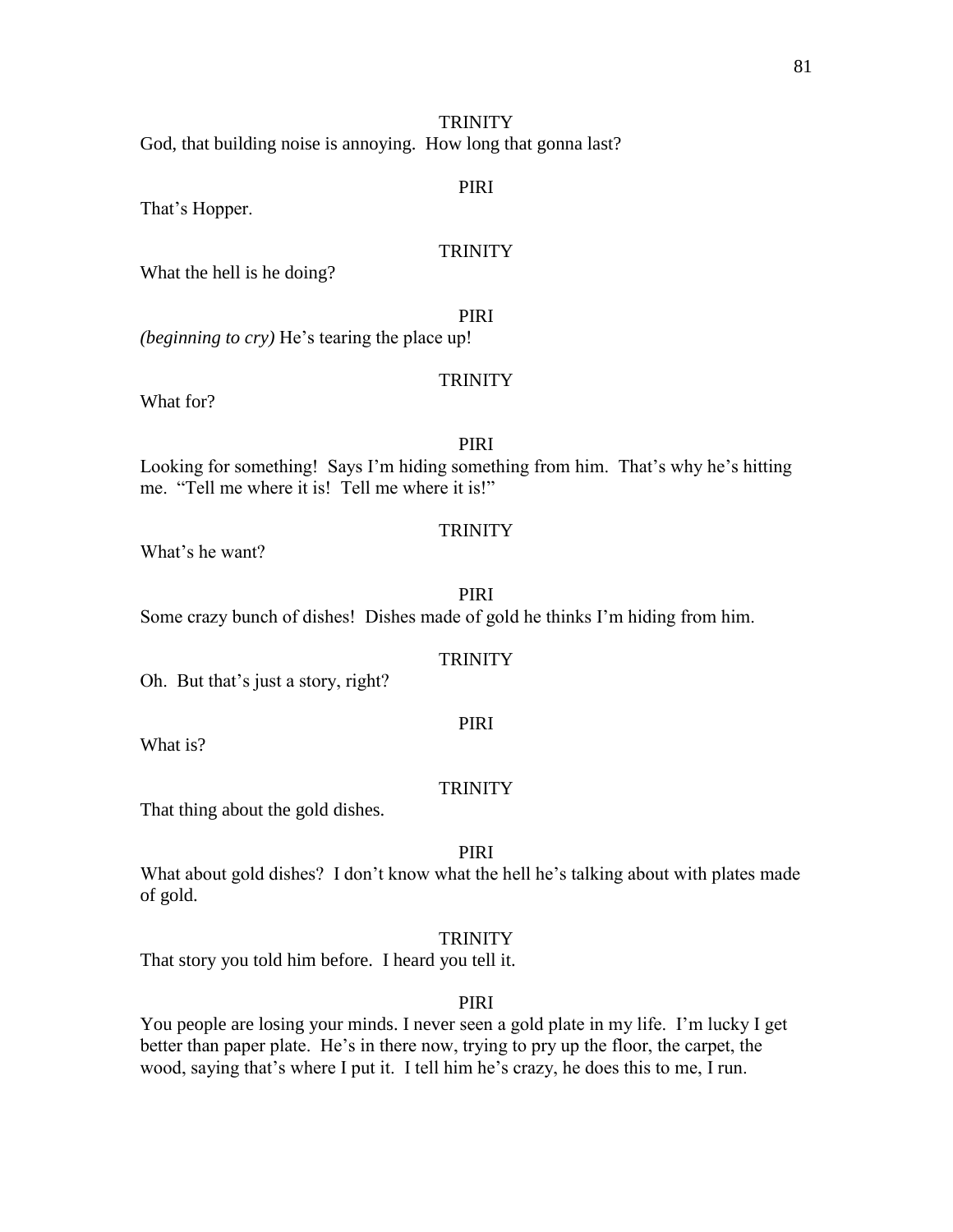God, that building noise is annoying. How long that gonna last?

### PIRI

That's Hopper.

# **TRINITY**

What the hell is he doing?

PIRI

*(beginning to cry)* He's tearing the place up!

### **TRINITY**

What for?

# PIRI

Looking for something! Says I'm hiding something from him. That's why he's hitting me. "Tell me where it is! Tell me where it is!"

### **TRINITY**

What's he want?

# PIRI

Some crazy bunch of dishes! Dishes made of gold he thinks I'm hiding from him.

# **TRINITY**

Oh. But that's just a story, right?

What is?

#### **TRINITY**

PIRI

That thing about the gold dishes.

# PIRI

What about gold dishes? I don't know what the hell he's talking about with plates made of gold.

#### **TRINITY**

That story you told him before. I heard you tell it.

### PIRI

You people are losing your minds. I never seen a gold plate in my life. I'm lucky I get better than paper plate. He's in there now, trying to pry up the floor, the carpet, the wood, saying that's where I put it. I tell him he's crazy, he does this to me, I run.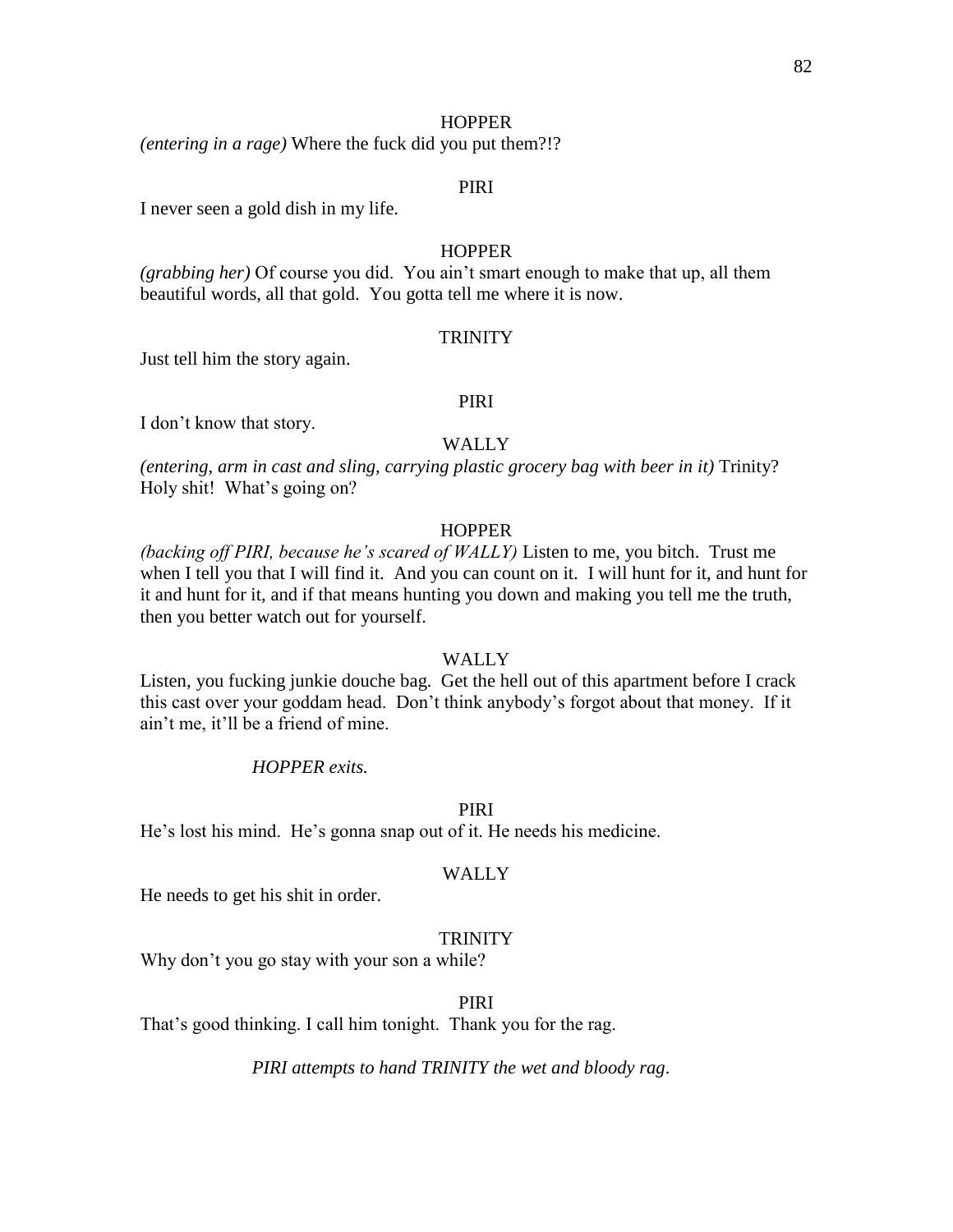### **HOPPER**

*(entering in a rage)* Where the fuck did you put them?!?

### PIRI

I never seen a gold dish in my life.

### **HOPPER**

*(grabbing her)* Of course you did. You ain't smart enough to make that up, all them beautiful words, all that gold. You gotta tell me where it is now.

#### **TRINITY**

Just tell him the story again.

### PIRI

I don't know that story.

### WALLY

*(entering, arm in cast and sling, carrying plastic grocery bag with beer in it)* Trinity? Holy shit! What's going on?

### **HOPPER**

*(backing off PIRI, because he's scared of WALLY)* Listen to me, you bitch. Trust me when I tell you that I will find it. And you can count on it. I will hunt for it, and hunt for it and hunt for it, and if that means hunting you down and making you tell me the truth, then you better watch out for yourself.

### WALLY

Listen, you fucking junkie douche bag. Get the hell out of this apartment before I crack this cast over your goddam head. Don't think anybody's forgot about that money. If it ain't me, it'll be a friend of mine.

### *HOPPER exits.*

#### PIRI

He's lost his mind. He's gonna snap out of it. He needs his medicine.

### WALLY

He needs to get his shit in order.

### **TRINITY**

Why don't you go stay with your son a while?

PIRI

That's good thinking. I call him tonight. Thank you for the rag.

*PIRI attempts to hand TRINITY the wet and bloody rag*.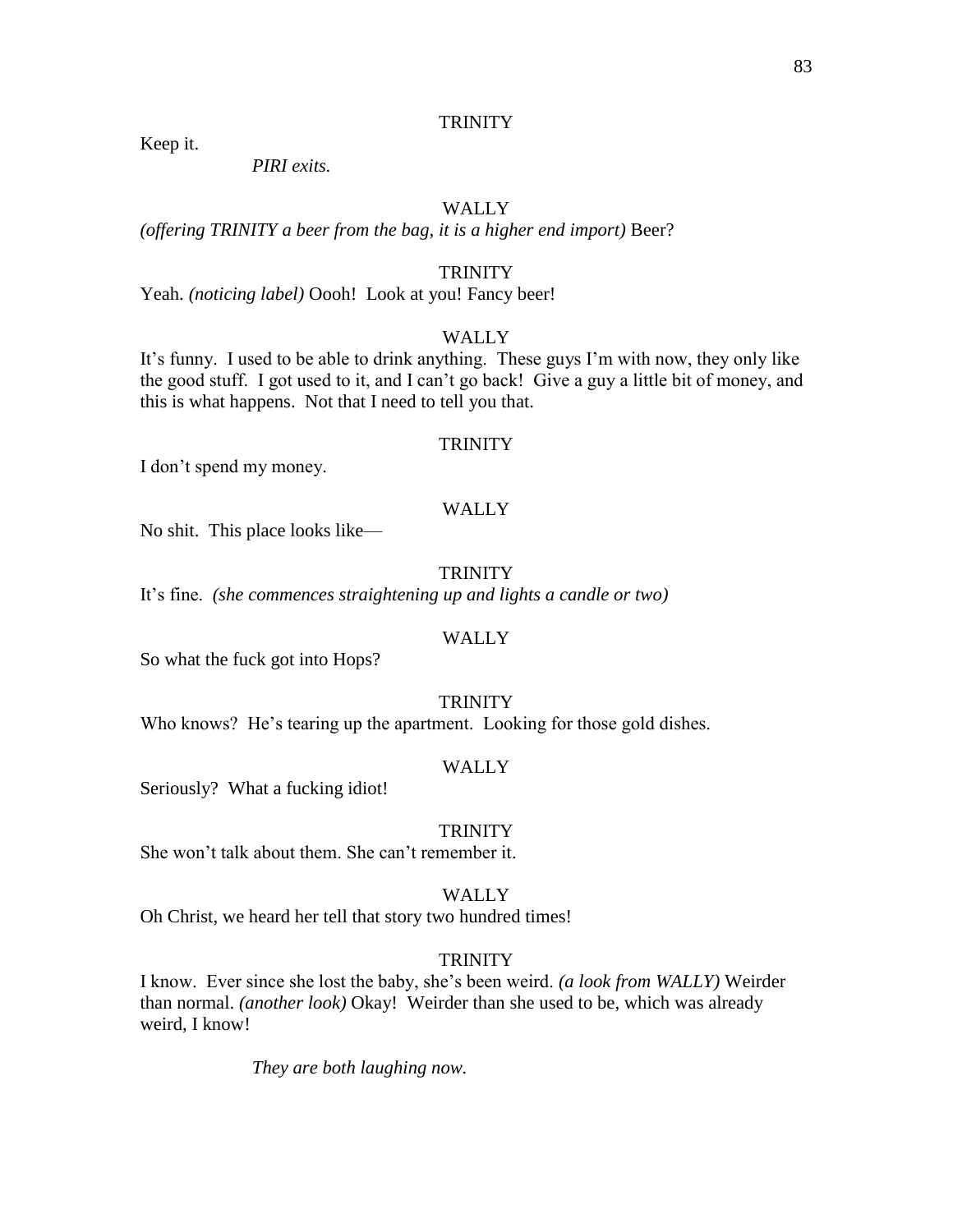Keep it.

*PIRI exits.*

# WALLY

(*offering TRINITY a beer from the bag, it is a higher end import*) Beer?

# **TRINITY**

Yeah. (noticing label) Oooh! Look at you! Fancy beer!

# **WALLY**

It's funny. I used to be able to drink anything. These guys I'm with now, they only like the good stuff. I got used to it, and I can't go back! Give a guy a little bit of money, and this is what happens. Not that I need to tell you that.

## **TRINITY**

I don't spend my money.

# WALLY

No shit. This place looks like—

## **TRINITY**

It's fine. *(she commences straightening up and lights a candle or two)*

# **WALLY**

So what the fuck got into Hops?

# **TRINITY**

Who knows? He's tearing up the apartment. Looking for those gold dishes.

### WALLY

Seriously? What a fucking idiot!

### **TRINITY**

She won't talk about them. She can't remember it.

### **WALLY**

Oh Christ, we heard her tell that story two hundred times!

# **TRINITY**

I know. Ever since she lost the baby, she's been weird. *(a look from WALLY)* Weirder than normal. *(another look)* Okay! Weirder than she used to be, which was already weird, I know!

*They are both laughing now.*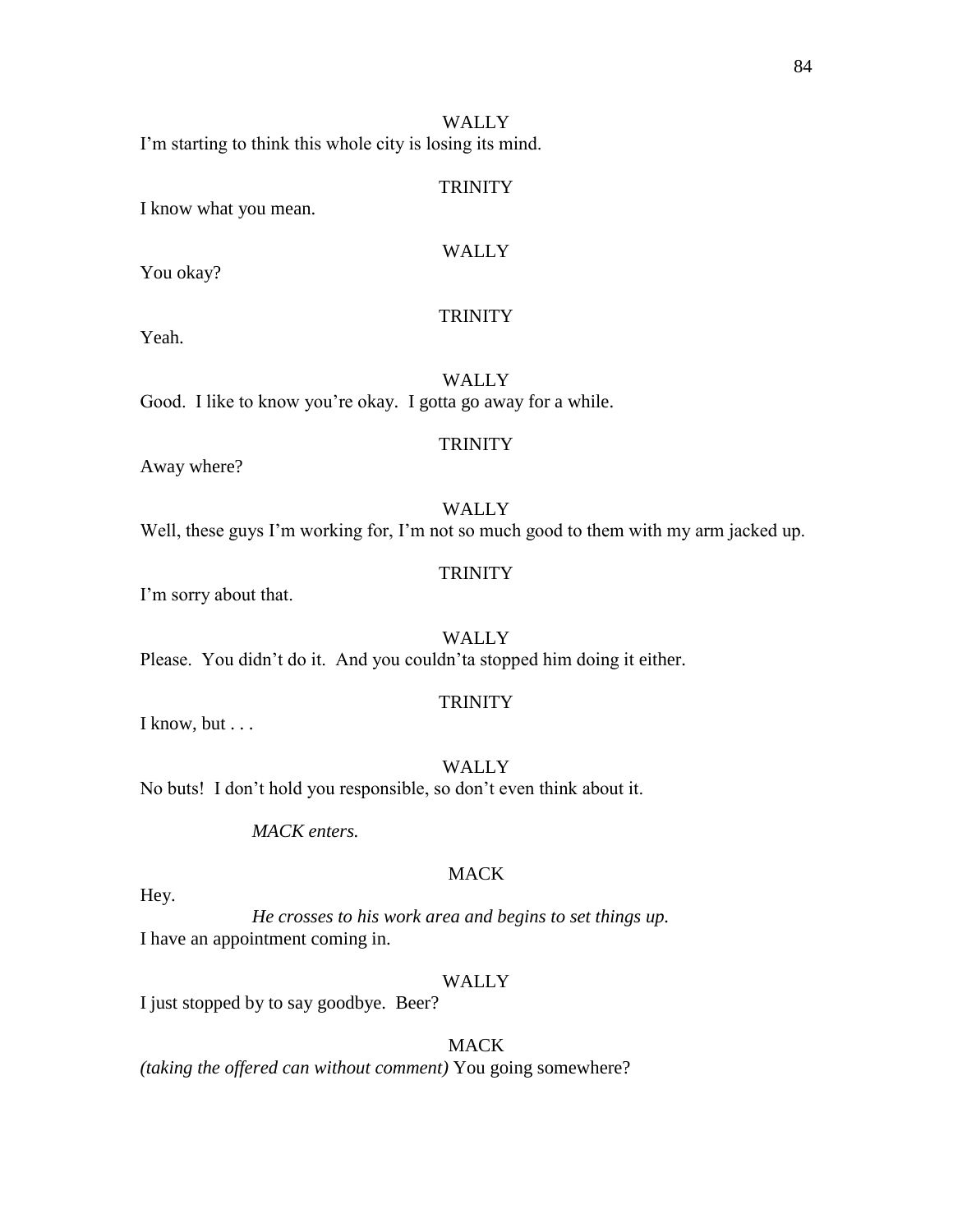I'm starting to think this whole city is losing its mind.

### TRINITY

I know what you mean.

### WALLY

You okay?

# **TRINITY**

Yeah.

WALLY Good. I like to know you're okay. I gotta go away for a while.

### **TRINITY**

Away where?

### WALLY Well, these guys I'm working for, I'm not so much good to them with my arm jacked up.

# **TRINITY**

I'm sorry about that.

**WALLY** Please. You didn't do it. And you couldn'ta stopped him doing it either.

### **TRINITY**

I know, but . . .

WALLY No buts! I don't hold you responsible, so don't even think about it.

*MACK enters.*

# **MACK**

Hey.

*He crosses to his work area and begins to set things up.* I have an appointment coming in.

#### WALLY

I just stopped by to say goodbye. Beer?

### MACK

*(taking the offered can without comment)* You going somewhere?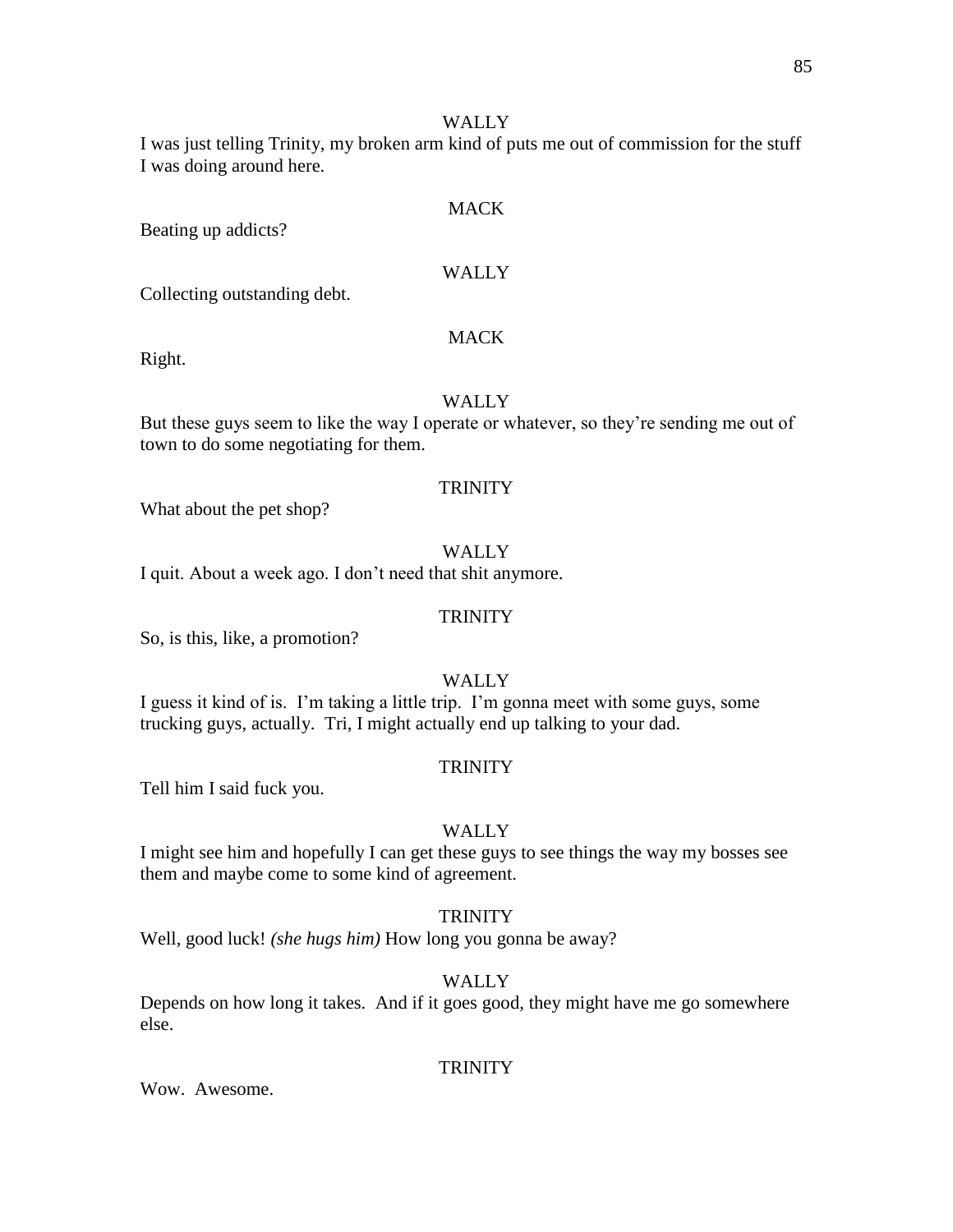I was just telling Trinity, my broken arm kind of puts me out of commission for the stuff I was doing around here.

Beating up addicts?

## WALLY

**MACK** 

Collecting outstanding debt.

### **MACK**

Right.

### WALLY

But these guys seem to like the way I operate or whatever, so they're sending me out of town to do some negotiating for them.

# **TRINITY**

What about the pet shop?

### WALLY

I quit. About a week ago. I don't need that shit anymore.

### **TRINITY**

So, is this, like, a promotion?

### WALLY

I guess it kind of is. I'm taking a little trip. I'm gonna meet with some guys, some trucking guys, actually. Tri, I might actually end up talking to your dad.

### **TRINITY**

Tell him I said fuck you.

### WALLY

I might see him and hopefully I can get these guys to see things the way my bosses see them and maybe come to some kind of agreement.

### **TRINITY**

Well, good luck! *(she hugs him)* How long you gonna be away?

### WALLY

Depends on how long it takes. And if it goes good, they might have me go somewhere else.

### **TRINITY**

Wow. Awesome.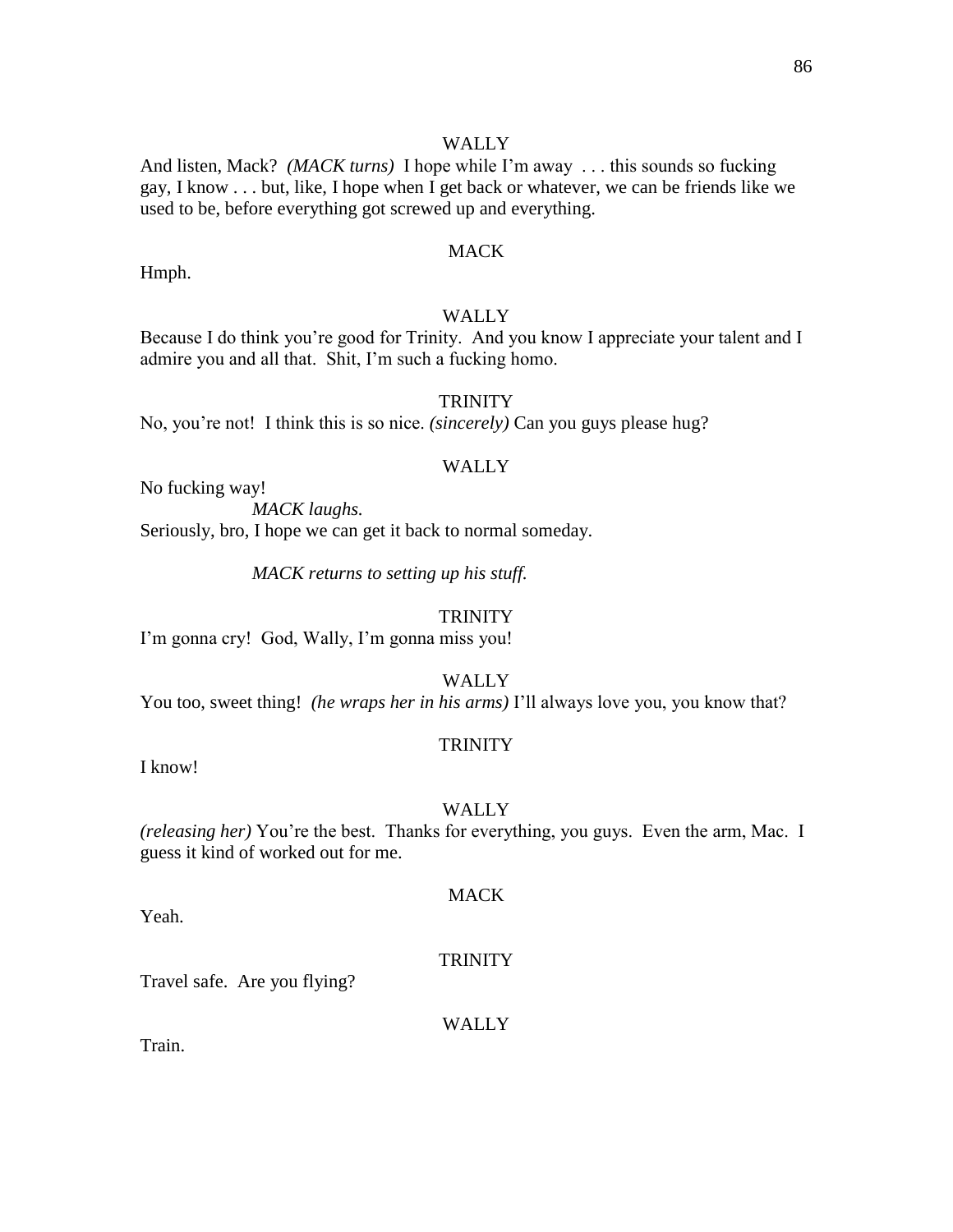And listen, Mack? *(MACK turns)* I hope while I'm away . . . this sounds so fucking gay, I know . . . but, like, I hope when I get back or whatever, we can be friends like we used to be, before everything got screwed up and everything.

# **MACK**

Hmph.

# WALLY

Because I do think you're good for Trinity. And you know I appreciate your talent and I admire you and all that. Shit, I'm such a fucking homo.

# **TRINITY**

No, you're not! I think this is so nice. *(sincerely)* Can you guys please hug?

### WALLY

No fucking way!

*MACK laughs.*

Seriously, bro, I hope we can get it back to normal someday.

*MACK returns to setting up his stuff.*

#### **TRINITY**

I'm gonna cry! God, Wally, I'm gonna miss you!

WALLY

You too, sweet thing! *(he wraps her in his arms)* I'll always love you, you know that?

### **TRINITY**

I know!

#### **WALLY**

*(releasing her)* You're the best. Thanks for everything, you guys. Even the arm, Mac. I guess it kind of worked out for me.

Yeah.

### **TRINITY**

MACK

Travel safe. Are you flying?

#### WALLY

Train.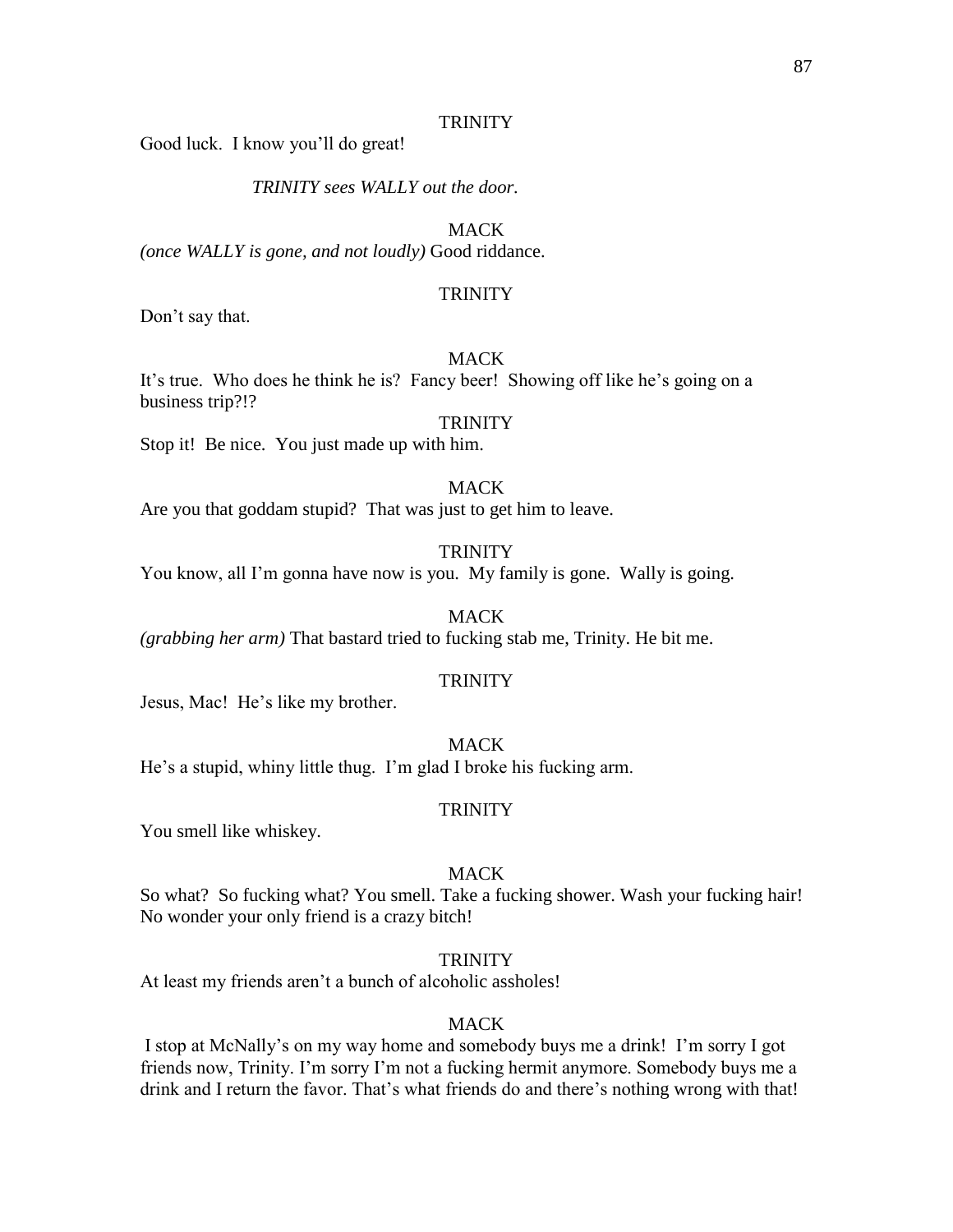Good luck. I know you'll do great!

*TRINITY sees WALLY out the door.*

**MACK** 

*(once WALLY is gone, and not loudly)* Good riddance.

### **TRINITY**

Don't say that.

# MACK

It's true. Who does he think he is? Fancy beer! Showing off like he's going on a business trip?!?

#### **TRINITY**

Stop it! Be nice. You just made up with him.

### **MACK**

Are you that goddam stupid? That was just to get him to leave.

### **TRINITY**

You know, all I'm gonna have now is you. My family is gone. Wally is going.

MACK

*(grabbing her arm)* That bastard tried to fucking stab me, Trinity. He bit me.

### **TRINITY**

Jesus, Mac! He's like my brother.

MACK He's a stupid, whiny little thug. I'm glad I broke his fucking arm.

#### **TRINITY**

You smell like whiskey.

# **MACK**

So what? So fucking what? You smell. Take a fucking shower. Wash your fucking hair! No wonder your only friend is a crazy bitch!

# **TRINITY**

At least my friends aren't a bunch of alcoholic assholes!

#### **MACK**

I stop at McNally's on my way home and somebody buys me a drink! I'm sorry I got friends now, Trinity. I'm sorry I'm not a fucking hermit anymore. Somebody buys me a drink and I return the favor. That's what friends do and there's nothing wrong with that!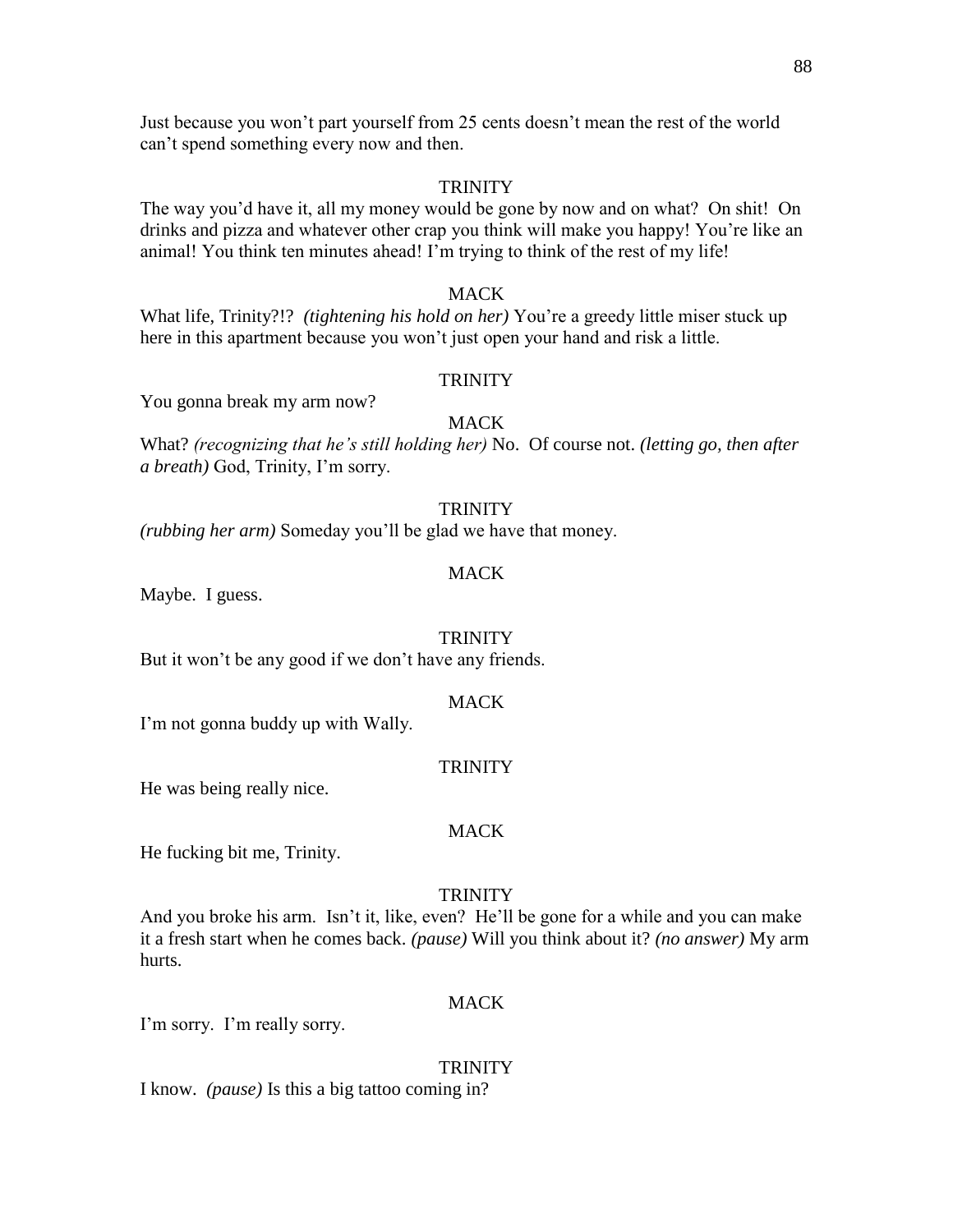Just because you won't part yourself from 25 cents doesn't mean the rest of the world can't spend something every now and then.

### **TRINITY**

The way you'd have it, all my money would be gone by now and on what? On shit! On drinks and pizza and whatever other crap you think will make you happy! You're like an animal! You think ten minutes ahead! I'm trying to think of the rest of my life!

## MACK

What life, Trinity?!? *(tightening his hold on her)* You're a greedy little miser stuck up here in this apartment because you won't just open your hand and risk a little.

## **TRINITY**

You gonna break my arm now?

## MACK

What? *(recognizing that he's still holding her)* No. Of course not. *(letting go, then after a breath)* God, Trinity, I'm sorry.

### **TRINITY**

*(rubbing her arm)* Someday you'll be glad we have that money.

### MACK

Maybe. I guess.

### **TRINITY**

But it won't be any good if we don't have any friends.

### **MACK**

I'm not gonna buddy up with Wally.

### **TRINITY**

He was being really nice.

### MACK

He fucking bit me, Trinity.

### **TRINITY**

And you broke his arm. Isn't it, like, even? He'll be gone for a while and you can make it a fresh start when he comes back. *(pause)* Will you think about it? *(no answer)* My arm hurts.

# MACK

I'm sorry. I'm really sorry.

### **TRINITY**

I know. *(pause)* Is this a big tattoo coming in?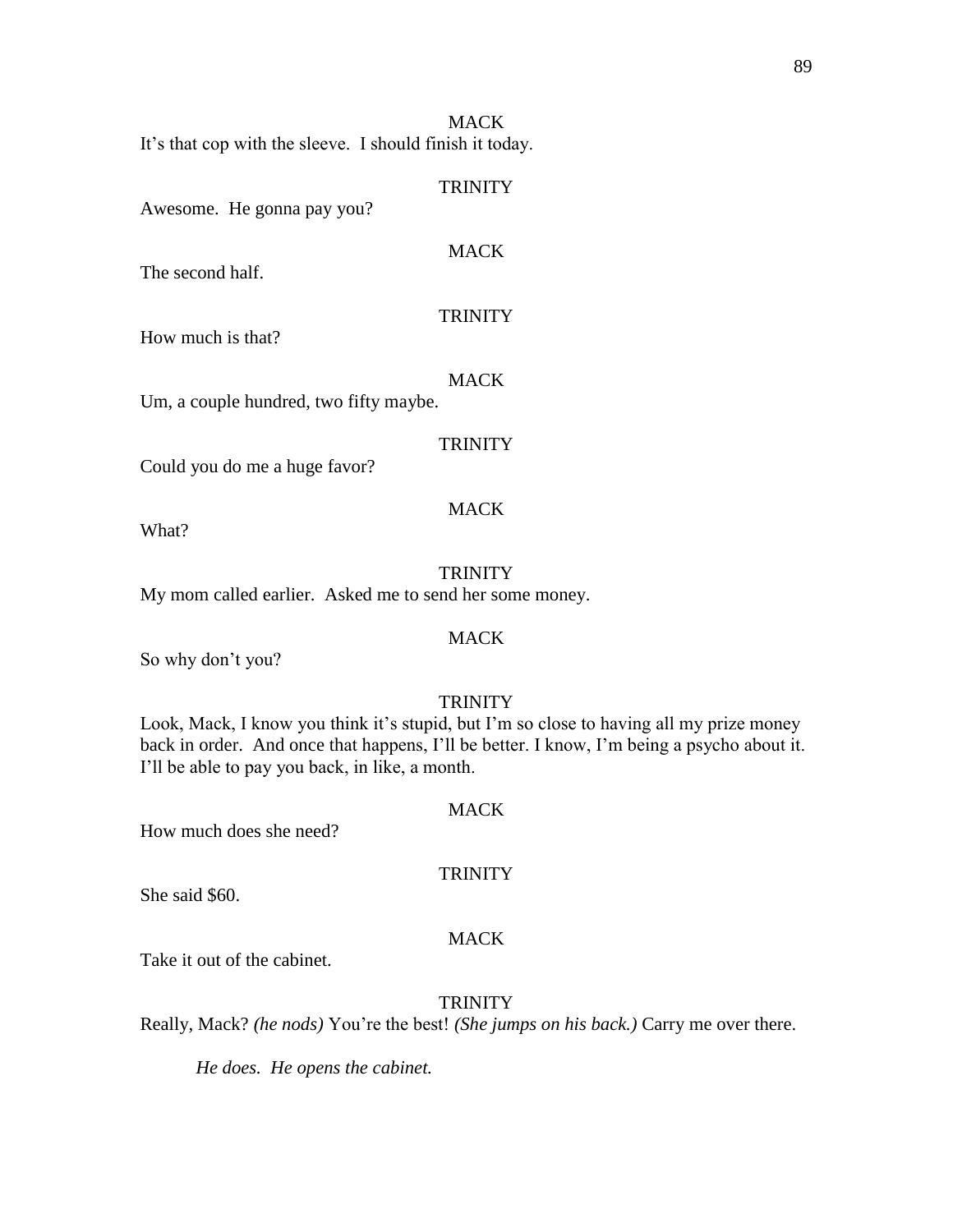It's that cop with the sleeve. I should finish it today.

### **TRINITY**

Awesome. He gonna pay you?

### **MACK**

The second half.

### **TRINITY**

How much is that?

#### **MACK**

Um, a couple hundred, two fifty maybe.

### **TRINITY**

MACK

Could you do me a huge favor?

What?

### **TRINITY** My mom called earlier. Asked me to send her some money.

So why don't you?

### **TRINITY**

**MACK** 

Look, Mack, I know you think it's stupid, but I'm so close to having all my prize money back in order. And once that happens, I'll be better. I know, I'm being a psycho about it. I'll be able to pay you back, in like, a month.

### **MACK**

**TRINITY** 

How much does she need?

She said \$60.

### MACK

Take it out of the cabinet.

# **TRINITY**

Really, Mack? *(he nods)* You're the best! *(She jumps on his back.)* Carry me over there.

*He does. He opens the cabinet.*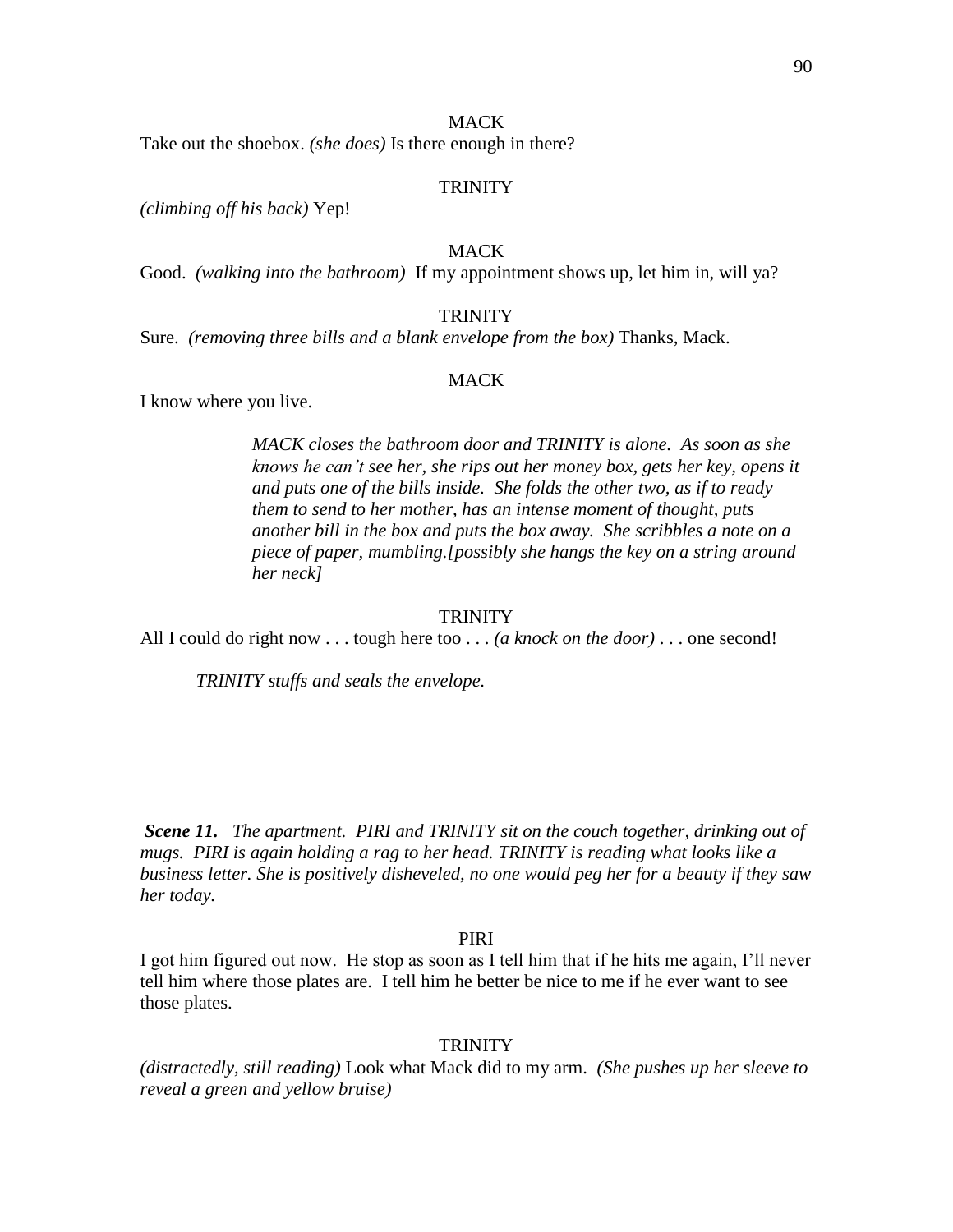Take out the shoebox. *(she does)* Is there enough in there?

### **TRINITY**

*(climbing off his back)* Yep!

# **MACK**

Good. *(walking into the bathroom)* If my appointment shows up, let him in, will ya?

### **TRINITY**

Sure. *(removing three bills and a blank envelope from the box)* Thanks, Mack.

### **MACK**

I know where you live.

*MACK closes the bathroom door and TRINITY is alone. As soon as she knows he can't see her, she rips out her money box, gets her key, opens it and puts one of the bills inside. She folds the other two, as if to ready them to send to her mother, has an intense moment of thought, puts another bill in the box and puts the box away. She scribbles a note on a piece of paper, mumbling.[possibly she hangs the key on a string around her neck]*

#### **TRINITY**

All I could do right now . . . tough here too . . . *(a knock on the door)* . . . one second!

*TRINITY stuffs and seals the envelope.* 

*Scene 11.**The apartment. PIRI and TRINITY sit on the couch together, drinking out of mugs. PIRI is again holding a rag to her head. TRINITY is reading what looks like a business letter. She is positively disheveled, no one would peg her for a beauty if they saw her today.*

#### PIRI

I got him figured out now. He stop as soon as I tell him that if he hits me again, I'll never tell him where those plates are. I tell him he better be nice to me if he ever want to see those plates.

### **TRINITY**

*(distractedly, still reading)* Look what Mack did to my arm. *(She pushes up her sleeve to reveal a green and yellow bruise)*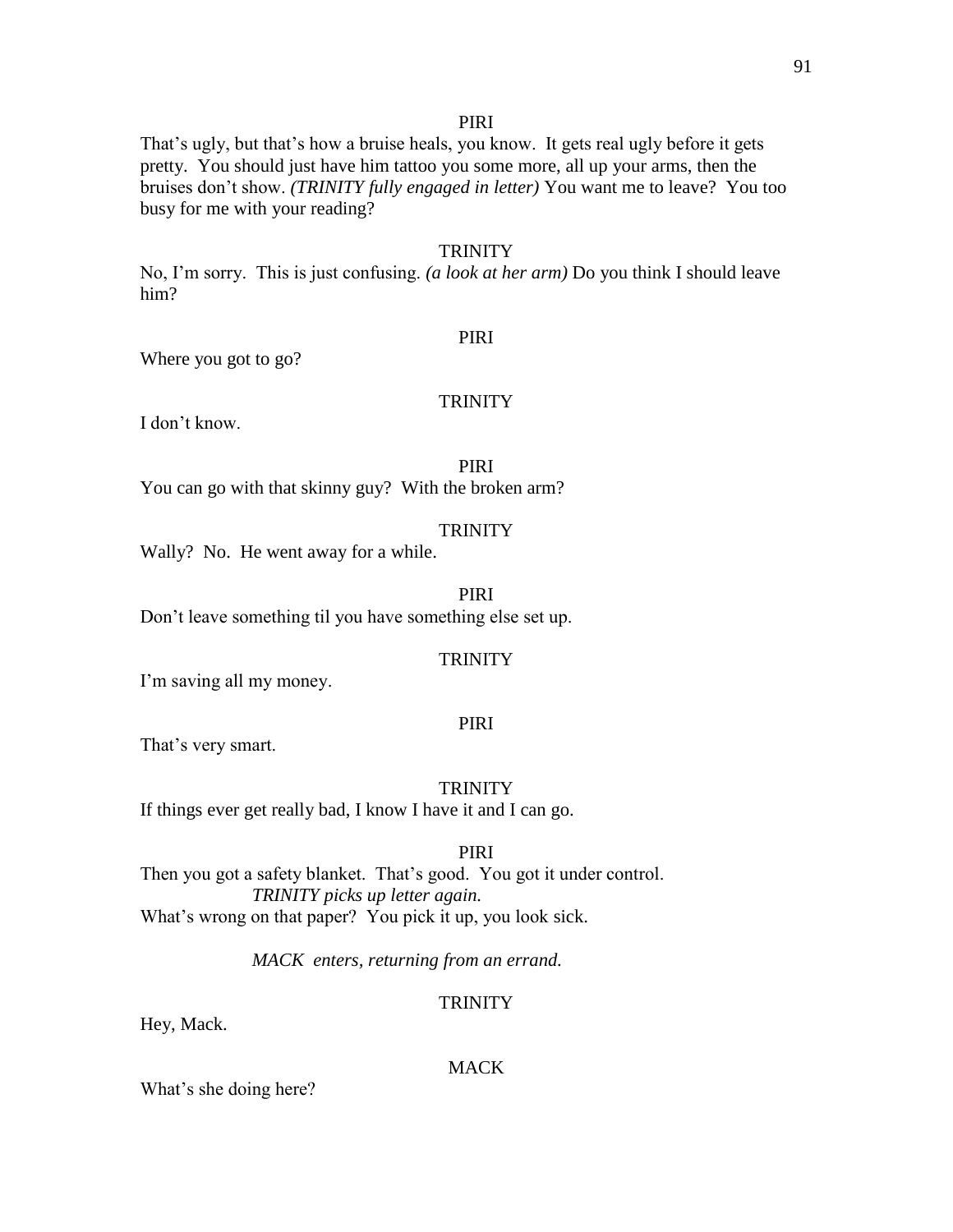## PIRI

That's ugly, but that's how a bruise heals, you know. It gets real ugly before it gets pretty. You should just have him tattoo you some more, all up your arms, then the bruises don't show. *(TRINITY fully engaged in letter)* You want me to leave? You too busy for me with your reading?

#### **TRINITY**

No, I'm sorry. This is just confusing. *(a look at her arm)* Do you think I should leave him?

### PIRI

Where you got to go?

# **TRINITY**

I don't know.

PIRI

You can go with that skinny guy? With the broken arm?

### **TRINITY**

Wally? No. He went away for a while.

# PIRI

Don't leave something til you have something else set up.

# **TRINITY**

I'm saving all my money.

### PIRI

That's very smart.

### **TRINITY**

If things ever get really bad, I know I have it and I can go.

### PIRI

Then you got a safety blanket. That's good. You got it under control. *TRINITY picks up letter again.* What's wrong on that paper? You pick it up, you look sick.

*MACK enters, returning from an errand.*

### **TRINITY**

Hey, Mack.

#### MACK

What's she doing here?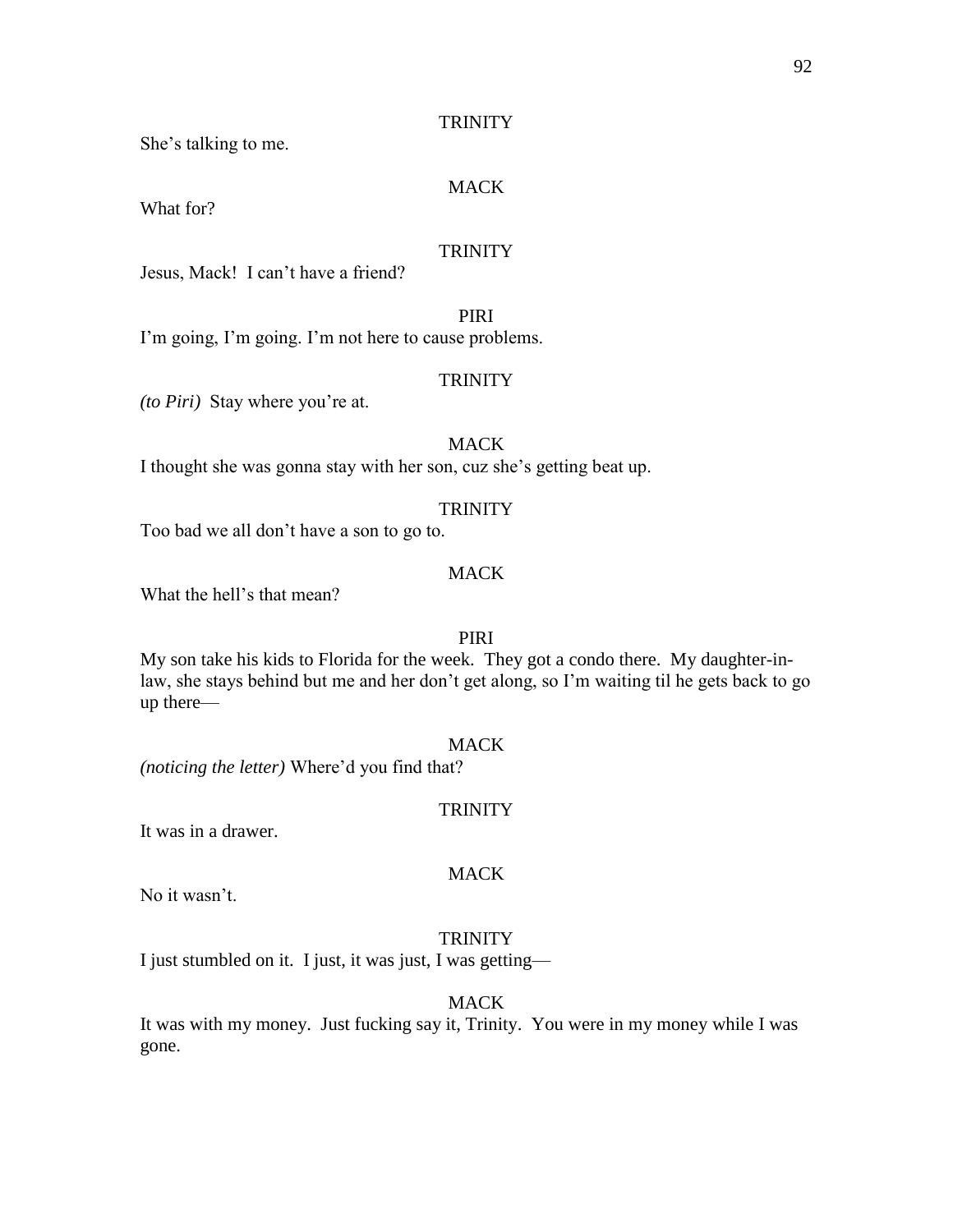She's talking to me.

## MACK

What for?

# **TRINITY**

Jesus, Mack! I can't have a friend?

PIRI

I'm going, I'm going. I'm not here to cause problems.

# **TRINITY**

*(to Piri)* Stay where you're at.

# **MACK**

I thought she was gonna stay with her son, cuz she's getting beat up.

#### **TRINITY**

Too bad we all don't have a son to go to.

# **MACK**

What the hell's that mean?

### PIRI

My son take his kids to Florida for the week. They got a condo there. My daughter-inlaw, she stays behind but me and her don't get along, so I'm waiting til he gets back to go up there—

# MACK

*(noticing the letter)* Where'd you find that?

### **TRINITY**

It was in a drawer.

### MACK

No it wasn't.

#### **TRINITY**

I just stumbled on it. I just, it was just, I was getting—

**MACK** 

It was with my money. Just fucking say it, Trinity. You were in my money while I was gone.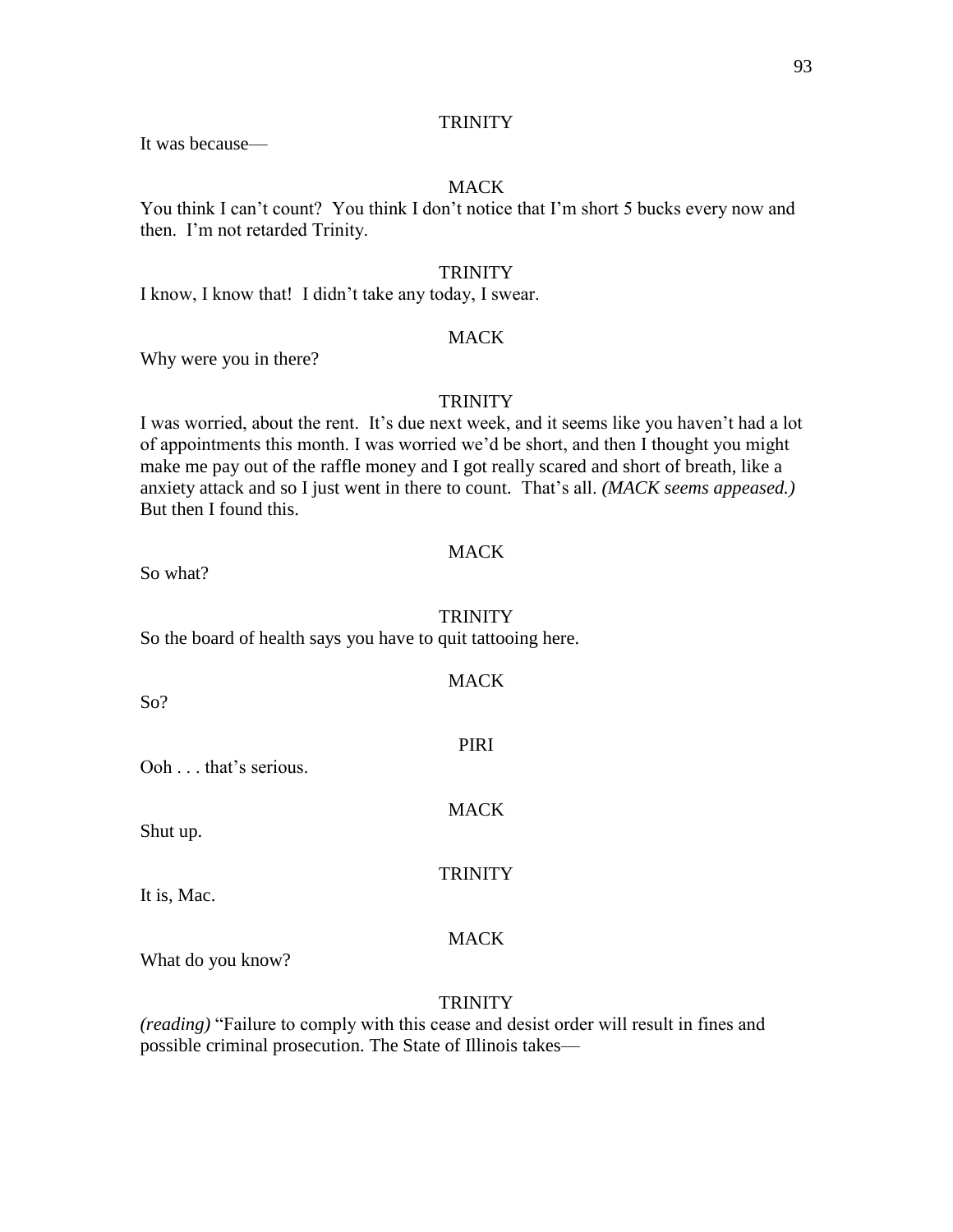It was because—

### MACK

You think I can't count? You think I don't notice that I'm short 5 bucks every now and then. I'm not retarded Trinity.

### **TRINITY**

I know, I know that! I didn't take any today, I swear.

## **MACK**

Why were you in there?

# **TRINITY**

I was worried, about the rent. It's due next week, and it seems like you haven't had a lot of appointments this month. I was worried we'd be short, and then I thought you might make me pay out of the raffle money and I got really scared and short of breath, like a anxiety attack and so I just went in there to count. That's all. *(MACK seems appeased.)*  But then I found this.

### **MACK**

So what?

### **TRINITY**

So the board of health says you have to quit tattooing here.

| So?                 | <b>MACK</b>    |
|---------------------|----------------|
| Ooh that's serious. | PIRI           |
| Shut up.            | <b>MACK</b>    |
| It is, Mac.         | <b>TRINITY</b> |
|                     | <b>MACK</b>    |

What do you know?

### **TRINITY**

*(reading)* "Failure to comply with this cease and desist order will result in fines and possible criminal prosecution. The State of Illinois takes—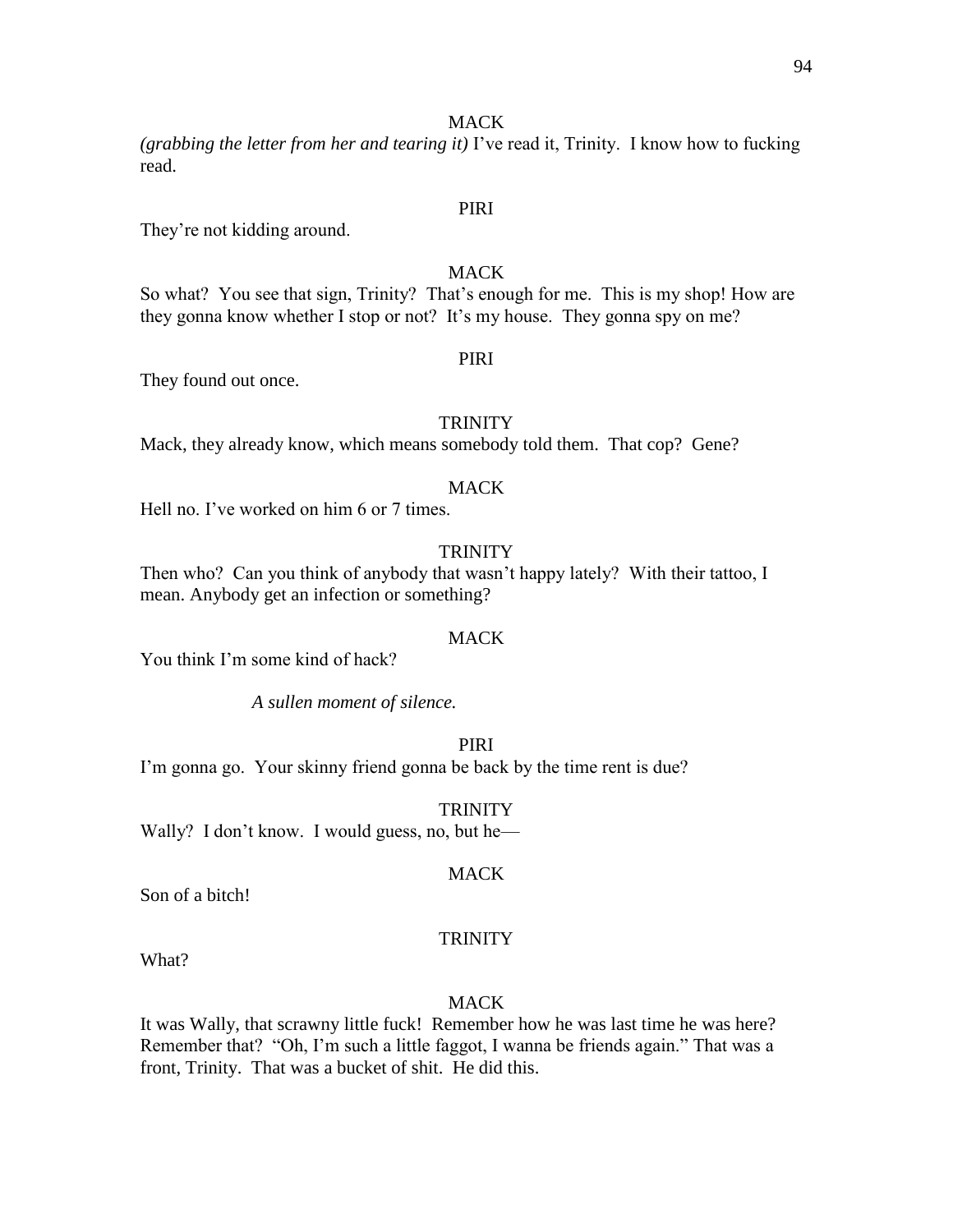*(grabbing the letter from her and tearing it)* I've read it, Trinity. I know how to fucking read.

# PIRI

They're not kidding around.

# **MACK**

So what? You see that sign, Trinity? That's enough for me. This is my shop! How are they gonna know whether I stop or not? It's my house. They gonna spy on me?

# PIRI

They found out once.

#### **TRINITY**

Mack, they already know, which means somebody told them. That cop? Gene?

# **MACK**

Hell no. I've worked on him 6 or 7 times.

### **TRINITY**

Then who? Can you think of anybody that wasn't happy lately? With their tattoo, I mean. Anybody get an infection or something?

#### **MACK**

You think I'm some kind of hack?

*A sullen moment of silence.* 

PIRI

I'm gonna go. Your skinny friend gonna be back by the time rent is due?

#### **TRINITY**

Wally? I don't know. I would guess, no, but he—

### **MACK**

Son of a bitch!

#### TRINITY

What?

#### **MACK**

It was Wally, that scrawny little fuck! Remember how he was last time he was here? Remember that? "Oh, I'm such a little faggot, I wanna be friends again." That was a front, Trinity. That was a bucket of shit. He did this.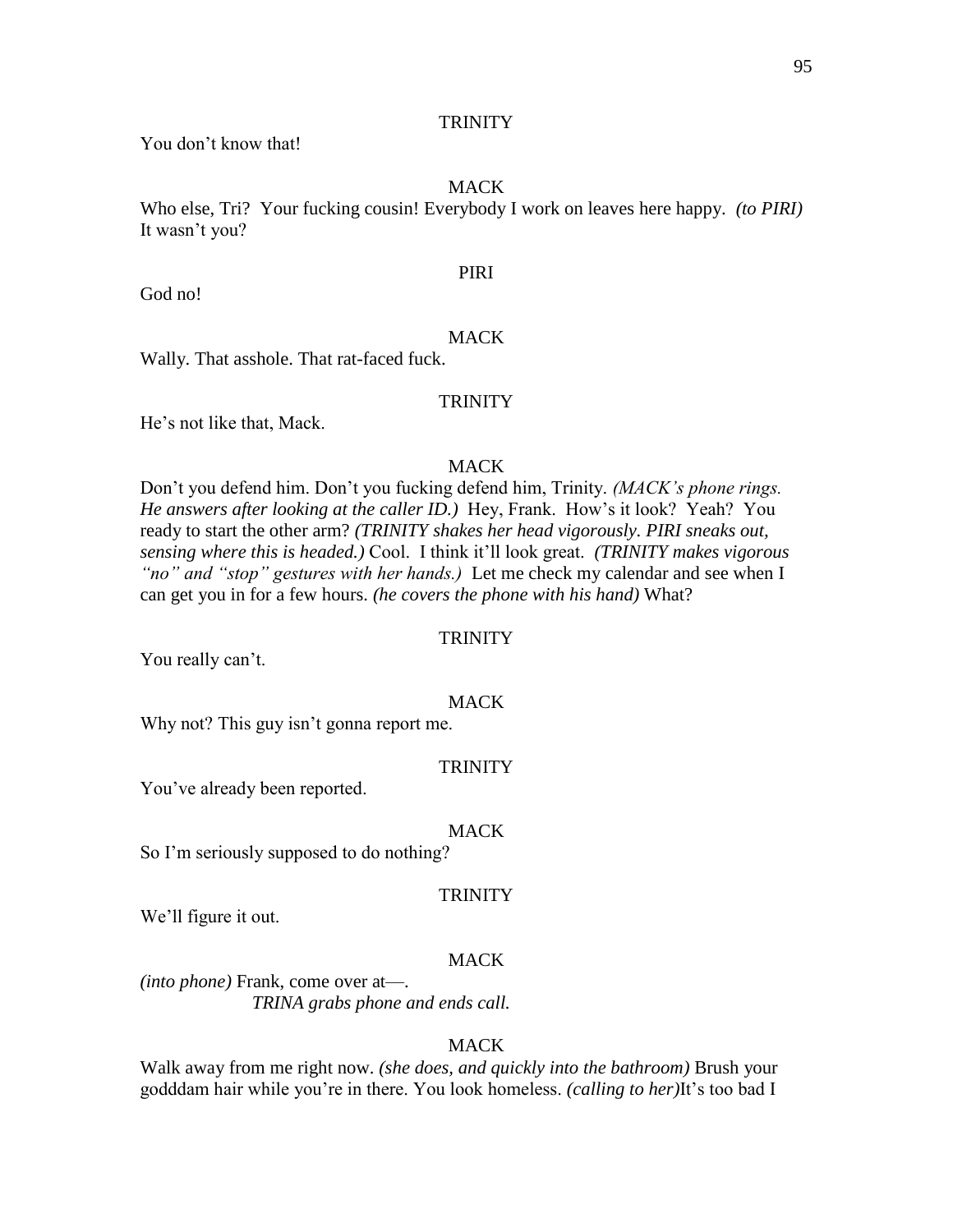You don't know that!

# MACK

Who else, Tri? Your fucking cousin! Everybody I work on leaves here happy. *(to PIRI)*  It wasn't you?

### PIRI

God no!

# **MACK**

Wally. That asshole. That rat-faced fuck.

# **TRINITY**

He's not like that, Mack.

# **MACK**

Don't you defend him. Don't you fucking defend him, Trinity. *(MACK's phone rings. He answers after looking at the caller ID.)* Hey, Frank. How's it look? Yeah? You ready to start the other arm? *(TRINITY shakes her head vigorously. PIRI sneaks out, sensing where this is headed.)* Cool. I think it'll look great. *(TRINITY makes vigorous "no" and "stop" gestures with her hands.)* Let me check my calendar and see when I can get you in for a few hours. *(he covers the phone with his hand)* What?

### **TRINITY**

You really can't.

### **MACK**

Why not? This guy isn't gonna report me.

### **TRINITY**

You've already been reported.

#### MACK

So I'm seriously supposed to do nothing?

#### TRINITY

We'll figure it out.

### **MACK**

*(into phone)* Frank, come over at—. *TRINA grabs phone and ends call.*

### MACK

Walk away from me right now. *(she does, and quickly into the bathroom)* Brush your godddam hair while you're in there. You look homeless. *(calling to her)*It's too bad I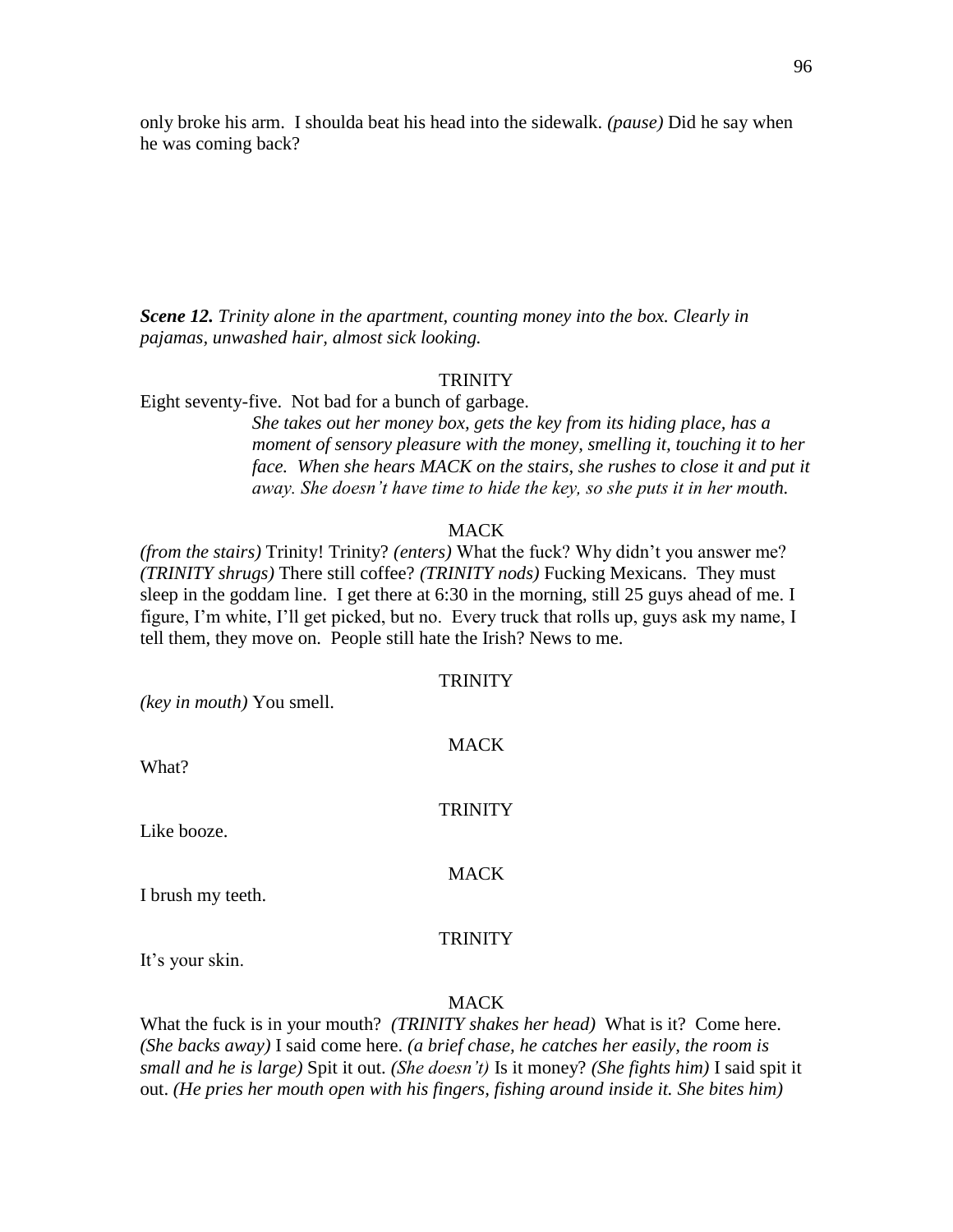only broke his arm. I shoulda beat his head into the sidewalk. *(pause)* Did he say when he was coming back?

*Scene 12. Trinity alone in the apartment, counting money into the box. Clearly in pajamas, unwashed hair, almost sick looking.*

### **TRINITY**

Eight seventy-five. Not bad for a bunch of garbage.

*She takes out her money box, gets the key from its hiding place, has a moment of sensory pleasure with the money, smelling it, touching it to her face. When she hears MACK on the stairs, she rushes to close it and put it away. She doesn't have time to hide the key, so she puts it in her mouth.*

### **MACK**

*(from the stairs)* Trinity! Trinity? *(enters)* What the fuck? Why didn't you answer me? *(TRINITY shrugs)* There still coffee? *(TRINITY nods)* Fucking Mexicans. They must sleep in the goddam line. I get there at 6:30 in the morning, still 25 guys ahead of me. I figure, I'm white, I'll get picked, but no. Every truck that rolls up, guys ask my name, I tell them, they move on. People still hate the Irish? News to me.

 $T<sub>1</sub>$ 

| <i>(key in mouth)</i> You smell. | TRINITY     |
|----------------------------------|-------------|
| What?                            | <b>MACK</b> |
|                                  |             |

Like booze.

**MACK** 

**TRINITY** 

I brush my teeth.

#### TRINITY

It's your skin.

MACK

What the fuck is in your mouth? *(TRINITY shakes her head)* What is it? Come here. *(She backs away)* I said come here. *(a brief chase, he catches her easily, the room is small and he is large)* Spit it out. *(She doesn't)* Is it money? *(She fights him)* I said spit it out. *(He pries her mouth open with his fingers, fishing around inside it. She bites him)*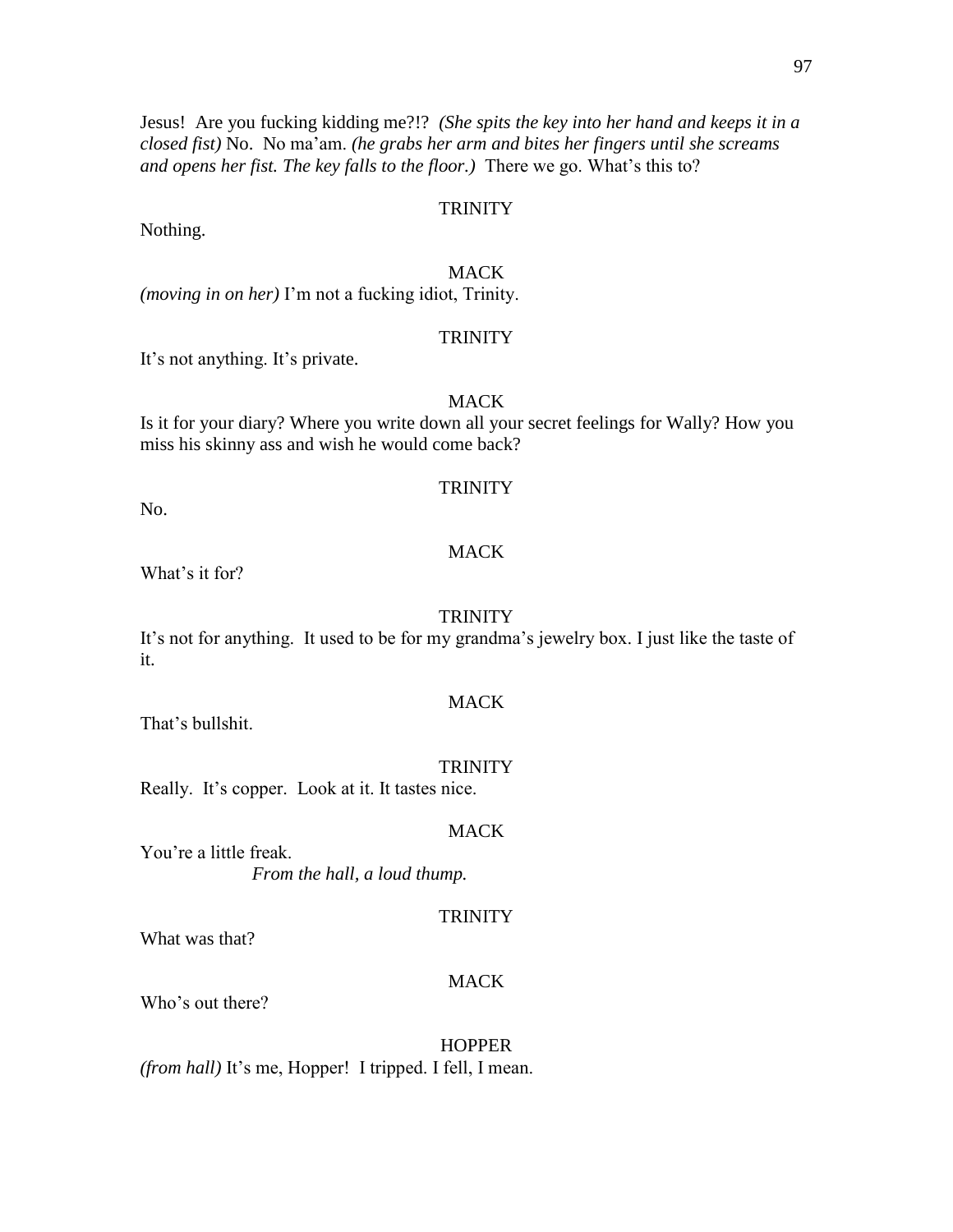Jesus! Are you fucking kidding me?!? *(She spits the key into her hand and keeps it in a closed fist)* No. No ma'am. *(he grabs her arm and bites her fingers until she screams and opens her fist. The key falls to the floor.)* There we go. What's this to?

### **TRINITY**

Nothing.

# MACK

*(moving in on her)* I'm not a fucking idiot, Trinity.

#### **TRINITY**

It's not anything. It's private.

# MACK

Is it for your diary? Where you write down all your secret feelings for Wally? How you miss his skinny ass and wish he would come back?

### **TRINITY**

No.

### **MACK**

What's it for?

### **TRINITY**

It's not for anything. It used to be for my grandma's jewelry box. I just like the taste of it.

### **MACK**

That's bullshit.

#### **TRINITY**

Really. It's copper. Look at it. It tastes nice.

#### MACK

You're a little freak. *From the hall, a loud thump.*

#### **TRINITY**

What was that?

#### MACK

Who's out there?

**HOPPER** *(from hall)* It's me, Hopper! I tripped. I fell, I mean.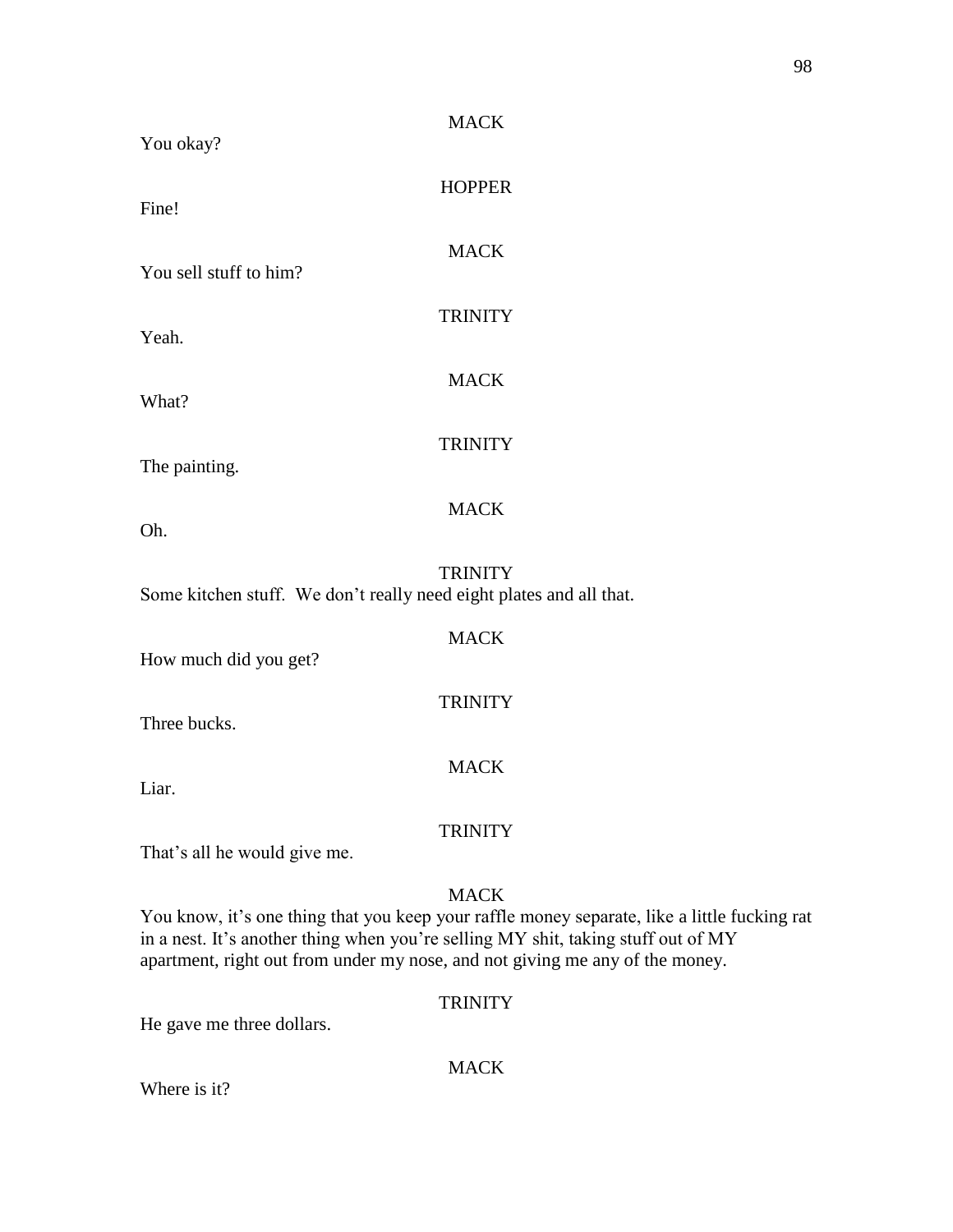| You okay?                                                                                                                                                         | <b>MACK</b>    |                                                                                              |
|-------------------------------------------------------------------------------------------------------------------------------------------------------------------|----------------|----------------------------------------------------------------------------------------------|
| Fine!                                                                                                                                                             | <b>HOPPER</b>  |                                                                                              |
| You sell stuff to him?                                                                                                                                            | <b>MACK</b>    |                                                                                              |
| Yeah.                                                                                                                                                             | <b>TRINITY</b> |                                                                                              |
| What?                                                                                                                                                             | <b>MACK</b>    |                                                                                              |
| The painting.                                                                                                                                                     | <b>TRINITY</b> |                                                                                              |
| Oh.                                                                                                                                                               | <b>MACK</b>    |                                                                                              |
| Some kitchen stuff. We don't really need eight plates and all that.                                                                                               | <b>TRINITY</b> |                                                                                              |
| How much did you get?                                                                                                                                             | <b>MACK</b>    |                                                                                              |
| Three bucks.                                                                                                                                                      | <b>TRINITY</b> |                                                                                              |
| Liar.                                                                                                                                                             | <b>MACK</b>    |                                                                                              |
| That's all he would give me.                                                                                                                                      | <b>TRINITY</b> |                                                                                              |
| in a nest. It's another thing when you're selling MY shit, taking stuff out of MY<br>apartment, right out from under my nose, and not giving me any of the money. | <b>MACK</b>    | You know, it's one thing that you keep your raffle money separate, like a little fucking rat |
| He gave me three dollars.                                                                                                                                         | <b>TRINITY</b> |                                                                                              |

Where is it?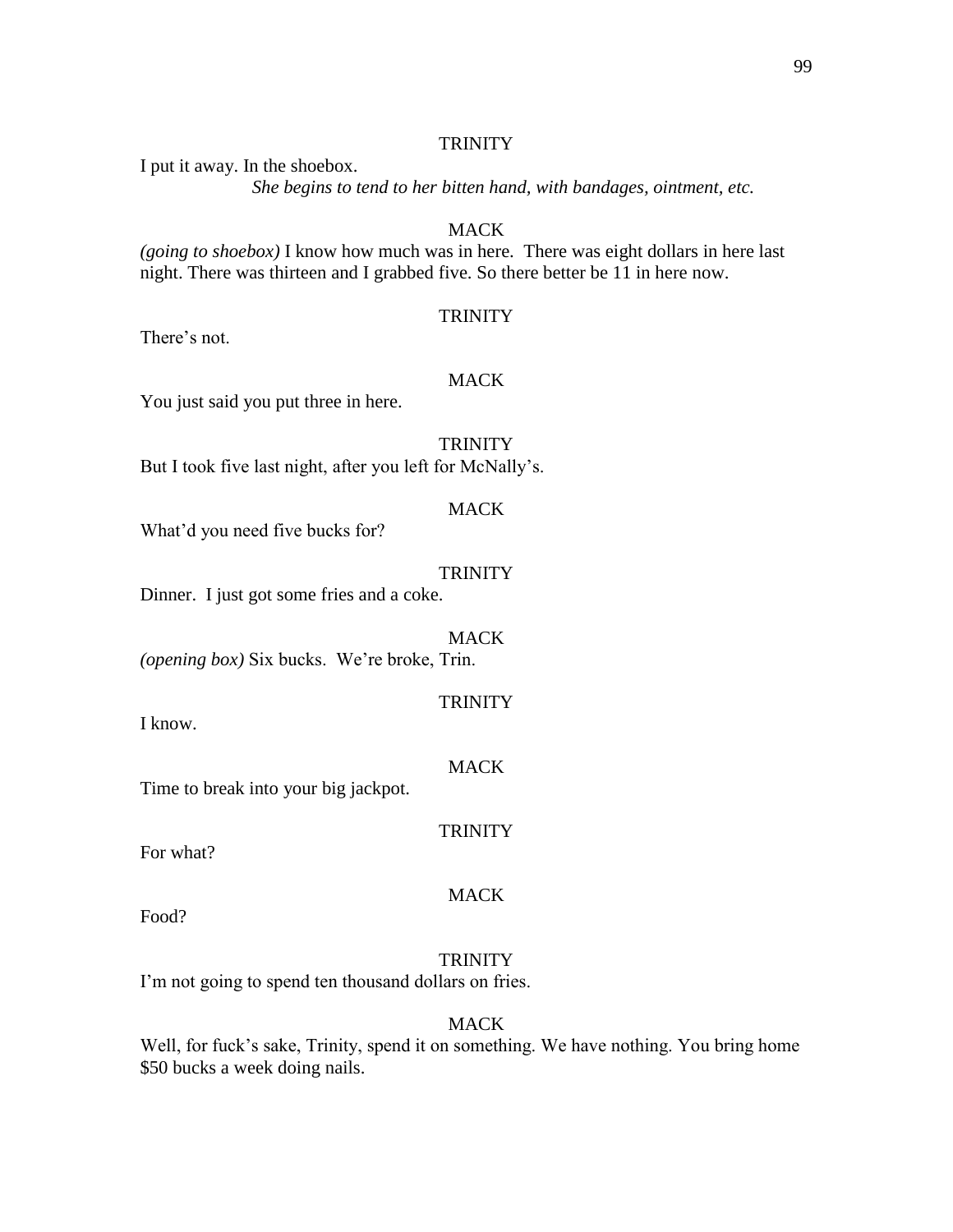I put it away. In the shoebox.

*She begins to tend to her bitten hand, with bandages, ointment, etc.*

**MACK** 

*(going to shoebox)* I know how much was in here. There was eight dollars in here last night. There was thirteen and I grabbed five. So there better be 11 in here now.

#### **TRINITY**

There's not.

### MACK

You just said you put three in here.

# **TRINITY**

But I took five last night, after you left for McNally's.

### MACK

What'd you need five bucks for?

### **TRINITY**

Dinner. I just got some fries and a coke.

MACK *(opening box)* Six bucks. We're broke, Trin.

### **TRINITY**

I know.

#### **MACK**

Time to break into your big jackpot.

For what?

#### MACK

**TRINITY** 

Food?

# **TRINITY**

I'm not going to spend ten thousand dollars on fries.

#### **MACK**

Well, for fuck's sake, Trinity, spend it on something. We have nothing. You bring home \$50 bucks a week doing nails.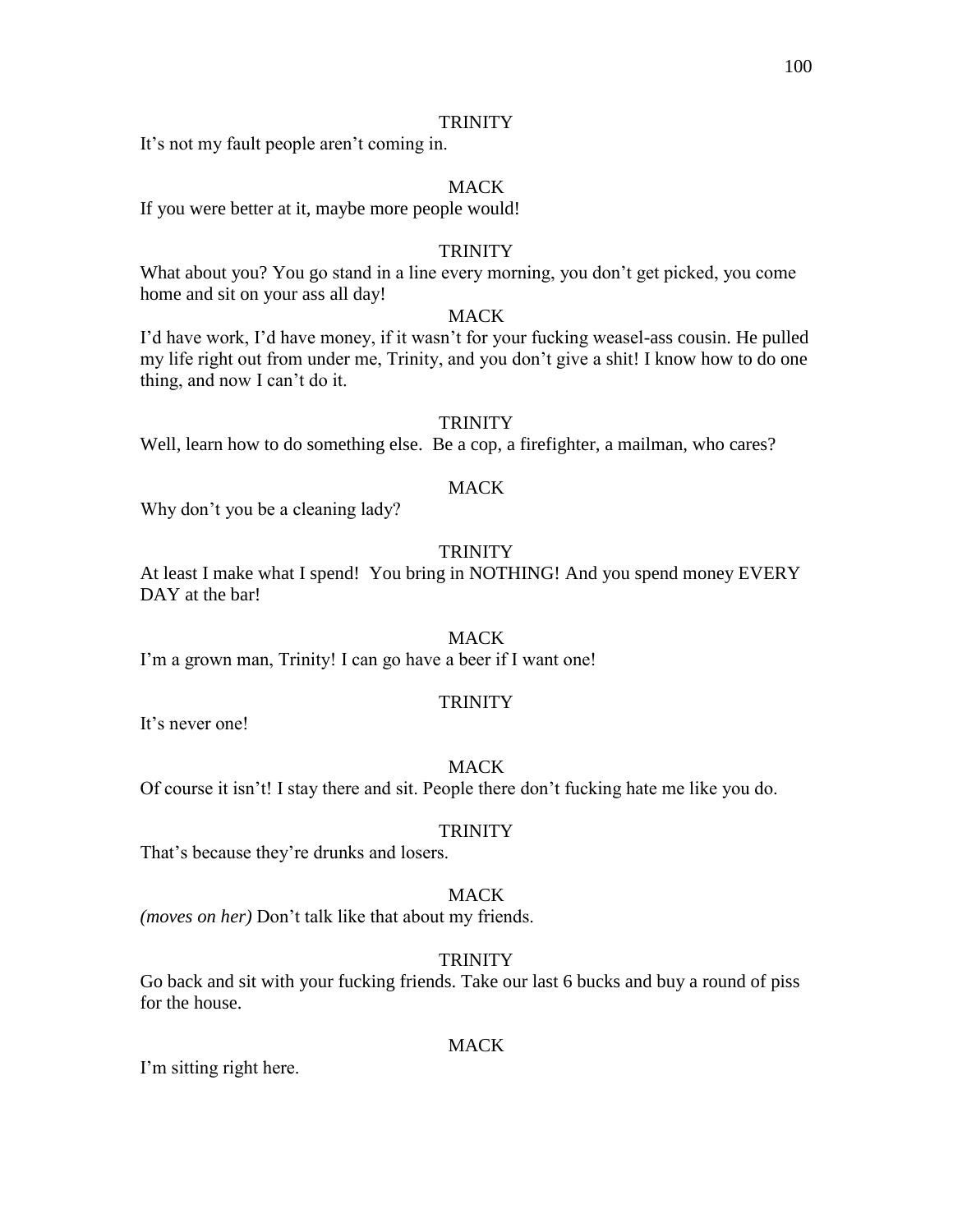It's not my fault people aren't coming in.

# MACK

If you were better at it, maybe more people would!

# **TRINITY**

What about you? You go stand in a line every morning, you don't get picked, you come home and sit on your ass all day!

### MACK

I'd have work, I'd have money, if it wasn't for your fucking weasel-ass cousin. He pulled my life right out from under me, Trinity, and you don't give a shit! I know how to do one thing, and now I can't do it.

### **TRINITY**

Well, learn how to do something else. Be a cop, a firefighter, a mailman, who cares?

# **MACK**

Why don't you be a cleaning lady?

# **TRINITY**

At least I make what I spend! You bring in NOTHING! And you spend money EVERY DAY at the bar!

### **MACK**

I'm a grown man, Trinity! I can go have a beer if I want one!

### **TRINITY**

It's never one!

### **MACK**

Of course it isn't! I stay there and sit. People there don't fucking hate me like you do.

### **TRINITY**

That's because they're drunks and losers.

### MACK

*(moves on her)* Don't talk like that about my friends.

# **TRINITY**

Go back and sit with your fucking friends. Take our last 6 bucks and buy a round of piss for the house.

### MACK

I'm sitting right here.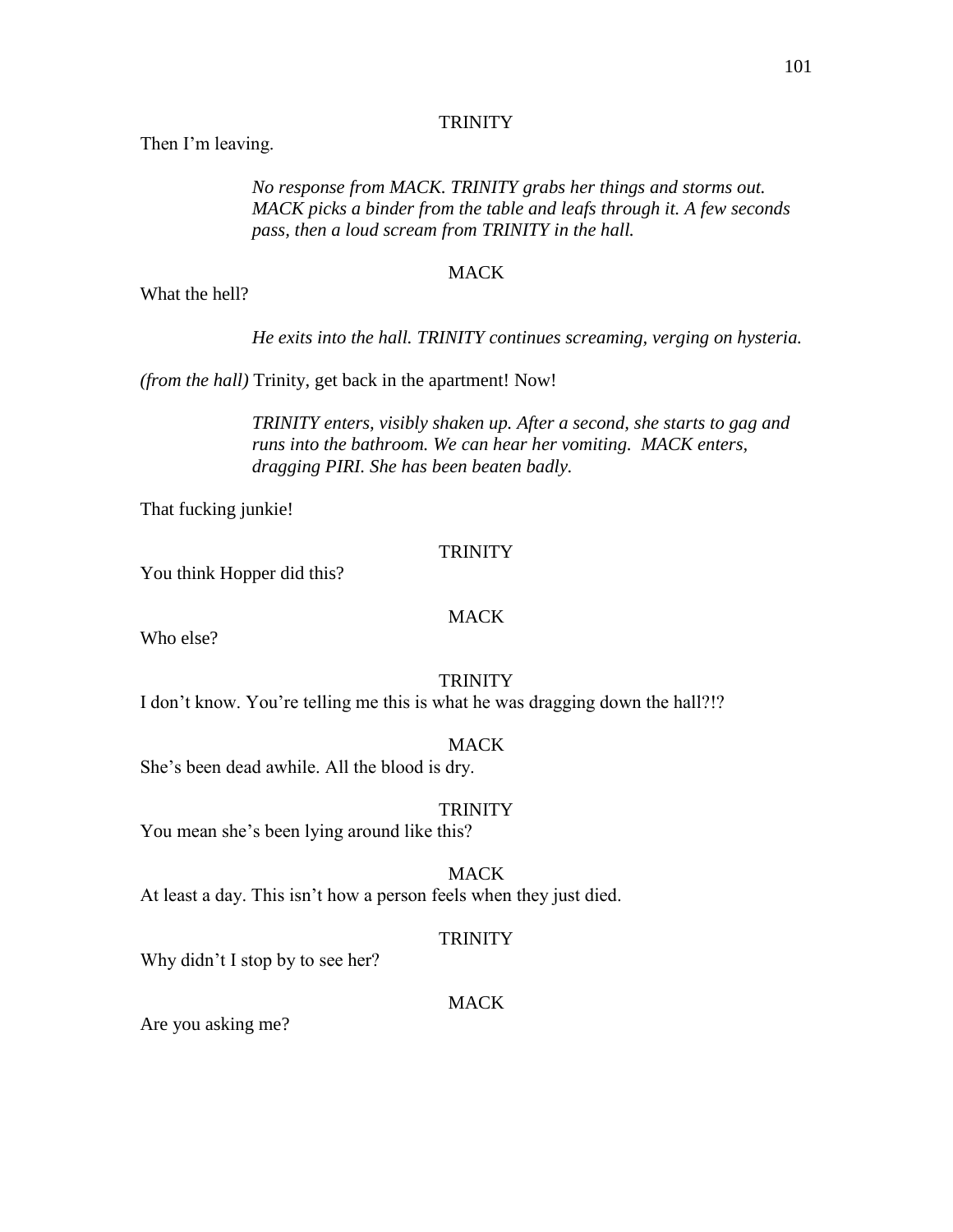Then I'm leaving.

*No response from MACK. TRINITY grabs her things and storms out. MACK picks a binder from the table and leafs through it. A few seconds pass, then a loud scream from TRINITY in the hall.*

### MACK

What the hell?

*He exits into the hall. TRINITY continues screaming, verging on hysteria.*

*(from the hall)* Trinity, get back in the apartment! Now!

*TRINITY enters, visibly shaken up. After a second, she starts to gag and runs into the bathroom. We can hear her vomiting. MACK enters, dragging PIRI. She has been beaten badly.*

That fucking junkie!

### **TRINITY**

You think Hopper did this?

# MACK

Who else?

### **TRINITY**

I don't know. You're telling me this is what he was dragging down the hall?!?

### MACK

She's been dead awhile. All the blood is dry.

#### **TRINITY**

You mean she's been lying around like this?

# **MACK**

At least a day. This isn't how a person feels when they just died.

### **TRINITY**

Why didn't I stop by to see her?

### MACK

Are you asking me?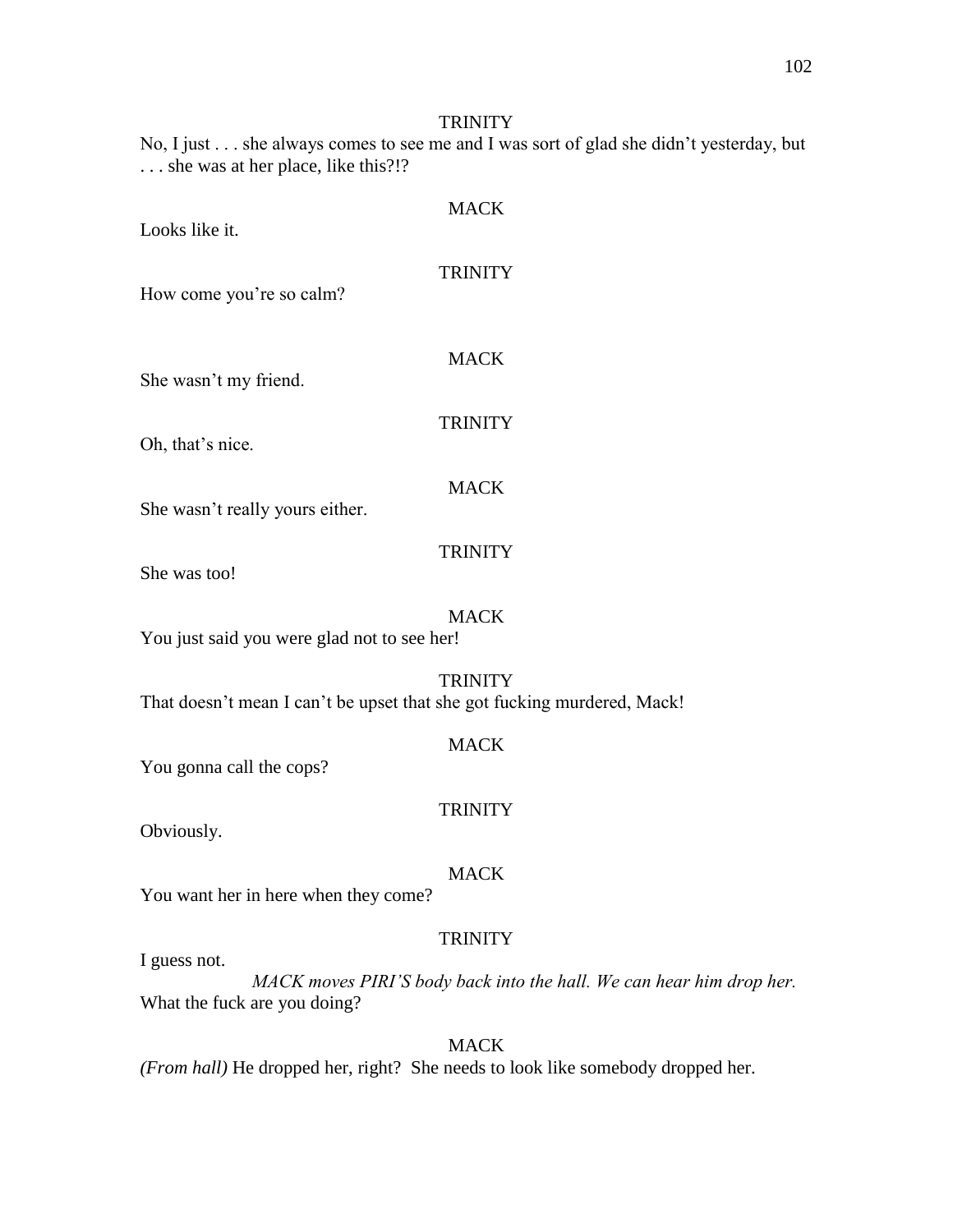No, I just . . . she always comes to see me and I was sort of glad she didn't yesterday, but ... she was at her place, like this?!?

| Looks like it.                              | <b>MACK</b>                                                                               |
|---------------------------------------------|-------------------------------------------------------------------------------------------|
| How come you're so calm?                    | <b>TRINITY</b>                                                                            |
| She wasn't my friend.                       | <b>MACK</b>                                                                               |
| Oh, that's nice.                            | <b>TRINITY</b>                                                                            |
| She wasn't really yours either.             | <b>MACK</b>                                                                               |
| She was too!                                | <b>TRINITY</b>                                                                            |
| You just said you were glad not to see her! | <b>MACK</b>                                                                               |
|                                             | <b>TRINITY</b><br>That doesn't mean I can't be upset that she got fucking murdered, Mack! |
| You gonna call the cops?                    | <b>MACK</b>                                                                               |
| Obviously.                                  | <b>TRINITY</b>                                                                            |
| You want her in here when they come?        | <b>MACK</b>                                                                               |
| I guess not.                                | <b>TRINITY</b><br>MACK moves PIRI'S body back into the hall. We can hear                  |

*dy back into the hall. We can hear him drop her.* What the fuck are you doing?

MACK *(From hall)* He dropped her, right? She needs to look like somebody dropped her.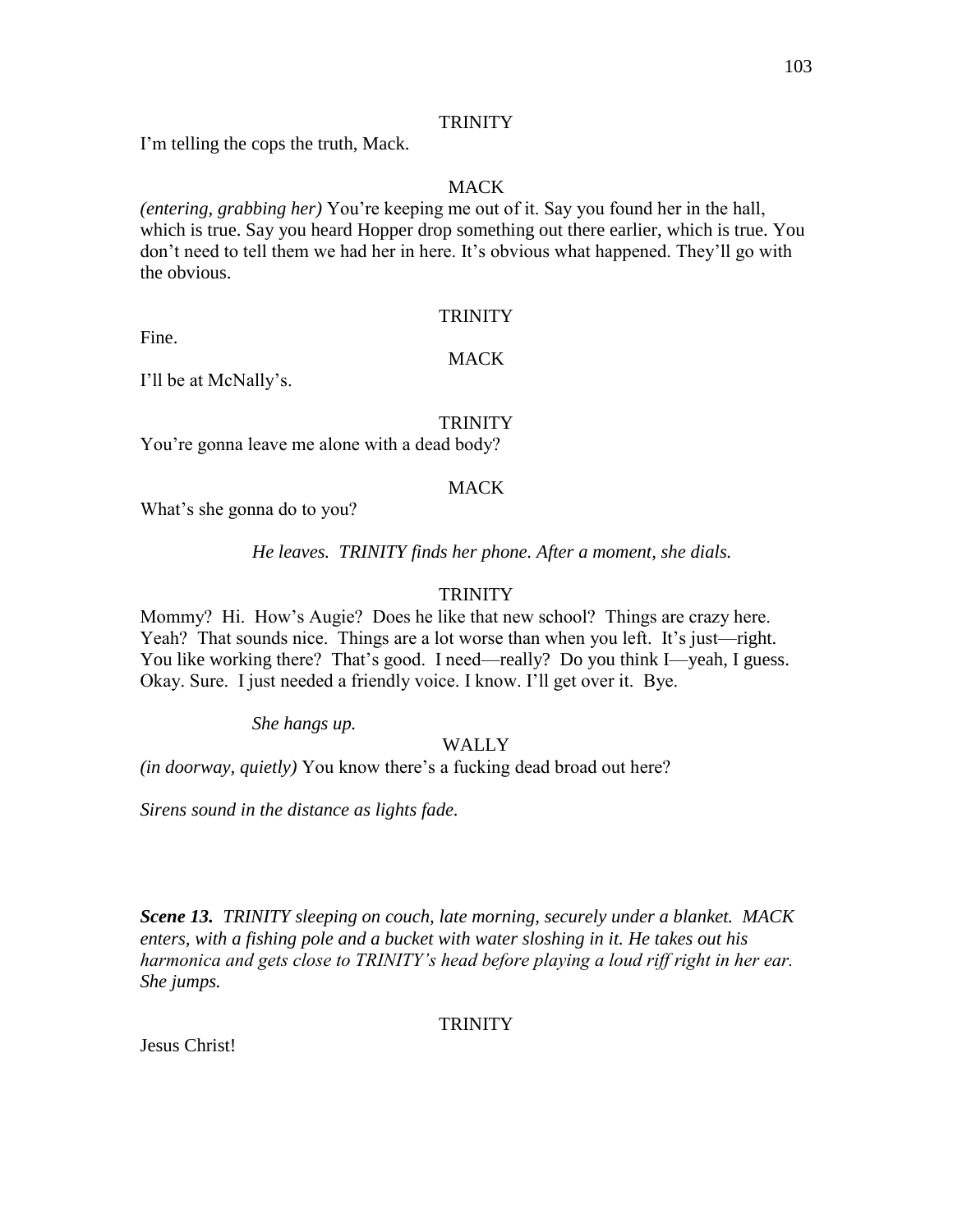I'm telling the cops the truth, Mack.

# MACK

*(entering, grabbing her)* You're keeping me out of it. Say you found her in the hall, which is true. Say you heard Hopper drop something out there earlier, which is true. You don't need to tell them we had her in here. It's obvious what happened. They'll go with the obvious.

# **TRINITY**

Fine.

# MACK

I'll be at McNally's.

# **TRINITY**

You're gonna leave me alone with a dead body?

# **MACK**

What's she gonna do to you?

*He leaves. TRINITY finds her phone. After a moment, she dials.*

# **TRINITY**

Mommy? Hi. How's Augie? Does he like that new school? Things are crazy here. Yeah? That sounds nice. Things are a lot worse than when you left. It's just—right. You like working there? That's good. I need—really? Do you think I—yeah, I guess. Okay. Sure. I just needed a friendly voice. I know. I'll get over it. Bye.

*She hangs up.*

# WALLY

*(in doorway, quietly)* You know there's a fucking dead broad out here?

*Sirens sound in the distance as lights fade.*

*Scene 13. TRINITY sleeping on couch, late morning, securely under a blanket. MACK enters, with a fishing pole and a bucket with water sloshing in it. He takes out his harmonica and gets close to TRINITY's head before playing a loud riff right in her ear. She jumps.*

# **TRINITY**

Jesus Christ!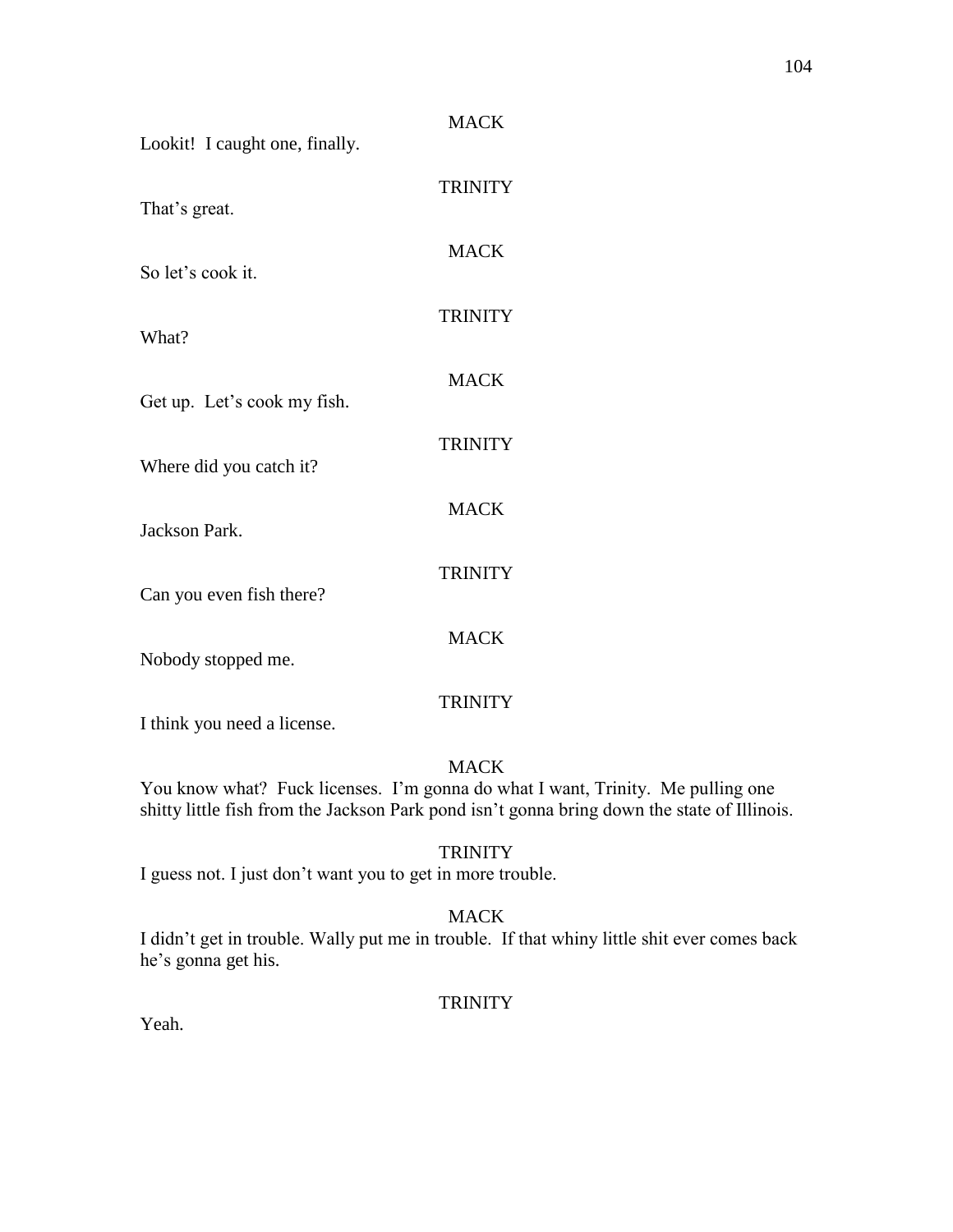| Lookit! I caught one, finally. | <b>MACK</b>    |
|--------------------------------|----------------|
| That's great.                  | <b>TRINITY</b> |
| So let's cook it.              | <b>MACK</b>    |
| What?                          | <b>TRINITY</b> |
| Get up. Let's cook my fish.    | <b>MACK</b>    |
| Where did you catch it?        | <b>TRINITY</b> |
| Jackson Park.                  | <b>MACK</b>    |
| Can you even fish there?       | <b>TRINITY</b> |
| Nobody stopped me.             | <b>MACK</b>    |
| I think you need a license.    | <b>TRINITY</b> |

You know what? Fuck licenses. I'm gonna do what I want, Trinity. Me pulling one shitty little fish from the Jackson Park pond isn't gonna bring down the state of Illinois.

# **TRINITY**

I guess not. I just don't want you to get in more trouble.

# MACK

I didn't get in trouble. Wally put me in trouble. If that whiny little shit ever comes back he's gonna get his.

# **TRINITY**

Yeah.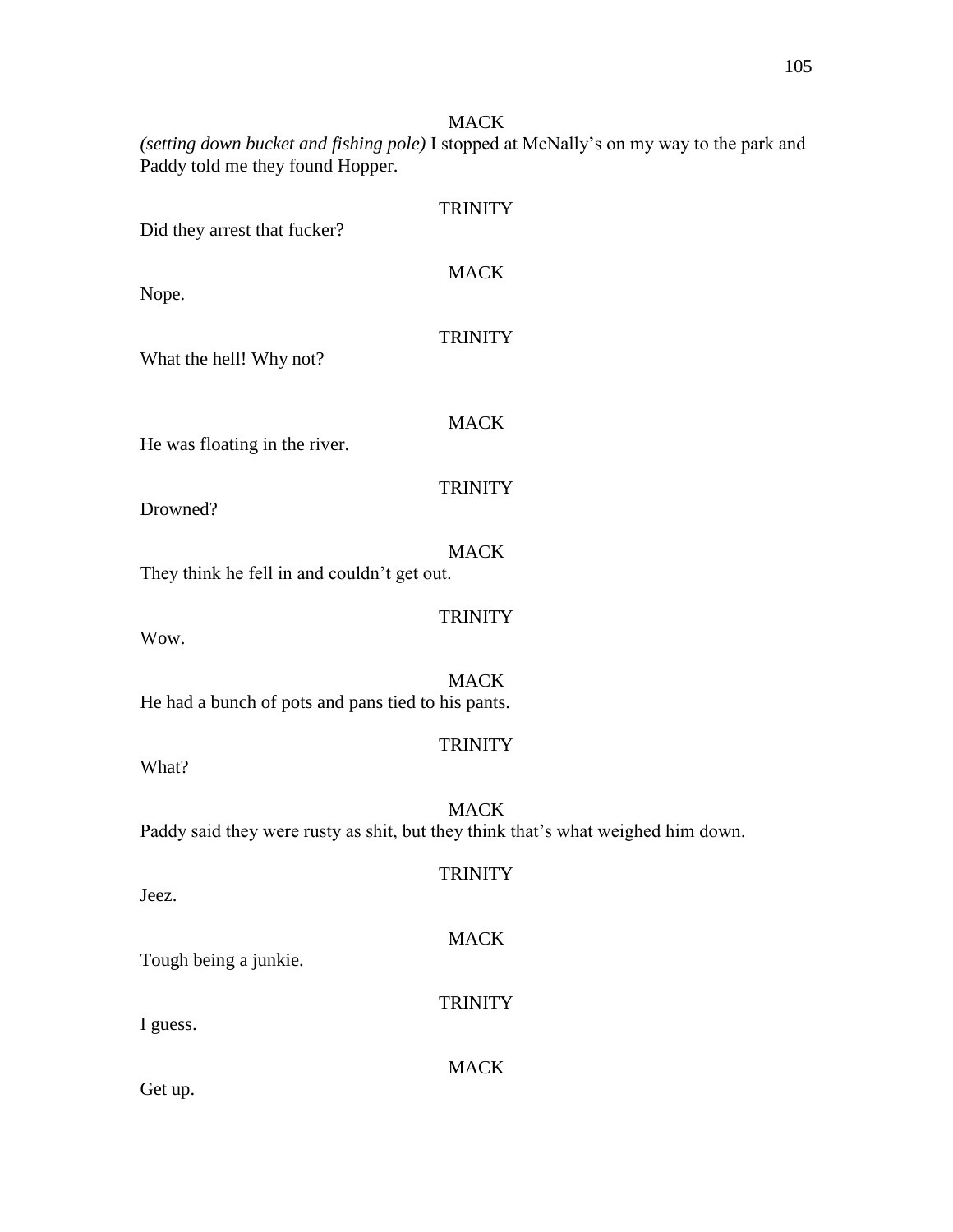*(setting down bucket and fishing pole)* I stopped at McNally's on my way to the park and Paddy told me they found Hopper.

| Did they arrest that fucker?                       | <b>TRINITY</b>                                                                                  |
|----------------------------------------------------|-------------------------------------------------------------------------------------------------|
| Nope.                                              | <b>MACK</b>                                                                                     |
| What the hell! Why not?                            | <b>TRINITY</b>                                                                                  |
| He was floating in the river.                      | <b>MACK</b>                                                                                     |
| Drowned?                                           | <b>TRINITY</b>                                                                                  |
| They think he fell in and couldn't get out.        | <b>MACK</b>                                                                                     |
| Wow.                                               | <b>TRINITY</b>                                                                                  |
| He had a bunch of pots and pans tied to his pants. | <b>MACK</b>                                                                                     |
| What?                                              | <b>TRINITY</b>                                                                                  |
|                                                    | <b>MACK</b><br>Paddy said they were rusty as shit, but they think that's what weighed him down. |
| Jeez.                                              | <b>TRINITY</b>                                                                                  |
| Tough being a junkie.                              | <b>MACK</b>                                                                                     |
| I guess.                                           | <b>TRINITY</b>                                                                                  |
|                                                    | <b>MACK</b>                                                                                     |

Get up.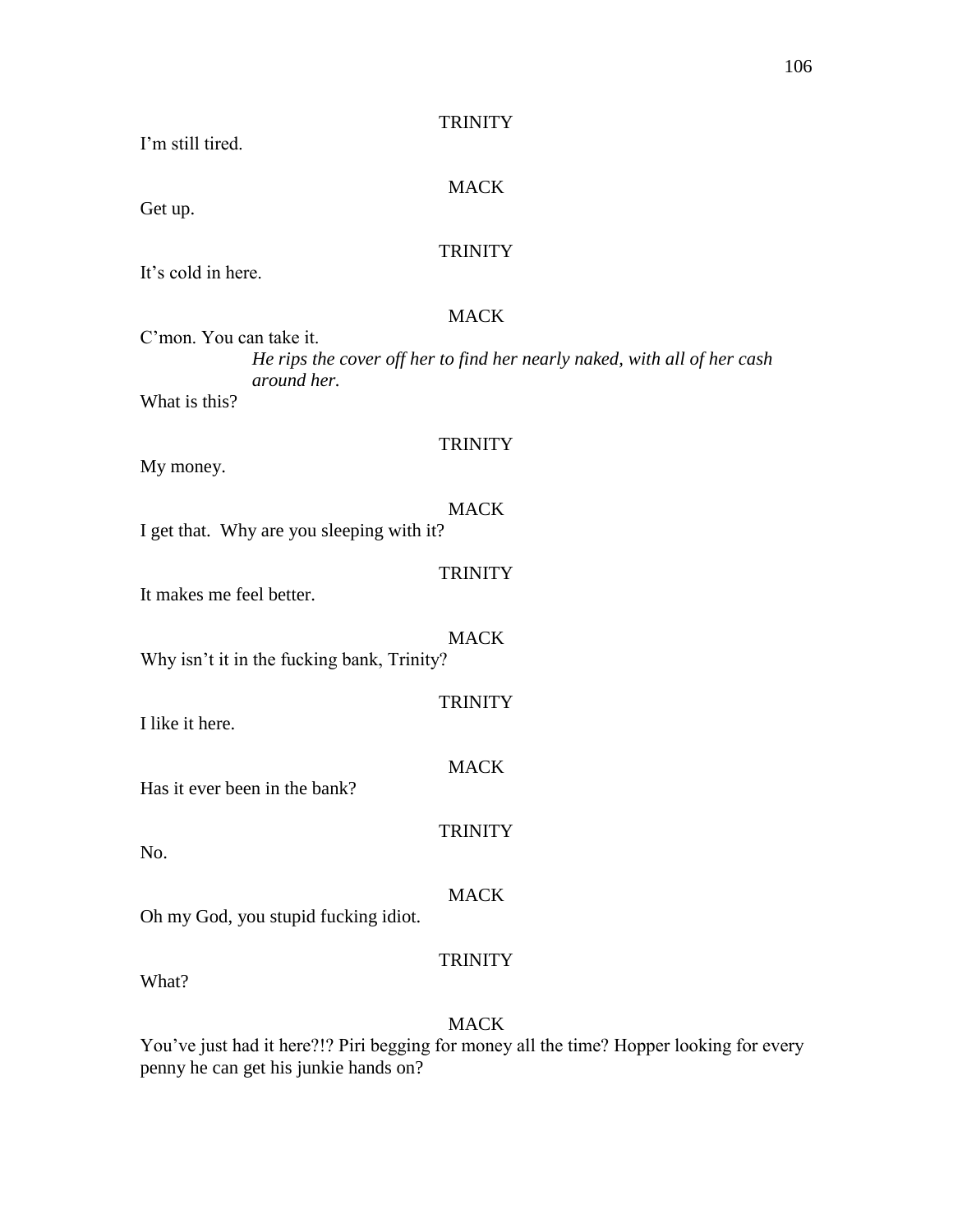I'm still tired.

## MACK

Get up.

# **TRINITY**

It's cold in here.

# MACK

C'mon. You can take it. *He rips the cover off her to find her nearly naked, with all of her cash around her.* What is this?

## **TRINITY**

**TRINITY** 

**TRINITY** 

**MACK** 

**TRINITY** 

My money.

### MACK I get that. Why are you sleeping with it?

It makes me feel better.

MACK Why isn't it in the fucking bank, Trinity?

I like it here.

Has it ever been in the bank?

No.

# MACK

Oh my God, you stupid fucking idiot.

# **TRINITY**

What?

# MACK

You've just had it here?!? Piri begging for money all the time? Hopper looking for every penny he can get his junkie hands on?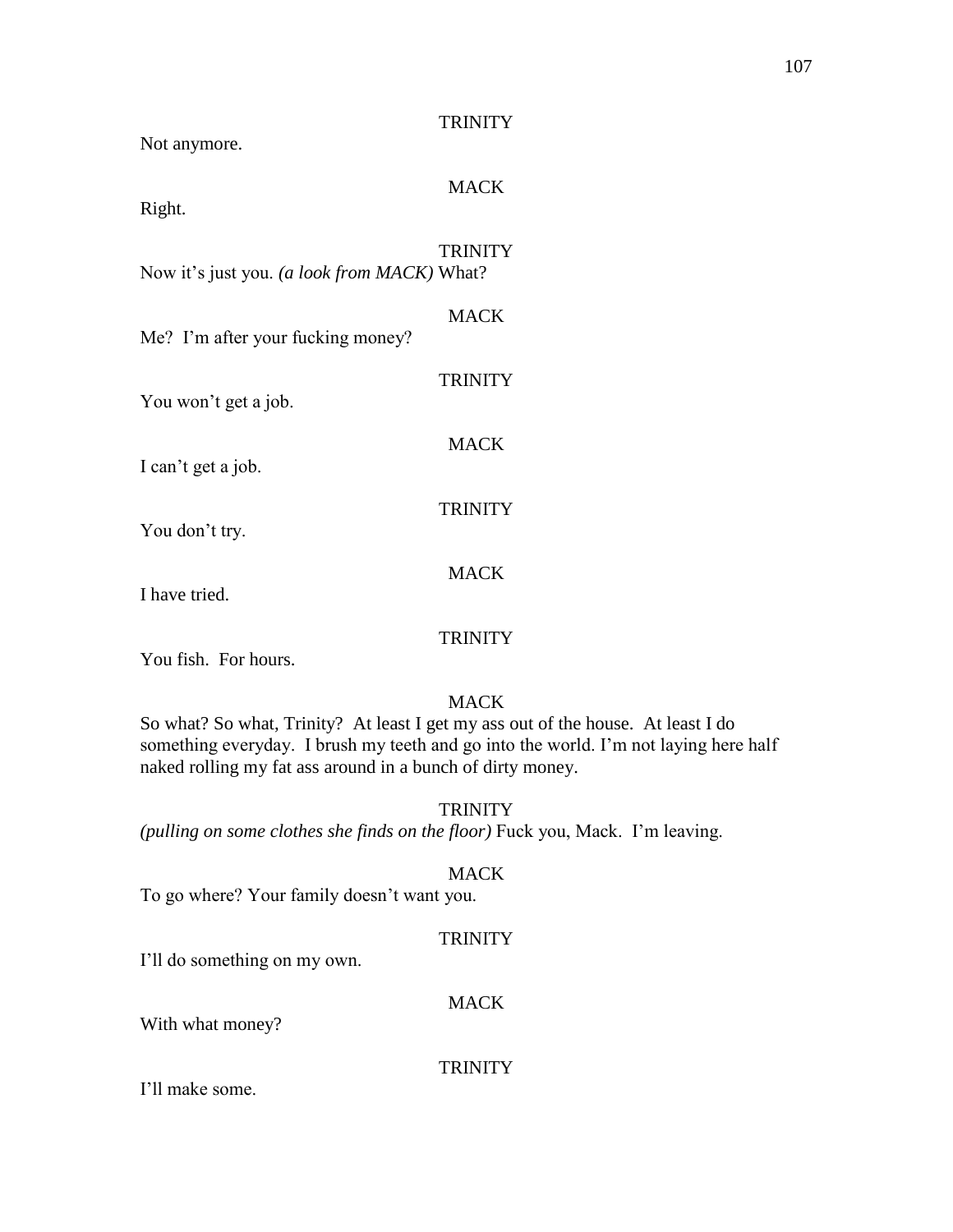| Not anymore.                                | <b>TRINITY</b> |
|---------------------------------------------|----------------|
| Right.                                      | <b>MACK</b>    |
| Now it's just you. (a look from MACK) What? | <b>TRINITY</b> |
| Me? I'm after your fucking money?           | <b>MACK</b>    |
| You won't get a job.                        | <b>TRINITY</b> |
| I can't get a job.                          | <b>MACK</b>    |
| You don't try.                              | <b>TRINITY</b> |
| I have tried.                               | <b>MACK</b>    |
| You fish. For hours.                        | <b>TRINITY</b> |
|                                             |                |

So what? So what, Trinity? At least I get my ass out of the house. At least I do something everyday. I brush my teeth and go into the world. I'm not laying here half naked rolling my fat ass around in a bunch of dirty money.

# **TRINITY**

*(pulling on some clothes she finds on the floor)* Fuck you, Mack. I'm leaving.

# MACK

To go where? Your family doesn't want you.

# **TRINITY**

I'll do something on my own.

# **MACK**

With what money?

# **TRINITY**

I'll make some.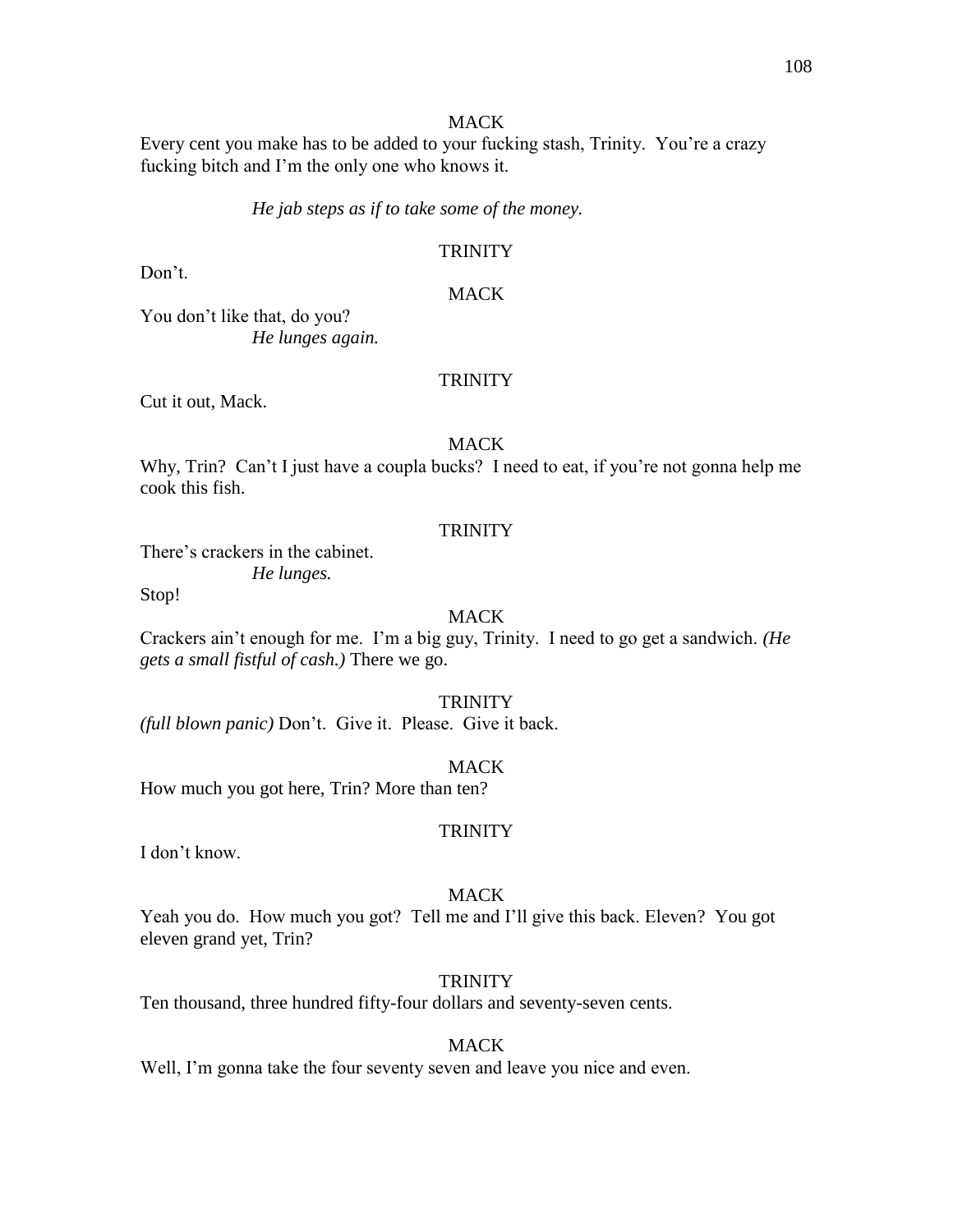Every cent you make has to be added to your fucking stash, Trinity. You're a crazy fucking bitch and I'm the only one who knows it.

*He jab steps as if to take some of the money.*

### **TRINITY**

Don't.

### MACK

You don't like that, do you? *He lunges again.*

#### **TRINITY**

Cut it out, Mack.

### MACK

Why, Trin? Can't I just have a coupla bucks? I need to eat, if you're not gonna help me cook this fish.

#### **TRINITY**

There's crackers in the cabinet.

*He lunges.*

Stop!

# MACK

Crackers ain't enough for me. I'm a big guy, Trinity. I need to go get a sandwich. *(He gets a small fistful of cash.)* There we go.

### **TRINITY**

*(full blown panic)* Don't. Give it. Please. Give it back.

#### MACK

How much you got here, Trin? More than ten?

#### **TRINITY**

I don't know.

#### MACK

Yeah you do. How much you got? Tell me and I'll give this back. Eleven? You got eleven grand yet, Trin?

#### **TRINITY**

Ten thousand, three hundred fifty-four dollars and seventy-seven cents.

### MACK

Well, I'm gonna take the four seventy seven and leave you nice and even.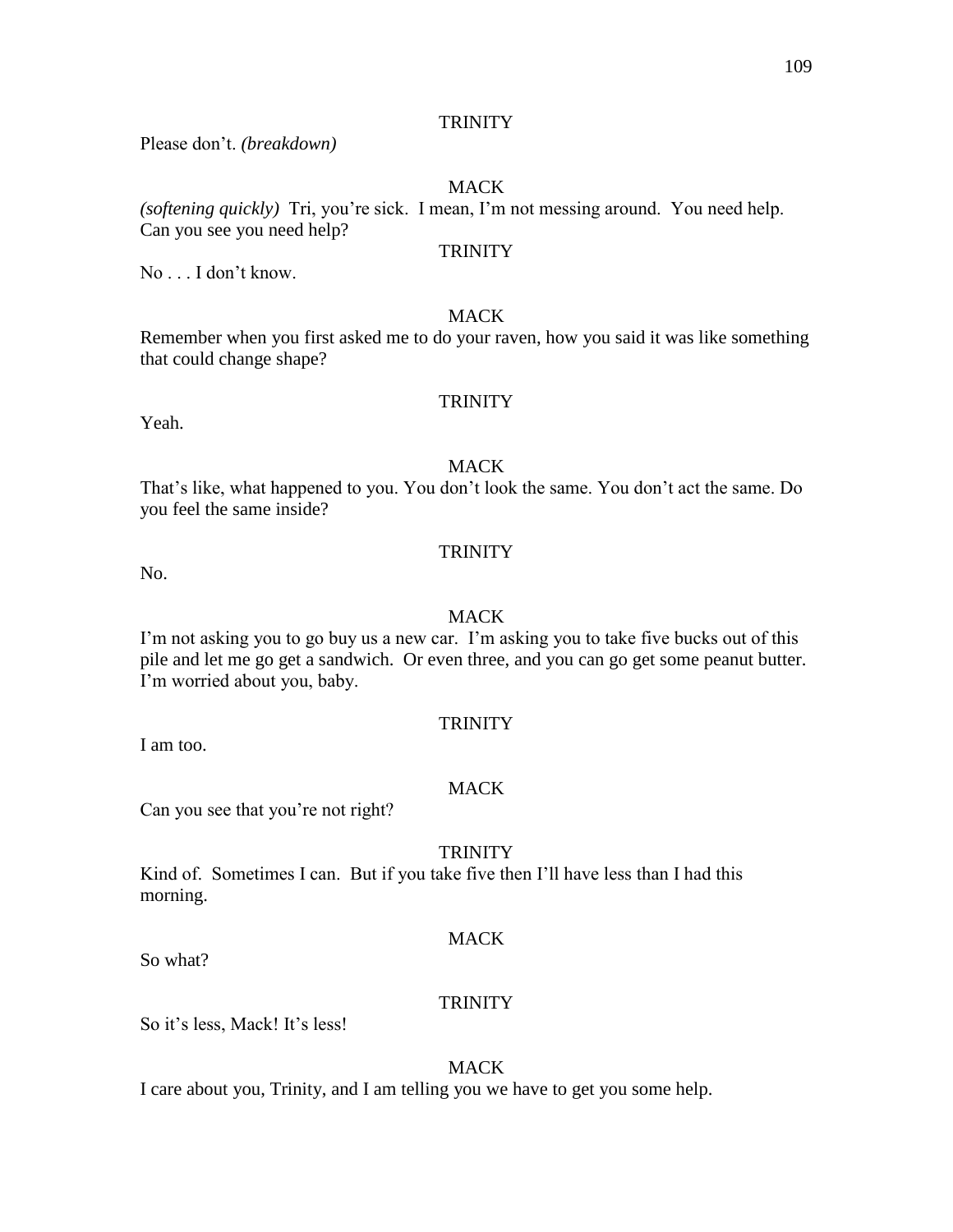# **TRINITY**

Please don't. *(breakdown)*

# MACK

*(softening quickly)* Tri, you're sick. I mean, I'm not messing around. You need help. Can you see you need help?

## **TRINITY**

No . . . I don't know.

# MACK

Remember when you first asked me to do your raven, how you said it was like something that could change shape?

# **TRINITY**

Yeah.

## **MACK**

That's like, what happened to you. You don't look the same. You don't act the same. Do you feel the same inside?

#### **TRINITY**

No.

### MACK

I'm not asking you to go buy us a new car. I'm asking you to take five bucks out of this pile and let me go get a sandwich. Or even three, and you can go get some peanut butter. I'm worried about you, baby.

## **TRINITY**

I am too.

## MACK

Can you see that you're not right?

## **TRINITY**

Kind of. Sometimes I can. But if you take five then I'll have less than I had this morning.

## MACK

So what?

## **TRINITY**

So it's less, Mack! It's less!

## MACK

I care about you, Trinity, and I am telling you we have to get you some help.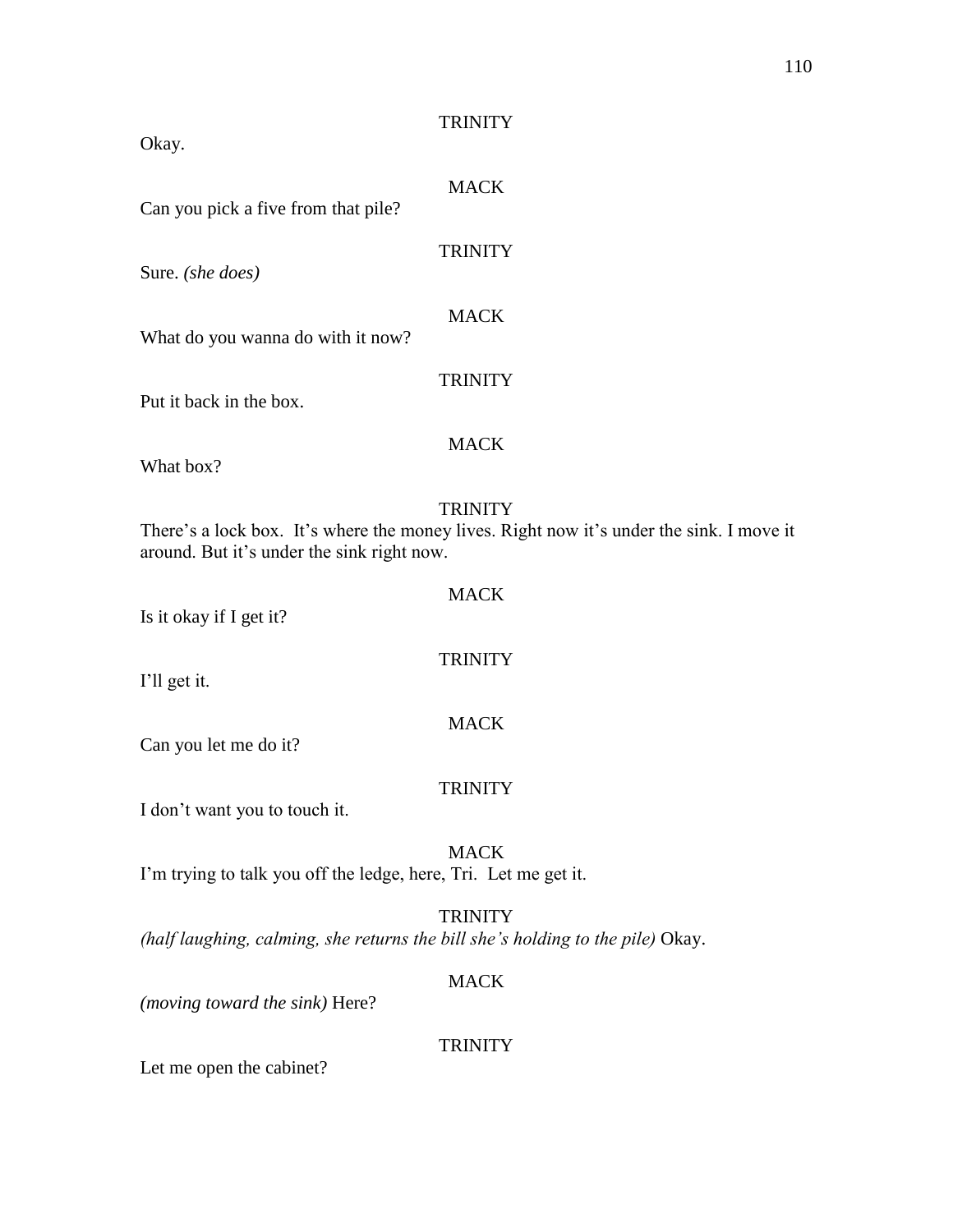| Okay.                                                                          | <b>TRINITY</b>                                                                                             |
|--------------------------------------------------------------------------------|------------------------------------------------------------------------------------------------------------|
| Can you pick a five from that pile?                                            | <b>MACK</b>                                                                                                |
| Sure. (she does)                                                               | <b>TRINITY</b>                                                                                             |
| What do you wanna do with it now?                                              | <b>MACK</b>                                                                                                |
| Put it back in the box.                                                        | <b>TRINITY</b>                                                                                             |
| What box?                                                                      | <b>MACK</b>                                                                                                |
| around. But it's under the sink right now.                                     | <b>TRINITY</b><br>There's a lock box. It's where the money lives. Right now it's under the sink. I move it |
| Is it okay if I get it?                                                        | <b>MACK</b>                                                                                                |
| I'll get it.                                                                   | <b>TRINITY</b>                                                                                             |
| Can you let me do it?                                                          | <b>MACK</b>                                                                                                |
| I don't want you to touch it.                                                  | <b>TRINITY</b>                                                                                             |
| I'm trying to talk you off the ledge, here, Tri. Let me get it.                | <b>MACK</b>                                                                                                |
| (half laughing, calming, she returns the bill she's holding to the pile) Okay. | <b>TRINITY</b>                                                                                             |
| (moving toward the sink) Here?                                                 | <b>MACK</b>                                                                                                |
|                                                                                | <b>TRINITY</b>                                                                                             |

Let me open the cabinet?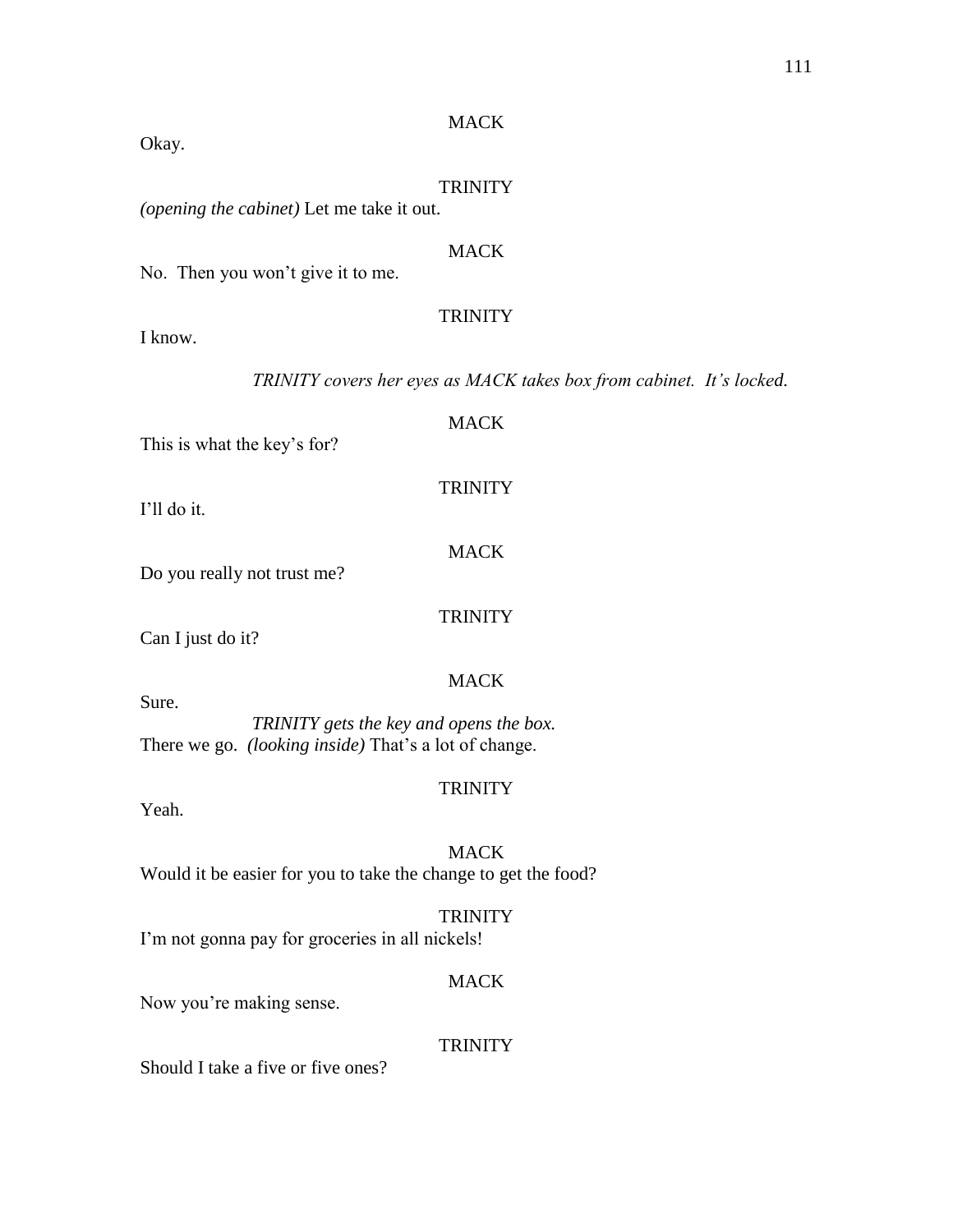*TRINITY covers her eyes as MACK takes box from cabinet. It's locked.*

# MACK

| Okay.                                                                                                            |                                                         |
|------------------------------------------------------------------------------------------------------------------|---------------------------------------------------------|
|                                                                                                                  | <b>TRINITY</b>                                          |
| (opening the cabinet) Let me take it out.                                                                        |                                                         |
| No. Then you won't give it to me.                                                                                | <b>MACK</b>                                             |
| I know.                                                                                                          | <b>TRINITY</b>                                          |
|                                                                                                                  | TRINITY covers her eyes as MACK takes box from cabinet. |
| This is what the key's for?                                                                                      | <b>MACK</b>                                             |
| I'll do it.                                                                                                      | <b>TRINITY</b>                                          |
| Do you really not trust me?                                                                                      | <b>MACK</b>                                             |
| Can I just do it?                                                                                                | <b>TRINITY</b>                                          |
| Sure.<br>TRINITY gets the key and opens the box.<br>There we go. <i>(looking inside)</i> That's a lot of change. | <b>MACK</b>                                             |
| Yeah.                                                                                                            | <b>TRINITY</b>                                          |
| Would it be easier for you to take the change to get the food?                                                   | <b>MACK</b>                                             |
| I'm not gonna pay for groceries in all nickels!                                                                  | <b>TRINITY</b>                                          |
| Now you're making sense.                                                                                         | <b>MACK</b>                                             |
| Should I take a five or five ones?                                                                               | <b>TRINITY</b>                                          |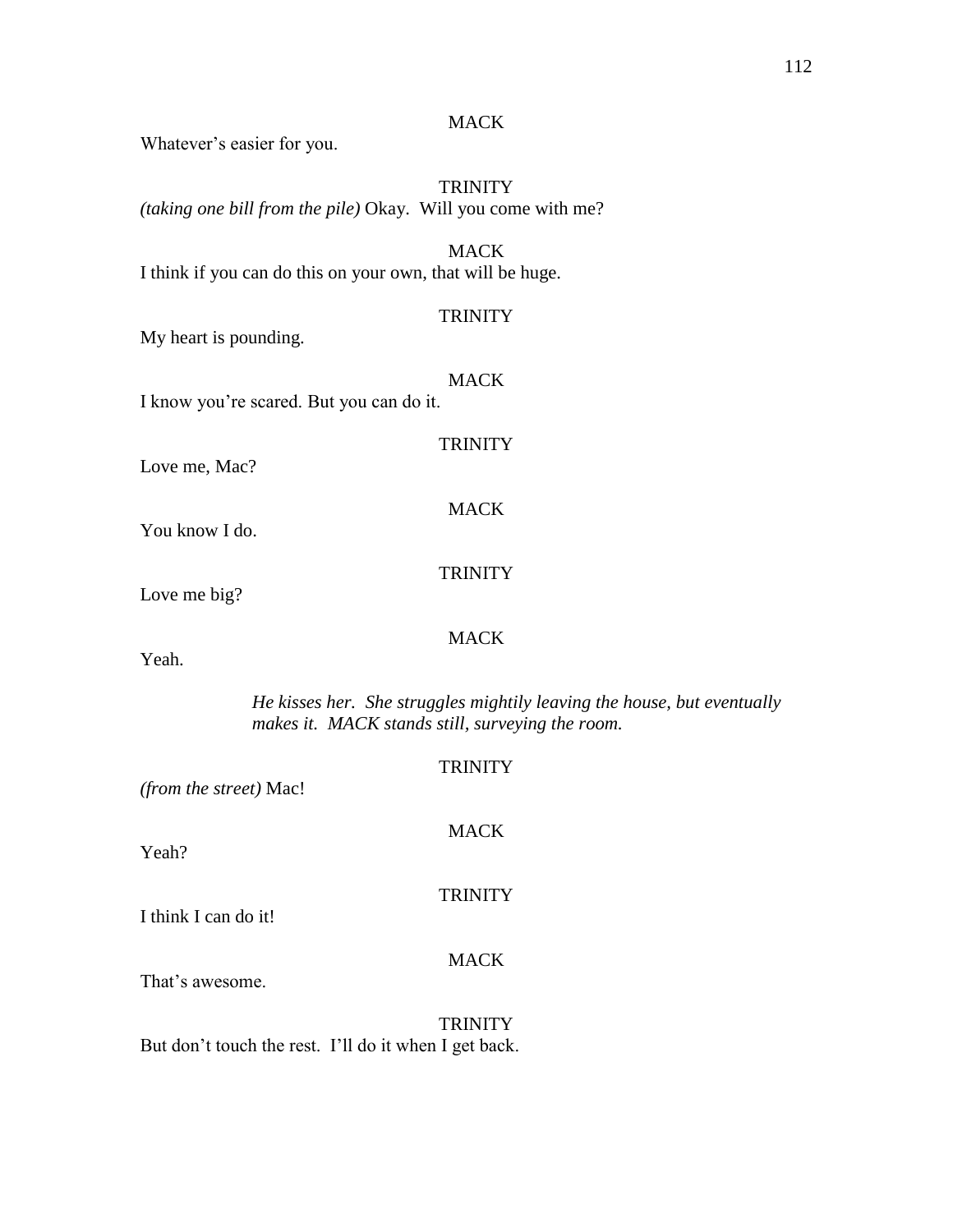## **MACK**

Whatever's easier for you.

**TRINITY** *(taking one bill from the pile)* Okay. Will you come with me?

MACK I think if you can do this on your own, that will be huge.

#### **TRINITY**

My heart is pounding.

## **MACK**

I know you're scared. But you can do it.

# **TRINITY**

MACK

Love me, Mac?

You know I do.

## **TRINITY**

Love me big?

## MACK

Yeah.

*He kisses her. She struggles mightily leaving the house, but eventually makes it. MACK stands still, surveying the room.* 

**TRINITY** *(from the street)* Mac! MACK Yeah? **TRINITY** I think I can do it! **MACK** That's awesome. **TRINITY** 

But don't touch the rest. I'll do it when I get back.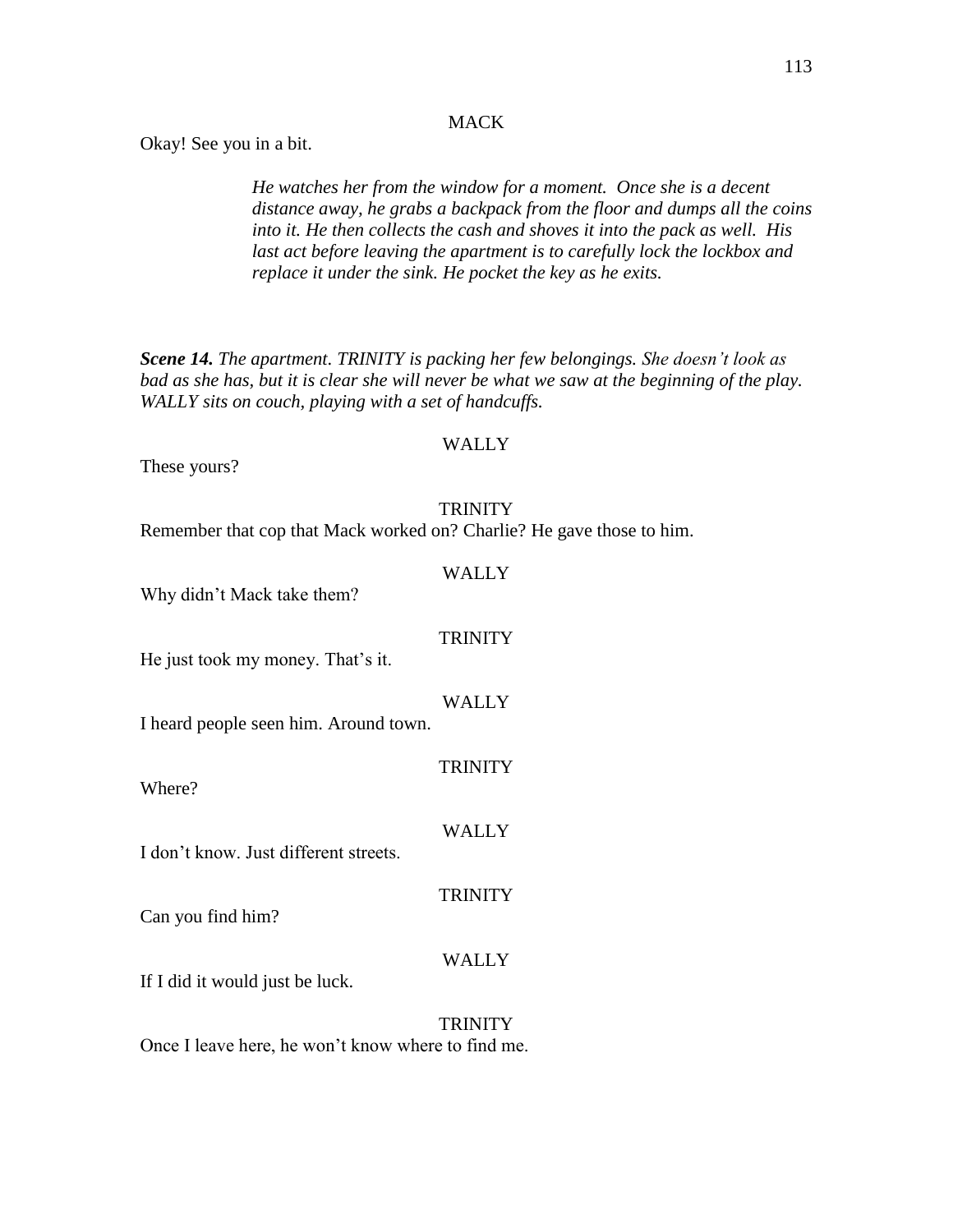## **MACK**

Okay! See you in a bit.

*He watches her from the window for a moment. Once she is a decent distance away, he grabs a backpack from the floor and dumps all the coins into it. He then collects the cash and shoves it into the pack as well. His last act before leaving the apartment is to carefully lock the lockbox and replace it under the sink. He pocket the key as he exits.*

*Scene 14. The apartment. TRINITY is packing her few belongings. She doesn't look as bad as she has, but it is clear she will never be what we saw at the beginning of the play. WALLY sits on couch, playing with a set of handcuffs.*

#### WALLY

These yours?

#### **TRINITY**

Remember that cop that Mack worked on? Charlie? He gave those to him.

| Why didn't Mack take them?            | WALLY          |
|---------------------------------------|----------------|
| He just took my money. That's it.     | <b>TRINITY</b> |
| I heard people seen him. Around town. | WALLY          |
| Where?                                | <b>TRINITY</b> |
| I don't know. Just different streets. | WALLY          |
| Can you find him?                     | <b>TRINITY</b> |
| If I did it would just be luck.       | WALLY          |
|                                       | TRINITY        |

Once I leave here, he won't know where to find me.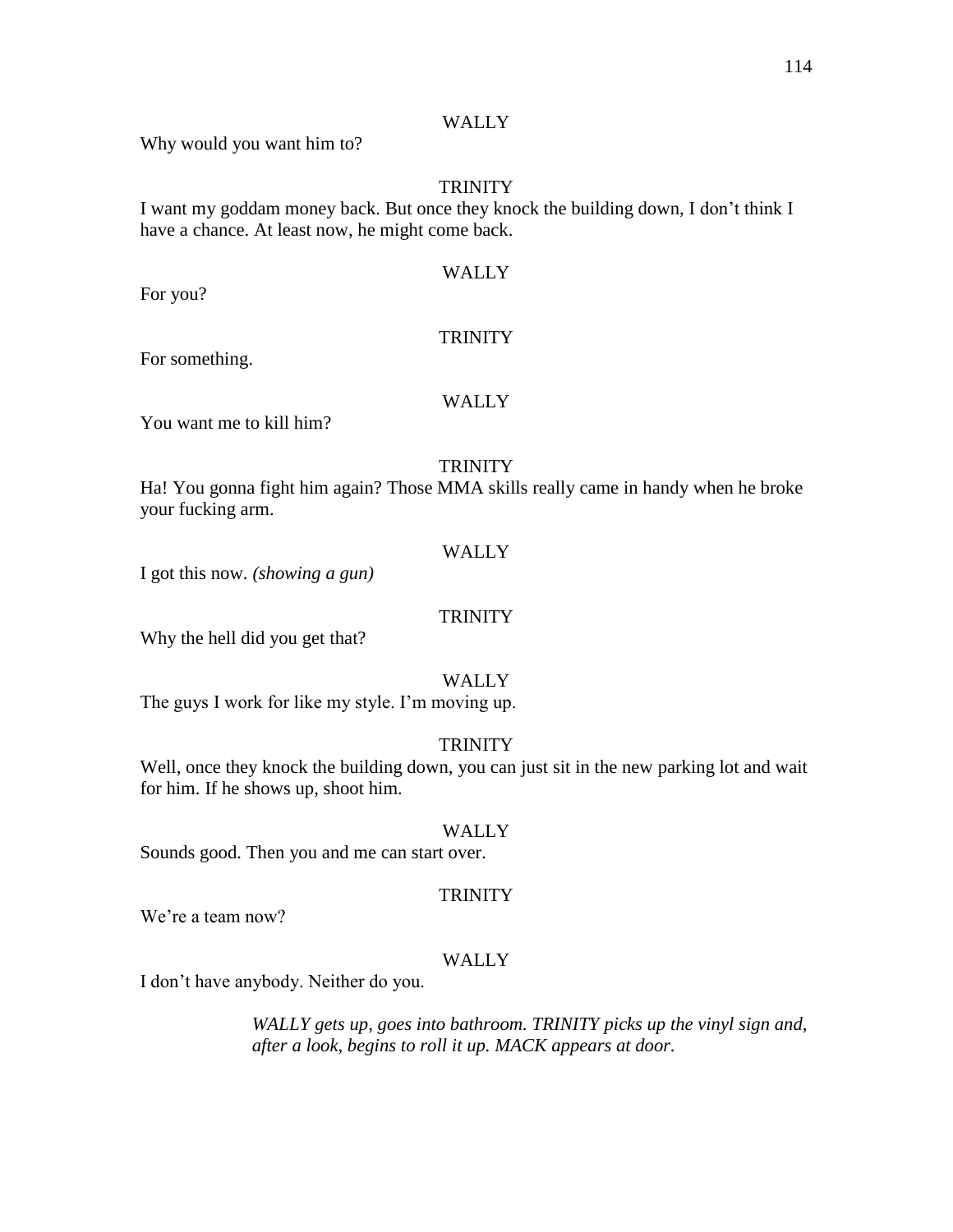# WALLY

Why would you want him to?

## **TRINITY**

I want my goddam money back. But once they knock the building down, I don't think I have a chance. At least now, he might come back.

# WALLY

For you?

#### **TRINITY**

For something.

### WALLY

You want me to kill him?

# **TRINITY**

Ha! You gonna fight him again? Those MMA skills really came in handy when he broke your fucking arm.

#### WALLY

I got this now. *(showing a gun)*

### **TRINITY**

Why the hell did you get that?

#### WALLY

The guys I work for like my style. I'm moving up.

# **TRINITY**

Well, once they knock the building down, you can just sit in the new parking lot and wait for him. If he shows up, shoot him.

#### WALLY

Sounds good. Then you and me can start over.

#### **TRINITY**

We're a team now?

# WALLY

I don't have anybody. Neither do you.

*WALLY gets up, goes into bathroom. TRINITY picks up the vinyl sign and, after a look, begins to roll it up. MACK appears at door.*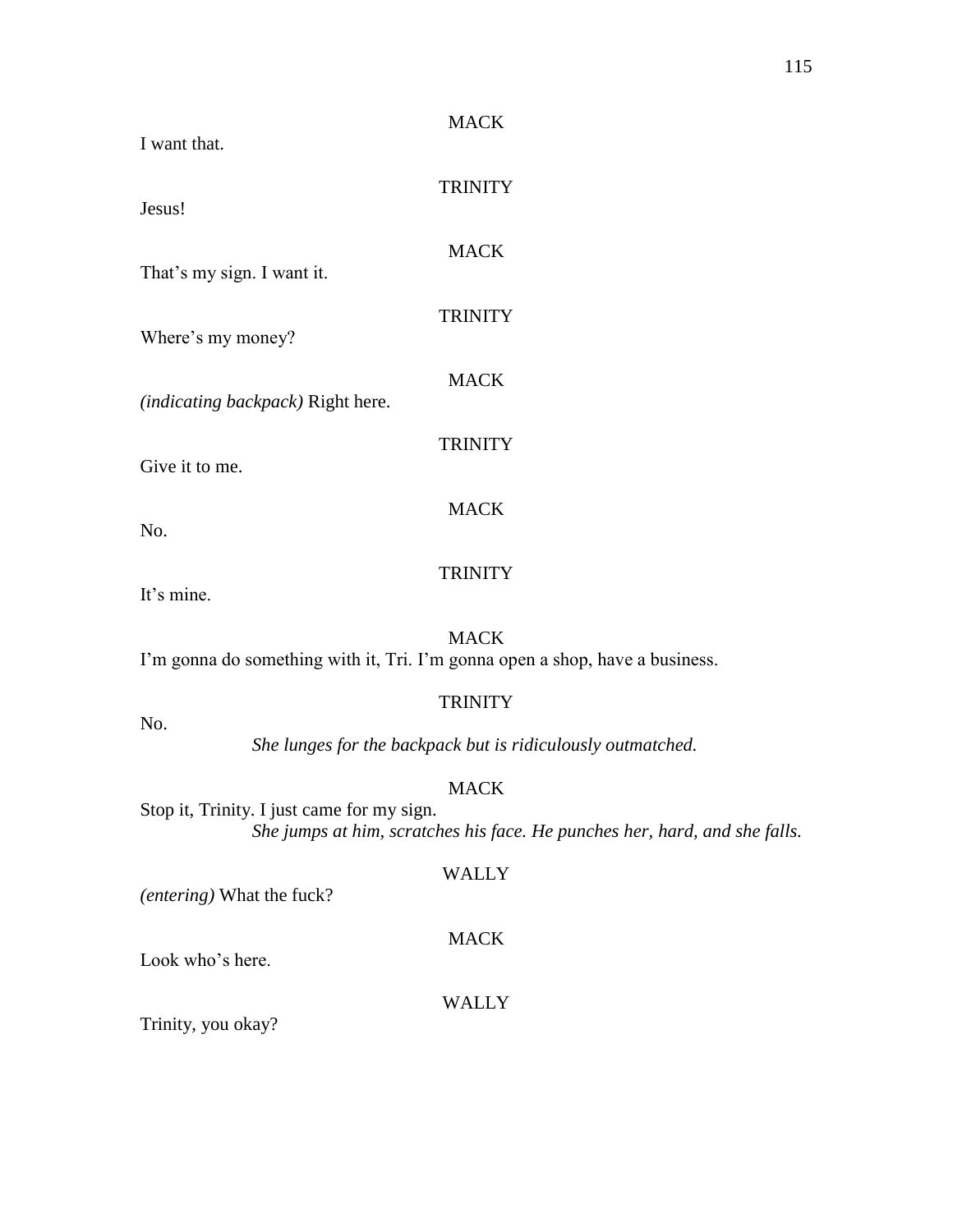| <b>MACK</b><br>I want that.                                                                                                             |  |  |  |
|-----------------------------------------------------------------------------------------------------------------------------------------|--|--|--|
| <b>TRINITY</b><br>Jesus!                                                                                                                |  |  |  |
| <b>MACK</b>                                                                                                                             |  |  |  |
| That's my sign. I want it.<br><b>TRINITY</b>                                                                                            |  |  |  |
| Where's my money?<br><b>MACK</b>                                                                                                        |  |  |  |
| (indicating backpack) Right here.                                                                                                       |  |  |  |
| <b>TRINITY</b><br>Give it to me.                                                                                                        |  |  |  |
| <b>MACK</b><br>No.                                                                                                                      |  |  |  |
| <b>TRINITY</b><br>It's mine.                                                                                                            |  |  |  |
| <b>MACK</b><br>I'm gonna do something with it, Tri. I'm gonna open a shop, have a business.                                             |  |  |  |
| <b>TRINITY</b><br>No.                                                                                                                   |  |  |  |
| She lunges for the backpack but is ridiculously outmatched.                                                                             |  |  |  |
| <b>MACK</b><br>Stop it, Trinity. I just came for my sign.<br>She jumps at him, scratches his face. He punches her, hard, and she falls. |  |  |  |
| WALLY<br>(entering) What the fuck?                                                                                                      |  |  |  |
| <b>MACK</b><br>Look who's here.                                                                                                         |  |  |  |
| WALLY                                                                                                                                   |  |  |  |

Trinity, you okay?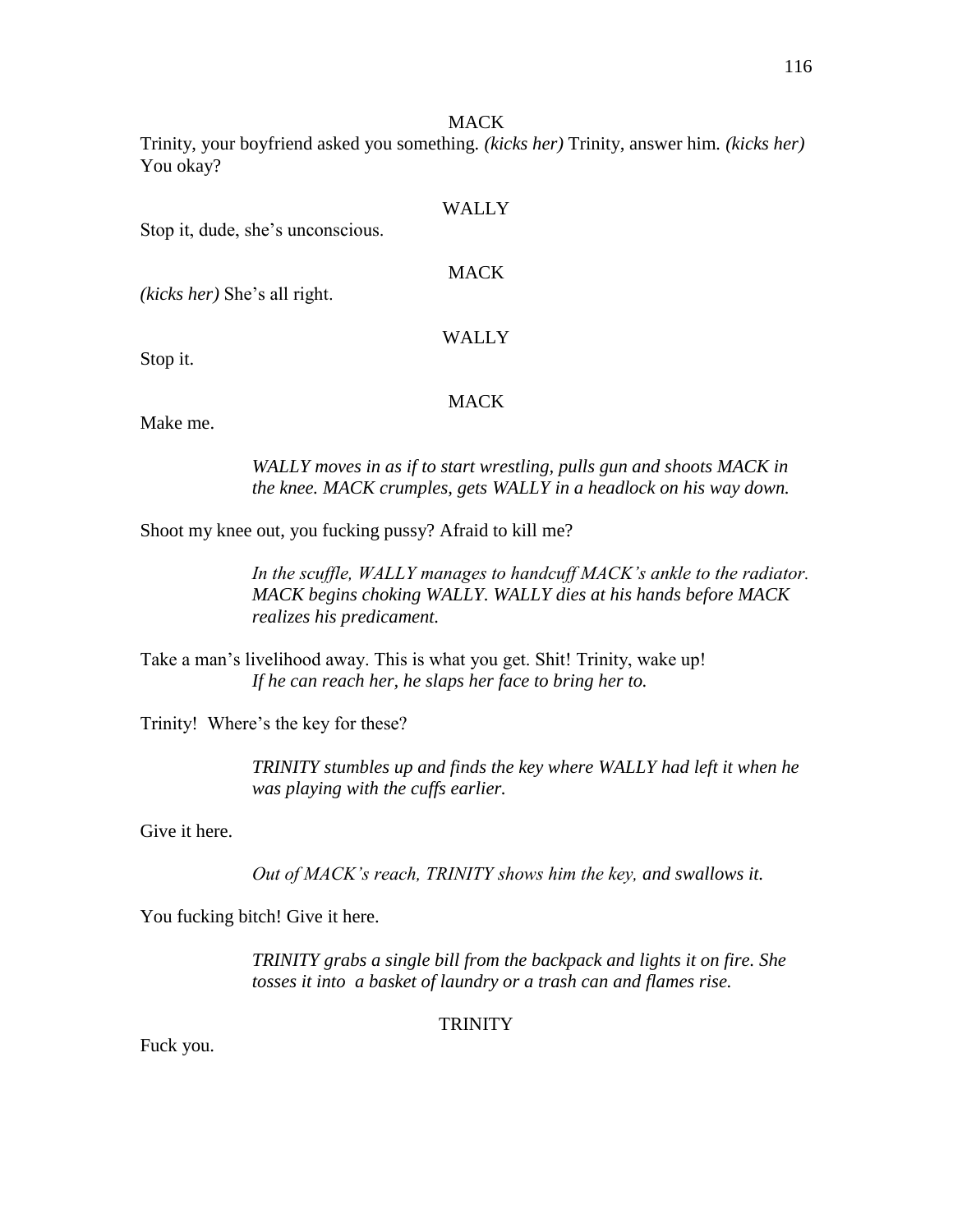#### MACK

Trinity, your boyfriend asked you something*. (kicks her)* Trinity, answer him*. (kicks her)* You okay?

| Stop it, dude, she's unconscious. | WALLY       |  |
|-----------------------------------|-------------|--|
| (kicks her) She's all right.      | <b>MACK</b> |  |
|                                   | WALLY       |  |
| Stop it.                          | MACK        |  |

Make me.

*WALLY moves in as if to start wrestling, pulls gun and shoots MACK in the knee. MACK crumples, gets WALLY in a headlock on his way down.*

Shoot my knee out, you fucking pussy? Afraid to kill me?

*In the scuffle, WALLY manages to handcuff MACK's ankle to the radiator. MACK begins choking WALLY. WALLY dies at his hands before MACK realizes his predicament.*

Take a man's livelihood away. This is what you get. Shit! Trinity, wake up! *If he can reach her, he slaps her face to bring her to.*

Trinity! Where's the key for these?

*TRINITY stumbles up and finds the key where WALLY had left it when he was playing with the cuffs earlier.*

Give it here.

*Out of MACK's reach, TRINITY shows him the key, and swallows it.*

You fucking bitch! Give it here.

*TRINITY grabs a single bill from the backpack and lights it on fire. She tosses it into a basket of laundry or a trash can and flames rise.*

**TRINITY** 

Fuck you.